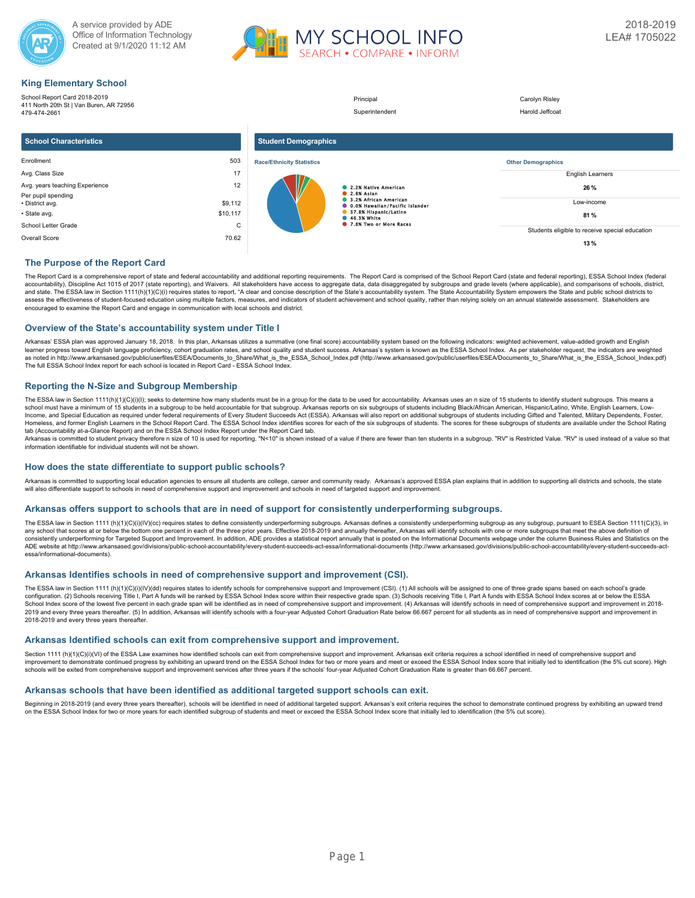



# **King Elementary School**

| <b>This Elementary Concor</b>                                           |          |                                  |                                       |                                                |
|-------------------------------------------------------------------------|----------|----------------------------------|---------------------------------------|------------------------------------------------|
| School Report Card 2018-2019<br>411 North 20th St   Van Buren, AR 72956 |          |                                  | Principal                             | Carolyn Risley                                 |
| 479-474-2661                                                            |          |                                  | Superintendent                        | Harold Jeffcoat                                |
| <b>School Characteristics</b>                                           |          | <b>Student Demographics</b>      |                                       |                                                |
| Enrollment                                                              | 503      | <b>Race/Ethnicity Statistics</b> |                                       | <b>Other Demographics</b>                      |
| Avg. Class Size                                                         | 17       |                                  |                                       | <b>English Learners</b>                        |
| Avg. years teaching Experience                                          | 12       |                                  | 2.2% Native American                  | 26 %                                           |
| Per pupil spending                                                      |          |                                  | 2.8% Asian<br>3.2% African American   |                                                |
| • District avg.                                                         | \$9,112  |                                  | <b>0.0% Hawallan/Pacific Islander</b> | Low-income                                     |
| • State avg.                                                            | \$10,117 |                                  | 37.8% Hispanic/Latino<br>46.3% White  | 81%                                            |
| School Letter Grade                                                     | C        |                                  | 7.8% Two or More Races                |                                                |
| Overall Score                                                           | 70.62    |                                  |                                       | Students eligible to receive special education |
|                                                                         |          |                                  |                                       | 13%                                            |

### **The Purpose of the Report Card**

The Report Card is a comprehensive report of state and federal accountability and additional reporting requirements. The Report Card is comprised of the School Report Card (state and federal reporting), ESSA School Index ( accountability), Discipline Act 1015 of 2017 (state reporting), and Waivers. All stakeholders have access to aggregate data, data disaggregated by subgroups and grade levels (where applicable), and comparisons of schools, and state. The ESSA law in Section 1111(h)(1)(C)(i) requires states to report, "A clear and concise description of the State's accountability system. The State Accountability System empowers the State and public school dis encouraged to examine the Report Card and engage in communication with local schools and district.

#### **Overview of the State's accountability system under Title I**

Arkansas' ESSA plan was approved January 18, 2018. In this plan, Arkansas utilizes a summative (one final score) accountability system based on the following indicators: weighted achievement, value-added growth and English learner progress toward English language proficiency, cohort graduation rates, and school quality and student success. Arkansas's system is known as the ESSA School Index. As per stakeholder request, the indicators are wei as noted in http://www.arkansased.gov/public/userfiles/ESEA/Documents\_to\_Share/What\_is\_the\_ESSA\_School\_Index.pdf) (http://www.arkansased.gov/public/userfiles/ESEA/Documents\_to\_Share/What\_is\_the\_ESSA\_School\_Index.pdf) The full ESSA School Index report for each school is located in Report Card - ESSA School Index.

### **Reporting the N-Size and Subgroup Membership**

The ESSA law in Section 1111(h)(1)(C)(i)(l); seeks to determine how many students must be in a group for the data to be used for accountability. Arkansas uses an n size of 15 students to identify student subgroups. This me Income, and Special Education as required under federal requirements of Every Student Succeeds Act (ESSA). Arkansas will also report on additional subgroups of students including Gifted and Talented, Military Dependents, F Homeless, and former English Learners in the School Report Card. The ESSA School Index identifies scores for each of the six subgroups of students. The scores for these subgroups of students are available under the School tab (Accountability at-a-Glance Report) and on the ESSA School Index Report under the Report Card tab.

Arkansas is committed to student privacy therefore n size of 10 is used for reporting. "N<10" is shown instead of a value if there are fewer than ten students in a subgroup. "RV" is Restricted Value. "RV" is used instead

#### **How does the state differentiate to support public schools?**

Arkansas is committed to supporting local education agencies to ensure all students are college, career and community ready. Arkansas's approved ESSA plan explains that in addition to supporting all districts and schools, will also differentiate support to schools in need of comprehensive support and improvement and schools in need of targeted support and improvement.

### **Arkansas offers support to schools that are in need of support for consistently underperforming subgroups.**

The ESSA law in Section 1111 (h)(1)(O)(i)(IV)(cc) requires states to define consistently underperforming subgroups. Arkansas defines a consistently underperforming subgroups as any subgroup, pursuant to ESEA Section 1111(C any school that scores at or below the bottom one percent in each of the three prior years. Effective 2018-2019 and annually thereafter. Arkansas will identify schools with one or more subgroups that meet the above definit consistently underperforming for Targeted Support and Improvement. In addition, ADE provides a statistical report annually that is posted on the Informational Documents webpage under the column Business Rules and Statistic ADE website at http://www.arkansased.gov/divisions/public-school-accountability/every-student-succeeds-act-essa/informational-documents (http://www.arkansased.gov/divisions/public-school-accountability/every-student-succee essa/informational-documents).

### **Arkansas Identifies schools in need of comprehensive support and improvement (CSI).**

The ESSA law in Section 1111 (h)(1)(C)(i)(IV)(dd) requires states to identify schools for comprehensive support and Improvement (CSI). (1) All schools will be assigned to one of three grade spans based on each school's gra School Index score of the lowest five percent in each grade span will be identified as in need of comprehensive support and improvement. (4) Arkansas will identify schools in need of comprehensive support and improvement 2019 and every three years thereafter. (5) In addition, Arkansas will identify schools with a four-year Adjusted Cohort Graduation Rate below 66.667 percent for all students as in need of comprehensive support and improvem 2018-2019 and every three years thereafter.

#### **Arkansas Identified schools can exit from comprehensive support and improvement.**

Section 1111 (h)(1)(C)(i)(VI) of the ESSA Law examines how identified schools can exit from comprehensive support and improvement. Arkansas exit criteria requires a school identified in need of comprehensive support and improvement to demonstrate continued progress by exhibiting an upward trend on the ESSA School Index for two or more years and meet or exceed the ESSA School Index score that initially led to identification (the 5% cut sco schools will be exited from comprehensive support and improvement services after three years if the schools' four-year Adjusted Cohort Graduation Rate is greater than 66.667 percent.

### **Arkansas schools that have been identified as additional targeted support schools can exit.**

Beginning in 2018-2019 (and every three years thereafter), schools will be identified in need of additional targeted support. Arkansas's exit criteria requires the school to demonstrate continued progress by exhibiting an on the ESSA School Index for two or more years for each identified subgroup of students and meet or exceed the ESSA School Index score that initially led to identification (the 5% cut score).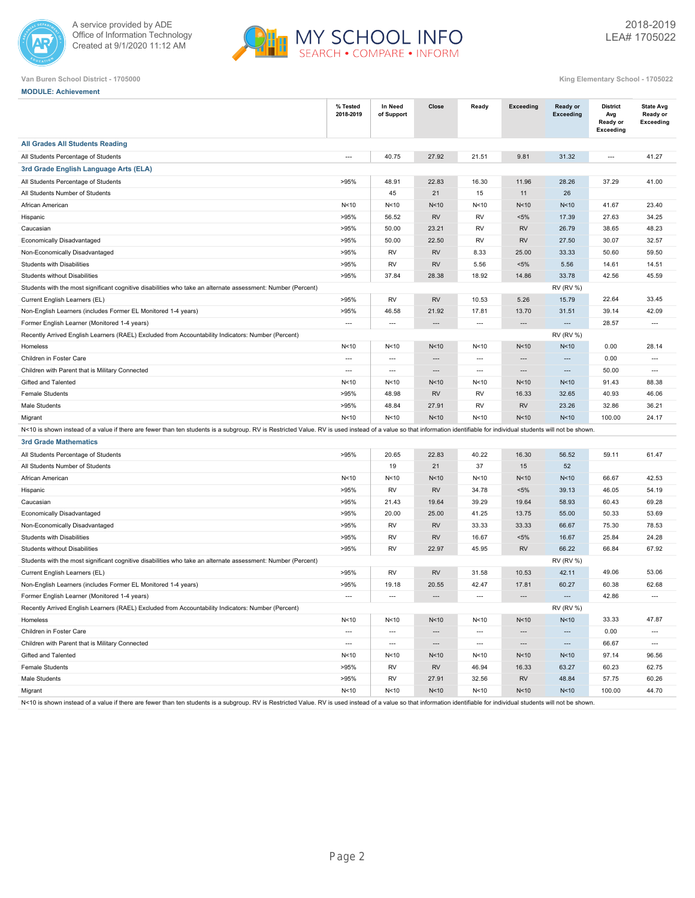



#### **Van Buren School District - 1705000 King Elementary School - 1705022**

| <b>MODULE: Achievement</b>                                                                                                                                                                                             |                          |                          |                 |                          |                |                                     |                                                        |                                           |
|------------------------------------------------------------------------------------------------------------------------------------------------------------------------------------------------------------------------|--------------------------|--------------------------|-----------------|--------------------------|----------------|-------------------------------------|--------------------------------------------------------|-------------------------------------------|
|                                                                                                                                                                                                                        | % Tested<br>2018-2019    | In Need<br>of Support    | Close           | Ready                    | Exceeding      | <b>Ready or</b><br><b>Exceeding</b> | <b>District</b><br>Avg<br>Ready or<br><b>Exceeding</b> | <b>State Avg</b><br>Ready or<br>Exceeding |
| <b>All Grades All Students Reading</b>                                                                                                                                                                                 |                          |                          |                 |                          |                |                                     |                                                        |                                           |
| All Students Percentage of Students                                                                                                                                                                                    | $\overline{a}$           | 40.75                    | 27.92           | 21.51                    | 9.81           | 31.32                               | $\overline{a}$                                         | 41.27                                     |
| 3rd Grade English Language Arts (ELA)                                                                                                                                                                                  |                          |                          |                 |                          |                |                                     |                                                        |                                           |
| All Students Percentage of Students                                                                                                                                                                                    | >95%                     | 48.91                    | 22.83           | 16.30                    | 11.96          | 28.26                               | 37.29                                                  | 41.00                                     |
| All Students Number of Students                                                                                                                                                                                        |                          | 45                       | 21              | 15                       | 11             | 26                                  |                                                        |                                           |
| African American                                                                                                                                                                                                       | N<10                     | N<10                     | N <sub>10</sub> | N<10                     | N<10           | N <sub>10</sub>                     | 41.67                                                  | 23.40                                     |
| Hispanic                                                                                                                                                                                                               | >95%                     | 56.52                    | <b>RV</b>       | <b>RV</b>                | $< 5\%$        | 17.39                               | 27.63                                                  | 34.25                                     |
| Caucasian                                                                                                                                                                                                              | >95%                     | 50.00                    | 23.21           | <b>RV</b>                | <b>RV</b>      | 26.79                               | 38.65                                                  | 48.23                                     |
| Economically Disadvantaged                                                                                                                                                                                             | >95%                     | 50.00                    | 22.50           | <b>RV</b>                | <b>RV</b>      | 27.50                               | 30.07                                                  | 32.57                                     |
| Non-Economically Disadvantaged                                                                                                                                                                                         | >95%                     | <b>RV</b>                | <b>RV</b>       | 8.33                     | 25.00          | 33.33                               | 50.60                                                  | 59.50                                     |
| Students with Disabilities                                                                                                                                                                                             | >95%                     | RV                       | <b>RV</b>       | 5.56                     | $< 5\%$        | 5.56                                | 14.61                                                  | 14.51                                     |
| <b>Students without Disabilities</b>                                                                                                                                                                                   | >95%                     | 37.84                    | 28.38           | 18.92                    | 14.86          | 33.78                               | 42.56                                                  | 45.59                                     |
| Students with the most significant cognitive disabilities who take an alternate assessment: Number (Percent)                                                                                                           |                          |                          |                 |                          |                | <b>RV (RV %)</b>                    |                                                        |                                           |
| Current English Learners (EL)                                                                                                                                                                                          | >95%                     | RV                       | <b>RV</b>       | 10.53                    | 5.26           | 15.79                               | 22.64                                                  | 33.45                                     |
| Non-English Learners (includes Former EL Monitored 1-4 years)                                                                                                                                                          | >95%                     | 46.58                    | 21.92           | 17.81                    | 13.70          | 31.51                               | 39.14                                                  | 42.09                                     |
| Former English Learner (Monitored 1-4 years)                                                                                                                                                                           | $\overline{a}$           | $\overline{a}$           | $\overline{a}$  | $---$                    | $---$          | $-$                                 | 28.57                                                  | $\overline{a}$                            |
| Recently Arrived English Learners (RAEL) Excluded from Accountability Indicators: Number (Percent)                                                                                                                     |                          |                          |                 |                          |                | <b>RV (RV %)</b>                    |                                                        |                                           |
| Homeless                                                                                                                                                                                                               | N<10                     | N<10                     | N<10            | N<10                     | N<10           | N<10                                | 0.00                                                   | 28.14                                     |
| Children in Foster Care                                                                                                                                                                                                | $---$                    | $\overline{a}$           | ---             | $---$                    | $\overline{a}$ | $---$                               | 0.00                                                   | $\overline{a}$                            |
| Children with Parent that is Military Connected                                                                                                                                                                        | $\overline{\phantom{a}}$ | $\overline{\phantom{a}}$ | $---$           | $\hspace{0.05cm} \ldots$ | $\sim$         | $---$                               | 50.00                                                  | $---$                                     |
| Gifted and Talented                                                                                                                                                                                                    | N<10                     | N<10                     | N<10            | N<10                     | N<10           | N <sub>10</sub>                     | 91.43                                                  | 88.38                                     |
| <b>Female Students</b>                                                                                                                                                                                                 | >95%                     | 48.98                    | <b>RV</b>       | <b>RV</b>                | 16.33          | 32.65                               | 40.93                                                  | 46.06                                     |
| Male Students                                                                                                                                                                                                          | >95%                     | 48.84                    | 27.91           | <b>RV</b>                | <b>RV</b>      | 23.26                               | 32.86                                                  | 36.21                                     |
| Migrant                                                                                                                                                                                                                | N<10                     | N<10                     | N<10            | N <sub>10</sub>          | N<10           | N <sub>10</sub>                     | 100.00                                                 | 24.17                                     |
| N<10 is shown instead of a value if there are fewer than ten students is a subgroup. RV is Restricted Value. RV is used instead of a value so that information identifiable for individual students will not be shown. |                          |                          |                 |                          |                |                                     |                                                        |                                           |
| <b>3rd Grade Mathematics</b>                                                                                                                                                                                           |                          |                          |                 |                          |                |                                     |                                                        |                                           |
| All Students Percentage of Students                                                                                                                                                                                    | >95%                     | 20.65                    | 22.83           | 40.22                    | 16.30          | 56.52                               | 59.11                                                  | 61.47                                     |
| All Students Number of Students                                                                                                                                                                                        |                          | 19                       | 21              | 37                       | 15             | 52                                  |                                                        |                                           |
| African American                                                                                                                                                                                                       | N<10                     | N<10                     | N<10            | N<10                     | N<10           | N <sub>10</sub>                     | 66.67                                                  | 42.53                                     |
| Hispanic                                                                                                                                                                                                               | >95%                     | RV                       | <b>RV</b>       | 34.78                    | $< 5\%$        | 39.13                               | 46.05                                                  | 54.19                                     |
| Caucasian                                                                                                                                                                                                              | >95%                     | 21.43                    | 19.64           | 39.29                    | 19.64          | 58.93                               | 60.43                                                  | 69.28                                     |
| Economically Disadvantaged                                                                                                                                                                                             | >95%                     | 20.00                    | 25.00           | 41.25                    | 13.75          | 55.00                               | 50.33                                                  | 53.69                                     |
| Non-Economically Disadvantaged                                                                                                                                                                                         | >95%                     | RV                       | <b>RV</b>       | 33.33                    | 33.33          | 66.67                               | 75.30                                                  | 78.53                                     |
| Students with Disabilities                                                                                                                                                                                             | >95%                     | RV                       | <b>RV</b>       | 16.67                    | $< 5\%$        | 16.67                               | 25.84                                                  | 24.28                                     |
| <b>Students without Disabilities</b>                                                                                                                                                                                   | >95%                     | RV                       | 22.97           | 45.95                    | <b>RV</b>      | 66.22                               | 66.84                                                  | 67.92                                     |
| Students with the most significant cognitive disabilities who take an alternate assessment: Number (Percent)                                                                                                           |                          |                          |                 |                          |                | <b>RV (RV %)</b>                    |                                                        |                                           |
| Current English Learners (EL)                                                                                                                                                                                          | >95%                     | RV                       | <b>RV</b>       | 31.58                    | 10.53          | 42.11                               | 49.06                                                  | 53.06                                     |
| Non-English Learners (includes Former EL Monitored 1-4 years)                                                                                                                                                          | >95%                     | 19.18                    | 20.55           | 42.47                    | 17.81          | 60.27                               | 60.38                                                  | 62.68                                     |

N<10 is shown instead of a value if there are fewer than ten students is a subgroup. RV is Restricted Value. RV is used instead of a value so that information identifiable for individual students will not be shown.

Recently Arrived English Learners (RAEL) Excluded from Accountability Indicators: Number (Percent) RV (RV %)

Former English Learner (Monitored 1-4 years) --- --- --- --- --- --- 42.86 ---

Homeless N<10 N<10 N<10 N<10 N<10 N<10 33.33 47.87 الله المسلم المسلم المسلم المسلم المسلم المسلم المسلم المسلم المسلم المسلم المسلم المسلم المسلم المسلم المسلم ا<br>المسلم المسلم المسلم المسلم المسلم المسلم المسلم المسلم المسلم المسلم المسلم المسلم المسلم المسلم المسلم المس Children with Parent that is Military Connected --- --- --- --- --- --- 66.67 --- Gifted and Talented N<10 N<10 N<10 N<10 N<10 N<10 97.14 96.56 Female Students >95% RV RV 46.94 16.33 63.27 60.23 62.75 Male Students >95% RV 27.91 32.56 RV 48.84 57.75 60.26 Migrant N<10 N<10 N<10 N<10 N<10 N<10 100.00 44.70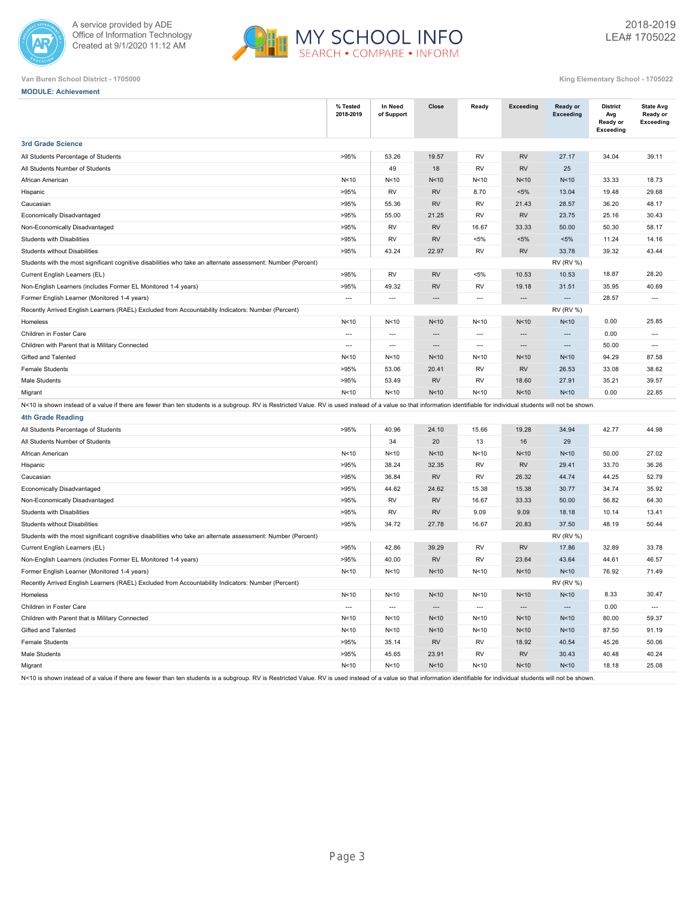



| <b>MODULE: Achievement</b> |
|----------------------------|
|----------------------------|

|                                                                                                                                                                                                                        | % Tested<br>2018-2019    | In Need<br>of Support    | Close                    | Ready                    | <b>Exceeding</b>         | Ready or<br><b>Exceeding</b> | <b>District</b><br>Avg<br>Ready or<br><b>Exceeding</b> | <b>State Avg</b><br>Ready or<br><b>Exceeding</b> |
|------------------------------------------------------------------------------------------------------------------------------------------------------------------------------------------------------------------------|--------------------------|--------------------------|--------------------------|--------------------------|--------------------------|------------------------------|--------------------------------------------------------|--------------------------------------------------|
| <b>3rd Grade Science</b>                                                                                                                                                                                               |                          |                          |                          |                          |                          |                              |                                                        |                                                  |
| All Students Percentage of Students                                                                                                                                                                                    | >95%                     | 53.26                    | 19.57                    | RV                       | <b>RV</b>                | 27.17                        | 34.04                                                  | 39.11                                            |
| All Students Number of Students                                                                                                                                                                                        |                          | 49                       | 18                       | <b>RV</b>                | <b>RV</b>                | 25                           |                                                        |                                                  |
| African American                                                                                                                                                                                                       | N <sub>10</sub>          | N<10                     | N <sub>10</sub>          | N<10                     | N<10                     | N <sub>10</sub>              | 33.33                                                  | 18.73                                            |
| Hispanic                                                                                                                                                                                                               | >95%                     | <b>RV</b>                | <b>RV</b>                | 8.70                     | $< 5\%$                  | 13.04                        | 19.48                                                  | 29.68                                            |
| Caucasian                                                                                                                                                                                                              | >95%                     | 55.36                    | <b>RV</b>                | <b>RV</b>                | 21.43                    | 28.57                        | 36.20                                                  | 48.17                                            |
| Economically Disadvantaged                                                                                                                                                                                             | >95%                     | 55.00                    | 21.25                    | <b>RV</b>                | <b>RV</b>                | 23.75                        | 25.16                                                  | 30.43                                            |
| Non-Economically Disadvantaged                                                                                                                                                                                         | >95%                     | <b>RV</b>                | <b>RV</b>                | 16.67                    | 33.33                    | 50.00                        | 50.30                                                  | 58.17                                            |
| Students with Disabilities                                                                                                                                                                                             | >95%                     | RV                       | <b>RV</b>                | $< 5\%$                  | $< 5\%$                  | $< 5\%$                      | 11.24                                                  | 14.16                                            |
| Students without Disabilities                                                                                                                                                                                          | >95%                     | 43.24                    | 22.97                    | <b>RV</b>                | <b>RV</b>                | 33.78                        | 39.32                                                  | 43.44                                            |
| Students with the most significant cognitive disabilities who take an alternate assessment: Number (Percent)                                                                                                           |                          |                          |                          |                          |                          | <b>RV (RV %)</b>             |                                                        |                                                  |
| Current English Learners (EL)                                                                                                                                                                                          | >95%                     | <b>RV</b>                | <b>RV</b>                | $< 5\%$                  | 10.53                    | 10.53                        | 18.87                                                  | 28.20                                            |
| Non-English Learners (includes Former EL Monitored 1-4 years)                                                                                                                                                          | >95%                     | 49.32                    | <b>RV</b>                | <b>RV</b>                | 19.18                    | 31.51                        | 35.95                                                  | 40.69                                            |
| Former English Learner (Monitored 1-4 years)                                                                                                                                                                           | $\sim$                   | $\overline{\phantom{a}}$ |                          | $\overline{\phantom{a}}$ | $\overline{a}$           | $\overline{a}$               | 28.57                                                  | $\overline{a}$                                   |
| Recently Arrived English Learners (RAEL) Excluded from Accountability Indicators: Number (Percent)                                                                                                                     |                          |                          |                          |                          |                          | <b>RV (RV %)</b>             |                                                        |                                                  |
| Homeless                                                                                                                                                                                                               | N<10                     | N<10                     | N <sub>10</sub>          | N < 10                   | N<10                     | N <sub>10</sub>              | 0.00                                                   | 25.85                                            |
| Children in Foster Care                                                                                                                                                                                                | $\overline{\phantom{a}}$ | $\overline{\phantom{a}}$ | $\overline{a}$           | ---                      | $\sim$                   | $\overline{a}$               | 0.00                                                   | $\overline{\phantom{a}}$                         |
| Children with Parent that is Military Connected                                                                                                                                                                        | $\sim$                   | $\overline{\phantom{a}}$ | $\overline{\phantom{a}}$ | $\overline{\phantom{a}}$ | $\overline{\phantom{a}}$ | ---                          | 50.00                                                  | $\overline{\phantom{a}}$                         |
| Gifted and Talented                                                                                                                                                                                                    | N<10                     | N <sub>10</sub>          | N<10                     | N < 10                   | N<10                     | N <sub>10</sub>              | 94.29                                                  | 87.58                                            |
| <b>Female Students</b>                                                                                                                                                                                                 | >95%                     | 53.06                    | 20.41                    | RV                       | <b>RV</b>                | 26.53                        | 33.08                                                  | 38.62                                            |
| Male Students                                                                                                                                                                                                          | >95%                     | 53.49                    | <b>RV</b>                | <b>RV</b>                | 18.60                    | 27.91                        | 35.21                                                  | 39.57                                            |
| Migrant                                                                                                                                                                                                                | N <sub>10</sub>          | N<10                     | N <sub>10</sub>          | N <sub>10</sub>          | N<10                     | N <sub>10</sub>              | 0.00                                                   | 22.85                                            |
| N<10 is shown instead of a value if there are fewer than ten students is a subgroup. RV is Restricted Value. RV is used instead of a value so that information identifiable for individual students will not be shown. |                          |                          |                          |                          |                          |                              |                                                        |                                                  |
| <b>4th Grade Reading</b>                                                                                                                                                                                               |                          |                          |                          |                          |                          |                              |                                                        |                                                  |
| All Students Percentage of Students                                                                                                                                                                                    | >95%                     | 40.96                    | 24.10                    | 15.66                    | 19.28                    | 34.94                        | 42.77                                                  | 44.98                                            |
| All Students Number of Students                                                                                                                                                                                        |                          | 34                       | 20                       | 13                       | 16                       | 29                           |                                                        |                                                  |
| African American                                                                                                                                                                                                       | N<10                     | N<10                     | N <sub>10</sub>          | N<10                     | N<10                     | N<10                         | 50.00                                                  | 27.02                                            |
| Hispanic                                                                                                                                                                                                               | >95%                     | 38.24                    | 32.35                    | <b>RV</b>                | <b>RV</b>                | 29.41                        | 33.70                                                  | 36.26                                            |
| Caucasian                                                                                                                                                                                                              | >95%                     | 36.84                    | <b>RV</b>                | <b>RV</b>                | 26.32                    | 44.74                        | 44.25                                                  | 52.79                                            |
| Economically Disadvantaged                                                                                                                                                                                             | >95%                     | 44.62                    | 24.62                    | 15.38                    | 15.38                    | 30.77                        | 34.74                                                  | 35.92                                            |
| Non-Economically Disadvantaged                                                                                                                                                                                         | >95%                     | <b>RV</b>                | <b>RV</b>                | 16.67                    | 33.33                    | 50.00                        | 56.82                                                  | 64.30                                            |
| Students with Disabilities                                                                                                                                                                                             | >95%                     | RV                       | <b>RV</b>                | 9.09                     | 9.09                     | 18.18                        | 10.14                                                  | 13.41                                            |
| Students without Disabilities                                                                                                                                                                                          | >95%                     | 34.72                    | 27.78                    | 16.67                    | 20.83                    | 37.50                        | 48.19                                                  | 50.44                                            |
| Students with the most significant cognitive disabilities who take an alternate assessment: Number (Percent)                                                                                                           |                          |                          |                          |                          |                          | <b>RV (RV %)</b>             |                                                        |                                                  |
| Current English Learners (EL)                                                                                                                                                                                          | >95%                     | 42.86                    | 39.29                    | <b>RV</b>                | <b>RV</b>                | 17.86                        | 32.89                                                  | 33.78                                            |
| Non-English Learners (includes Former EL Monitored 1-4 years)                                                                                                                                                          | >95%                     | 40.00                    | <b>RV</b>                | <b>RV</b>                | 23.64                    | 43.64                        | 44.61                                                  | 46.57                                            |
| Former English Learner (Monitored 1-4 years)                                                                                                                                                                           | N<10                     | N<10                     | N <sub>10</sub>          | N<10                     | N<10                     | N <sub>10</sub>              | 76.92                                                  | 71.49                                            |
| Recently Arrived English Learners (RAEL) Excluded from Accountability Indicators: Number (Percent)                                                                                                                     |                          |                          |                          |                          |                          | <b>RV (RV %)</b>             |                                                        |                                                  |
| Homeless                                                                                                                                                                                                               | N <sub>10</sub>          | N<10                     | N<10                     | N < 10                   | N<10                     | N<10                         | 8.33                                                   | 30.47                                            |
| Children in Foster Care                                                                                                                                                                                                | $\overline{\phantom{a}}$ | $\overline{\phantom{a}}$ | $\overline{\phantom{a}}$ | $\overline{a}$           | $\overline{\phantom{a}}$ | $\overline{a}$               | 0.00                                                   | $\overline{\phantom{a}}$                         |
| Children with Parent that is Military Connected                                                                                                                                                                        | N < 10                   | N<10                     | N <sub>10</sub>          | N < 10                   | N<10                     | N<10                         | 80.00                                                  | 59.37                                            |
| Gifted and Talented                                                                                                                                                                                                    | N<10                     | N < 10                   | N<10                     | N<10                     | N<10                     | N<10                         | 87.50                                                  | 91.19                                            |
| <b>Female Students</b>                                                                                                                                                                                                 | >95%                     | 35.14                    | <b>RV</b>                | RV                       | 18.92                    | 40.54                        | 45.26                                                  | 50.06                                            |
| Male Students                                                                                                                                                                                                          | >95%                     | 45.65                    | 23.91                    | RV                       | <b>RV</b>                | 30.43                        | 40.48                                                  | 40.24                                            |
| Migrant                                                                                                                                                                                                                | N<10                     | N < 10                   | N<10                     | N<10                     | N<10                     | N<10                         | 18.18                                                  | 25.08                                            |
| N<10 is shown instead of a value if there are fewer than ten students is a subgroup. RV is Restricted Value. RV is used instead of a value so that information identifiable for individual students will not be shown. |                          |                          |                          |                          |                          |                              |                                                        |                                                  |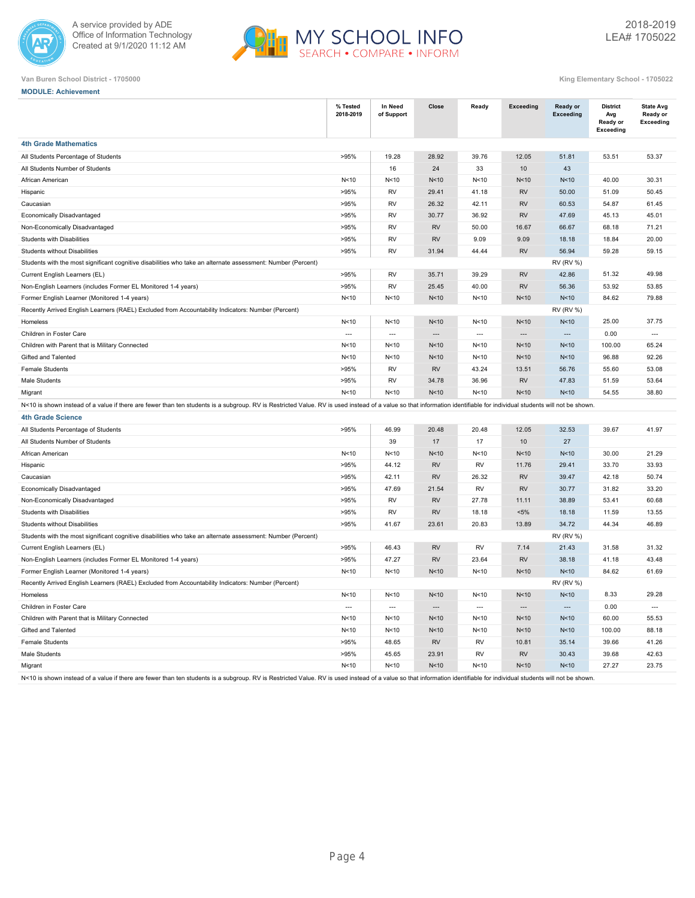



| King Elementary School - 1705022 |  |
|----------------------------------|--|

| <b>MODULE: Achievement</b>                                                                                                                                                                                             |                       |                          |                          |                          |                          |                              |                                                        |                                           |
|------------------------------------------------------------------------------------------------------------------------------------------------------------------------------------------------------------------------|-----------------------|--------------------------|--------------------------|--------------------------|--------------------------|------------------------------|--------------------------------------------------------|-------------------------------------------|
|                                                                                                                                                                                                                        | % Tested<br>2018-2019 | In Need<br>of Support    | Close                    | Ready                    | <b>Exceeding</b>         | Ready or<br><b>Exceeding</b> | <b>District</b><br>Avg<br>Ready or<br><b>Exceeding</b> | <b>State Avg</b><br>Ready or<br>Exceeding |
| <b>4th Grade Mathematics</b>                                                                                                                                                                                           |                       |                          |                          |                          |                          |                              |                                                        |                                           |
| All Students Percentage of Students                                                                                                                                                                                    | >95%                  | 19.28                    | 28.92                    | 39.76                    | 12.05                    | 51.81                        | 53.51                                                  | 53.37                                     |
| All Students Number of Students                                                                                                                                                                                        |                       | 16                       | 24                       | 33                       | 10                       | 43                           |                                                        |                                           |
| African American                                                                                                                                                                                                       | N<10                  | N<10                     | N<10                     | N < 10                   | N<10                     | N<10                         | 40.00                                                  | 30.31                                     |
| Hispanic                                                                                                                                                                                                               | >95%                  | <b>RV</b>                | 29.41                    | 41.18                    | <b>RV</b>                | 50.00                        | 51.09                                                  | 50.45                                     |
| Caucasian                                                                                                                                                                                                              | >95%                  | <b>RV</b>                | 26.32                    | 42.11                    | <b>RV</b>                | 60.53                        | 54.87                                                  | 61.45                                     |
| Economically Disadvantaged                                                                                                                                                                                             | >95%                  | <b>RV</b>                | 30.77                    | 36.92                    | <b>RV</b>                | 47.69                        | 45.13                                                  | 45.01                                     |
| Non-Economically Disadvantaged                                                                                                                                                                                         | >95%                  | <b>RV</b>                | <b>RV</b>                | 50.00                    | 16.67                    | 66.67                        | 68.18                                                  | 71.21                                     |
| Students with Disabilities                                                                                                                                                                                             | >95%                  | <b>RV</b>                | <b>RV</b>                | 9.09                     | 9.09                     | 18.18                        | 18.84                                                  | 20.00                                     |
| <b>Students without Disabilities</b>                                                                                                                                                                                   | >95%                  | <b>RV</b>                | 31.94                    | 44.44                    | <b>RV</b>                | 56.94                        | 59.28                                                  | 59.15                                     |
| Students with the most significant cognitive disabilities who take an alternate assessment: Number (Percent)                                                                                                           |                       |                          |                          |                          |                          | <b>RV (RV %)</b>             |                                                        |                                           |
| Current English Learners (EL)                                                                                                                                                                                          | >95%                  | <b>RV</b>                | 35.71                    | 39.29                    | <b>RV</b>                | 42.86                        | 51.32                                                  | 49.98                                     |
| Non-English Learners (includes Former EL Monitored 1-4 years)                                                                                                                                                          | >95%                  | <b>RV</b>                | 25.45                    | 40.00                    | <b>RV</b>                | 56.36                        | 53.92                                                  | 53.85                                     |
| Former English Learner (Monitored 1-4 years)                                                                                                                                                                           | N < 10                | N<10                     | N<10                     | N < 10                   | N<10                     | N<10                         | 84.62                                                  | 79.88                                     |
| Recently Arrived English Learners (RAEL) Excluded from Accountability Indicators: Number (Percent)                                                                                                                     |                       |                          |                          |                          |                          | <b>RV (RV %)</b>             |                                                        |                                           |
| Homeless                                                                                                                                                                                                               | N<10                  | N<10                     | N<10                     | N < 10                   | N<10                     | N<10                         | 25.00                                                  | 37.75                                     |
| Children in Foster Care                                                                                                                                                                                                | $\cdots$              | $\hspace{0.05cm} \ldots$ | $\overline{\phantom{a}}$ | $\overline{\phantom{a}}$ | $\overline{\phantom{a}}$ | ---                          | 0.00                                                   | $\overline{\phantom{a}}$                  |
| Children with Parent that is Military Connected                                                                                                                                                                        | N<10                  | N < 10                   | N<10                     | N < 10                   | N<10                     | N<10                         | 100.00                                                 | 65.24                                     |
| Gifted and Talented                                                                                                                                                                                                    | N<10                  | N<10                     | N<10                     | N < 10                   | N<10                     | N<10                         | 96.88                                                  | 92.26                                     |
| <b>Female Students</b>                                                                                                                                                                                                 | >95%                  | RV                       | <b>RV</b>                | 43.24                    | 13.51                    | 56.76                        | 55.60                                                  | 53.08                                     |
| Male Students                                                                                                                                                                                                          | >95%                  | RV                       | 34.78                    | 36.96                    | <b>RV</b>                | 47.83                        | 51.59                                                  | 53.64                                     |
| Migrant                                                                                                                                                                                                                | N<10                  | N<10                     | N<10                     | N<10                     | N<10                     | N<10                         | 54.55                                                  | 38.80                                     |
| N<10 is shown instead of a value if there are fewer than ten students is a subgroup. RV is Restricted Value. RV is used instead of a value so that information identifiable for individual students will not be shown  |                       |                          |                          |                          |                          |                              |                                                        |                                           |
| <b>4th Grade Science</b>                                                                                                                                                                                               |                       |                          |                          |                          |                          |                              |                                                        |                                           |
| All Students Percentage of Students                                                                                                                                                                                    | >95%                  | 46.99                    | 20.48                    | 20.48                    | 12.05                    | 32.53                        | 39.67                                                  | 41.97                                     |
| All Students Number of Students                                                                                                                                                                                        |                       | 39                       | 17                       | 17                       | 10                       | 27                           |                                                        |                                           |
| African American                                                                                                                                                                                                       | N<10                  | N < 10                   | N<10                     | N < 10                   | N<10                     | N<10                         | 30.00                                                  | 21.29                                     |
| Hispanic                                                                                                                                                                                                               | >95%                  | 44.12                    | <b>RV</b>                | <b>RV</b>                | 11.76                    | 29.41                        | 33.70                                                  | 33.93                                     |
| Caucasian                                                                                                                                                                                                              | >95%                  | 42.11                    | <b>RV</b>                | 26.32                    | <b>RV</b>                | 39.47                        | 42.18                                                  | 50.74                                     |
| Economically Disadvantaged                                                                                                                                                                                             | >95%                  | 47.69                    | 21.54                    | <b>RV</b>                | <b>RV</b>                | 30.77                        | 31.82                                                  | 33.20                                     |
| Non-Economically Disadvantaged                                                                                                                                                                                         | >95%                  | <b>RV</b>                | <b>RV</b>                | 27.78                    | 11.11                    | 38.89                        | 53.41                                                  | 60.68                                     |
| Students with Disabilities                                                                                                                                                                                             | >95%                  | RV                       | <b>RV</b>                | 18.18                    | $< 5\%$                  | 18.18                        | 11.59                                                  | 13.55                                     |
| Students without Disabilities                                                                                                                                                                                          | >95%                  | 41.67                    | 23.61                    | 20.83                    | 13.89                    | 34.72                        | 44.34                                                  | 46.89                                     |
| Students with the most significant cognitive disabilities who take an alternate assessment: Number (Percent)                                                                                                           |                       |                          |                          |                          |                          | <b>RV (RV %)</b>             |                                                        |                                           |
| Current English Learners (EL)                                                                                                                                                                                          | >95%                  | 46.43                    | <b>RV</b>                | <b>RV</b>                | 7.14                     | 21.43                        | 31.58                                                  | 31.32                                     |
| Non-English Learners (includes Former EL Monitored 1-4 years)                                                                                                                                                          | >95%                  | 47.27                    | <b>RV</b>                | 23.64                    | <b>RV</b>                | 38.18                        | 41.18                                                  | 43.48                                     |
| Former English Learner (Monitored 1-4 years)                                                                                                                                                                           | N<10                  | N<10                     | N<10                     | N<10                     | N<10                     | N <sub>10</sub>              | 84.62                                                  | 61.69                                     |
| Recently Arrived English Learners (RAEL) Excluded from Accountability Indicators: Number (Percent)                                                                                                                     |                       |                          |                          |                          |                          | <b>RV (RV %)</b>             |                                                        |                                           |
| Homeless                                                                                                                                                                                                               | N<10                  | N<10                     | N<10                     | N<10                     | N<10                     | N<10                         | 8.33                                                   | 29.28                                     |
| Children in Foster Care                                                                                                                                                                                                | $---$                 | $\hspace{0.05cm} \ldots$ | $\hspace{0.05cm} \ldots$ | $\cdots$                 | $\hspace{0.05cm} \cdots$ | $\hspace{0.05cm} \cdots$     | 0.00                                                   | $\hspace{0.05cm} \ldots$                  |
| Children with Parent that is Military Connected                                                                                                                                                                        | N<10                  | N<10                     | N <sub>10</sub>          | N<10                     | N<10                     | N<10                         | 60.00                                                  | 55.53                                     |
| Gifted and Talented                                                                                                                                                                                                    | N<10                  | N<10                     | N<10                     | N <sub>10</sub>          | N<10                     | N<10                         | 100.00                                                 | 88.18                                     |
| Female Students                                                                                                                                                                                                        | >95%                  | 48.65                    | RV                       | RV                       | 10.81                    | 35.14                        | 39.66                                                  | 41.26                                     |
| Male Students                                                                                                                                                                                                          | >95%                  | 45.65                    | 23.91                    | RV                       | <b>RV</b>                | 30.43                        | 39.68                                                  | 42.63                                     |
| Migrant                                                                                                                                                                                                                | N<10                  | N<10                     | N <sub>10</sub>          | N < 10                   | N<10                     | N <sub>10</sub>              | 27.27                                                  | 23.75                                     |
| N<10 is shown instead of a value if there are fewer than ten students is a subgroup. RV is Restricted Value. RV is used instead of a value so that information identifiable for individual students will not be shown. |                       |                          |                          |                          |                          |                              |                                                        |                                           |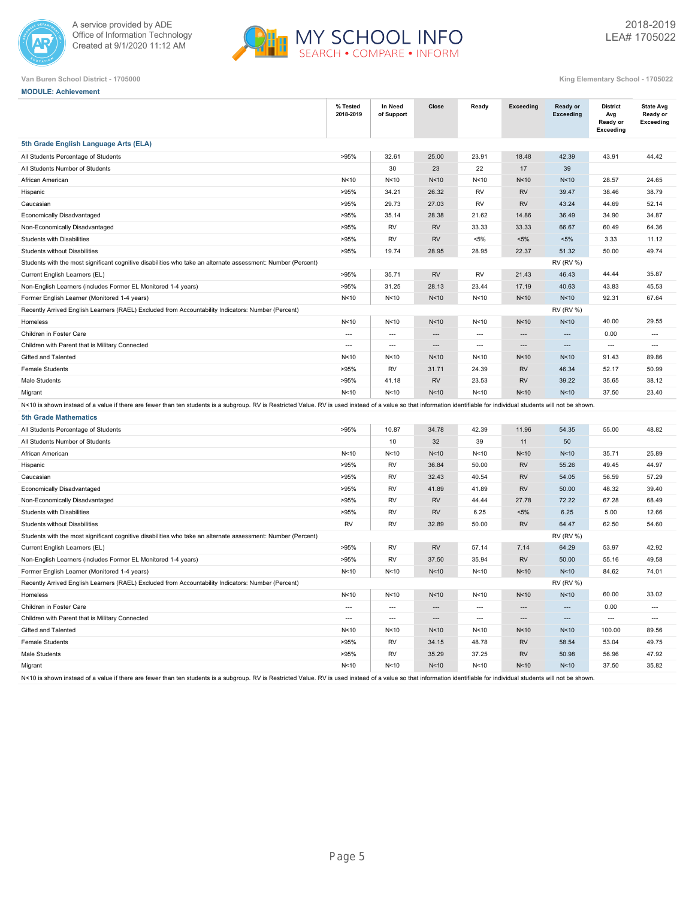



|  | <b>MODULE: Achievement</b> |  |
|--|----------------------------|--|

|                                                                                                                                                                                                                        | % Tested<br>2018-2019 | In Need<br>of Support    | Close           | Ready          | <b>Exceeding</b> | Ready or<br><b>Exceeding</b> | <b>District</b><br>Avg<br>Ready or<br><b>Exceeding</b> | <b>State Avg</b><br>Ready or<br><b>Exceeding</b> |
|------------------------------------------------------------------------------------------------------------------------------------------------------------------------------------------------------------------------|-----------------------|--------------------------|-----------------|----------------|------------------|------------------------------|--------------------------------------------------------|--------------------------------------------------|
| 5th Grade English Language Arts (ELA)                                                                                                                                                                                  |                       |                          |                 |                |                  |                              |                                                        |                                                  |
| All Students Percentage of Students                                                                                                                                                                                    | >95%                  | 32.61                    | 25.00           | 23.91          | 18.48            | 42.39                        | 43.91                                                  | 44.42                                            |
| All Students Number of Students                                                                                                                                                                                        |                       | 30                       | 23              | 22             | $17$             | 39                           |                                                        |                                                  |
| African American                                                                                                                                                                                                       | N <sub>10</sub>       | N<10                     | N<10            | N < 10         | N<10             | N<10                         | 28.57                                                  | 24.65                                            |
| Hispanic                                                                                                                                                                                                               | >95%                  | 34.21                    | 26.32           | <b>RV</b>      | <b>RV</b>        | 39.47                        | 38.46                                                  | 38.79                                            |
| Caucasian                                                                                                                                                                                                              | >95%                  | 29.73                    | 27.03           | <b>RV</b>      | <b>RV</b>        | 43.24                        | 44.69                                                  | 52.14                                            |
| Economically Disadvantaged                                                                                                                                                                                             | >95%                  | 35.14                    | 28.38           | 21.62          | 14.86            | 36.49                        | 34.90                                                  | 34.87                                            |
| Non-Economically Disadvantaged                                                                                                                                                                                         | >95%                  | RV                       | <b>RV</b>       | 33.33          | 33.33            | 66.67                        | 60.49                                                  | 64.36                                            |
| Students with Disabilities                                                                                                                                                                                             | >95%                  | <b>RV</b>                | <b>RV</b>       | $< 5\%$        | $< 5\%$          | $< 5\%$                      | 3.33                                                   | 11.12                                            |
| <b>Students without Disabilities</b>                                                                                                                                                                                   | >95%                  | 19.74                    | 28.95           | 28.95          | 22.37            | 51.32                        | 50.00                                                  | 49.74                                            |
| Students with the most significant cognitive disabilities who take an alternate assessment: Number (Percent)                                                                                                           |                       |                          |                 |                |                  | <b>RV (RV %)</b>             |                                                        |                                                  |
| Current English Learners (EL)                                                                                                                                                                                          | >95%                  | 35.71                    | <b>RV</b>       | <b>RV</b>      | 21.43            | 46.43                        | 44.44                                                  | 35.87                                            |
| Non-English Learners (includes Former EL Monitored 1-4 years)                                                                                                                                                          | >95%                  | 31.25                    | 28.13           | 23.44          | 17.19            | 40.63                        | 43.83                                                  | 45.53                                            |
| Former English Learner (Monitored 1-4 years)                                                                                                                                                                           | N<10                  | N<10                     | N<10            | N<10           | N<10             | N <sub>10</sub>              | 92.31                                                  | 67.64                                            |
| Recently Arrived English Learners (RAEL) Excluded from Accountability Indicators: Number (Percent)                                                                                                                     |                       |                          |                 |                |                  | <b>RV (RV %)</b>             |                                                        |                                                  |
| Homeless                                                                                                                                                                                                               | N<10                  | N<10                     | N <sub>10</sub> | N<10           | N<10             | N <sub>10</sub>              | 40.00                                                  | 29.55                                            |
| Children in Foster Care                                                                                                                                                                                                | $\overline{a}$        | $---$                    | $\overline{a}$  | $---$          | $\overline{a}$   | $\overline{a}$               | 0.00                                                   | $\overline{a}$                                   |
| Children with Parent that is Military Connected                                                                                                                                                                        | $\overline{a}$        | $\overline{\phantom{a}}$ | $\sim$          | $\overline{a}$ | $\sim$           | $\overline{a}$               | $\overline{\phantom{a}}$                               | $\overline{a}$                                   |
| Gifted and Talented                                                                                                                                                                                                    | N < 10                | N<10                     | N<10            | N < 10         | N<10             | N<10                         | 91.43                                                  | 89.86                                            |
| <b>Female Students</b>                                                                                                                                                                                                 | >95%                  | <b>RV</b>                | 31.71           | 24.39          | <b>RV</b>        | 46.34                        | 52.17                                                  | 50.99                                            |
| Male Students                                                                                                                                                                                                          | >95%                  | 41.18                    | <b>RV</b>       | 23.53          | <b>RV</b>        | 39.22                        | 35.65                                                  | 38.12                                            |
| Migrant                                                                                                                                                                                                                | N<10                  | N<10                     | N <sub>10</sub> | N<10           | N<10             | N<10                         | 37.50                                                  | 23.40                                            |
| N<10 is shown instead of a value if there are fewer than ten students is a subgroup. RV is Restricted Value. RV is used instead of a value so that information identifiable for individual students will not be shown. |                       |                          |                 |                |                  |                              |                                                        |                                                  |
| <b>5th Grade Mathematics</b>                                                                                                                                                                                           |                       |                          |                 |                |                  |                              |                                                        |                                                  |
| All Students Percentage of Students                                                                                                                                                                                    | >95%                  | 10.87                    | 34.78           | 42.39          | 11.96            | 54.35                        | 55.00                                                  | 48.82                                            |
| All Students Number of Students                                                                                                                                                                                        |                       | 10                       | 32              | 39             | 11               | 50                           |                                                        |                                                  |
| African American                                                                                                                                                                                                       | N<10                  | N<10                     | N <sub>10</sub> | N<10           | N<10             | N <sub>10</sub>              | 35.71                                                  | 25.89                                            |
| Hispanic                                                                                                                                                                                                               | >95%                  | <b>RV</b>                | 36.84           | 50.00          | <b>RV</b>        | 55.26                        | 49.45                                                  | 44.97                                            |
| Caucasian                                                                                                                                                                                                              | >95%                  | <b>RV</b>                | 32.43           | 40.54          | <b>RV</b>        | 54.05                        | 56.59                                                  | 57.29                                            |
| Economically Disadvantaged                                                                                                                                                                                             | >95%                  | RV                       | 41.89           | 41.89          | <b>RV</b>        | 50.00                        | 48.32                                                  | 39.40                                            |
| Non-Economically Disadvantaged                                                                                                                                                                                         | >95%                  | RV                       | <b>RV</b>       | 44.44          | 27.78            | 72.22                        | 67.28                                                  | 68.49                                            |
| Students with Disabilities                                                                                                                                                                                             | >95%                  | <b>RV</b>                | <b>RV</b>       | 6.25           | $< 5\%$          | 6.25                         | 5.00                                                   | 12.66                                            |
| Students without Disabilities                                                                                                                                                                                          | <b>RV</b>             | RV                       | 32.89           | 50.00          | <b>RV</b>        | 64.47                        | 62.50                                                  | 54.60                                            |
| Students with the most significant cognitive disabilities who take an alternate assessment: Number (Percent)                                                                                                           |                       |                          |                 |                |                  | <b>RV (RV %)</b>             |                                                        |                                                  |
| Current English Learners (EL)                                                                                                                                                                                          | >95%                  | RV                       | <b>RV</b>       | 57.14          | 7.14             | 64.29                        | 53.97                                                  | 42.92                                            |
| Non-English Learners (includes Former EL Monitored 1-4 years)                                                                                                                                                          | >95%                  | <b>RV</b>                | 37.50           | 35.94          | <b>RV</b>        | 50.00                        | 55.16                                                  | 49.58                                            |
| Former English Learner (Monitored 1-4 years)                                                                                                                                                                           | N <sub>10</sub>       | N<10                     | N <sub>10</sub> | N<10           | N<10             | N <sub>10</sub>              | 84.62                                                  | 74.01                                            |
| Recently Arrived English Learners (RAEL) Excluded from Accountability Indicators: Number (Percent)                                                                                                                     |                       |                          |                 |                |                  | <b>RV (RV %)</b>             |                                                        |                                                  |
| Homeless                                                                                                                                                                                                               | N<10                  | N <sub>10</sub>          | N<10            | N < 10         | N<10             | N <sub>10</sub>              | 60.00                                                  | 33.02                                            |
| Children in Foster Care                                                                                                                                                                                                | $\overline{a}$        | $\overline{\phantom{a}}$ | $\sim$          | $\overline{a}$ | $\sim$           | $\overline{a}$               | 0.00                                                   | $\overline{a}$                                   |
| Children with Parent that is Military Connected                                                                                                                                                                        | $\overline{a}$        | $\overline{\phantom{a}}$ | $\overline{a}$  | $\overline{a}$ | $\overline{a}$   | $\overline{a}$               | $\overline{a}$                                         | $\overline{a}$                                   |
| Gifted and Talented                                                                                                                                                                                                    | N <sub>10</sub>       | N<10                     | N<10            | N<10           | N<10             | N<10                         | 100.00                                                 | 89.56                                            |
| <b>Female Students</b>                                                                                                                                                                                                 | >95%                  | <b>RV</b>                | 34.15           | 48.78          | <b>RV</b>        | 58.54                        | 53.04                                                  | 49.75                                            |
| Male Students                                                                                                                                                                                                          | >95%                  | RV                       | 35.29           | 37.25          | <b>RV</b>        | 50.98                        | 56.96                                                  | 47.92                                            |
| Migrant                                                                                                                                                                                                                | N<10                  | N<10                     | N<10            | N<10           | N<10             | N<10                         | 37.50                                                  | 35.82                                            |
| N<10 is shown instead of a value if there are fewer than ten students is a subgroup. RV is Restricted Value. RV is used instead of a value so that information identifiable for individual students will not be shown. |                       |                          |                 |                |                  |                              |                                                        |                                                  |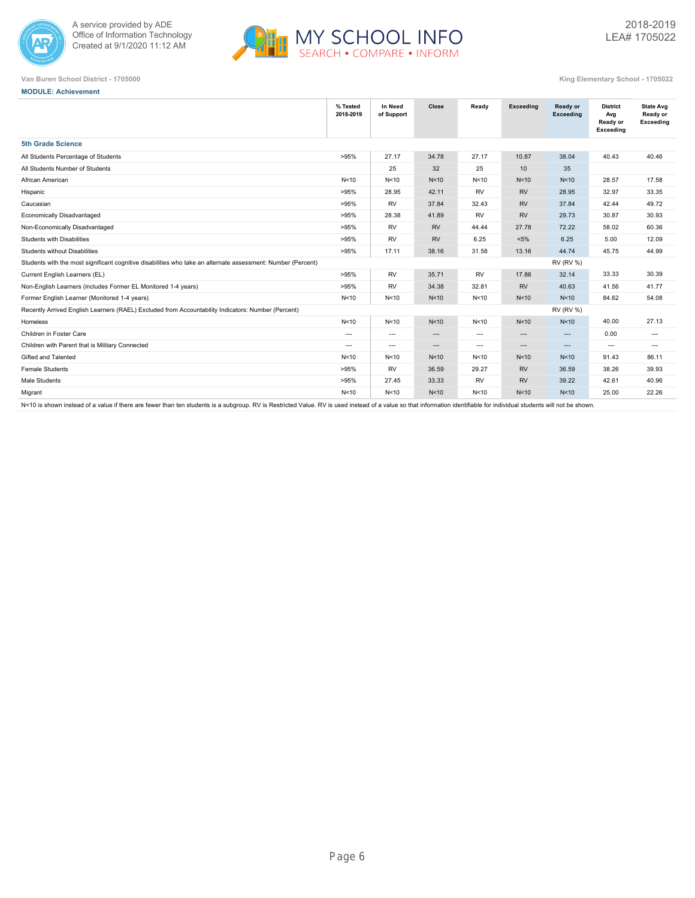



**MODULE: Achievement**

|  | King Elementary School - 170502 |  |
|--|---------------------------------|--|

|                                                                                                              | % Tested<br>2018-2019 | In Need<br>of Support    | Close           | Ready                    | Exceeding | Ready or<br><b>Exceeding</b> | <b>District</b><br>Avg<br>Ready or<br>Exceeding | <b>State Avg</b><br>Ready or<br>Exceeding |  |
|--------------------------------------------------------------------------------------------------------------|-----------------------|--------------------------|-----------------|--------------------------|-----------|------------------------------|-------------------------------------------------|-------------------------------------------|--|
| <b>5th Grade Science</b>                                                                                     |                       |                          |                 |                          |           |                              |                                                 |                                           |  |
| All Students Percentage of Students                                                                          | >95%                  | 27.17                    | 34.78           | 27.17                    | 10.87     | 38.04                        | 40.43                                           | 40.46                                     |  |
| All Students Number of Students                                                                              |                       | 25                       | 32              | 25                       | 10        | 35                           |                                                 |                                           |  |
| African American                                                                                             | N<10                  | N <sub>10</sub>          | N<10            | N<10                     | N<10      | N <sub>10</sub>              | 28.57                                           | 17.58                                     |  |
| Hispanic                                                                                                     | >95%                  | 28.95                    | 42.11           | <b>RV</b>                | <b>RV</b> | 28.95                        | 32.97                                           | 33.35                                     |  |
| Caucasian                                                                                                    | >95%                  | <b>RV</b>                | 37.84           | 32.43                    | <b>RV</b> | 37.84                        | 42.44                                           | 49.72                                     |  |
| Economically Disadvantaged                                                                                   | >95%                  | 28.38                    | 41.89           | <b>RV</b>                | <b>RV</b> | 29.73                        | 30.87                                           | 30.93                                     |  |
| Non-Economically Disadvantaged                                                                               | >95%                  | <b>RV</b>                | <b>RV</b>       | 44.44                    | 27.78     | 72.22                        | 58.02                                           | 60.36                                     |  |
| <b>Students with Disabilities</b>                                                                            | >95%                  | <b>RV</b>                | <b>RV</b>       | 6.25                     | $< 5\%$   | 6.25                         | 5.00                                            | 12.09                                     |  |
| <b>Students without Disabilities</b>                                                                         | >95%                  | 17.11                    | 38.16           | 31.58                    | 13.16     | 44.74                        | 45.75                                           | 44.99                                     |  |
| Students with the most significant cognitive disabilities who take an alternate assessment: Number (Percent) |                       |                          |                 |                          |           | <b>RV (RV %)</b>             |                                                 |                                           |  |
| Current English Learners (EL)                                                                                | >95%                  | <b>RV</b>                | 35.71           | <b>RV</b>                | 17.86     | 32.14                        | 33.33                                           | 30.39                                     |  |
| Non-English Learners (includes Former EL Monitored 1-4 years)                                                | >95%                  | <b>RV</b>                | 34.38           | 32.81                    | <b>RV</b> | 40.63                        | 41.56                                           | 41.77                                     |  |
| Former English Learner (Monitored 1-4 years)                                                                 | N<10                  | N<10                     | N<10            | N<10                     | N<10      | N <sub>10</sub>              | 84.62                                           | 54.08                                     |  |
| Recently Arrived English Learners (RAEL) Excluded from Accountability Indicators: Number (Percent)           |                       |                          |                 |                          |           | <b>RV (RV %)</b>             |                                                 |                                           |  |
| Homeless                                                                                                     | N<10                  | N <sub>10</sub>          | N <sub>10</sub> | N<10                     | N<10      | N<10                         | 40.00                                           | 27.13                                     |  |
| Children in Foster Care                                                                                      | ---                   | $\hspace{0.05cm} \cdots$ | ---             | $\overline{\phantom{a}}$ | ---       | $\cdots$                     | 0.00                                            | $\cdots$                                  |  |
| Children with Parent that is Military Connected                                                              | $---$                 | $\hspace{0.05cm} \ldots$ | $\cdots$        | ---                      | $\cdots$  | $\cdots$                     | $\overline{\phantom{a}}$                        | $---$                                     |  |
| Gifted and Talented                                                                                          | N<10                  | N <sub>10</sub>          | N <sub>10</sub> | N<10                     | N<10      | N <sub>10</sub>              | 91.43                                           | 86.11                                     |  |
| <b>Female Students</b>                                                                                       | >95%                  | <b>RV</b>                | 36.59           | 29.27                    | <b>RV</b> | 36.59                        | 38.26                                           | 39.93                                     |  |
| Male Students                                                                                                | >95%                  | 27.45                    | 33.33           | <b>RV</b>                | <b>RV</b> | 39.22                        | 42.61                                           | 40.96                                     |  |
| Migrant                                                                                                      | N<10                  | N <sub>10</sub>          | N <sub>10</sub> | N<10                     | N<10      | N <sub>10</sub>              | 25.00                                           | 22.26                                     |  |
|                                                                                                              |                       |                          |                 |                          |           |                              |                                                 |                                           |  |

N<10 is shown instead of a value if there are fewer than ten students is a subgroup. RV is Restricted Value. RV is used instead of a value so that information identifiable for individual students will not be shown.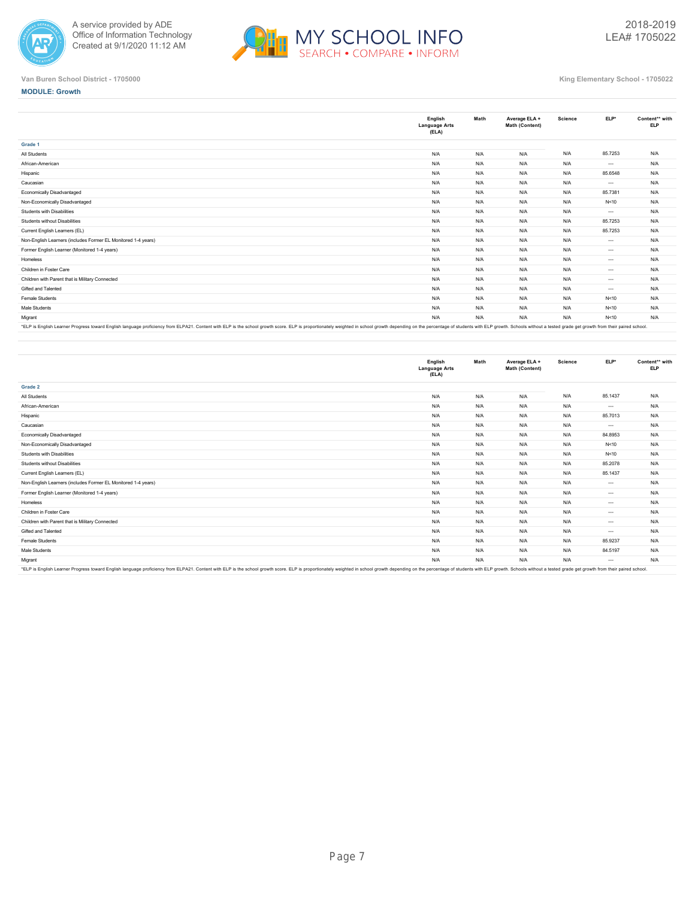



**MODULE: Growth**

|                                                                                                                                                                                                                                | English<br><b>Language Arts</b><br>(ELA) | Math | Average ELA +<br>Math (Content) | Science | ELP*     | Content** with<br><b>ELP</b> |
|--------------------------------------------------------------------------------------------------------------------------------------------------------------------------------------------------------------------------------|------------------------------------------|------|---------------------------------|---------|----------|------------------------------|
| Grade 1                                                                                                                                                                                                                        |                                          |      |                                 |         |          |                              |
| All Students                                                                                                                                                                                                                   | N/A                                      | N/A  | N/A                             | N/A     | 85.7253  | N/A                          |
| African-American                                                                                                                                                                                                               | N/A                                      | N/A  | N/A                             | N/A     | $\cdots$ | N/A                          |
| Hispanic                                                                                                                                                                                                                       | N/A                                      | N/A  | N/A                             | N/A     | 85.6548  | N/A                          |
| Caucasian                                                                                                                                                                                                                      | N/A                                      | N/A  | N/A                             | N/A     | $\cdots$ | N/A                          |
| Economically Disadvantaged                                                                                                                                                                                                     | N/A                                      | N/A  | N/A                             | N/A     | 85.7381  | N/A                          |
| Non-Economically Disadvantaged                                                                                                                                                                                                 | N/A                                      | N/A  | N/A                             | N/A     | N<10     | N/A                          |
| Students with Disabilities                                                                                                                                                                                                     | N/A                                      | N/A  | N/A                             | N/A     | $\cdots$ | N/A                          |
| Students without Disabilities                                                                                                                                                                                                  | N/A                                      | N/A  | N/A                             | N/A     | 85.7253  | N/A                          |
| Current English Learners (EL)                                                                                                                                                                                                  | N/A                                      | N/A  | N/A                             | N/A     | 85.7253  | N/A                          |
| Non-English Learners (includes Former EL Monitored 1-4 years)                                                                                                                                                                  | N/A                                      | N/A  | N/A                             | N/A     | $\cdots$ | N/A                          |
| Former English Learner (Monitored 1-4 years)                                                                                                                                                                                   | N/A                                      | N/A  | N/A                             | N/A     | $\cdots$ | N/A                          |
| Homeless                                                                                                                                                                                                                       | N/A                                      | N/A  | N/A                             | N/A     | $\cdots$ | N/A                          |
| Children in Foster Care                                                                                                                                                                                                        | N/A                                      | N/A  | N/A                             | N/A     | $\cdots$ | N/A                          |
| Children with Parent that is Military Connected                                                                                                                                                                                | N/A                                      | N/A  | N/A                             | N/A     | $\cdots$ | N/A                          |
| Gifted and Talented                                                                                                                                                                                                            | N/A                                      | N/A  | N/A                             | N/A     | $\cdots$ | N/A                          |
| Female Students                                                                                                                                                                                                                | N/A                                      | N/A  | N/A                             | N/A     | N < 10   | N/A                          |
| Male Students                                                                                                                                                                                                                  | N/A                                      | N/A  | N/A                             | N/A     | N < 10   | N/A                          |
| Migrant                                                                                                                                                                                                                        | N/A                                      | N/A  | N/A                             | N/A     | N<10     | N/A                          |
| *FI P is English Learner Progress toward English language proficiency from ELP421. Content with ELP is the school growth score. ELP is thoused a proportionately weighted in school growth depending on the perceptage of stud |                                          |      |                                 |         |          |                              |

"ELP is English Learner Progress toward English language proficiency from ELPA21. Content with ELP is the school growth score. ELP is proportionately weighted in school growth depending on the percentage of students with E

|                                                                                                                                                                                                                               | English<br><b>Language Arts</b><br>(ELA) | Math | Average ELA +<br>Math (Content) | <b>Science</b> | ELP*     | Content** with<br><b>ELP</b> |
|-------------------------------------------------------------------------------------------------------------------------------------------------------------------------------------------------------------------------------|------------------------------------------|------|---------------------------------|----------------|----------|------------------------------|
| Grade 2                                                                                                                                                                                                                       |                                          |      |                                 |                |          |                              |
| All Students                                                                                                                                                                                                                  | N/A                                      | N/A  | N/A                             | N/A            | 85.1437  | N/A                          |
| African-American                                                                                                                                                                                                              | N/A                                      | N/A  | N/A                             | N/A            | $---$    | N/A                          |
| Hispanic                                                                                                                                                                                                                      | N/A                                      | N/A  | N/A                             | N/A            | 85.7013  | N/A                          |
| Caucasian                                                                                                                                                                                                                     | N/A                                      | N/A  | N/A                             | N/A            | $\cdots$ | N/A                          |
| Economically Disadvantaged                                                                                                                                                                                                    | N/A                                      | N/A  | N/A                             | N/A            | 84.8953  | N/A                          |
| Non-Economically Disadvantaged                                                                                                                                                                                                | N/A                                      | N/A  | N/A                             | N/A            | N<10     | N/A                          |
| Students with Disabilities                                                                                                                                                                                                    | N/A                                      | N/A  | N/A                             | N/A            | N<10     | N/A                          |
| Students without Disabilities                                                                                                                                                                                                 | N/A                                      | N/A  | N/A                             | N/A            | 85.2078  | N/A                          |
| Current English Learners (EL)                                                                                                                                                                                                 | N/A                                      | N/A  | N/A                             | N/A            | 85.1437  | N/A                          |
| Non-English Learners (includes Former EL Monitored 1-4 years)                                                                                                                                                                 | N/A                                      | N/A  | N/A                             | N/A            | $\cdots$ | N/A                          |
| Former English Learner (Monitored 1-4 years)                                                                                                                                                                                  | N/A                                      | N/A  | N/A                             | N/A            | $\cdots$ | N/A                          |
| Homeless                                                                                                                                                                                                                      | N/A                                      | N/A  | N/A                             | N/A            | $---$    | N/A                          |
| Children in Foster Care                                                                                                                                                                                                       | N/A                                      | N/A  | N/A                             | N/A            | $---$    | N/A                          |
| Children with Parent that is Military Connected                                                                                                                                                                               | N/A                                      | N/A  | N/A                             | N/A            | $---$    | N/A                          |
| Gifted and Talented                                                                                                                                                                                                           | N/A                                      | N/A  | N/A                             | N/A            | $\cdots$ | N/A                          |
| Female Students                                                                                                                                                                                                               | N/A                                      | N/A  | N/A                             | N/A            | 85.9237  | N/A                          |
| Male Students                                                                                                                                                                                                                 | N/A                                      | N/A  | N/A                             | N/A            | 84.5197  | N/A                          |
| Migrant                                                                                                                                                                                                                       | N/A                                      | N/A  | N/A                             | N/A            | $\cdots$ | N/A                          |
| *El D ie Englieb Lagrage Dragger bward English Januara proficianu from El DA?1. Contant with El D ie the echoal growth ecores. El D ie proportionately weighted in echoal growth departing on the parameters of etudents with |                                          |      |                                 |                |          |                              |

\*ELP is English Learner Progress toward English language proficiency from ELPA21. Content with ELP is the school growth score. ELP is proportionately weighted in school growth depending on the percentage of students with E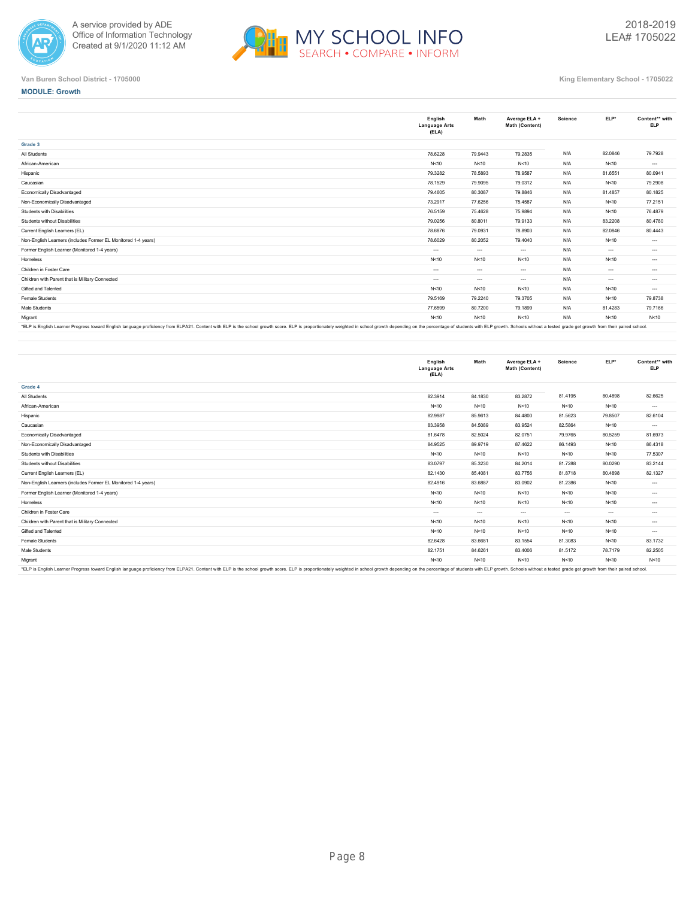



### **MODULE: Growth**

|                                                               | English<br><b>Language Arts</b><br>(ELA) | Math     | Average ELA +<br>Math (Content) | <b>Science</b> | ELP*     | Content** with<br><b>ELP</b> |
|---------------------------------------------------------------|------------------------------------------|----------|---------------------------------|----------------|----------|------------------------------|
| Grade 3                                                       |                                          |          |                                 |                |          |                              |
| All Students                                                  | 78.6228                                  | 79.9443  | 79.2835                         | N/A            | 82.0846  | 79,7928                      |
| African-American                                              | N<10                                     | N<10     | N<10                            | N/A            | N < 10   | $\cdots$                     |
| Hispanic                                                      | 79.3282                                  | 78,5893  | 78.9587                         | N/A            | 81.6551  | 80.0941                      |
| Caucasian                                                     | 78.1529                                  | 79.9095  | 79.0312                         | N/A            | N<10     | 79.2908                      |
| Economically Disadvantaged                                    | 79.4605                                  | 80.3087  | 79.8846                         | N/A            | 81.4857  | 80.1825                      |
| Non-Economically Disadvantaged                                | 73.2917                                  | 77.6256  | 75.4587                         | N/A            | N<10     | 77.2151                      |
| Students with Disabilities                                    | 76.5159                                  | 75.4628  | 75.9894                         | N/A            | N<10     | 76.4879                      |
| Students without Disabilities                                 | 79.0256                                  | 80.8011  | 79.9133                         | N/A            | 83.2208  | 80.4780                      |
| Current English Learners (EL)                                 | 78.6876                                  | 79.0931  | 78.8903                         | N/A            | 82.0846  | 80.4443                      |
| Non-English Learners (includes Former EL Monitored 1-4 years) | 78.6029                                  | 80.2052  | 79.4040                         | N/A            | N<10     | $\cdots$                     |
| Former English Learner (Monitored 1-4 years)                  | $---$                                    | $- - -$  | $\cdots$                        | N/A            | $---$    | $\cdots$                     |
| Homeless                                                      | N<10                                     | N < 10   | N<10                            | N/A            | N<10     | $\cdots$                     |
| Children in Foster Care                                       | $---$                                    | $- - -$  | $\sim$                          | N/A            | $\cdots$ | $\cdots$                     |
| Children with Parent that is Military Connected               | $---$                                    | $\cdots$ | $\sim$                          | N/A            | $\cdots$ | $\cdots$                     |
| Gifted and Talented                                           | N<10                                     | N<10     | N<10                            | N/A            | N<10     | $\cdots$                     |
| <b>Female Students</b>                                        | 79.5169                                  | 79.2240  | 79.3705                         | N/A            | N<10     | 79.8738                      |
| Male Students                                                 | 77.6599                                  | 80.7200  | 79.1899                         | N/A            | 81.4283  | 79.7166                      |
| Migrant                                                       | N<10                                     | N < 10   | N < 10                          | N/A            | N < 10   | N < 10                       |
|                                                               |                                          |          |                                 |                |          |                              |

"ELP is English Learner Progress toward English language proficiency from ELPA21. Content with ELP is the school growth score. ELP is proportionately weighted in school growth depending on the percentage of students with E

|                                                                                                                                                                                                                                | English<br><b>Language Arts</b><br>(ELA) | Math     | Average ELA +<br>Math (Content) | Science  | ELP*     | Content** with<br><b>ELP</b> |
|--------------------------------------------------------------------------------------------------------------------------------------------------------------------------------------------------------------------------------|------------------------------------------|----------|---------------------------------|----------|----------|------------------------------|
| Grade 4                                                                                                                                                                                                                        |                                          |          |                                 |          |          |                              |
| All Students                                                                                                                                                                                                                   | 82.3914                                  | 84.1830  | 83.2872                         | 81.4195  | 80.4898  | 82.6625                      |
| African-American                                                                                                                                                                                                               | N < 10                                   | N<10     | N<10                            | N<10     | N<10     | $\cdots$                     |
| Hispanic                                                                                                                                                                                                                       | 82.9987                                  | 85.9613  | 84.4800                         | 81.5623  | 79.8507  | 82.6104                      |
| Caucasian                                                                                                                                                                                                                      | 83.3958                                  | 84.5089  | 83.9524                         | 82.5864  | N<10     | $\cdots$                     |
| Economically Disadvantaged                                                                                                                                                                                                     | 81.6478                                  | 82.5024  | 82.0751                         | 79.9765  | 80.5259  | 81.6973                      |
| Non-Economically Disadvantaged                                                                                                                                                                                                 | 84.9525                                  | 89.9719  | 87.4622                         | 86.1493  | N < 10   | 86.4318                      |
| Students with Disabilities                                                                                                                                                                                                     | N < 10                                   | N<10     | N<10                            | N < 10   | N<10     | 77.5307                      |
| Students without Disabilities                                                                                                                                                                                                  | 83.0797                                  | 85.3230  | 84.2014                         | 81.7288  | 80.0290  | 83.2144                      |
| Current English Learners (EL)                                                                                                                                                                                                  | 82.1430                                  | 85,4081  | 83.7756                         | 81.8718  | 80.4898  | 82.1327                      |
| Non-English Learners (includes Former EL Monitored 1-4 years)                                                                                                                                                                  | 82.4916                                  | 83.6887  | 83.0902                         | 81.2386  | N<10     | $\cdots$                     |
| Former English Learner (Monitored 1-4 years)                                                                                                                                                                                   | N < 10                                   | N<10     | N<10                            | N < 10   | N<10     | $\cdots$                     |
| Homeless                                                                                                                                                                                                                       | N < 10                                   | N < 10   | N<10                            | N < 10   | N < 10   | $\cdots$                     |
| Children in Foster Care                                                                                                                                                                                                        | $\cdots$                                 | $\cdots$ | $\sim$                          | $\cdots$ | $\cdots$ | $\cdots$                     |
| Children with Parent that is Military Connected                                                                                                                                                                                | N < 10                                   | N < 10   | N<10                            | N < 10   | N<10     | $\cdots$                     |
| Gifted and Talented                                                                                                                                                                                                            | N < 10                                   | N < 10   | N<10                            | N<10     | N<10     | $\cdots$                     |
| Female Students                                                                                                                                                                                                                | 82.6428                                  | 83.6681  | 83.1554                         | 81.3083  | N<10     | 83.1732                      |
| Male Students                                                                                                                                                                                                                  | 82.1751                                  | 84.6261  | 83.4006                         | 81.5172  | 78.7179  | 82.2505                      |
| Migrant                                                                                                                                                                                                                        | N < 10                                   | N<10     | N<10                            | N<10     | N<10     | N < 10                       |
| *FI P is English Learner Progress toward English language proficiency from ELP421. Content with ELP is the school growth score. ELP is thoused a proportionately weighted in school growth depending on the perceptage of stud |                                          |          |                                 |          |          |                              |

\*ELP is English Learner Progress toward English language proficiency from ELPA21. Content with ELP is the school growth score. ELP is proportionately weighted in school growth depending on the percentage of students with E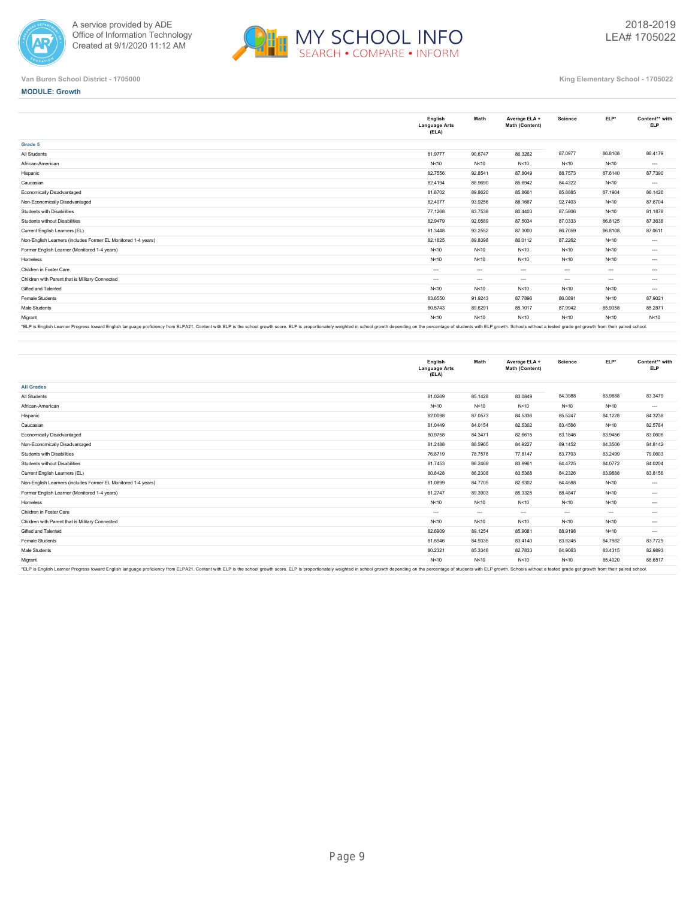



**MODULE: Growth**

**Grade 5**

|                                                               | English<br><b>Language Arts</b><br>(ELA) | Math     | Average ELA +<br>Math (Content) | Science  | ELP*     | Content** with<br><b>ELP</b> |
|---------------------------------------------------------------|------------------------------------------|----------|---------------------------------|----------|----------|------------------------------|
| Grade 5                                                       |                                          |          |                                 |          |          |                              |
| All Students                                                  | 81.9777                                  | 90.6747  | 86.3262                         | 87.0977  | 86.8108  | 86.4179                      |
| African-American                                              | N < 10                                   | N < 10   | N<10                            | N < 10   | N < 10   | $\cdots$                     |
| Hispanic                                                      | 82.7556                                  | 92.8541  | 87.8049                         | 88.7573  | 87.6140  | 87.7390                      |
| Caucasian                                                     | 82.4194                                  | 88,9690  | 85.6942                         | 84.4322  | N < 10   | $\cdots$                     |
| Economically Disadvantaged                                    | 81.8702                                  | 89,8620  | 85.8661                         | 85,8885  | 87.1904  | 86.1426                      |
| Non-Economically Disadvantaged                                | 82.4077                                  | 93.9256  | 88.1667                         | 92.7403  | N < 10   | 87.6704                      |
| <b>Students with Disabilities</b>                             | 77.1268                                  | 83.7538  | 80.4403                         | 87.5806  | N < 10   | 81.1878                      |
| Students without Disabilities                                 | 82.9479                                  | 92.0589  | 87.5034                         | 87.0333  | 86.8125  | 87.3638                      |
| Current English Learners (EL)                                 | 81.3448                                  | 93.2552  | 87.3000                         | 86.7059  | 86.8108  | 87.0611                      |
| Non-English Learners (includes Former EL Monitored 1-4 years) | 82.1825                                  | 89.8398  | 86.0112                         | 87.2262  | N < 10   | $\cdots$                     |
| Former English Learner (Monitored 1-4 years)                  | N<10                                     | N < 10   | N<10                            | N<10     | N<10     | $\cdots$                     |
| Homeless                                                      | N<10                                     | N<10     | N<10                            | N<10     | N<10     | $\cdots$                     |
| Children in Foster Care                                       | $\cdots$                                 | $\cdots$ | $\cdots$                        | $-1$     | $\cdots$ | $\cdots$                     |
| Children with Parent that is Military Connected               | $\cdots$                                 | $\cdots$ | $\cdots$                        | $\cdots$ | $\cdots$ | $\cdots$                     |
| Gifted and Talented                                           | N < 10                                   | N < 10   | N<10                            | N<10     | N<10     | $\cdots$                     |
| Female Students                                               | 83.6550                                  | 91.9243  | 87.7896                         | 86.0891  | N < 10   | 87.9021                      |
| Male Students                                                 | 80.5743                                  | 89.6291  | 85.1017                         | 87.9942  | 85,9358  | 85.2871                      |
| Migrant                                                       | N<10                                     | N<10     | N<10                            | N<10     | N < 10   | N<10                         |

"ELP is English Learner Progress toward English language proficiency from ELPA21. Content with ELP is the school growth score. ELP is proportionately weighted in school growth depending on the percentage of students with E

|                                                                                                                                                                                                                                | English<br><b>Language Arts</b><br>(ELA) | Math    | Average ELA +<br>Math (Content) | <b>Science</b> | ELP*    | Content** with<br><b>ELP</b> |
|--------------------------------------------------------------------------------------------------------------------------------------------------------------------------------------------------------------------------------|------------------------------------------|---------|---------------------------------|----------------|---------|------------------------------|
| <b>All Grades</b>                                                                                                                                                                                                              |                                          |         |                                 |                |         |                              |
| All Students                                                                                                                                                                                                                   | 81.0269                                  | 85.1428 | 83.0849                         | 84.3988        | 83.9888 | 83.3479                      |
| African-American                                                                                                                                                                                                               | N < 10                                   | N<10    | N<10                            | N<10           | N<10    | $\cdots$                     |
| Hispanic                                                                                                                                                                                                                       | 82.0098                                  | 87.0573 | 84.5336                         | 85.5247        | 84.1228 | 84.3238                      |
| Caucasian                                                                                                                                                                                                                      | 81.0449                                  | 84.0154 | 82.5302                         | 83.4566        | N<10    | 82.5784                      |
| Economically Disadvantaged                                                                                                                                                                                                     | 80.9758                                  | 84.3471 | 82.6615                         | 83.1846        | 83.9456 | 83.0606                      |
| Non-Economically Disadvantaged                                                                                                                                                                                                 | 81.2488                                  | 88.5965 | 84.9227                         | 89.1452        | 84.3506 | 84.8142                      |
| Students with Disabilities                                                                                                                                                                                                     | 76.8719                                  | 78.7576 | 77.8147                         | 83.7703        | 83.2499 | 79.0603                      |
| Students without Disabilities                                                                                                                                                                                                  | 81.7453                                  | 86.2468 | 83.9961                         | 84.4725        | 84.0772 | 84.0204                      |
| Current English Learners (EL)                                                                                                                                                                                                  | 80.8428                                  | 86.2308 | 83.5368                         | 84.2326        | 83.9888 | 83.8156                      |
| Non-English Learners (includes Former EL Monitored 1-4 years)                                                                                                                                                                  | 81.0899                                  | 84.7705 | 82.9302                         | 84.4588        | N<10    | $\cdots$                     |
| Former English Learner (Monitored 1-4 years)                                                                                                                                                                                   | 81.2747                                  | 89.3903 | 85.3325                         | 88.4847        | N<10    | $\cdots$                     |
| Homeless                                                                                                                                                                                                                       | N < 10                                   | N < 10  | N<10                            | N < 10         | N<10    | $\cdots$                     |
| Children in Foster Care                                                                                                                                                                                                        | $---$                                    | $- - -$ | $\sim$                          | $\sim$ $\sim$  | $---$   | $\cdots$                     |
| Children with Parent that is Military Connected                                                                                                                                                                                | N < 10                                   | N < 10  | N<10                            | N < 10         | N<10    | $\cdots$                     |
| Gifted and Talented                                                                                                                                                                                                            | 82.6909                                  | 89.1254 | 85.9081                         | 88.9198        | N<10    | $\cdots$                     |
| Female Students                                                                                                                                                                                                                | 81.8946                                  | 84.9335 | 83.4140                         | 83.8245        | 84.7982 | 83.7729                      |
| Male Students                                                                                                                                                                                                                  | 80.2321                                  | 85.3346 | 82.7833                         | 84.9063        | 83.4315 | 82.9893                      |
| Migrant                                                                                                                                                                                                                        | N < 10                                   | N < 10  | N<10                            | N < 10         | 85.4020 | 86.6517                      |
| FIRE FORET COLORED IN THE ROOM FOREST COLORED TRANSPORTER IN THE COLORED ON FIRE COLORED IN THE COLORED COLORED ON A COLORED IN THE PLANS OF PLANS IN THE PLANS OF THE PLANS OF THE PLANS OF THE PLANS OF THE PLANS OF THE PLA |                                          |         |                                 |                |         |                              |

English Learner Progress toward English language proficiency from ELPA21. Content with ELP is the school growth score. ELP is proportionately weighted in school growth depending on the percentage of students with ELP growt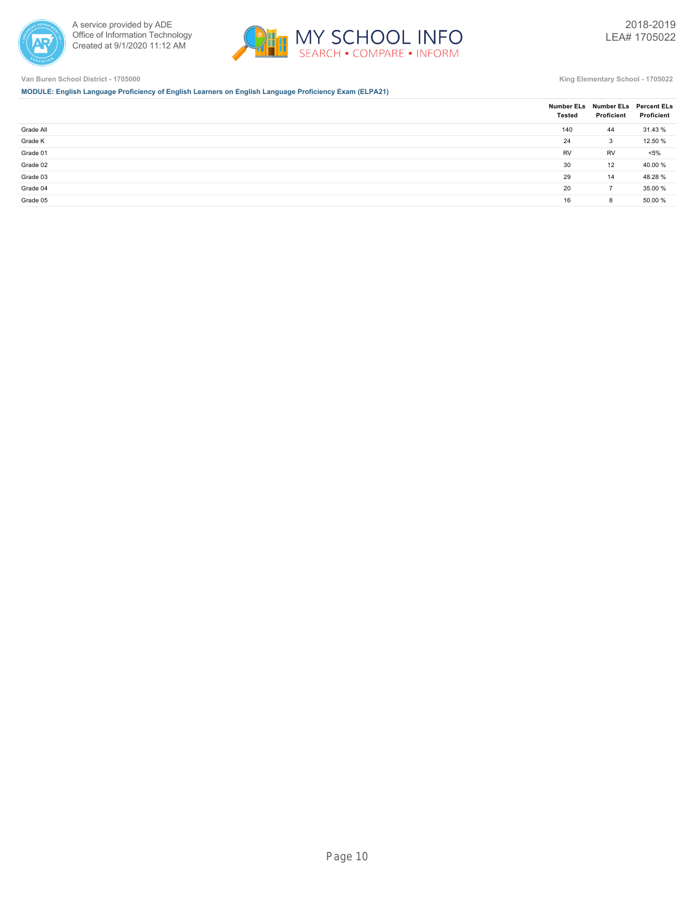



**MODULE: English Language Proficiency of English Learners on English Language Proficiency Exam (ELPA21)**

|           | <b>Tested</b> | Number ELs Number ELs Percent ELs<br>Proficient | Proficient |
|-----------|---------------|-------------------------------------------------|------------|
| Grade All | 140           | 44                                              | 31.43 %    |
| Grade K   | 24            | 3                                               | 12.50 %    |
| Grade 01  | <b>RV</b>     | RV                                              | $< 5\%$    |
| Grade 02  | 30            | 12                                              | 40.00 %    |
| Grade 03  | 29            | 14                                              | 48.28 %    |
| Grade 04  | 20            | $\overline{7}$                                  | 35.00 %    |
| Grade 05  | 16            | 8                                               | 50.00 %    |
|           |               |                                                 |            |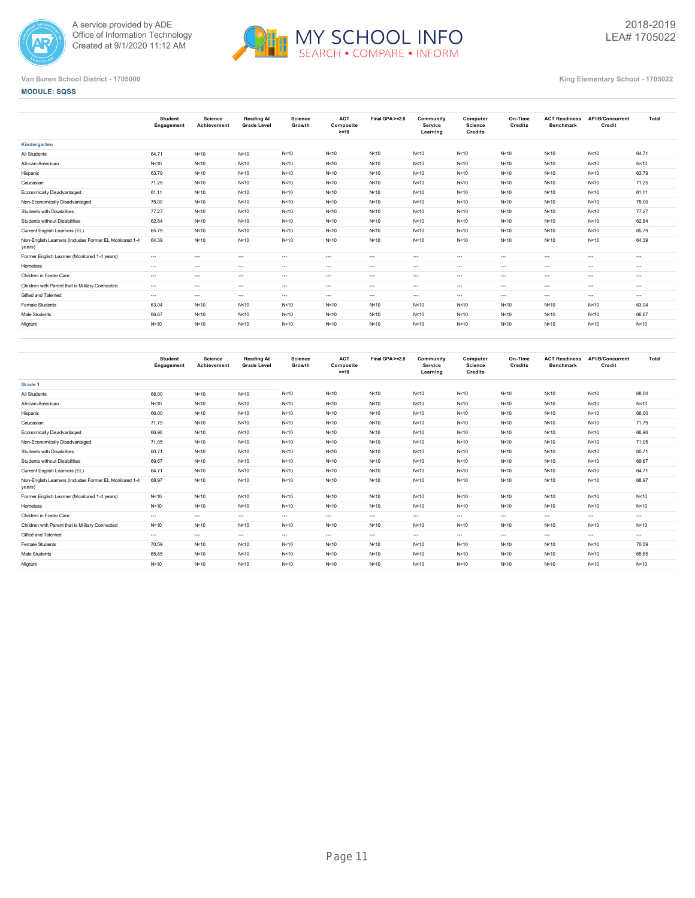



|                                                                  | Student<br>Engagement | Science<br>Achievement | <b>Reading At</b><br><b>Grade Level</b> | Science<br>Growth | <b>ACT</b><br>Composite<br>$>=19$ | Final GPA >=2.8 | Community<br>Service<br>Learning | Computer<br><b>Science</b><br>Credits | On-Time<br><b>Credits</b> | <b>ACT Readiness</b><br><b>Benchmark</b> | <b>AP/IB/Concurrent</b><br>Credit | Total    |
|------------------------------------------------------------------|-----------------------|------------------------|-----------------------------------------|-------------------|-----------------------------------|-----------------|----------------------------------|---------------------------------------|---------------------------|------------------------------------------|-----------------------------------|----------|
| Kindergarten                                                     |                       |                        |                                         |                   |                                   |                 |                                  |                                       |                           |                                          |                                   |          |
| All Students                                                     | 64.71                 | N<10                   | N<10                                    | N < 10            | N < 10                            | N<10            | N<10                             | N<10                                  | N < 10                    | N < 10                                   | N<10                              | 64.71    |
| African-American                                                 | N<10                  | N<10                   | N<10                                    | N<10              | N < 10                            | N<10            | N < 10                           | N<10                                  | N<10                      | N < 10                                   | N<10                              | N < 10   |
| Hispanic                                                         | 63.79                 | N<10                   | N<10                                    | N<10              | N < 10                            | N<10            | N < 10                           | N<10                                  | N < 10                    | N < 10                                   | N<10                              | 63.79    |
| Caucasian                                                        | 71.25                 | N<10                   | N<10                                    | N<10              | N < 10                            | N<10            | N < 10                           | N<10                                  | N<10                      | N < 10                                   | N<10                              | 71.25    |
| Economically Disadvantaged                                       | 61.11                 | N<10                   | N<10                                    | N<10              | N < 10                            | N<10            | N < 10                           | N<10                                  | N < 10                    | N < 10                                   | N < 10                            | 61.11    |
| Non-Economically Disadvantaged                                   | 75.00                 | N<10                   | N<10                                    | N < 10            | N < 10                            | N<10            | N < 10                           | N<10                                  | N<10                      | N < 10                                   | N < 10                            | 75.00    |
| Students with Disabilities                                       | 77.27                 | N<10                   | N<10                                    | N<10              | N < 10                            | N<10            | N < 10                           | N<10                                  | N<10                      | N < 10                                   | N<10                              | 77.27    |
| Students without Disabilities                                    | 62.84                 | N<10                   | N<10                                    | N<10              | N < 10                            | N<10            | N < 10                           | N<10                                  | N<10                      | N < 10                                   | N < 10                            | 62.84    |
| Current English Learners (EL)                                    | 65.79                 | N<10                   | N<10                                    | N<10              | N < 10                            | N<10            | N<10                             | N<10                                  | N<10                      | N < 10                                   | N<10                              | 65.79    |
| Non-English Learners (includes Former EL Monitored 1-4<br>years) | 64.39                 | N<10                   | N<10                                    | N < 10            | N < 10                            | N<10            | N < 10                           | N<10                                  | N<10                      | N < 10                                   | N < 10                            | 64.39    |
| Former English Learner (Monitored 1-4 years)                     | $\cdots$              | $\cdots$               | $\sim$                                  | $\cdots$          | $\cdots$                          | $---$           | $\cdots$                         | $\sim$                                | $\sim$                    | $---$                                    | $\cdots$                          | $\cdots$ |
| Homeless                                                         | $\cdots$              | $\cdots$               | $\sim$                                  | $\cdots$          | $\cdots$                          | $\cdots$        | $\cdots$                         | $\sim$                                | $\sim$                    | $\cdots$                                 | $\cdots$                          | $\cdots$ |
| Children in Foster Care                                          | $\cdots$              | $\cdots$               | $\sim$                                  | $\cdots$          | $\cdots$                          | $\cdots$        | $\cdots$                         | $\cdots$                              | $\sim$                    | $\cdots$                                 | $\cdots$                          | $\cdots$ |
| Children with Parent that is Military Connected                  | $\cdots$              | $\sim$ $\sim$          | $\sim$                                  | $\cdots$          | $\cdots$                          | $---$           | $\cdots$                         | $\cdots$                              | $\cdots$                  | $---$                                    | $\cdots$                          | $\cdots$ |
| Gifted and Talented                                              | $\cdots$              | $\cdots$               | $\sim$                                  | $\cdots$          | $\cdots$                          | $\cdots$        | $\cdots$                         | $\cdots$                              | $\cdots$                  | $\cdots$                                 | $\cdots$                          | $\cdots$ |
| Female Students                                                  | 63.04                 | N < 10                 | N < 10                                  | N < 10            | N < 10                            | N<10            | N < 10                           | N<10                                  | N<10                      | N < 10                                   | N < 10                            | 63.04    |
| Male Students                                                    | 66.67                 | N<10                   | N<10                                    | N<10              | N < 10                            | N<10            | N < 10                           | N<10                                  | N<10                      | N < 10                                   | N<10                              | 66.67    |
| Migrant                                                          | N<10                  | N < 10                 | N < 10                                  | N < 10            | N < 10                            | N<10            | N < 10                           | N<10                                  | N<10                      | N < 10                                   | N<10                              | N < 10   |
|                                                                  |                       |                        |                                         |                   |                                   |                 |                                  |                                       |                           |                                          |                                   |          |

|                                                                  | Student<br>Engagement | <b>Science</b><br>Achievement | <b>Reading At</b><br><b>Grade Level</b> | <b>Science</b><br>Growth | <b>ACT</b><br>Composite<br>$>=19$ | Final GPA >=2.8 | Community<br>Service<br>Learning | Computer<br>Science<br><b>Credits</b> | On-Time<br>Credits | <b>ACT Readiness</b><br><b>Benchmark</b> | AP/IB/Concurrent<br>Credit | Total    |
|------------------------------------------------------------------|-----------------------|-------------------------------|-----------------------------------------|--------------------------|-----------------------------------|-----------------|----------------------------------|---------------------------------------|--------------------|------------------------------------------|----------------------------|----------|
| Grade 1                                                          |                       |                               |                                         |                          |                                   |                 |                                  |                                       |                    |                                          |                            |          |
| All Students                                                     | 68.00                 | N < 10                        | N<10                                    | N < 10                   | N<10                              | N<10            | N<10                             | N < 10                                | N<10               | N<10                                     | N<10                       | 68.00    |
| African-American                                                 | N<10                  | N < 10                        | N<10                                    | N < 10                   | N<10                              | N<10            | N<10                             | N<10                                  | N<10               | N<10                                     | N < 10                     | N < 10   |
| Hispanic                                                         | 66.00                 | N < 10                        | N < 10                                  | N < 10                   | N<10                              | N<10            | N<10                             | N < 10                                | N < 10             | N<10                                     | N<10                       | 66.00    |
| Caucasian                                                        | 71.79                 | N < 10                        | N < 10                                  | N < 10                   | N<10                              | N<10            | N<10                             | N < 10                                | N<10               | N<10                                     | N<10                       | 71.79    |
| Economically Disadvantaged                                       | 66.96                 | N < 10                        | N < 10                                  | N < 10                   | N<10                              | N<10            | N < 10                           | N<10                                  | N<10               | N<10                                     | N<10                       | 66.96    |
| Non-Economically Disadvantaged                                   | 71.05                 | N<10                          | N<10                                    | N < 10                   | N<10                              | N<10            | N<10                             | N < 10                                | N<10               | N<10                                     | N<10                       | 71.05    |
| Students with Disabilities                                       | 60.71                 | N < 10                        | N < 10                                  | N < 10                   | N<10                              | N < 10          | N < 10                           | N < 10                                | N<10               | N<10                                     | N<10                       | 60.71    |
| Students without Disabilities                                    | 69.67                 | N < 10                        | N < 10                                  | N < 10                   | N<10                              | N < 10          | N<10                             | N < 10                                | N<10               | N<10                                     | N<10                       | 69.67    |
| Current English Learners (EL)                                    | 64.71                 | N<10                          | N<10                                    | N < 10                   | N<10                              | N<10            | N<10                             | N < 10                                | N<10               | N<10                                     | N<10                       | 64.71    |
| Non-English Learners (includes Former EL Monitored 1-4<br>years) | 68.97                 | N < 10                        | N < 10                                  | N<10                     | N<10                              | N < 10          | N<10                             | N < 10                                | N<10               | N<10                                     | N<10                       | 68.97    |
| Former English Learner (Monitored 1-4 years)                     | N<10                  | N < 10                        | N < 10                                  | N < 10                   | N<10                              | N < 10          | N < 10                           | N < 10                                | N<10               | N<10                                     | N<10                       | N < 10   |
| Homeless                                                         | N<10                  | N < 10                        | N < 10                                  | N < 10                   | N<10                              | N < 10          | N<10                             | N < 10                                | N<10               | N<10                                     | N<10                       | N < 10   |
| Children in Foster Care                                          | $\cdots$              | $\cdots$                      | $\sim$                                  | $\cdots$                 | $---$                             | $---$           | $- - -$                          | $-1$                                  | $\sim$             | $\cdots$                                 | $- - -$                    | $\cdots$ |
| Children with Parent that is Military Connected                  | N<10                  | N < 10                        | N < 10                                  | N<10                     | N<10                              | N < 10          | N < 10                           | N<10                                  | N<10               | N<10                                     | N<10                       | N < 10   |
| Gifted and Talented                                              | $\cdots$              | $\cdots$                      | $\sim$                                  | $\cdots$                 | $\cdots$                          | $---$           | $- - -$                          | $- - -$                               | $\sim$             | $---$                                    | $\cdots$                   | $\cdots$ |
| Female Students                                                  | 70.59                 | N < 10                        | N<10                                    | N < 10                   | N<10                              | N<10            | N<10                             | N < 10                                | N<10               | N<10                                     | N < 10                     | 70.59    |
| Male Students                                                    | 65.85                 | N < 10                        | N < 10                                  | N < 10                   | N<10                              | N < 10          | N < 10                           | N < 10                                | N < 10             | N < 10                                   | N < 10                     | 65.85    |
| Migrant                                                          | N < 10                | N<10                          | N < 10                                  | N < 10                   | N<10                              | N < 10          | N<10                             | N < 10                                | N < 10             | N<10                                     | N<10                       | N < 10   |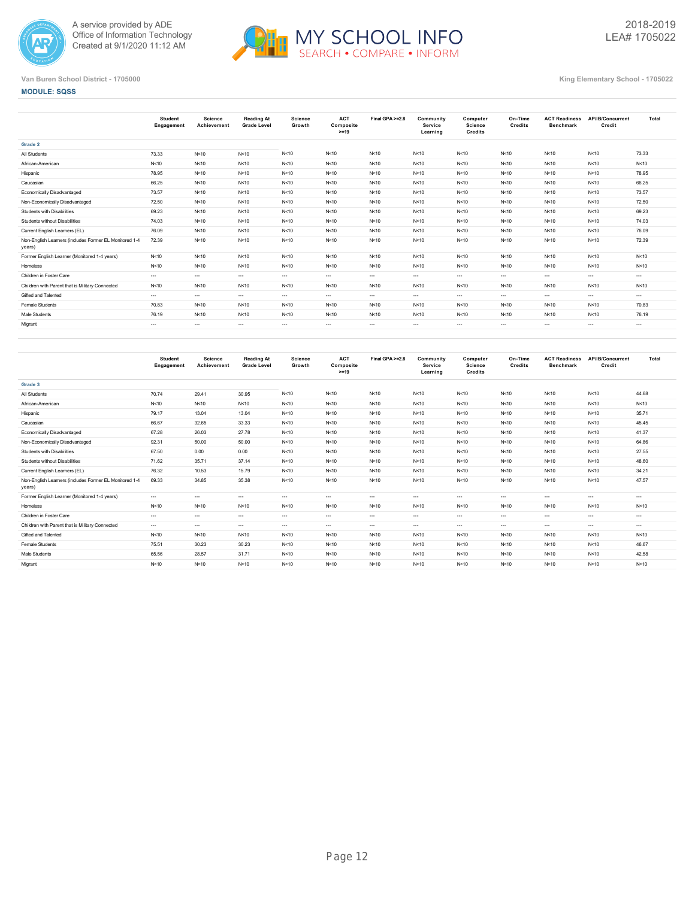



|                                                                  | <b>Student</b><br>Engagement | Science<br>Achievement | <b>Reading At</b><br><b>Grade Level</b> | Science<br>Growth | <b>ACT</b><br>Composite<br>$>=19$ | Final GPA >=2.8 | Community<br><b>Service</b><br>Learning | Computer<br><b>Science</b><br>Credits | On-Time<br>Credits | <b>ACT Readiness</b><br><b>Benchmark</b> | AP/IB/Concurrent<br>Credit | Total    |
|------------------------------------------------------------------|------------------------------|------------------------|-----------------------------------------|-------------------|-----------------------------------|-----------------|-----------------------------------------|---------------------------------------|--------------------|------------------------------------------|----------------------------|----------|
| Grade 2                                                          |                              |                        |                                         |                   |                                   |                 |                                         |                                       |                    |                                          |                            |          |
| All Students                                                     | 73.33                        | N<10                   | N<10                                    | N < 10            | N<10                              | N < 10          | N<10                                    | N<10                                  | N<10               | N < 10                                   | N < 10                     | 73.33    |
| African-American                                                 | N<10                         | N<10                   | N<10                                    | N < 10            | N<10                              | N < 10          | N<10                                    | N<10                                  | N<10               | N<10                                     | N<10                       | N < 10   |
| Hispanic                                                         | 78.95                        | N<10                   | N<10                                    | N < 10            | N < 10                            | N<10            | N<10                                    | N<10                                  | N<10               | N<10                                     | N<10                       | 78.95    |
| Caucasian                                                        | 66.25                        | N<10                   | N<10                                    | N < 10            | N < 10                            | N<10            | N<10                                    | N<10                                  | N<10               | N<10                                     | N<10                       | 66.25    |
| Economically Disadvantaged                                       | 73.57                        | N<10                   | N<10                                    | N < 10            | N<10                              | N<10            | N<10                                    | N<10                                  | N<10               | N<10                                     | N<10                       | 73.57    |
| Non-Economically Disadvantaged                                   | 72.50                        | N < 10                 | N<10                                    | N < 10            | N < 10                            | N<10            | N<10                                    | N<10                                  | N<10               | N<10                                     | N<10                       | 72.50    |
| Students with Disabilities                                       | 69.23                        | N < 10                 | N<10                                    | N < 10            | N<10                              | N<10            | N<10                                    | N<10                                  | N<10               | N<10                                     | N<10                       | 69.23    |
| Students without Disabilities                                    | 74.03                        | N<10                   | N<10                                    | N<10              | N<10                              | N<10            | N<10                                    | N<10                                  | N<10               | N<10                                     | N<10                       | 74.03    |
| Current English Learners (EL)                                    | 76.09                        | N<10                   | N<10                                    | N<10              | N < 10                            | N<10            | N<10                                    | N<10                                  | N<10               | N < 10                                   | N<10                       | 76.09    |
| Non-English Learners (includes Former EL Monitored 1-4<br>years) | 72.39                        | N<10                   | N<10                                    | N<10              | N < 10                            | N < 10          | N<10                                    | N < 10                                | N<10               | N < 10                                   | N<10                       | 72.39    |
| Former English Learner (Monitored 1-4 years)                     | N<10                         | N<10                   | N<10                                    | N<10              | N < 10                            | N < 10          | N<10                                    | N<10                                  | N<10               | N < 10                                   | N<10                       | N < 10   |
| Homeless                                                         | N<10                         | N<10                   | N<10                                    | N<10              | N < 10                            | N < 10          | N<10                                    | N<10                                  | N<10               | N < 10                                   | N<10                       | N < 10   |
| Children in Foster Care                                          | $---$                        | $\cdots$               | $\sim$                                  | $\cdots$          | $---$                             | $\cdots$        | $\cdots$                                | $\cdots$                              | $\sim$             | $---$                                    | $\cdots$                   | $\cdots$ |
| Children with Parent that is Military Connected                  | N<10                         | N<10                   | N<10                                    | N<10              | N < 10                            | N < 10          | N<10                                    | N < 10                                | N<10               | N < 10                                   | N<10                       | N < 10   |
| Gifted and Talented                                              | $---$                        | $\cdots$               | $\sim$                                  | $\cdots$          | $---$                             | $\cdots$        | $\cdots$                                | $\cdots$                              | $\sim$             | $\cdots$                                 | $\cdots$                   | $\cdots$ |
| <b>Female Students</b>                                           | 70.83                        | N<10                   | N<10                                    | N<10              | N < 10                            | N < 10          | N<10                                    | N < 10                                | N<10               | N < 10                                   | N<10                       | 70.83    |
| Male Students                                                    | 76.19                        | N<10                   | N<10                                    | N<10              | N<10                              | N < 10          | N<10                                    | N<10                                  | N<10               | N < 10                                   | N<10                       | 76.19    |
| Migrant                                                          | $\cdots$                     | $\cdots$               | $\cdots$                                | $\cdots$          | $\cdots$                          | $\cdots$        | $\cdots$                                | $\cdots$                              | $\sim$             | $\cdots$                                 | $\cdots$                   | $\cdots$ |
|                                                                  |                              |                        |                                         |                   |                                   |                 |                                         |                                       |                    |                                          |                            |          |

|                                                                  | <b>Student</b><br>Engagement | Science<br>Achievement | Reading At<br><b>Grade Level</b> | <b>Science</b><br>Growth | <b>ACT</b><br>Composite<br>$>=19$ | Final GPA >=2.8 | Community<br><b>Service</b><br>Learning | Computer<br><b>Science</b><br>Credits | On-Time<br>Credits | <b>ACT Readiness</b><br><b>Benchmark</b> | AP/IB/Concurrent<br>Credit | Total    |
|------------------------------------------------------------------|------------------------------|------------------------|----------------------------------|--------------------------|-----------------------------------|-----------------|-----------------------------------------|---------------------------------------|--------------------|------------------------------------------|----------------------------|----------|
| Grade 3                                                          |                              |                        |                                  |                          |                                   |                 |                                         |                                       |                    |                                          |                            |          |
| All Students                                                     | 70.74                        | 29.41                  | 30.95                            | N<10                     | N<10                              | N<10            | N<10                                    | N<10                                  | N < 10             | N<10                                     | N<10                       | 44.68    |
| African-American                                                 | N<10                         | N<10                   | N < 10                           | N<10                     | N < 10                            | N < 10          | N < 10                                  | N < 10                                | N < 10             | N<10                                     | N<10                       | N < 10   |
| Hispanic                                                         | 79.17                        | 13.04                  | 13.04                            | N<10                     | N < 10                            | N<10            | N<10                                    | N < 10                                | N<10               | N<10                                     | N<10                       | 35.71    |
| Caucasian                                                        | 66.67                        | 32.65                  | 33.33                            | N<10                     | N<10                              | N<10            | N < 10                                  | N<10                                  | N < 10             | N<10                                     | N<10                       | 45.45    |
| Economically Disadvantaged                                       | 67.28                        | 26.03                  | 27.78                            | N<10                     | N < 10                            | N<10            | N < 10                                  | N < 10                                | N<10               | N<10                                     | N<10                       | 41.37    |
| Non-Economically Disadvantaged                                   | 92.31                        | 50.00                  | 50.00                            | N<10                     | N<10                              | N<10            | N<10                                    | N<10                                  | N<10               | N<10                                     | N<10                       | 64.86    |
| Students with Disabilities                                       | 67.50                        | 0.00                   | 0.00                             | N<10                     | N < 10                            | N<10            | N < 10                                  | N<10                                  | N<10               | N<10                                     | N<10                       | 27.55    |
| Students without Disabilities                                    | 71.62                        | 35.71                  | 37.14                            | N<10                     | N < 10                            | N<10            | N < 10                                  | N<10                                  | N<10               | N<10                                     | N<10                       | 48.60    |
| Current English Learners (EL)                                    | 76.32                        | 10.53                  | 15.79                            | N<10                     | N < 10                            | N<10            | N < 10                                  | N<10                                  | N<10               | N<10                                     | N<10                       | 34.21    |
| Non-English Learners (includes Former EL Monitored 1-4<br>years) | 69.33                        | 34.85                  | 35.38                            | N<10                     | N < 10                            | N<10            | N < 10                                  | N<10                                  | N<10               | N<10                                     | N<10                       | 47.57    |
| Former English Learner (Monitored 1-4 years)                     | $---$                        | $\cdots$               | $\sim$                           | $\cdots$                 | $\cdots$                          | $---$           | $\cdots$                                | $\cdots$                              | $\sim$             | $\cdots$                                 | $- - -$                    | $\cdots$ |
| Homeless                                                         | N<10                         | N<10                   | N<10                             | N<10                     | N < 10                            | N<10            | N<10                                    | N<10                                  | N<10               | N<10                                     | N<10                       | N < 10   |
| Children in Foster Care                                          | $\cdots$                     | $\cdots$               | $\cdots$                         | $\cdots$                 | $---$                             | $\cdots$        | $\cdots$                                | $\cdots$                              | $\sim$             | $---$                                    | $\cdots$                   | $\cdots$ |
| Children with Parent that is Military Connected                  | $---$                        | $\cdots$               | $\sim$                           | $\cdots$                 | $\cdots$                          | $---$           | $---$                                   | $\cdots$                              | $\sim$             | $\cdots$                                 | $- - -$                    | $\cdots$ |
| Gifted and Talented                                              | N<10                         | N<10                   | N<10                             | N<10                     | N < 10                            | N<10            | N < 10                                  | N<10                                  | N<10               | N<10                                     | N<10                       | N < 10   |
| Female Students                                                  | 75.51                        | 30.23                  | 30.23                            | N<10                     | N < 10                            | N < 10          | N < 10                                  | N<10                                  | N<10               | N<10                                     | N<10                       | 46.67    |
| Male Students                                                    | 65.56                        | 28.57                  | 31.71                            | N<10                     | N < 10                            | N < 10          | N < 10                                  | N < 10                                | N<10               | N<10                                     | N<10                       | 42.58    |
| Migrant                                                          | N<10                         | N<10                   | N<10                             | N<10                     | N<10                              | N<10            | N<10                                    | N < 10                                | N<10               | N<10                                     | N<10                       | N < 10   |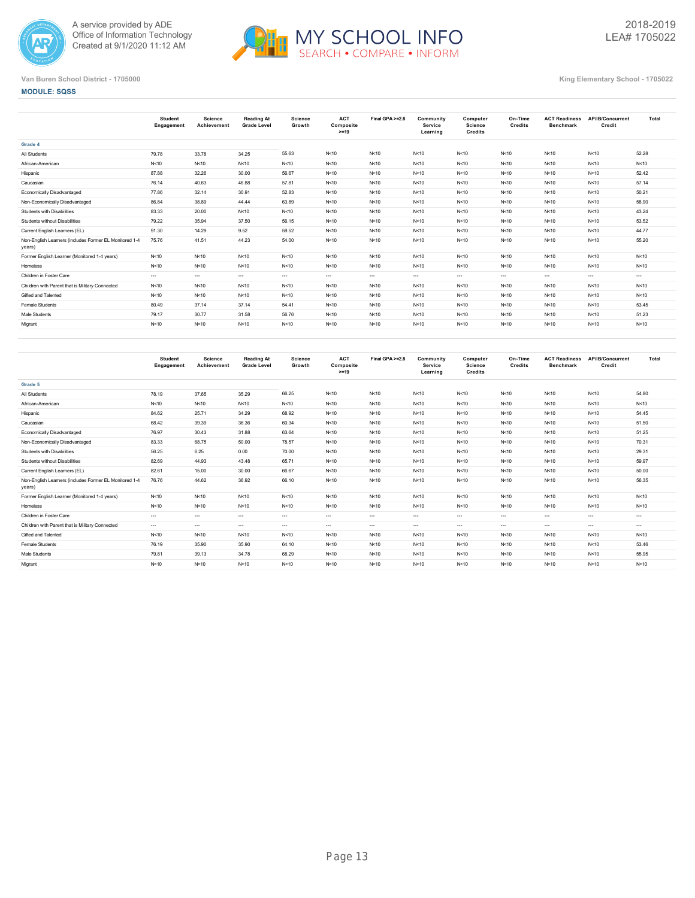



|                                                                  | Student<br>Engagement | Science<br>Achievement | <b>Reading At</b><br><b>Grade Level</b> | Science<br>Growth | <b>ACT</b><br>Composite<br>$>=19$ | Final GPA >=2.8 | Community<br>Service<br>Learning | Computer<br><b>Science</b><br>Credits | On-Time<br>Credits | <b>ACT Readiness</b><br><b>Benchmark</b> | AP/IB/Concurrent<br>Credit | Total    |
|------------------------------------------------------------------|-----------------------|------------------------|-----------------------------------------|-------------------|-----------------------------------|-----------------|----------------------------------|---------------------------------------|--------------------|------------------------------------------|----------------------------|----------|
| Grade 4                                                          |                       |                        |                                         |                   |                                   |                 |                                  |                                       |                    |                                          |                            |          |
| All Students                                                     | 79.78                 | 33.78                  | 34.25                                   | 55.63             | N<10                              | N<10            | N<10                             | N<10                                  | N<10               | N < 10                                   | N<10                       | 52.28    |
| African-American                                                 | N<10                  | N < 10                 | N < 10                                  | N<10              | N<10                              | N<10            | N<10                             | N < 10                                | N<10               | N < 10                                   | N<10                       | N<10     |
| Hispanic                                                         | 87.88                 | 32.26                  | 30.00                                   | 56.67             | N < 10                            | N<10            | N<10                             | N < 10                                | N<10               | N < 10                                   | N<10                       | 52.42    |
| Caucasian                                                        | 76.14                 | 40.63                  | 46.88                                   | 57.81             | N < 10                            | N<10            | N<10                             | N < 10                                | N<10               | N < 10                                   | N<10                       | 57.14    |
| Economically Disadvantaged                                       | 77.86                 | 32.14                  | 30.91                                   | 52.83             | N<10                              | N<10            | N<10                             | N < 10                                | N<10               | N < 10                                   | N<10                       | 50.21    |
| Non-Economically Disadvantaged                                   | 86.84                 | 38.89                  | 44.44                                   | 63.89             | N < 10                            | N<10            | N<10                             | N < 10                                | N<10               | N < 10                                   | N<10                       | 58.90    |
| Students with Disabilities                                       | 83.33                 | 20.00                  | N < 10                                  | N<10              | N<10                              | N<10            | N<10                             | N<10                                  | N<10               | N < 10                                   | N<10                       | 43.24    |
| Students without Disabilities                                    | 79.22                 | 35.94                  | 37.50                                   | 56.15             | N < 10                            | N<10            | N<10                             | N < 10                                | N<10               | N < 10                                   | N<10                       | 53.52    |
| Current English Learners (EL)                                    | 91.30                 | 14.29                  | 9.52                                    | 59.52             | N < 10                            | N<10            | N<10                             | N < 10                                | N<10               | N < 10                                   | N<10                       | 44.77    |
| Non-English Learners (includes Former EL Monitored 1-4<br>years) | 75.76                 | 41.51                  | 44.23                                   | 54.00             | N < 10                            | N<10            | N<10                             | N < 10                                | N<10               | N < 10                                   | N<10                       | 55.20    |
| Former English Learner (Monitored 1-4 years)                     | N<10                  | N < 10                 | N < 10                                  | N<10              | N < 10                            | N<10            | N<10                             | N < 10                                | N<10               | N < 10                                   | N<10                       | N < 10   |
| Homeless                                                         | N<10                  | N < 10                 | N < 10                                  | N<10              | N < 10                            | N<10            | N<10                             | N<10                                  | N<10               | N<10                                     | N<10                       | N<10     |
| Children in Foster Care                                          | $\cdots$              | $\cdots$               | $\cdots$                                | $\sim$ $\sim$     | $\cdots$                          | $\cdots$        | $\cdots$                         | $\sim$ $\sim$                         | $\cdots$           | $\cdots$                                 | $\cdots$                   | $\cdots$ |
| Children with Parent that is Military Connected                  | N<10                  | N < 10                 | N < 10                                  | N<10              | N < 10                            | N<10            | N<10                             | N<10                                  | N<10               | N<10                                     | N<10                       | N<10     |
| Gifted and Talented                                              | N<10                  | N < 10                 | N<10                                    | N<10              | N < 10                            | N<10            | N<10                             | N<10                                  | N<10               | N<10                                     | N<10                       | N < 10   |
| Female Students                                                  | 80.49                 | 37.14                  | 37.14                                   | 54.41             | N < 10                            | N<10            | N<10                             | N<10                                  | N<10               | N<10                                     | N<10                       | 53.45    |
| Male Students                                                    | 79.17                 | 30.77                  | 31.58                                   | 56.76             | N<10                              | N<10            | N<10                             | N<10                                  | N<10               | N<10                                     | N<10                       | 51.23    |
| Migrant                                                          | N<10                  | N < 10                 | N < 10                                  | N<10              | N < 10                            | N<10            | N<10                             | N<10                                  | N < 10             | N<10                                     | N<10                       | N<10     |
|                                                                  |                       |                        |                                         |                   |                                   |                 |                                  |                                       |                    |                                          |                            |          |

|                                                                  | <b>Student</b><br>Engagement | Science<br>Achievement | <b>Reading At</b><br><b>Grade Level</b> | <b>Science</b><br>Growth | <b>ACT</b><br>Composite<br>$>=19$ | Final GPA >=2.8 | Community<br>Service<br>Learning | Computer<br><b>Science</b><br>Credits | On-Time<br>Credits | <b>ACT Readiness</b><br><b>Benchmark</b> | AP/IB/Concurrent<br>Credit | Total    |
|------------------------------------------------------------------|------------------------------|------------------------|-----------------------------------------|--------------------------|-----------------------------------|-----------------|----------------------------------|---------------------------------------|--------------------|------------------------------------------|----------------------------|----------|
| Grade 5                                                          |                              |                        |                                         |                          |                                   |                 |                                  |                                       |                    |                                          |                            |          |
| All Students                                                     | 78.19                        | 37.65                  | 35.29                                   | 66.25                    | N<10                              | N<10            | N<10                             | N < 10                                | N < 10             | N<10                                     | N<10                       | 54.80    |
| African-American                                                 | N<10                         | N < 10                 | N < 10                                  | N < 10                   | N<10                              | N<10            | N<10                             | N < 10                                | N < 10             | N<10                                     | N<10                       | N < 10   |
| Hispanic                                                         | 84.62                        | 25.71                  | 34.29                                   | 68.92                    | N<10                              | N<10            | N<10                             | N < 10                                | N < 10             | N<10                                     | N<10                       | 54.45    |
| Caucasian                                                        | 68.42                        | 39.39                  | 36.36                                   | 60.34                    | N<10                              | N<10            | N<10                             | N < 10                                | N < 10             | N<10                                     | N<10                       | 51.50    |
| Economically Disadvantaged                                       | 76.97                        | 30.43                  | 31.88                                   | 63.64                    | N<10                              | N<10            | N<10                             | N < 10                                | N < 10             | N<10                                     | N<10                       | 51.25    |
| Non-Economically Disadvantaged                                   | 83.33                        | 68.75                  | 50.00                                   | 78.57                    | N<10                              | N<10            | N<10                             | N < 10                                | N<10               | N<10                                     | N<10                       | 70.31    |
| Students with Disabilities                                       | 56.25                        | 6.25                   | 0.00                                    | 70.00                    | N<10                              | N<10            | N<10                             | N < 10                                | N<10               | N < 10                                   | N<10                       | 29.31    |
| Students without Disabilities                                    | 82.69                        | 44.93                  | 43.48                                   | 65.71                    | N<10                              | N<10            | N<10                             | N < 10                                | N<10               | N<10                                     | N<10                       | 59.97    |
| Current English Learners (EL)                                    | 82.61                        | 15.00                  | 30.00                                   | 66.67                    | N<10                              | N<10            | N<10                             | N < 10                                | N<10               | N<10                                     | N<10                       | 50.00    |
| Non-English Learners (includes Former EL Monitored 1-4<br>years) | 76.76                        | 44.62                  | 36.92                                   | 66.10                    | N<10                              | N<10            | N<10                             | N < 10                                | N<10               | N<10                                     | N<10                       | 56.35    |
| Former English Learner (Monitored 1-4 years)                     | N<10                         | N < 10                 | N<10                                    | N<10                     | N<10                              | N<10            | N<10                             | N<10                                  | N<10               | N<10                                     | N<10                       | N < 10   |
| Homeless                                                         | N<10                         | N < 10                 | N<10                                    | N<10                     | N<10                              | N<10            | N<10                             | N < 10                                | N<10               | N<10                                     | N<10                       | N < 10   |
| Children in Foster Care                                          | $---$                        | $\cdots$               | $\sim$                                  | $\cdots$                 | $\cdots$                          | $---$           | $---$                            | $\cdots$                              | $\sim$             | $---$                                    | $- - -$                    | $- - -$  |
| Children with Parent that is Military Connected                  | $---$                        | $\sim$ $\sim$          | $\sim$                                  | $\cdots$                 | $\cdots$                          | $---$           | $---$                            | $\cdots$                              | $\sim$             | $\cdots$                                 | $---$                      | $\cdots$ |
| Gifted and Talented                                              | N<10                         | N < 10                 | N<10                                    | N<10                     | N<10                              | N<10            | N<10                             | N < 10                                | N<10               | N<10                                     | N<10                       | N < 10   |
| Female Students                                                  | 76.19                        | 35.90                  | 35.90                                   | 64.10                    | N<10                              | N<10            | N<10                             | N < 10                                | N<10               | N<10                                     | N<10                       | 53.46    |
| Male Students                                                    | 79.81                        | 39.13                  | 34.78                                   | 68.29                    | N<10                              | N<10            | N<10                             | N < 10                                | N<10               | N < 10                                   | N<10                       | 55.95    |
| Migrant                                                          | N<10                         | N < 10                 | N < 10                                  | N<10                     | N<10                              | N<10            | N<10                             | N < 10                                | N<10               | N<10                                     | N<10                       | N < 10   |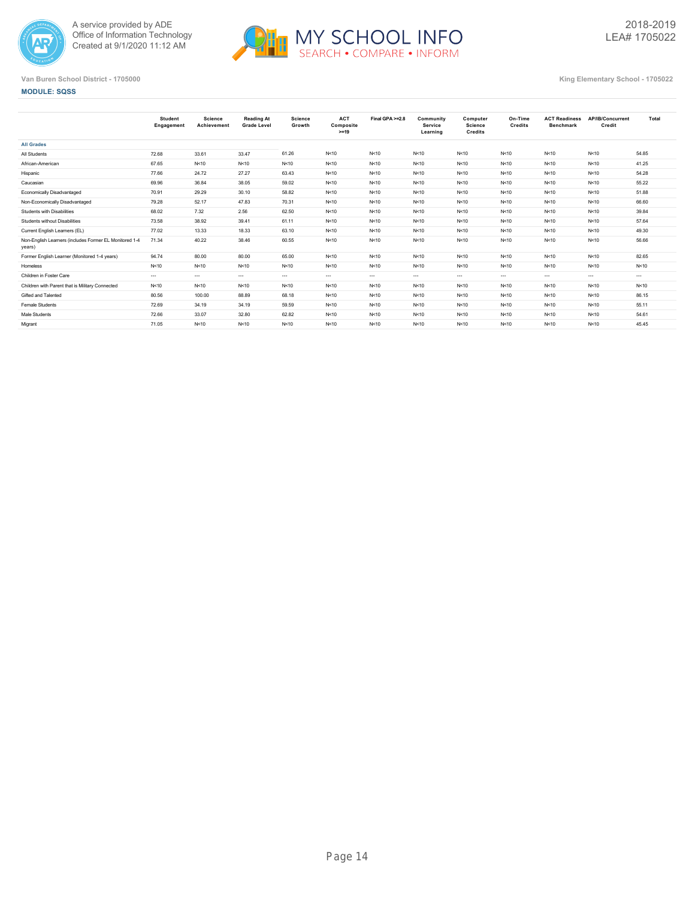



|                                                                  | Student<br>Engagement | Science<br>Achievement | <b>Reading At</b><br><b>Grade Level</b> | <b>Science</b><br>Growth | <b>ACT</b><br>Composite<br>$>=19$ | Final GPA >=2.8 | Community<br><b>Service</b><br>Learning | Computer<br><b>Science</b><br><b>Credits</b> | On-Time<br>Credits | <b>ACT Readiness</b><br><b>Benchmark</b> | AP/IB/Concurrent<br>Credit | Total   |
|------------------------------------------------------------------|-----------------------|------------------------|-----------------------------------------|--------------------------|-----------------------------------|-----------------|-----------------------------------------|----------------------------------------------|--------------------|------------------------------------------|----------------------------|---------|
| <b>All Grades</b>                                                |                       |                        |                                         |                          |                                   |                 |                                         |                                              |                    |                                          |                            |         |
| All Students                                                     | 72.68                 | 33.61                  | 33.47                                   | 61.26                    | N<10                              | N<10            | N<10                                    | N<10                                         | N<10               | N < 10                                   | N<10                       | 54.85   |
| African-American                                                 | 67.65                 | N<10                   | N < 10                                  | N<10                     | N < 10                            | N<10            | N<10                                    | N<10                                         | N<10               | N < 10                                   | N<10                       | 41.25   |
| Hispanic                                                         | 77.66                 | 24.72                  | 27.27                                   | 63.43                    | N<10                              | N<10            | N<10                                    | N<10                                         | N<10               | N<10                                     | N<10                       | 54.28   |
| Caucasian                                                        | 69.96                 | 36.84                  | 38.05                                   | 59.02                    | N<10                              | N<10            | N<10                                    | N<10                                         | N < 10             | N<10                                     | N<10                       | 55.22   |
| Economically Disadvantaged                                       | 70.91                 | 29.29                  | 30.10                                   | 58.82                    | N < 10                            | N<10            | N<10                                    | N < 10                                       | N < 10             | N < 10                                   | N<10                       | 51.88   |
| Non-Economically Disadvantaged                                   | 79.28                 | 52.17                  | 47.83                                   | 70.31                    | N < 10                            | N<10            | N<10                                    | N<10                                         | N < 10             | N < 10                                   | N < 10                     | 66.60   |
| Students with Disabilities                                       | 68.02                 | 7.32                   | 2.56                                    | 62.50                    | N < 10                            | N<10            | N<10                                    | N < 10                                       | N<10               | N<10                                     | N<10                       | 39.84   |
| <b>Students without Disabilities</b>                             | 73.58                 | 38.92                  | 39.41                                   | 61.11                    | N<10                              | N<10            | N<10                                    | N<10                                         | N < 10             | N < 10                                   | N<10                       | 57.64   |
| Current English Learners (EL)                                    | 77.02                 | 13.33                  | 18.33                                   | 63.10                    | N < 10                            | N<10            | N<10                                    | N < 10                                       | N<10               | N<10                                     | N<10                       | 49.30   |
| Non-English Learners (includes Former EL Monitored 1-4<br>years) | 71.34                 | 40.22                  | 38.46                                   | 60.55                    | N < 10                            | N<10            | N<10                                    | N < 10                                       | N < 10             | N<10                                     | N < 10                     | 56.66   |
| Former English Learner (Monitored 1-4 years)                     | 94.74                 | 80.00                  | 80.00                                   | 65.00                    | N<10                              | N<10            | N<10                                    | N < 10                                       | N < 10             | N<10                                     | N<10                       | 82.65   |
| Homeless                                                         | N<10                  | N<10                   | N < 10                                  | N<10                     | N<10                              | N<10            | N<10                                    | N < 10                                       | N<10               | N < 10                                   | N < 10                     | N < 10  |
| Children in Foster Care                                          | $\cdots$              | $\cdots$               | $\cdots$                                | $\cdots$                 | $\cdots$                          | $\cdots$        | $\cdots$                                | $\cdots$                                     | $\cdots$           | $\cdots$                                 | $\cdots$                   | $- - -$ |
| Children with Parent that is Military Connected                  | N<10                  | N < 10                 | N < 10                                  | N<10                     | N<10                              | N<10            | N < 10                                  | N < 10                                       | N < 10             | N < 10                                   | N < 10                     | N < 10  |
| Gifted and Talented                                              | 80.56                 | 100.00                 | 88.89                                   | 68.18                    | N<10                              | N<10            | N<10                                    | N < 10                                       | N<10               | N<10                                     | N < 10                     | 86.15   |
| Female Students                                                  | 72.69                 | 34.19                  | 34.19                                   | 59.59                    | N<10                              | N<10            | N<10                                    | N < 10                                       | N<10               | N<10                                     | N<10                       | 55.11   |
| Male Students                                                    | 72.66                 | 33.07                  | 32.80                                   | 62.82                    | N<10                              | N<10            | N<10                                    | N<10                                         | N<10               | N < 10                                   | N<10                       | 54.61   |
| Migrant                                                          | 71.05                 | N<10                   | N<10                                    | N<10                     | N<10                              | N<10            | N<10                                    | N < 10                                       | N<10               | N<10                                     | N<10                       | 45.45   |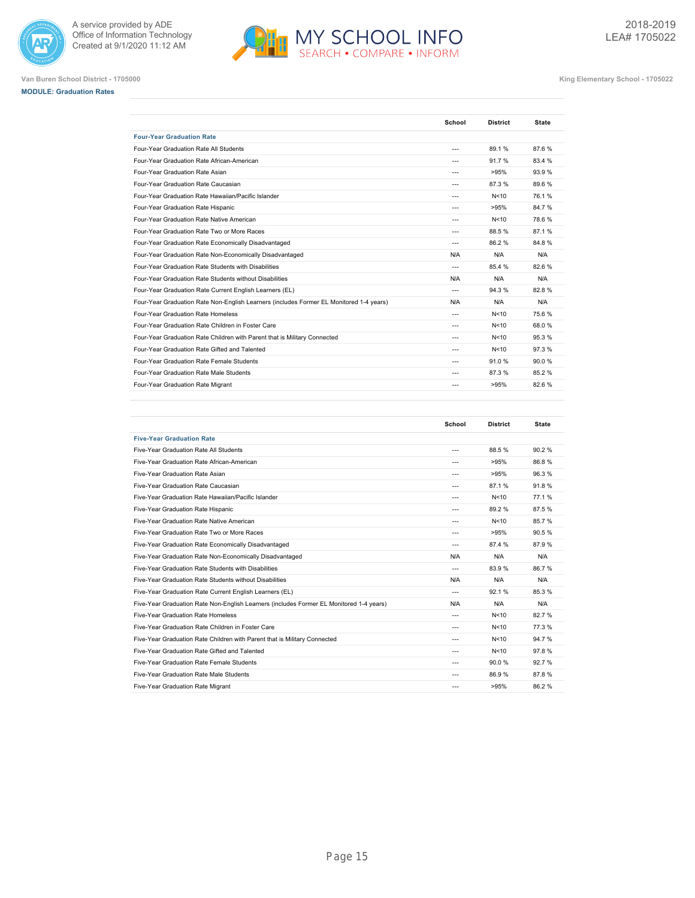







**Van Buren School District - 1705000 King Elementary School - 1705022**

|                                                                                         | School         | <b>District</b> | <b>State</b> |
|-----------------------------------------------------------------------------------------|----------------|-----------------|--------------|
| <b>Four-Year Graduation Rate</b>                                                        |                |                 |              |
| Four-Year Graduation Rate All Students                                                  | ---            | 89.1%           | 87.6%        |
| Four-Year Graduation Rate African-American                                              | ---            | 91.7%           | 83.4 %       |
| Four-Year Graduation Rate Asian                                                         | $- - -$        | >95%            | 93.9%        |
| Four-Year Graduation Rate Caucasian                                                     | $- - -$        | 87.3%           | 89.6%        |
| Four-Year Graduation Rate Hawaiian/Pacific Islander                                     | $- - -$        | N < 10          | 76.1%        |
| Four-Year Graduation Rate Hispanic                                                      | ---            | >95%            | 84.7%        |
| Four-Year Graduation Rate Native American                                               | $\overline{a}$ | N<10            | 78.6%        |
| Four-Year Graduation Rate Two or More Races                                             | $---$          | 88.5%           | 87.1%        |
| Four-Year Graduation Rate Economically Disadvantaged                                    | $\overline{a}$ | 86.2%           | 84.8%        |
| Four-Year Graduation Rate Non-Economically Disadvantaged                                | N/A            | N/A             | N/A          |
| Four-Year Graduation Rate Students with Disabilities                                    | $\sim$         | 85.4 %          | 82.6%        |
| Four-Year Graduation Rate Students without Disabilities                                 | N/A            | N/A             | N/A          |
| Four-Year Graduation Rate Current English Learners (EL)                                 | $\overline{a}$ | 94.3%           | 82.8%        |
| Four-Year Graduation Rate Non-English Learners (includes Former EL Monitored 1-4 years) | N/A            | N/A             | N/A          |
| Four-Year Graduation Rate Homeless                                                      | $\overline{a}$ | N < 10          | 75.6%        |
| Four-Year Graduation Rate Children in Foster Care                                       | $\overline{a}$ | N<10            | 68.0%        |
| Four-Year Graduation Rate Children with Parent that is Military Connected               | ---            | N<10            | 95.3%        |
| Four-Year Graduation Rate Gifted and Talented                                           | $\overline{a}$ | N<10            | 97.3%        |
| Four-Year Graduation Rate Female Students                                               | $- - -$        | 91.0%           | 90.0%        |
| Four-Year Graduation Rate Male Students                                                 | $- - -$        | 87.3%           | 85.2%        |
| Four-Year Graduation Rate Migrant                                                       | $\overline{a}$ | >95%            | 82.6%        |

H MY SCHOOL INFO

|                                                                                         | School         | <b>District</b> | <b>State</b> |
|-----------------------------------------------------------------------------------------|----------------|-----------------|--------------|
| <b>Five-Year Graduation Rate</b>                                                        |                |                 |              |
| Five-Year Graduation Rate All Students                                                  | ---            | 88.5%           | 90.2%        |
| Five-Year Graduation Rate African-American                                              | ---            | >95%            | 86.8%        |
| Five-Year Graduation Rate Asian                                                         | ---            | >95%            | 96.3%        |
| Five-Year Graduation Rate Caucasian                                                     | ---            | 87.1%           | 91.8%        |
| Five-Year Graduation Rate Hawaiian/Pacific Islander                                     | $---$          | N<10            | 77.1%        |
| Five-Year Graduation Rate Hispanic                                                      | ---            | 89.2%           | 87.5%        |
| Five-Year Graduation Rate Native American                                               | ---            | N<10            | 85.7%        |
| Five-Year Graduation Rate Two or More Races                                             | ---            | >95%            | 90.5%        |
| Five-Year Graduation Rate Economically Disadvantaged                                    | $---$          | 87.4 %          | 87.9%        |
| Five-Year Graduation Rate Non-Economically Disadvantaged                                | N/A            | N/A             | N/A          |
| Five-Year Graduation Rate Students with Disabilities                                    | ---            | 83.9%           | 86.7%        |
| Five-Year Graduation Rate Students without Disabilities                                 | N/A            | N/A             | N/A          |
| Five-Year Graduation Rate Current English Learners (EL)                                 | $\overline{a}$ | 92.1%           | 85.3%        |
| Five-Year Graduation Rate Non-English Learners (includes Former EL Monitored 1-4 years) | N/A            | N/A             | N/A          |
| Five-Year Graduation Rate Homeless                                                      | $---$          | N<10            | 82.7%        |
| Five-Year Graduation Rate Children in Foster Care                                       | ---            | N<10            | 77.3%        |
| Five-Year Graduation Rate Children with Parent that is Military Connected               | ---            | N<10            | 94.7%        |
| Five-Year Graduation Rate Gifted and Talented                                           | ---            | N<10            | 97.8%        |
| Five-Year Graduation Rate Female Students                                               | ---            | 90.0%           | 92.7%        |
| Five-Year Graduation Rate Male Students                                                 | ---            | 86.9%           | 87.8%        |
| Five-Year Graduation Rate Migrant                                                       | ---            | >95%            | 86.2%        |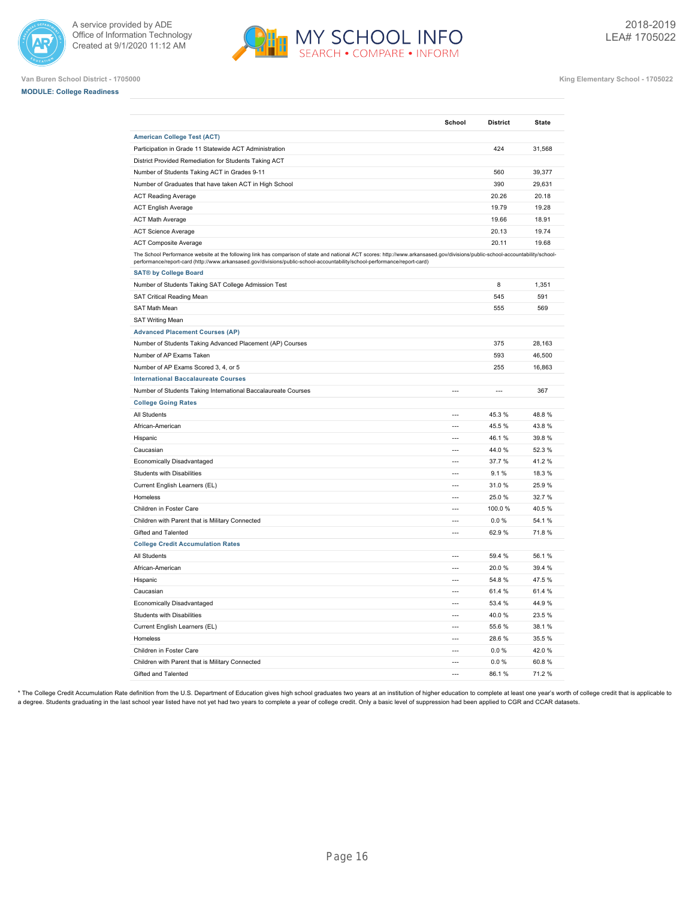







**Van Buren School District - 1705000 King Elementary School - 1705022**

|                                                                                                                                                                                                                                                                                                             | School                   | <b>District</b> | <b>State</b> |
|-------------------------------------------------------------------------------------------------------------------------------------------------------------------------------------------------------------------------------------------------------------------------------------------------------------|--------------------------|-----------------|--------------|
| <b>American College Test (ACT)</b>                                                                                                                                                                                                                                                                          |                          |                 |              |
| Participation in Grade 11 Statewide ACT Administration                                                                                                                                                                                                                                                      |                          | 424             | 31,568       |
| District Provided Remediation for Students Taking ACT                                                                                                                                                                                                                                                       |                          |                 |              |
| Number of Students Taking ACT in Grades 9-11                                                                                                                                                                                                                                                                |                          | 560             | 39,377       |
| Number of Graduates that have taken ACT in High School                                                                                                                                                                                                                                                      |                          | 390             | 29,631       |
| <b>ACT Reading Average</b>                                                                                                                                                                                                                                                                                  |                          | 20.26           | 20.18        |
| <b>ACT English Average</b>                                                                                                                                                                                                                                                                                  |                          | 19.79           | 19.28        |
| <b>ACT Math Average</b>                                                                                                                                                                                                                                                                                     |                          | 19.66           | 18.91        |
| <b>ACT Science Average</b>                                                                                                                                                                                                                                                                                  |                          | 20.13           | 19.74        |
| <b>ACT Composite Average</b>                                                                                                                                                                                                                                                                                |                          | 20.11           | 19.68        |
| The School Performance website at the following link has comparison of state and national ACT scores: http://www.arkansased.gov/divisions/public-school-accountability/school-<br>performance/report-card (http://www.arkansased.gov/divisions/public-school-accountability/school-performance/report-card) |                          |                 |              |
| <b>SAT® by College Board</b>                                                                                                                                                                                                                                                                                |                          |                 |              |
| Number of Students Taking SAT College Admission Test                                                                                                                                                                                                                                                        |                          | 8               | 1,351        |
| SAT Critical Reading Mean                                                                                                                                                                                                                                                                                   |                          | 545             | 591          |
| SAT Math Mean                                                                                                                                                                                                                                                                                               |                          | 555             | 569          |
| <b>SAT Writing Mean</b>                                                                                                                                                                                                                                                                                     |                          |                 |              |
| <b>Advanced Placement Courses (AP)</b>                                                                                                                                                                                                                                                                      |                          |                 |              |
| Number of Students Taking Advanced Placement (AP) Courses                                                                                                                                                                                                                                                   |                          | 375             | 28,163       |
| Number of AP Exams Taken                                                                                                                                                                                                                                                                                    |                          | 593             | 46,500       |
| Number of AP Exams Scored 3, 4, or 5                                                                                                                                                                                                                                                                        |                          | 255             | 16,863       |
| <b>International Baccalaureate Courses</b>                                                                                                                                                                                                                                                                  |                          |                 |              |
| Number of Students Taking International Baccalaureate Courses                                                                                                                                                                                                                                               | $\overline{a}$           | $---$           | 367          |
| <b>College Going Rates</b>                                                                                                                                                                                                                                                                                  |                          |                 |              |
| All Students                                                                                                                                                                                                                                                                                                | $\overline{a}$           | 45.3%           | 48.8%        |
| African-American                                                                                                                                                                                                                                                                                            | ---                      | 45.5%           | 43.8%        |
| Hispanic                                                                                                                                                                                                                                                                                                    | $\overline{\phantom{a}}$ | 46.1%           | 39.8%        |
| Caucasian                                                                                                                                                                                                                                                                                                   | $\overline{\phantom{a}}$ | 44.0%           | 52.3%        |
| Economically Disadvantaged                                                                                                                                                                                                                                                                                  | $\overline{a}$           | 37.7%           | 41.2%        |
| Students with Disabilities                                                                                                                                                                                                                                                                                  |                          | 9.1%            | 18.3%        |
| Current English Learners (EL)                                                                                                                                                                                                                                                                               | $---$                    | 31.0%           | 25.9%        |
| Homeless                                                                                                                                                                                                                                                                                                    | $\overline{a}$           | 25.0%           | 32.7%        |
| Children in Foster Care                                                                                                                                                                                                                                                                                     | $\overline{a}$           | 100.0%          | 40.5%        |
| Children with Parent that is Military Connected                                                                                                                                                                                                                                                             | ---                      | 0.0%            | 54.1%        |
| Gifted and Talented                                                                                                                                                                                                                                                                                         | $\overline{\phantom{a}}$ | 62.9%           | 71.8%        |
| <b>College Credit Accumulation Rates</b>                                                                                                                                                                                                                                                                    |                          |                 |              |
| All Students                                                                                                                                                                                                                                                                                                | $\overline{a}$           | 59.4 %          | 56.1%        |
| African-American                                                                                                                                                                                                                                                                                            | $\sim$                   | 20.0%           | 39.4 %       |
| Hispanic                                                                                                                                                                                                                                                                                                    | $---$                    | 54.8%           | 47.5%        |
| Caucasian                                                                                                                                                                                                                                                                                                   | $\overline{a}$           | 61.4%           | 61.4%        |
| Economically Disadvantaged                                                                                                                                                                                                                                                                                  | $\overline{a}$           | 53.4 %          | 44.9%        |
| Students with Disabilities                                                                                                                                                                                                                                                                                  | $\overline{a}$           | 40.0%           | 23.5%        |
| Current English Learners (EL)                                                                                                                                                                                                                                                                               | $\overline{\phantom{a}}$ | 55.6 %          | 38.1%        |
| Homeless                                                                                                                                                                                                                                                                                                    | $\overline{\phantom{a}}$ | 28.6%           | 35.5%        |
| Children in Foster Care                                                                                                                                                                                                                                                                                     | $\overline{a}$           | 0.0%            | 42.0%        |
| Children with Parent that is Military Connected                                                                                                                                                                                                                                                             | $\overline{a}$           | 0.0%            | 60.8%        |
| Gifted and Talented                                                                                                                                                                                                                                                                                         |                          | 86.1%           | 71.2%        |

\* The College Credit Accumulation Rate definition from the U.S. Department of Education gives high school graduates two years at an institution of higher education to complete at least one year's worth of college credit th a degree. Students graduating in the last school year listed have not yet had two years to complete a year of college credit. Only a basic level of suppression had been applied to CGR and CCAR datasets.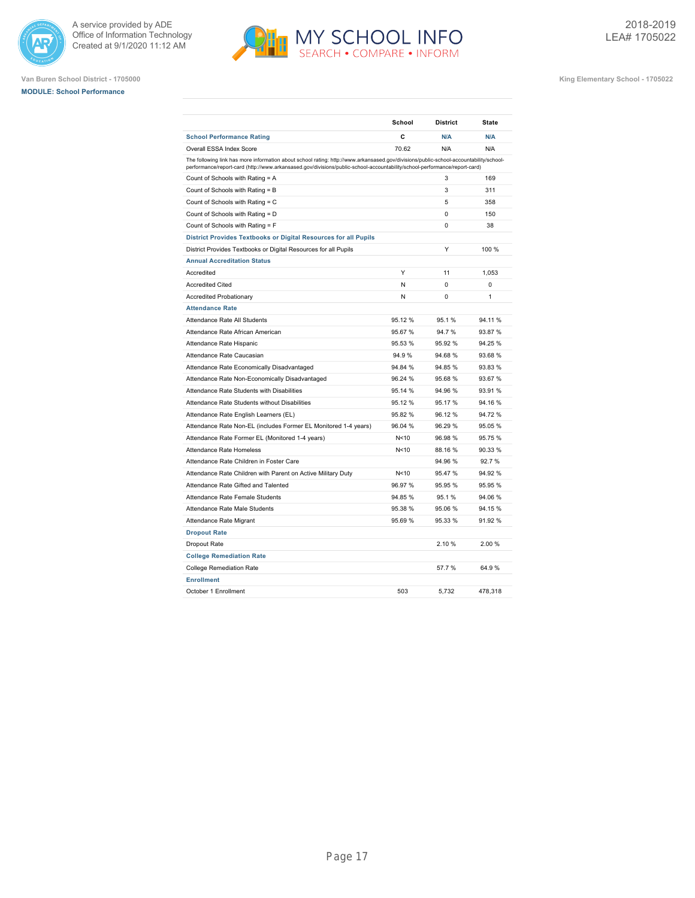





|                                                                                                                                                                                                                                                                    | School  | <b>District</b> | State   |
|--------------------------------------------------------------------------------------------------------------------------------------------------------------------------------------------------------------------------------------------------------------------|---------|-----------------|---------|
| <b>School Performance Rating</b>                                                                                                                                                                                                                                   | C       | N/A             | N/A     |
| Overall ESSA Index Score                                                                                                                                                                                                                                           | 70.62   | N/A             | N/A     |
| The following link has more information about school rating: http://www.arkansased.gov/divisions/public-school-accountability/school-<br>performance/report-card (http://www.arkansased.gov/divisions/public-school-accountability/school-performance/report-card) |         |                 |         |
| Count of Schools with Rating = A                                                                                                                                                                                                                                   |         | 3               | 169     |
| Count of Schools with Rating = B                                                                                                                                                                                                                                   |         | 3               | 311     |
| Count of Schools with Rating = C                                                                                                                                                                                                                                   |         | 5               | 358     |
| Count of Schools with Rating = D                                                                                                                                                                                                                                   |         | 0               | 150     |
| Count of Schools with Rating = F                                                                                                                                                                                                                                   |         | 0               | 38      |
| <b>District Provides Textbooks or Digital Resources for all Pupils</b>                                                                                                                                                                                             |         |                 |         |
| District Provides Textbooks or Digital Resources for all Pupils                                                                                                                                                                                                    |         | Y               | 100 %   |
| <b>Annual Accreditation Status</b>                                                                                                                                                                                                                                 |         |                 |         |
| Accredited                                                                                                                                                                                                                                                         | Y       | 11              | 1,053   |
| <b>Accredited Cited</b>                                                                                                                                                                                                                                            | N       | 0               | 0       |
| <b>Accredited Probationary</b>                                                                                                                                                                                                                                     | N       | 0               | 1       |
| <b>Attendance Rate</b>                                                                                                                                                                                                                                             |         |                 |         |
| Attendance Rate All Students                                                                                                                                                                                                                                       | 95.12 % | 95.1%           | 94.11%  |
| Attendance Rate African American                                                                                                                                                                                                                                   | 95.67%  | 94.7%           | 93.87%  |
| Attendance Rate Hispanic                                                                                                                                                                                                                                           | 95.53 % | 95.92%          | 94.25 % |
| Attendance Rate Caucasian                                                                                                                                                                                                                                          | 94.9%   | 94.68%          | 93.68 % |
| Attendance Rate Economically Disadvantaged                                                                                                                                                                                                                         | 94.84 % | 94.85%          | 93.83 % |
| Attendance Rate Non-Economically Disadvantaged                                                                                                                                                                                                                     | 96.24 % | 95.68%          | 93.67%  |
| Attendance Rate Students with Disabilities                                                                                                                                                                                                                         | 95.14 % | 94.96%          | 93.91 % |
| Attendance Rate Students without Disabilities                                                                                                                                                                                                                      | 95.12%  | 95.17%          | 94.16%  |
| Attendance Rate English Learners (EL)                                                                                                                                                                                                                              | 95.82%  | 96.12%          | 94.72%  |
| Attendance Rate Non-EL (includes Former EL Monitored 1-4 years)                                                                                                                                                                                                    | 96.04 % | 96.29%          | 95.05 % |
| Attendance Rate Former EL (Monitored 1-4 years)                                                                                                                                                                                                                    | N<10    | 96.98%          | 95.75 % |
| Attendance Rate Homeless                                                                                                                                                                                                                                           | N<10    | 88.16%          | 90.33 % |
| Attendance Rate Children in Foster Care                                                                                                                                                                                                                            |         | 94.96%          | 92.7%   |
| Attendance Rate Children with Parent on Active Military Duty                                                                                                                                                                                                       | N<10    | 95.47%          | 94.92%  |
| Attendance Rate Gifted and Talented                                                                                                                                                                                                                                | 96.97 % | 95.95%          | 95.95 % |
| Attendance Rate Female Students                                                                                                                                                                                                                                    | 94.85 % | 95.1%           | 94.06%  |
| Attendance Rate Male Students                                                                                                                                                                                                                                      | 95.38 % | 95.06%          | 94.15%  |
| Attendance Rate Migrant                                                                                                                                                                                                                                            | 95.69%  | 95.33%          | 91.92%  |
| <b>Dropout Rate</b>                                                                                                                                                                                                                                                |         |                 |         |
| Dropout Rate                                                                                                                                                                                                                                                       |         | 2.10%           | 2.00%   |
| <b>College Remediation Rate</b>                                                                                                                                                                                                                                    |         |                 |         |
| <b>College Remediation Rate</b>                                                                                                                                                                                                                                    |         | 57.7%           | 64.9%   |
| <b>Enrollment</b>                                                                                                                                                                                                                                                  |         |                 |         |
| October 1 Enrollment                                                                                                                                                                                                                                               | 503     | 5,732           | 478,318 |
|                                                                                                                                                                                                                                                                    |         |                 |         |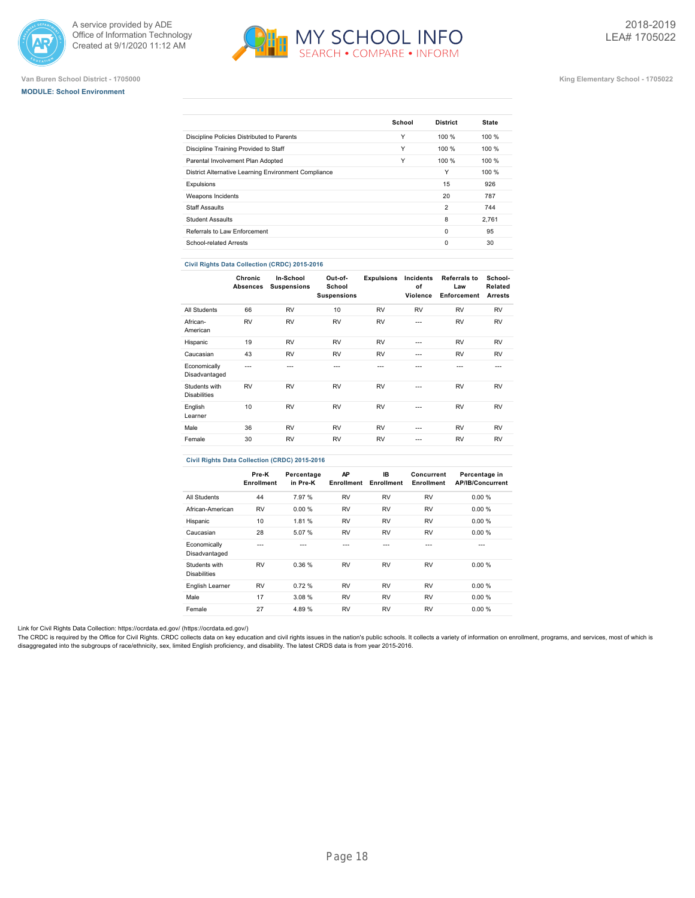





### **Van Buren School District - 1705000 King Elementary School - 1705022**

| School |                 |              |
|--------|-----------------|--------------|
|        | <b>District</b> | <b>State</b> |
| Υ      | 100%            | 100%         |
| Υ      | 100%            | 100%         |
| Υ      | 100%            | 100 %        |
|        | Υ               | 100%         |
|        | 15              | 926          |
|        | 20              | 787          |
|        | $\overline{2}$  | 744          |
|        | 8               | 2.761        |
|        | $\Omega$        | 95           |
|        | $\Omega$        | 30           |
|        |                 |              |

### **Civil Rights Data Collection (CRDC) 2015-2016**

|                                      | Chronic<br><b>Absences</b> | In-School<br><b>Suspensions</b> | Out-of-<br>School<br><b>Suspensions</b> | <b>Expulsions</b> | Incidents<br>of<br>Violence | <b>Referrals to</b><br>Law<br>Enforcement | School-<br>Related<br><b>Arrests</b> |
|--------------------------------------|----------------------------|---------------------------------|-----------------------------------------|-------------------|-----------------------------|-------------------------------------------|--------------------------------------|
| All Students                         | 66                         | <b>RV</b>                       | 10                                      | <b>RV</b>         | <b>RV</b>                   | <b>RV</b>                                 | <b>RV</b>                            |
| African-<br>American                 | <b>RV</b>                  | <b>RV</b>                       | <b>RV</b>                               | <b>RV</b>         | $- - -$                     | <b>RV</b>                                 | <b>RV</b>                            |
| Hispanic                             | 19                         | <b>RV</b>                       | <b>RV</b>                               | <b>RV</b>         | ---                         | <b>RV</b>                                 | <b>RV</b>                            |
| Caucasian                            | 43                         | <b>RV</b>                       | <b>RV</b>                               | <b>RV</b>         | $- - -$                     | <b>RV</b>                                 | <b>RV</b>                            |
| Economically<br>Disadvantaged        | ---                        | ---                             | ---                                     | ---               | ---                         | ---                                       | $- - -$                              |
| Students with<br><b>Disabilities</b> | <b>RV</b>                  | <b>RV</b>                       | <b>RV</b>                               | <b>RV</b>         | ---                         | <b>RV</b>                                 | <b>RV</b>                            |
| English<br>Learner                   | 10                         | <b>RV</b>                       | <b>RV</b>                               | <b>RV</b>         | $- - -$                     | <b>RV</b>                                 | <b>RV</b>                            |
| Male                                 | 36                         | <b>RV</b>                       | <b>RV</b>                               | <b>RV</b>         | ---                         | <b>RV</b>                                 | <b>RV</b>                            |
| Female                               | 30                         | <b>RV</b>                       | <b>RV</b>                               | <b>RV</b>         | ---                         | <b>RV</b>                                 | <b>RV</b>                            |

# **Civil Rights Data Collection (CRDC) 2015-2016**

|                                      | Pre-K<br>Enrollment | Percentage<br>in Pre-K | AP<br>Enrollment | IB.<br>Enrollment | Concurrent<br>Enrollment | Percentage in<br><b>AP/IB/Concurrent</b> |
|--------------------------------------|---------------------|------------------------|------------------|-------------------|--------------------------|------------------------------------------|
| All Students                         | 44                  | 7.97 %                 | <b>RV</b>        | <b>RV</b>         | <b>RV</b>                | 0.00%                                    |
| African-American                     | <b>RV</b>           | 0.00%                  | <b>RV</b>        | <b>RV</b>         | <b>RV</b>                | 0.00%                                    |
| Hispanic                             | 10                  | 1.81 %                 | <b>RV</b>        | <b>RV</b>         | <b>RV</b>                | 0.00%                                    |
| Caucasian                            | 28                  | 5.07 %                 | <b>RV</b>        | <b>RV</b>         | <b>RV</b>                | 0.00%                                    |
| Economically<br>Disadvantaged        | ---                 |                        | ---              | ---               | ---                      | ---                                      |
| Students with<br><b>Disabilities</b> | <b>RV</b>           | 0.36%                  | <b>RV</b>        | <b>RV</b>         | <b>RV</b>                | 0.00%                                    |
| English Learner                      | <b>RV</b>           | 0.72%                  | <b>RV</b>        | <b>RV</b>         | <b>RV</b>                | 0.00%                                    |
| Male                                 | 17                  | 3.08%                  | <b>RV</b>        | <b>RV</b>         | <b>RV</b>                | 0.00%                                    |
| Female                               | 27                  | 4.89%                  | <b>RV</b>        | <b>RV</b>         | <b>RV</b>                | 0.00%                                    |

Link for Civil Rights Data Collection: [https://ocrdata.ed.gov/ \(https://ocrdata.ed.gov/\)](https://ocrdata.ed.gov/)

The CRDC is required by the Office for Civil Rights. CRDC collects data on key education and civil rights issues in the nation's public schools. It collects a variety of information on enrollment, programs, and services, m disaggregated into the subgroups of race/ethnicity, sex, limited English proficiency, and disability. The latest CRDS data is from year 2015-2016.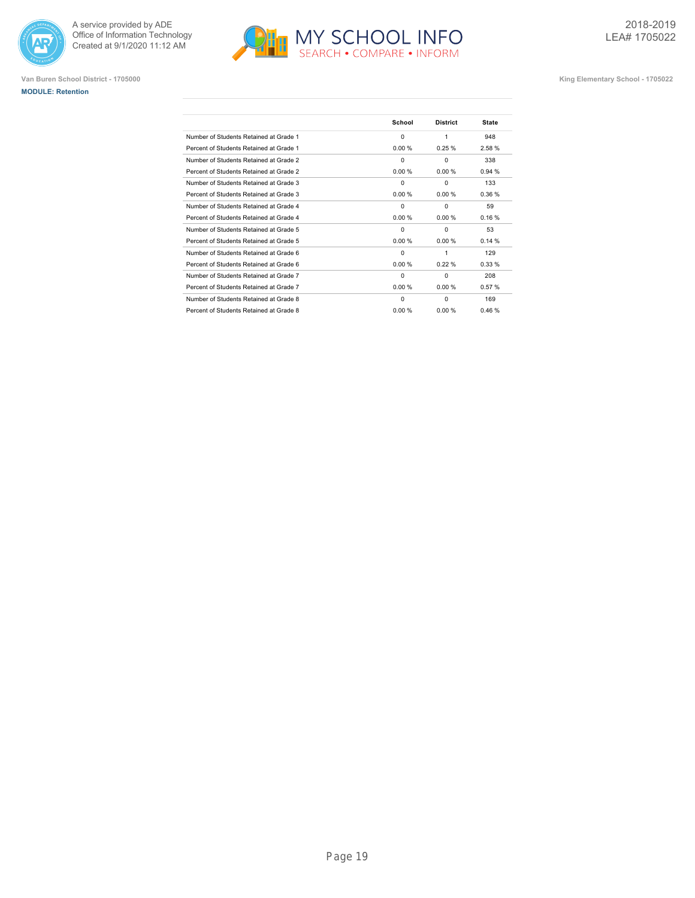





|                                         | School   | <b>District</b> | <b>State</b> |
|-----------------------------------------|----------|-----------------|--------------|
| Number of Students Retained at Grade 1  | 0        | 1               | 948          |
| Percent of Students Retained at Grade 1 | 0.00%    | 0.25%           | 2.58%        |
| Number of Students Retained at Grade 2  | $\Omega$ | $\Omega$        | 338          |
| Percent of Students Retained at Grade 2 | 0.00%    | 0.00%           | 0.94%        |
| Number of Students Retained at Grade 3  | $\Omega$ | $\Omega$        | 133          |
| Percent of Students Retained at Grade 3 | 0.00%    | 0.00%           | 0.36%        |
| Number of Students Retained at Grade 4  | $\Omega$ | $\Omega$        | 59           |
| Percent of Students Retained at Grade 4 | 0.00 %   | 0.00%           | 0.16%        |
| Number of Students Retained at Grade 5  | 0        | $\Omega$        | 53           |
| Percent of Students Retained at Grade 5 | 0.00%    | 0.00%           | 0.14%        |
| Number of Students Retained at Grade 6  | $\Omega$ | 1               | 129          |
| Percent of Students Retained at Grade 6 | 0.00%    | 0.22%           | 0.33%        |
| Number of Students Retained at Grade 7  | 0        | $\Omega$        | 208          |
| Percent of Students Retained at Grade 7 | 0.00%    | 0.00%           | 0.57%        |
| Number of Students Retained at Grade 8  | 0        | $\Omega$        | 169          |
| Percent of Students Retained at Grade 8 | 0.00 %   | 0.00%           | 0.46%        |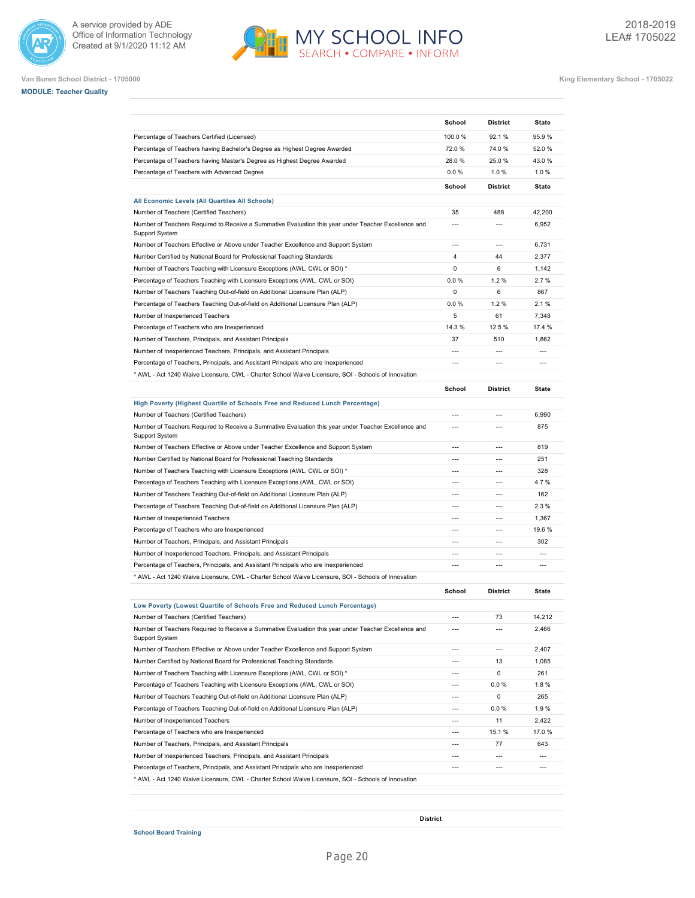





|                                                                                                                        | School                   | <b>District</b> | State          |
|------------------------------------------------------------------------------------------------------------------------|--------------------------|-----------------|----------------|
| Percentage of Teachers Certified (Licensed)                                                                            | 100.0%                   | 92.1 %          | 95.9%          |
| Percentage of Teachers having Bachelor's Degree as Highest Degree Awarded                                              | 72.0%                    | 74.0%           | 52.0%          |
| Percentage of Teachers having Master's Degree as Highest Degree Awarded                                                | 28.0%                    | 25.0%           | 43.0%          |
| Percentage of Teachers with Advanced Degree                                                                            | 0.0%                     | 1.0%            | 1.0%           |
|                                                                                                                        | School                   | <b>District</b> | <b>State</b>   |
| All Economic Levels (All Quartiles All Schools)                                                                        |                          |                 |                |
| Number of Teachers (Certified Teachers)                                                                                | 35                       | 488             | 42,200         |
| Number of Teachers Required to Receive a Summative Evaluation this year under Teacher Excellence and<br>Support System | $\overline{a}$           | $\overline{a}$  | 6,952          |
| Number of Teachers Effective or Above under Teacher Excellence and Support System                                      | $\overline{a}$           | $\overline{a}$  | 6,731          |
| Number Certified by National Board for Professional Teaching Standards                                                 | 4                        | 44              | 2,377          |
| Number of Teachers Teaching with Licensure Exceptions (AWL, CWL or SOI) *                                              | $\mathbf 0$              | 6               | 1,142          |
| Percentage of Teachers Teaching with Licensure Exceptions (AWL, CWL or SOI)                                            | 0.0%                     | 1.2%            | 2.7%           |
| Number of Teachers Teaching Out-of-field on Additional Licensure Plan (ALP)                                            | 0                        | 6               | 867            |
| Percentage of Teachers Teaching Out-of-field on Additional Licensure Plan (ALP)                                        | 0.0%                     | 1.2%            | 2.1%           |
| Number of Inexperienced Teachers                                                                                       | 5                        | 61              | 7.348          |
| Percentage of Teachers who are Inexperienced                                                                           | 14.3 %                   | 12.5 %          | 17.4 %         |
| Number of Teachers, Principals, and Assistant Principals                                                               | 37                       | 510             | 1,862          |
| Number of Inexperienced Teachers, Principals, and Assistant Principals                                                 | ---                      | $\overline{a}$  | $\overline{a}$ |
| Percentage of Teachers, Principals, and Assistant Principals who are Inexperienced                                     | ---                      | $\overline{a}$  | $\overline{a}$ |
| * AWL - Act 1240 Waive Licensure, CWL - Charter School Waive Licensure, SOI - Schools of Innovation                    |                          |                 |                |
|                                                                                                                        | School                   | <b>District</b> | <b>State</b>   |
| High Poverty (Highest Quartile of Schools Free and Reduced Lunch Percentage)                                           |                          |                 |                |
| Number of Teachers (Certified Teachers)                                                                                | $\overline{a}$           | $---$           | 6,990          |
| Number of Teachers Required to Receive a Summative Evaluation this year under Teacher Excellence and<br>Support System | $\overline{a}$           | $\overline{a}$  | 875            |
| Number of Teachers Effective or Above under Teacher Excellence and Support System                                      | $---$                    | $\overline{a}$  | 819            |
| Number Certified by National Board for Professional Teaching Standards                                                 | $\overline{a}$           | $\overline{a}$  | 251            |
| Number of Teachers Teaching with Licensure Exceptions (AWL, CWL or SOI) *                                              | $\overline{a}$           | $---$           | 328            |
| Percentage of Teachers Teaching with Licensure Exceptions (AWL, CWL or SOI)                                            | $\overline{a}$           | $\overline{a}$  | 4.7%           |
| Number of Teachers Teaching Out-of-field on Additional Licensure Plan (ALP)                                            | $\overline{a}$           | $\overline{a}$  | 162            |
| Percentage of Teachers Teaching Out-of-field on Additional Licensure Plan (ALP)                                        | $\overline{a}$           | $\overline{a}$  | 2.3%           |
| Number of Inexperienced Teachers                                                                                       | $\overline{a}$           | $\overline{a}$  | 1,367          |
| Percentage of Teachers who are Inexperienced                                                                           | ---                      | ---             | 19.6%          |
| Number of Teachers, Principals, and Assistant Principals                                                               |                          | ---             | 302            |
| Number of Inexperienced Teachers, Principals, and Assistant Principals                                                 | ---                      | $\overline{a}$  | $\overline{a}$ |
| Percentage of Teachers, Principals, and Assistant Principals who are Inexperienced                                     | ---                      | $\overline{a}$  | ---            |
| MWL - Act 1240 Waive Licensure, CWL - Charter School Waive Licensure, SOI - Schools of Innovation *                    |                          |                 |                |
|                                                                                                                        | School                   | <b>District</b> | <b>State</b>   |
| Low Poverty (Lowest Quartile of Schools Free and Reduced Lunch Percentage)                                             |                          |                 |                |
| Number of Teachers (Certified Teachers)                                                                                | ---                      | 73              | 14,212         |
| Number of Teachers Required to Receive a Summative Evaluation this year under Teacher Excellence and<br>Support System | $\overline{a}$           | $\overline{a}$  | 2,466          |
| Number of Teachers Effective or Above under Teacher Excellence and Support System                                      | $\overline{a}$           | $\overline{a}$  | 2,407          |
| Number Certified by National Board for Professional Teaching Standards                                                 | $---$                    | 13              | 1,085          |
| Number of Teachers Teaching with Licensure Exceptions (AWL, CWL or SOI) *                                              | $\overline{a}$           | 0               | 261            |
| Percentage of Teachers Teaching with Licensure Exceptions (AWL, CWL or SOI)                                            | $\overline{a}$           | 0.0%            | 1.8%           |
| Number of Teachers Teaching Out-of-field on Additional Licensure Plan (ALP)                                            | $\overline{a}$           | 0               | 265            |
| Percentage of Teachers Teaching Out-of-field on Additional Licensure Plan (ALP)                                        | $\overline{a}$           | $0.0 \%$        | 1.9%           |
| Number of Inexperienced Teachers                                                                                       | $---$                    | 11              | 2,422          |
|                                                                                                                        |                          | 15.1 %          | 17.0%          |
|                                                                                                                        |                          | 77              | 643            |
| Percentage of Teachers who are Inexperienced<br>Number of Teachers, Principals, and Assistant Principals               | $\hspace{0.05cm} \ldots$ |                 |                |
| Number of Inexperienced Teachers, Principals, and Assistant Principals                                                 |                          | $\overline{a}$  | ---            |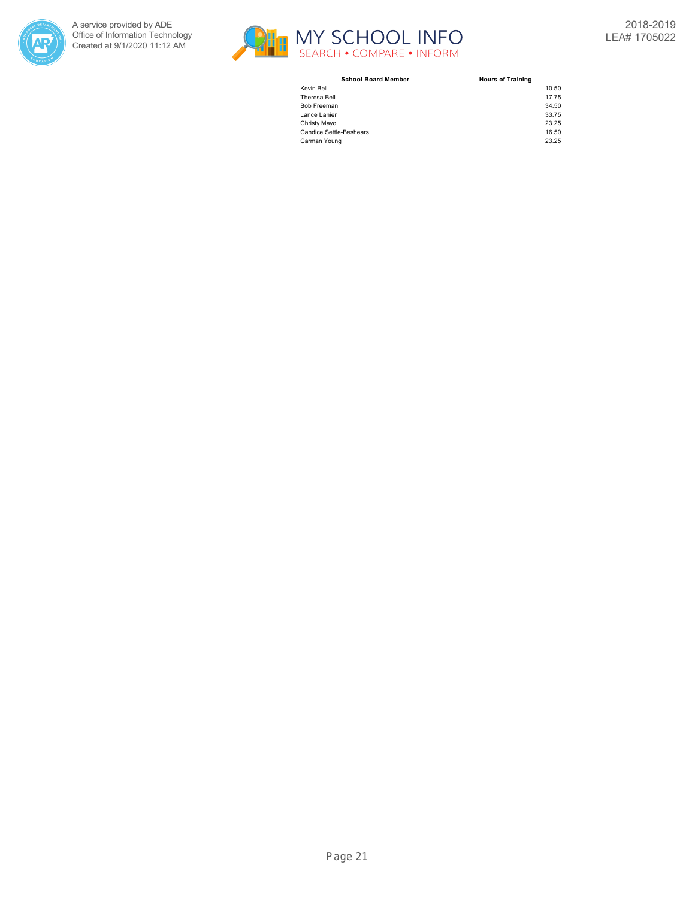



| <b>School Board Member</b>     | <b>Hours of Training</b> |
|--------------------------------|--------------------------|
| Kevin Bell                     | 10.50                    |
| Theresa Bell                   | 17.75                    |
| Bob Freeman                    | 34.50                    |
| Lance Lanier                   | 33.75                    |
| Christy Mayo                   | 23.25                    |
| <b>Candice Settle-Beshears</b> | 16.50                    |
| Carman Young                   | 23.25                    |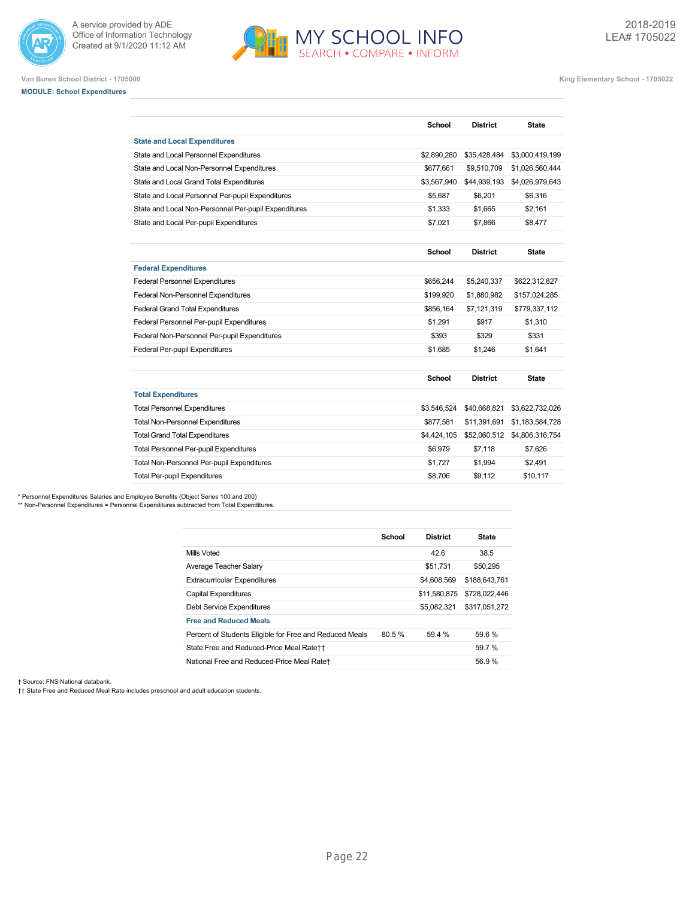



**Van Buren School District - 1705000 King Elementary School - 1705022**

# **MODULE: School Expenditures**

|                                                      | School      | <b>District</b> | <b>State</b>    |
|------------------------------------------------------|-------------|-----------------|-----------------|
| <b>State and Local Expenditures</b>                  |             |                 |                 |
| State and Local Personnel Expenditures               | \$2,890,280 | \$35,428,484    | \$3,000,419,199 |
| State and Local Non-Personnel Expenditures           | \$677,661   | \$9,510,709     | \$1,026,560,444 |
| State and Local Grand Total Expenditures             | \$3,567,940 | \$44,939,193    | \$4,026,979,643 |
| State and Local Personnel Per-pupil Expenditures     | \$5,687     | \$6,201         | \$6,316         |
| State and Local Non-Personnel Per-pupil Expenditures | \$1,333     | \$1.665         | \$2.161         |
| State and Local Per-pupil Expenditures               | \$7.021     | \$7.866         | \$8,477         |
|                                                      |             |                 |                 |
|                                                      | School      | <b>District</b> | <b>State</b>    |
| <b>Federal Expenditures</b>                          |             |                 |                 |
| <b>Federal Personnel Expenditures</b>                | \$656.244   | \$5,240,337     | \$622,312,827   |
| Federal Non-Personnel Expenditures                   | \$199.920   | \$1.880.982     | \$157,024,285   |
| <b>Federal Grand Total Expenditures</b>              | \$856,164   | \$7,121,319     | \$779,337,112   |
| Federal Personnel Per-pupil Expenditures             | \$1,291     | \$917           | \$1,310         |
| Federal Non-Personnel Per-pupil Expenditures         | \$393       | \$329           | \$331           |
| Federal Per-pupil Expenditures                       | \$1.685     | \$1.246         | \$1.641         |
|                                                      | School      | <b>District</b> | <b>State</b>    |
| <b>Total Expenditures</b>                            |             |                 |                 |
| <b>Total Personnel Expenditures</b>                  | \$3,546,524 | \$40,668,821    | \$3,622,732,026 |
| <b>Total Non-Personnel Expenditures</b>              | \$877,581   | \$11,391,691    | \$1,183,584,728 |
| <b>Total Grand Total Expenditures</b>                | \$4,424,105 | \$52,060,512    | \$4,806,316,754 |
| <b>Total Personnel Per-pupil Expenditures</b>        | \$6,979     | \$7,118         | \$7,626         |
| Total Non-Personnel Per-pupil Expenditures           | \$1,727     | \$1,994         | \$2,491         |
| <b>Total Per-pupil Expenditures</b>                  | \$8.706     | \$9.112         | \$10,117        |

\* Personnel Expenditures Salaries and Employee Benefits (Object Series 100 and 200) \*\* Non-Personnel Expenditures = Personnel Expenditures subtracted from Total Expenditures.

|                                                         | School | <b>District</b> | <b>State</b>  |
|---------------------------------------------------------|--------|-----------------|---------------|
| Mills Voted                                             |        | 42.6            | 38.5          |
| Average Teacher Salary                                  |        | \$51.731        | \$50,295      |
| <b>Extracurricular Expenditures</b>                     |        | \$4,608,569     | \$188,643,761 |
| <b>Capital Expenditures</b>                             |        | \$11,580,875    | \$728,022,446 |
| <b>Debt Service Expenditures</b>                        |        | \$5.082.321     | \$317.051.272 |
| <b>Free and Reduced Meals</b>                           |        |                 |               |
| Percent of Students Eligible for Free and Reduced Meals | 80.5%  | 59.4 %          | 59.6 %        |
| State Free and Reduced-Price Meal Rate++                |        |                 | 59.7 %        |
| National Free and Reduced-Price Meal Rate+              |        |                 | 56.9%         |

† Source: FNS National databank.

†† State Free and Reduced Meal Rate includes preschool and adult education students.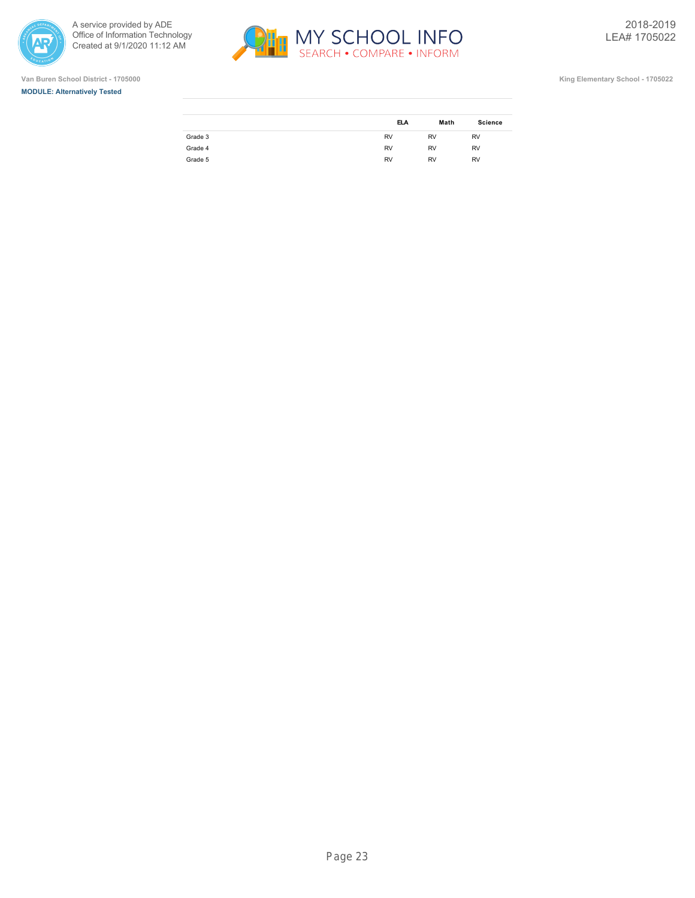







|         | <b>ELA</b> | Math      | <b>Science</b> |
|---------|------------|-----------|----------------|
| Grade 3 | <b>RV</b>  | <b>RV</b> | <b>RV</b>      |
| Grade 4 | <b>RV</b>  | <b>RV</b> | <b>RV</b>      |
| Grade 5 | <b>RV</b>  | <b>RV</b> | <b>RV</b>      |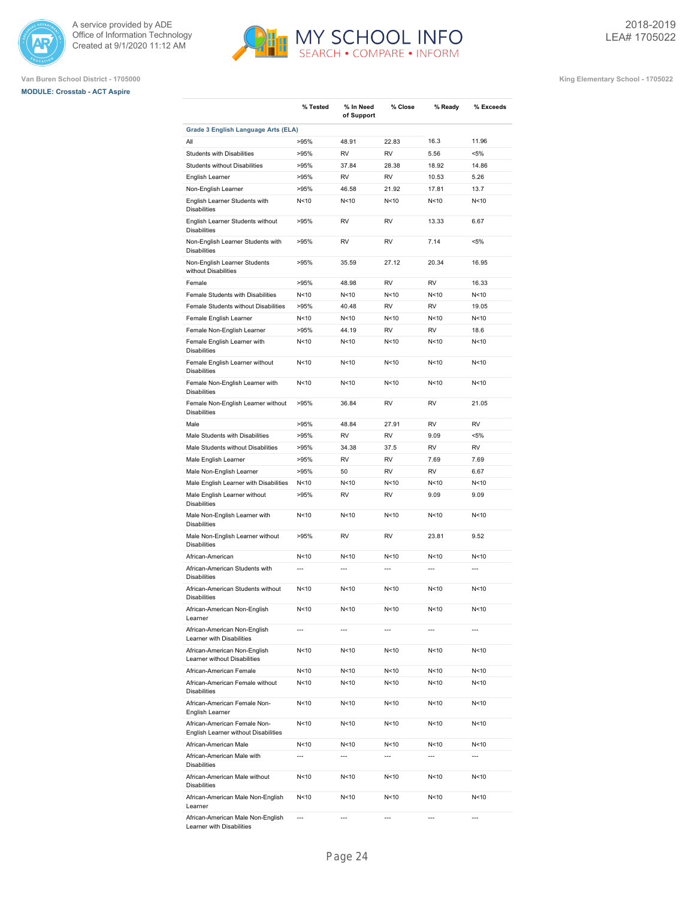





|                                                                                               | % Tested        | % In Need<br>of Support | % Close         | % Ready         | % Exceeds      |
|-----------------------------------------------------------------------------------------------|-----------------|-------------------------|-----------------|-----------------|----------------|
| Grade 3 English Language Arts (ELA)                                                           |                 |                         |                 |                 |                |
| All                                                                                           | >95%            | 48.91                   | 22.83           | 16.3            | 11.96          |
| <b>Students with Disabilities</b>                                                             | >95%            | <b>RV</b>               | <b>RV</b>       | 5.56            | $< 5\%$        |
| <b>Students without Disabilities</b>                                                          | >95%            | 37.84                   | 28.38           | 18.92           | 14.86          |
| English Learner                                                                               | >95%            | <b>RV</b>               | <b>RV</b>       | 10.53           | 5.26           |
| Non-English Learner                                                                           | >95%            | 46.58                   | 21.92           | 17.81           | 13.7           |
| English Learner Students with<br><b>Disabilities</b>                                          | N <sub>10</sub> | N<10                    | N <sub>10</sub> | N <sub>10</sub> | N<10           |
| English Learner Students without<br><b>Disabilities</b>                                       | >95%            | <b>RV</b>               | <b>RV</b>       | 13.33           | 6.67           |
| Non-English Learner Students with<br><b>Disabilities</b>                                      | >95%            | <b>RV</b>               | <b>RV</b>       | 7.14            | $< 5\%$        |
| Non-English Learner Students<br>without Disabilities                                          | >95%            | 35.59                   | 27.12           | 20.34           | 16.95          |
| Female                                                                                        | >95%            | 48.98                   | <b>RV</b>       | <b>RV</b>       | 16.33          |
| Female Students with Disabilities                                                             | N<10            | N<10                    | N < 10          | N <sub>10</sub> | N<10           |
| Female Students without Disabilities                                                          | >95%            | 40.48                   | <b>RV</b>       | <b>RV</b>       | 19.05          |
| Female English Learner                                                                        | N <sub>10</sub> | N<10                    | N < 10          | N<10            | N<10           |
| Female Non-English Learner                                                                    | >95%            | 44.19                   | <b>RV</b>       | <b>RV</b>       | 18.6           |
| Female English Learner with                                                                   | N<10            | N<10                    | N<10            | N <sub>10</sub> | N<10           |
| <b>Disabilities</b><br>Female English Learner without                                         | N<10            | N<10                    | N<10            | N <sub>10</sub> | N<10           |
| <b>Disabilities</b><br>Female Non-English Learner with                                        | N<10            | N<10                    | N<10            | N <sub>10</sub> | N<10           |
| <b>Disabilities</b><br>Female Non-English Learner without                                     | >95%            | 36.84                   | <b>RV</b>       | <b>RV</b>       | 21.05          |
| <b>Disabilities</b><br>Male                                                                   | >95%            | 48.84                   | 27.91           | <b>RV</b>       | <b>RV</b>      |
| Male Students with Disabilities                                                               | >95%            | <b>RV</b>               | <b>RV</b>       | 9.09            | $< 5\%$        |
| Male Students without Disabilities                                                            | >95%            | 34.38                   | 37.5            | <b>RV</b>       | <b>RV</b>      |
| Male English Learner                                                                          | >95%            | <b>RV</b>               | <b>RV</b>       | 7.69            | 7.69           |
| Male Non-English Learner                                                                      | >95%            | 50                      | <b>RV</b>       | <b>RV</b>       | 6.67           |
|                                                                                               | N < 10          | N<10                    | N < 10          | N <sub>10</sub> | N<10           |
| Male English Learner with Disabilities<br>Male English Learner without<br><b>Disabilities</b> | >95%            | RV                      | RV              | 9.09            | 9.09           |
| Male Non-English Learner with<br><b>Disabilities</b>                                          | N < 10          | N<10                    | N<10            | N <sub>10</sub> | N<10           |
| Male Non-English Learner without<br><b>Disabilities</b>                                       | >95%            | <b>RV</b>               | <b>RV</b>       | 23.81           | 9.52           |
| African-American                                                                              | N<10            | N<10                    | N<10            | N <sub>10</sub> | N<10           |
| African-American Students with<br><b>Disabilities</b>                                         | $\overline{a}$  | $\overline{a}$          | $\overline{a}$  |                 | $\overline{a}$ |
| African-American Students without<br><b>Disabilities</b>                                      | N <sub>10</sub> | N<10                    | N<10            | N <sub>10</sub> | N<10           |
| African-American Non-English<br>Learner                                                       | N <sub>10</sub> | N<10                    | N<10            | N<10            | N<10           |
| African-American Non-English<br>Learner with Disabilities                                     | $\overline{a}$  | $\overline{a}$          | $\overline{a}$  | ---             | ---            |
| African-American Non-English<br>Learner without Disabilities                                  | N<10            | N <sub>10</sub>         | N<10            | N<10            | N<10           |
| African-American Female                                                                       | N <sub>10</sub> | N<10                    | N<10            | N<10            | N<10           |
| African-American Female without<br><b>Disabilities</b>                                        | N <sub>10</sub> | N<10                    | N<10            | N<10            | N<10           |
| African-American Female Non-<br>English Learner                                               | N <sub>10</sub> | N <sub>10</sub>         | N<10            | N<10            | N<10           |
| African-American Female Non-<br>English Learner without Disabilities                          | N < 10          | N <sub>10</sub>         | N<10            | N<10            | N<10           |
| African-American Male                                                                         | N<10            | N<10                    | N<10            | N<10            | N<10           |
| African-American Male with<br>Disabilities                                                    | $\overline{a}$  | $\overline{a}$          | $\overline{a}$  | $\overline{a}$  | ---            |
| African-American Male without<br><b>Disabilities</b>                                          | N <sub>10</sub> | N <sub>10</sub>         | N<10            | N < 10          | N<10           |
| African-American Male Non-English<br>Learner                                                  | N <sub>10</sub> | N <sub>10</sub>         | N<10            | N<10            | N<10           |
| African-American Male Non-English                                                             | ---             | ---                     | ---             | ---             | ---            |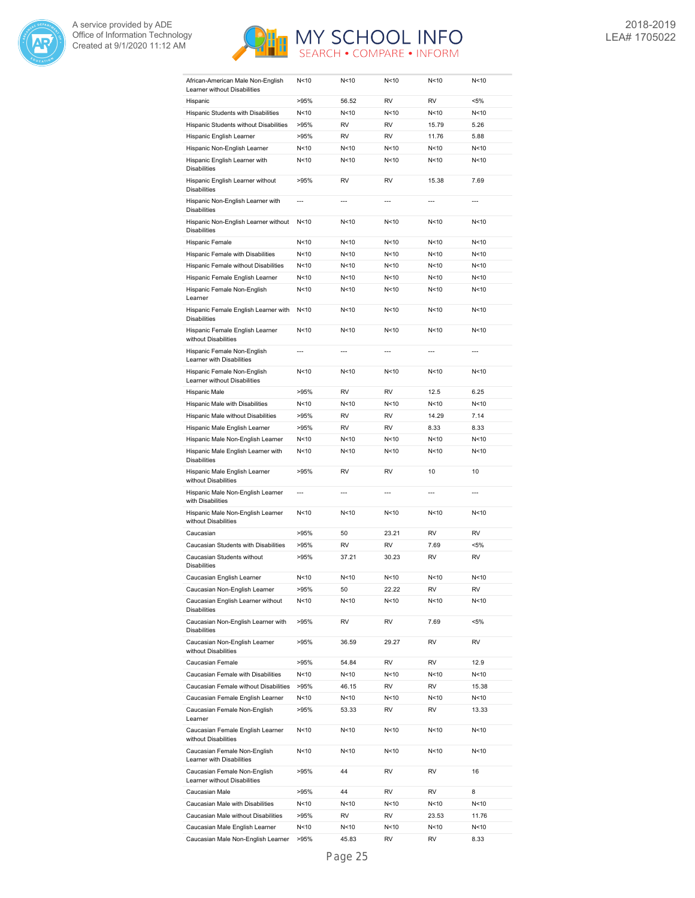



| African-American Male Non-English<br>Learner without Disabilities    | N<10            | N<10           | N < 10          | N<10            | N < 10       |
|----------------------------------------------------------------------|-----------------|----------------|-----------------|-----------------|--------------|
| Hispanic                                                             | >95%            | 56.52          | <b>RV</b>       | <b>RV</b>       | <5%          |
| Hispanic Students with Disabilities                                  | N <sub>10</sub> | N<10           | N<10            | N<10            | N<10         |
| Hispanic Students without Disabilities                               | >95%            | <b>RV</b>      | <b>RV</b>       | 15.79           | 5.26         |
| Hispanic English Learner                                             | >95%            | <b>RV</b>      | <b>RV</b>       | 11.76           | 5.88         |
| Hispanic Non-English Learner                                         | N<10            | N<10           | N <sub>10</sub> | N <sub>10</sub> | N<10         |
| Hispanic English Learner with<br><b>Disabilities</b>                 | N<10            | N<10           | N<10            | N<10            | N<10         |
| Hispanic English Learner without<br><b>Disabilities</b>              | >95%            | RV             | RV              | 15.38           | 7.69         |
| Hispanic Non-English Learner with<br><b>Disabilities</b>             | $\overline{a}$  | $\overline{a}$ | $---$           | $\overline{a}$  | ---          |
| Hispanic Non-English Learner without<br><b>Disabilities</b>          | N<10            | N<10           | N<10            | N<10            | N<10         |
| Hispanic Female                                                      | N<10            | N<10           | N<10            | N<10            | N<10         |
| Hispanic Female with Disabilities                                    | N<10            | N<10           | N<10            | N<10            | N<10         |
| Hispanic Female without Disabilities                                 | N<10            | N<10           | N<10            | N <sub>10</sub> | N<10         |
| Hispanic Female English Learner                                      | N<10            | N<10           | N<10            | N <sub>10</sub> | N<10         |
| Hispanic Female Non-English<br>Learner                               | N<10            | N<10           | N < 10          | N < 10          | N<10         |
| Hispanic Female English Learner with<br><b>Disabilities</b>          | N<10            | N<10           | N<10            | N<10            | N<10         |
| Hispanic Female English Learner<br>without Disabilities              | N <sub>10</sub> | N<10           | N<10            | N<10            | N<10         |
| Hispanic Female Non-English<br>Learner with Disabilities             | $\overline{a}$  | $---$          | $---$           | $---$           | ---          |
| Hispanic Female Non-English<br>Learner without Disabilities          | N<10            | N<10           | N<10            | N<10            | N<10         |
| Hispanic Male                                                        | >95%            | RV             | RV              | 12.5            | 6.25         |
| Hispanic Male with Disabilities                                      | N<10            | N<10           | N<10            | N <sub>10</sub> | N<10         |
| Hispanic Male without Disabilities                                   | >95%            | RV             | RV              | 14.29           | 7.14         |
| Hispanic Male English Learner                                        | >95%            | RV             | <b>RV</b>       | 8.33            | 8.33         |
| Hispanic Male Non-English Learner                                    | N<10            | N<10           | N<10            | N<10            | N<10         |
| Hispanic Male English Learner with<br><b>Disabilities</b>            | N<10            | N<10           | N<10            | N <sub>10</sub> | N<10         |
| Hispanic Male English Learner<br>without Disabilities                | >95%            | RV             | <b>RV</b>       | 10              | 10           |
| Hispanic Male Non-English Learner<br>with Disabilities               | ---             | $\overline{a}$ | $\overline{a}$  | $\overline{a}$  | ---          |
| Hispanic Male Non-English Learner<br>without Disabilities            | N<10            | N<10           | N<10            | N<10            | N<10         |
| Caucasian                                                            | >95%            | 50             | 23.21           | RV              | <b>RV</b>    |
| Caucasian Students with Disabilities                                 | >95%            | RV             | RV              | 7.69            | <5%          |
| Caucasian Students without<br><b>Disabilities</b>                    | >95%            | 37.21          | 30.23           | RV              | <b>RV</b>    |
| Caucasian English Learner                                            | N<10            | N<10           | N<10            | N <sub>10</sub> | N<10         |
| Caucasian Non-English Learner                                        | >95%            | 50             | 22.22           | RV              | RV           |
| Caucasian English Learner without<br><b>Disabilities</b>             | N<10            | N<10           | N <sub>10</sub> | N<10            | N<10         |
| Caucasian Non-English Learner with<br><b>Disabilities</b>            | >95%            | RV             | RV              | 7.69            | $< 5\%$      |
| Caucasian Non-English Learner<br>without Disabilities                | >95%            | 36.59          | 29.27           | RV              | RV           |
| Caucasian Female                                                     | >95%            | 54.84          | RV              | RV              | 12.9         |
| Caucasian Female with Disabilities                                   | N<10            | N<10           | N <sub>10</sub> | N<10            | N<10         |
| Caucasian Female without Disabilities                                | >95%            | 46.15          | RV              | RV              | 15.38        |
| Caucasian Female English Learner                                     | N<10            | N<10           | N<10            | N<10            | N<10         |
| Caucasian Female Non-English<br>Learner                              | >95%            | 53.33          | RV              | RV              | 13.33        |
| Caucasian Female English Learner<br>without Disabilities             | N <sub>10</sub> | N<10           | N<10            | N<10            | N<10         |
| Caucasian Female Non-English<br>Learner with Disabilities            | N<10            | N<10           | N<10            | N<10            | N<10         |
| Caucasian Female Non-English<br>Learner without Disabilities         | >95%            | 44             | RV              | RV              | 16           |
| Caucasian Male                                                       | >95%            | 44             | RV              | RV              | 8            |
| Caucasian Male with Disabilities                                     |                 |                |                 |                 |              |
|                                                                      | N<10            | N<10           | N<10            | N<10            | N<10         |
| Caucasian Male without Disabilities                                  | >95%            | RV             | RV              | 23.53           | 11.76        |
| Caucasian Male English Learner<br>Caucasian Male Non-English Learner | N<10<br>>95%    | N<10<br>45.83  | N<10<br>RV      | N<10<br>RV      | N<10<br>8.33 |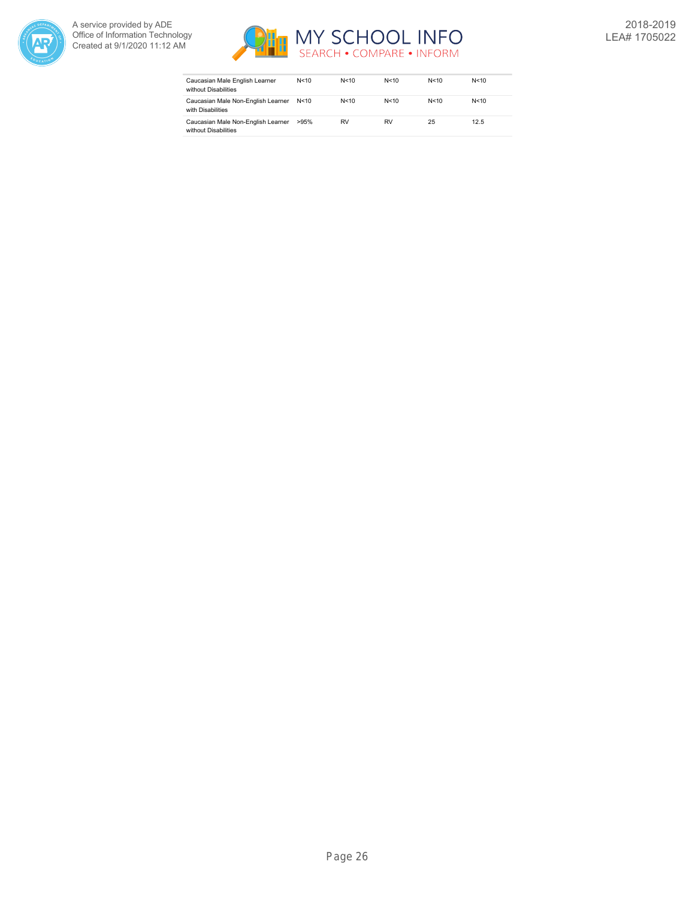



| Caucasian Male English Learner<br>without Disabilities     | N < 10 | N < 10 | N<10   | N<10 | N < 10 |
|------------------------------------------------------------|--------|--------|--------|------|--------|
| Caucasian Male Non-English Learner<br>with Disabilities    | N<10   | N < 10 | N < 10 | N<10 | N<10   |
| Caucasian Male Non-English Learner<br>without Disabilities | >95%   | RV     | RV     | 25   | 12.5   |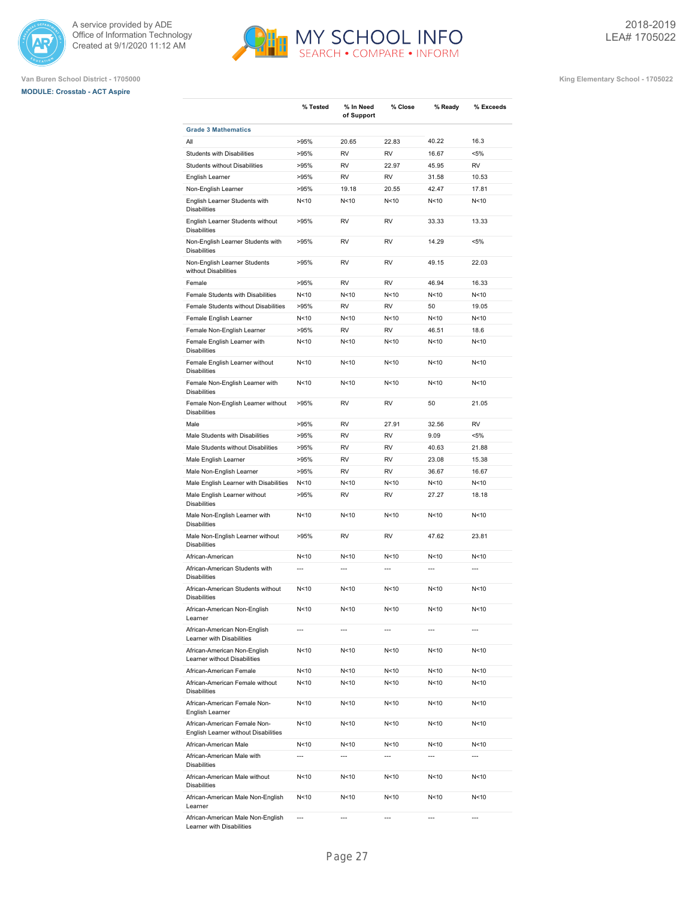

**Grade 3 Mathematics**

# **MODULE: Crosstab - ACT Aspire**



**% Tested % In Need**

**of Support**

**% Close % Ready % Exceeds**

**Van Buren School District - 1705000 King Elementary School - 1705022**

| All                                                                  | >95%            | 20.65           | 22.83           | 40.22           | 16.3           |
|----------------------------------------------------------------------|-----------------|-----------------|-----------------|-----------------|----------------|
| Students with Disabilities                                           | >95%            | RV              | RV              | 16.67           | <5%            |
| Students without Disabilities                                        | >95%            | <b>RV</b>       | 22.97           | 45.95           | RV             |
| English Learner                                                      | >95%            | <b>RV</b>       | <b>RV</b>       | 31.58           | 10.53          |
| Non-English Learner                                                  | >95%            | 19.18           | 20.55           | 42.47           | 17.81          |
| English Learner Students with<br><b>Disabilities</b>                 | N<10            | N<10            | N<10            | N<10            | N<10           |
| English Learner Students without<br><b>Disabilities</b>              | >95%            | RV              | RV              | 33.33           | 13.33          |
| Non-English Learner Students with<br><b>Disabilities</b>             | >95%            | RV              | RV              | 14.29           | $< 5\%$        |
| Non-English Learner Students<br>without Disabilities                 | >95%            | RV              | RV              | 49.15           | 22.03          |
| Female                                                               | >95%            | RV              | RV              | 46.94           | 16.33          |
| Female Students with Disabilities                                    | N<10            | N<10            | N<10            | N<10            | N<10           |
| Female Students without Disabilities                                 | >95%            | <b>RV</b>       | <b>RV</b>       | 50              | 19.05          |
| Female English Learner                                               | N<10            | N<10            | N <sub>10</sub> | N<10            | N<10           |
| Female Non-English Learner                                           | >95%            | <b>RV</b>       | <b>RV</b>       | 46.51           | 18.6           |
| Female English Learner with<br><b>Disabilities</b>                   | N<10            | N<10            | N <sub>10</sub> | N<10            | N<10           |
| Female English Learner without<br><b>Disabilities</b>                | N<10            | N<10            | N <sub>10</sub> | N<10            | N<10           |
| Female Non-English Learner with<br><b>Disabilities</b>               | N < 10          | N<10            | N <sub>10</sub> | N <sub>10</sub> | N<10           |
| Female Non-English Learner without<br><b>Disabilities</b>            | >95%            | <b>RV</b>       | <b>RV</b>       | 50              | 21.05          |
| Male                                                                 | >95%            | RV              | 27.91           | 32.56           | RV             |
| Male Students with Disabilities                                      | >95%            | RV              | <b>RV</b>       | 9.09            | <5%            |
| Male Students without Disabilities                                   | >95%            | RV              | RV              | 40.63           | 21.88          |
| Male English Learner                                                 | >95%            | RV              | <b>RV</b>       | 23.08           | 15.38          |
| Male Non-English Learner                                             | >95%            | <b>RV</b>       | <b>RV</b>       | 36.67           | 16.67          |
| Male English Learner with Disabilities                               | N<10            | N<10            | N <sub>10</sub> | N <sub>10</sub> | N<10           |
| Male English Learner without<br><b>Disabilities</b>                  | >95%            | RV              | <b>RV</b>       | 27.27           | 18.18          |
| Male Non-English Learner with<br><b>Disabilities</b>                 | N<10            | N<10            | N <sub>10</sub> | N<10            | N<10           |
| Male Non-English Learner without<br><b>Disabilities</b>              | >95%            | RV              | RV              | 47.62           | 23.81          |
| African-American                                                     | N<10            | N<10            | N <sub>10</sub> | N<10            | N<10           |
| African-American Students with<br><b>Disabilities</b>                | $\overline{a}$  | $\overline{a}$  | $\overline{a}$  | $\overline{a}$  | $\overline{a}$ |
| African-American Students without<br><b>Disabilities</b>             | N<10            | N<10            | N<10            | N<10            | N<10           |
| African-American Non-English<br>Learner                              | N<10            | N<10            | N<10            | N<10            | N<10           |
| African-American Non-English<br>Learner with Disabilities            | $\overline{a}$  | $\overline{a}$  | ---             | $\overline{a}$  | $\overline{a}$ |
| African-American Non-English<br>Learner without Disabilities         | N<10            | N<10            | N<10            | N < 10          | N<10           |
| African-American Female                                              | N <sub>10</sub> | N<10            | N<10            | N<10            | N<10           |
| African-American Female without<br><b>Disabilities</b>               | N<10            | N<10            | N<10            | N<10            | N<10           |
| African-American Female Non-<br>English Learner                      | N<10            | N<10            | N<10            | N<10            | N<10           |
| African-American Female Non-<br>English Learner without Disabilities | N<10            | N <sub>10</sub> | N<10            | N<10            | N<10           |
| African-American Male                                                | N<10            | N<10            | N <sub>10</sub> | N <sub>10</sub> | N<10           |
| African-American Male with<br><b>Disabilities</b>                    | ---             | ---             | ---             | $\overline{a}$  | ---            |
| African-American Male without<br><b>Disabilities</b>                 | N < 10          | N<10            | N<10            | N < 10          | N<10           |
| African-American Male Non-English<br>Learner                         | N < 10          | N<10            | N<10            | N<10            | N<10           |

African-American Male Non-English Learner with Disabilities --- --- --- --- ---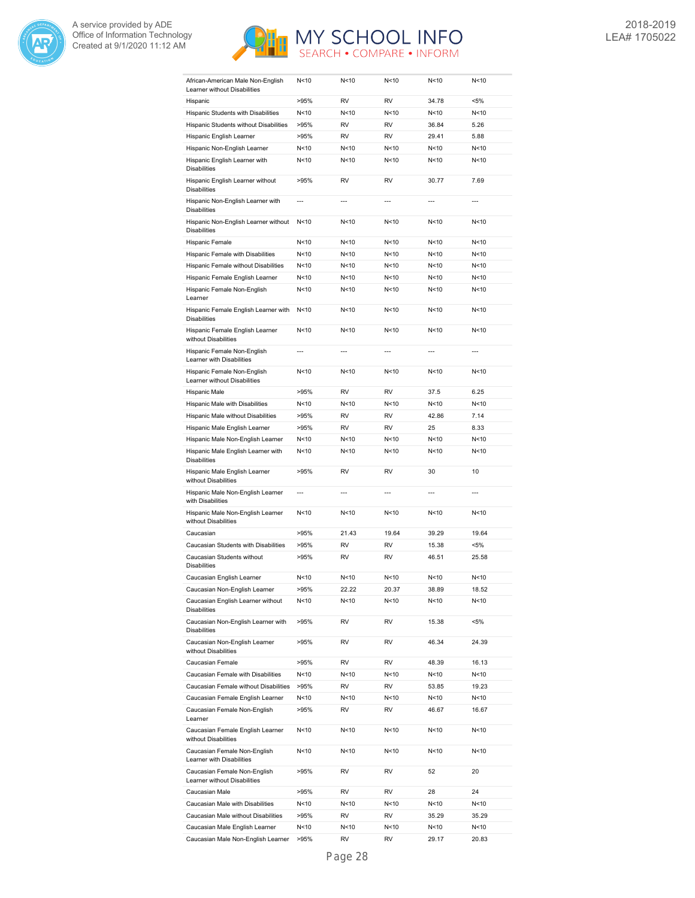



| African-American Male Non-English<br>Learner without Disabilities | N <sub>10</sub> | N < 10         | N < 10          | N<10            | N < 10         |
|-------------------------------------------------------------------|-----------------|----------------|-----------------|-----------------|----------------|
| Hispanic                                                          | >95%            | <b>RV</b>      | <b>RV</b>       | 34.78           | <5%            |
| Hispanic Students with Disabilities                               | N<10            | N<10           | N <sub>10</sub> | N<10            | N<10           |
| Hispanic Students without Disabilities                            | >95%            | <b>RV</b>      | <b>RV</b>       | 36.84           | 5.26           |
| Hispanic English Learner                                          | >95%            | RV             | RV              | 29.41           | 5.88           |
| Hispanic Non-English Learner                                      | N<10            | N < 10         | N < 10          | N<10            | N<10           |
| Hispanic English Learner with                                     | N<10            | N<10           | N<10            | N<10            | N<10           |
| <b>Disabilities</b>                                               |                 |                |                 |                 |                |
| Hispanic English Learner without<br><b>Disabilities</b>           | >95%            | RV             | <b>RV</b>       | 30.77           | 7.69           |
| Hispanic Non-English Learner with<br><b>Disabilities</b>          | $\overline{a}$  | $\overline{a}$ | $\overline{a}$  | $\overline{a}$  | $\overline{a}$ |
| Hispanic Non-English Learner without<br><b>Disabilities</b>       | N<10            | N<10           | N < 10          | N <sub>10</sub> | N<10           |
| Hispanic Female                                                   | N<10            | N<10           | N < 10          | N <sub>10</sub> | N<10           |
| Hispanic Female with Disabilities                                 | N<10            | N<10           | N < 10          | N <sub>10</sub> | N<10           |
| Hispanic Female without Disabilities                              | N<10            | N<10           | N<10            | N <sub>10</sub> | N<10           |
| Hispanic Female English Learner                                   | N <sub>10</sub> | N < 10         | N < 10          | N<10            | N<10           |
| Hispanic Female Non-English<br>Learner                            | N<10            | N<10           | N<10            | N<10            | N<10           |
| Hispanic Female English Learner with<br><b>Disabilities</b>       | N<10            | N < 10         | N<10            | N<10            | N<10           |
| Hispanic Female English Learner<br>without Disabilities           | N < 10          | N<10           | N<10            | N <sub>10</sub> | N<10           |
| Hispanic Female Non-English<br>Learner with Disabilities          | $\overline{a}$  | $\overline{a}$ | $\overline{a}$  | $\overline{a}$  | $\overline{a}$ |
| Hispanic Female Non-English<br>Learner without Disabilities       | N<10            | N<10           | N<10            | N <sub>10</sub> | N<10           |
| Hispanic Male                                                     | >95%            | RV             | <b>RV</b>       | 37.5            | 6.25           |
| Hispanic Male with Disabilities                                   | N<10            | N<10           | N<10            | N <sub>10</sub> | N<10           |
| Hispanic Male without Disabilities                                | >95%            | <b>RV</b>      | <b>RV</b>       | 42.86           | 7.14           |
| Hispanic Male English Learner                                     | >95%            | <b>RV</b>      | <b>RV</b>       | 25              | 8.33           |
| Hispanic Male Non-English Learner                                 | N<10            | N<10           | N<10            | N <sub>10</sub> | N<10           |
| Hispanic Male English Learner with                                | N<10            | N<10           | N < 10          | N<10            | N<10           |
| <b>Disabilities</b>                                               |                 |                |                 |                 |                |
| Hispanic Male English Learner<br>without Disabilities             | >95%            | RV             | <b>RV</b>       | 30              | 10             |
| Hispanic Male Non-English Learner<br>with Disabilities            | $\overline{a}$  | $\overline{a}$ | $\overline{a}$  | $\overline{a}$  | $\overline{a}$ |
| Hispanic Male Non-English Learner<br>without Disabilities         | N<10            | N<10           | N<10            | N<10            | N<10           |
| Caucasian                                                         | >95%            | 21.43          | 19.64           | 39.29           | 19.64          |
| Caucasian Students with Disabilities                              | >95%            | <b>RV</b>      | <b>RV</b>       | 15.38           | <5%            |
| Caucasian Students without<br><b>Disabilities</b>                 | >95%            | RV             | RV              | 46.51           | 25.58          |
| Caucasian English Learner                                         | N <sub>10</sub> | N<10           | N <sub>10</sub> | N <sub>10</sub> | N<10           |
| Caucasian Non-English Learner                                     | >95%            | 22.22          | 20.37           | 38.89           | 18.52          |
| Caucasian English Learner without<br><b>Disabilities</b>          | N<10            | N<10           | N <sub>10</sub> | N<10            | N<10           |
| Caucasian Non-English Learner with<br><b>Disabilities</b>         | >95%            | RV             | RV              | 15.38           | $< 5\%$        |
| Caucasian Non-English Learner<br>without Disabilities             | >95%            | RV             | RV              | 46.34           | 24.39          |
| Caucasian Female                                                  | >95%            | RV             | RV              | 48.39           | 16.13          |
| Caucasian Female with Disabilities                                | N<10            | N<10           | N<10            | N<10            | N<10           |
| Caucasian Female without Disabilities                             | >95%            | RV             | RV              | 53.85           | 19.23          |
| Caucasian Female English Learner                                  | N<10            | N<10           | N<10            | N<10            | N<10           |
| Caucasian Female Non-English<br>Learner                           | >95%            | RV             | RV              | 46.67           | 16.67          |
| Caucasian Female English Learner<br>without Disabilities          | N<10            | N<10           | N<10            | N<10            | N<10           |
| Caucasian Female Non-English<br>Learner with Disabilities         | N<10            | N<10           | N<10            | N<10            | N<10           |
| Caucasian Female Non-English<br>Learner without Disabilities      | >95%            | RV             | RV              | 52              | 20             |
| Caucasian Male                                                    | >95%            | RV             | RV              | 28              | 24             |
| Caucasian Male with Disabilities                                  | N<10            | N<10           | N<10            | N<10            | N<10           |
| Caucasian Male without Disabilities                               | >95%            | RV             | RV              | 35.29           | 35.29          |
| Caucasian Male English Learner                                    | N<10            | N<10           | N<10            | N<10            | N<10           |
|                                                                   |                 |                |                 |                 |                |
| Caucasian Male Non-English Learner                                | >95%            | RV             | RV              | 29.17           | 20.83          |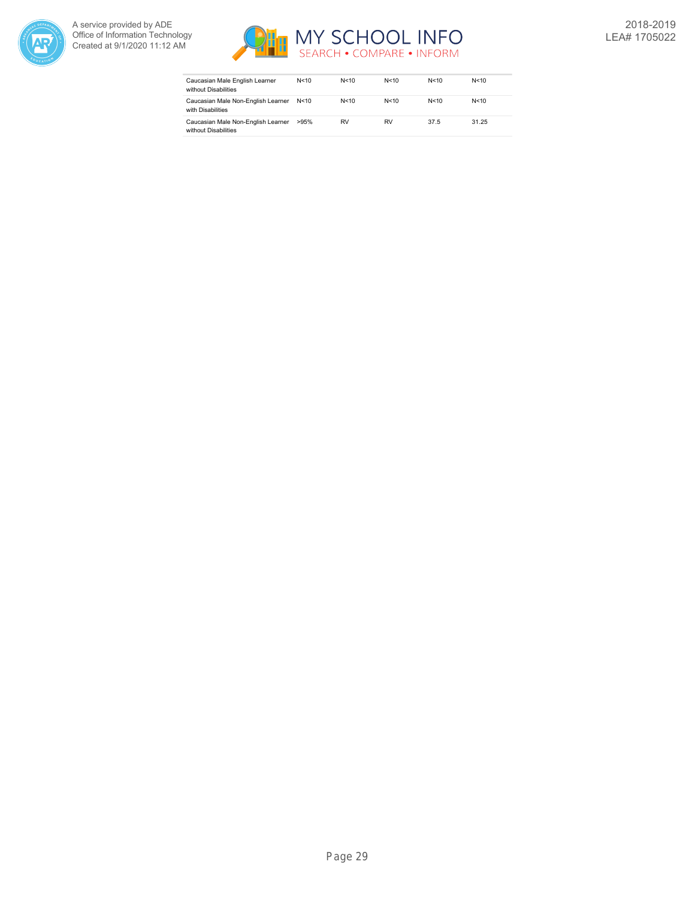



| Caucasian Male English Learner<br>without Disabilities     | N<10   | N < 10 | N < 10 | N < 10 | N < 10 |
|------------------------------------------------------------|--------|--------|--------|--------|--------|
| Caucasian Male Non-English Learner<br>with Disabilities    | N < 10 | N < 10 | N < 10 | N < 10 | N<10   |
| Caucasian Male Non-English Learner<br>without Disabilities | >95%   | RV     | RV     | 37.5   | 31.25  |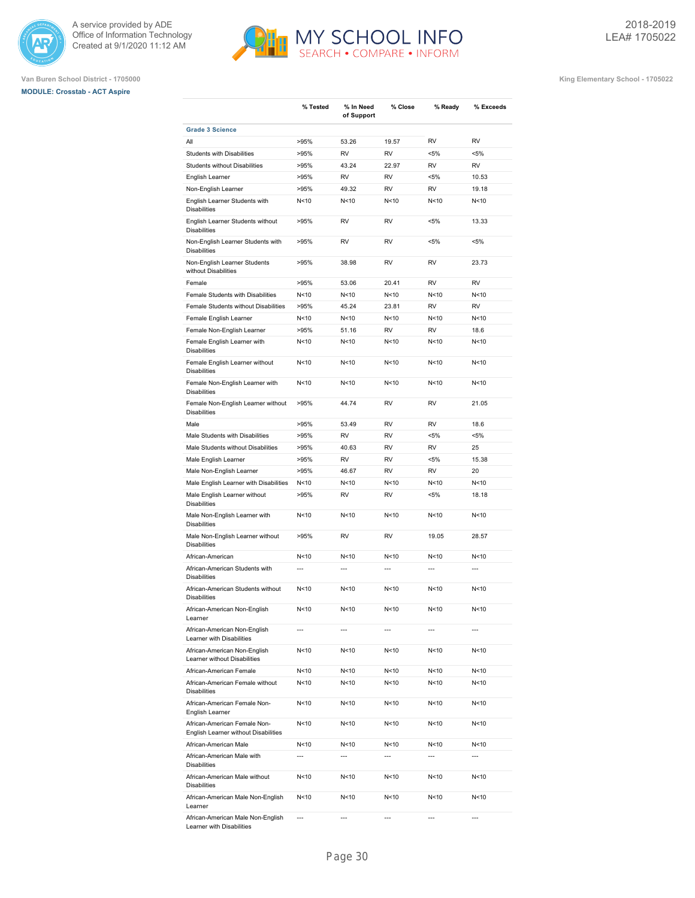





**Van Buren School District - 1705000 King Elementary School - 1705022**

|                                                                      | % Tested       | % In Need<br>of Support | % Close                  | % Ready         | % Exceeds      |
|----------------------------------------------------------------------|----------------|-------------------------|--------------------------|-----------------|----------------|
| <b>Grade 3 Science</b>                                               |                |                         |                          |                 |                |
| All                                                                  | >95%           | 53.26                   | 19.57                    | <b>RV</b>       | <b>RV</b>      |
| Students with Disabilities                                           | >95%           | <b>RV</b>               | RV                       | $< 5\%$         | $< 5\%$        |
| Students without Disabilities                                        | >95%           | 43.24                   | 22.97                    | <b>RV</b>       | <b>RV</b>      |
| English Learner                                                      | >95%           | <b>RV</b>               | <b>RV</b>                | $< 5\%$         | 10.53          |
| Non-English Learner                                                  | >95%           | 49.32                   | <b>RV</b>                | <b>RV</b>       | 19.18          |
| English Learner Students with<br><b>Disabilities</b>                 | N<10           | N<10                    | N <sub>10</sub>          | N <sub>10</sub> | N<10           |
| English Learner Students without<br><b>Disabilities</b>              | >95%           | <b>RV</b>               | <b>RV</b>                | $< 5\%$         | 13.33          |
| Non-English Learner Students with<br><b>Disabilities</b>             | >95%           | <b>RV</b>               | <b>RV</b>                | $< 5\%$         | $< 5\%$        |
| Non-English Learner Students<br>without Disabilities                 | >95%           | 38.98                   | <b>RV</b>                | <b>RV</b>       | 23.73          |
| Female                                                               | >95%           | 53.06                   | 20.41                    | <b>RV</b>       | <b>RV</b>      |
| Female Students with Disabilities                                    | N<10           | N<10                    | N<10                     | N<10            | N<10           |
| Female Students without Disabilities                                 | >95%           | 45.24                   | 23.81                    | <b>RV</b>       | <b>RV</b>      |
| Female English Learner                                               | N<10           | N<10                    | N <sub>10</sub>          | N <sub>10</sub> | N<10           |
| Female Non-English Learner                                           |                |                         | <b>RV</b>                | <b>RV</b>       | 18.6           |
|                                                                      | >95%           | 51.16                   |                          |                 |                |
| Female English Learner with<br><b>Disabilities</b>                   | N<10           | N<10                    | N <sub>10</sub>          | N <sub>10</sub> | N<10           |
| Female English Learner without<br><b>Disabilities</b>                | N<10           | N<10                    | N <sub>10</sub>          | N <sub>10</sub> | N<10           |
| Female Non-English Learner with<br><b>Disabilities</b>               | N<10           | N<10                    | N <sub>10</sub>          | N <sub>10</sub> | N<10           |
| Female Non-English Learner without<br><b>Disabilities</b>            | >95%           | 44.74                   | <b>RV</b>                | <b>RV</b>       | 21.05          |
| Male                                                                 | >95%           | 53.49                   | <b>RV</b>                | <b>RV</b>       | 18.6           |
| Male Students with Disabilities                                      | >95%           | <b>RV</b>               | <b>RV</b>                | $< 5\%$         | $< 5\%$        |
| Male Students without Disabilities                                   | >95%           | 40.63                   | <b>RV</b>                | <b>RV</b>       | 25             |
| Male English Learner                                                 | >95%           | <b>RV</b>               | <b>RV</b>                | $< 5\%$         | 15.38          |
| Male Non-English Learner                                             | >95%           | 46.67                   | <b>RV</b>                | <b>RV</b>       | 20             |
| Male English Learner with Disabilities                               | N<10           | N<10                    | N <sub>10</sub>          | N <sub>10</sub> | N<10           |
| Male English Learner without<br><b>Disabilities</b>                  | >95%           | <b>RV</b>               | <b>RV</b>                | $< 5\%$         | 18.18          |
| Male Non-English Learner with<br><b>Disabilities</b>                 | N<10           | N<10                    | N <sub>10</sub>          | N <sub>10</sub> | N<10           |
| Male Non-English Learner without<br><b>Disabilities</b>              | >95%           | <b>RV</b>               | <b>RV</b>                | 19.05           | 28.57          |
| African-American                                                     | N<10           | N<10                    | N <sub>10</sub>          | N<10            | N<10           |
| African-American Students with<br><b>Disabilities</b>                | $\overline{a}$ | ---                     | $\overline{a}$           | $\overline{a}$  | $\overline{a}$ |
| African-American Students without<br><b>Disabilities</b>             | N<10           | N<10                    | N <sub>10</sub>          | N <sub>10</sub> | N<10           |
| African-American Non-English<br>Learner                              | N<10           | N<10                    | N<10                     | N<10            | N<10           |
| African-American Non-English<br>Learner with Disabilities            | ---            | $\overline{a}$          |                          | ---             |                |
| African-American Non-English<br>Learner without Disabilities         | N < 10         | N <sub>10</sub>         | N<10                     | N<10            | N<10           |
| African-American Female                                              | N<10           | N<10                    | N<10                     | N<10            | N<10           |
| African-American Female without<br><b>Disabilities</b>               | N<10           | N<10                    | N<10                     | N<10            | N<10           |
| African-American Female Non-<br>English Learner                      | N < 10         | N<10                    | N<10                     | N<10            | N<10           |
| African-American Female Non-<br>English Learner without Disabilities | N<10           | N<10                    | N<10                     | N<10            | N<10           |
| African-American Male                                                | N<10           | N<10                    | N<10                     | N<10            | N<10           |
| African-American Male with<br><b>Disabilities</b>                    | ---            | ---                     | $\overline{\phantom{a}}$ | ---             | ---            |
| African-American Male without<br><b>Disabilities</b>                 | N<10           | N<10                    | N<10                     | N<10            | N<10           |
| African-American Male Non-English<br>Learner                         | N<10           | N<10                    | N<10                     | N<10            | N<10           |
| African-American Male Non-English                                    | ---            | ---                     | ---                      | ---             | ---            |

MY SCHOOL INFO

Learner with Disabilities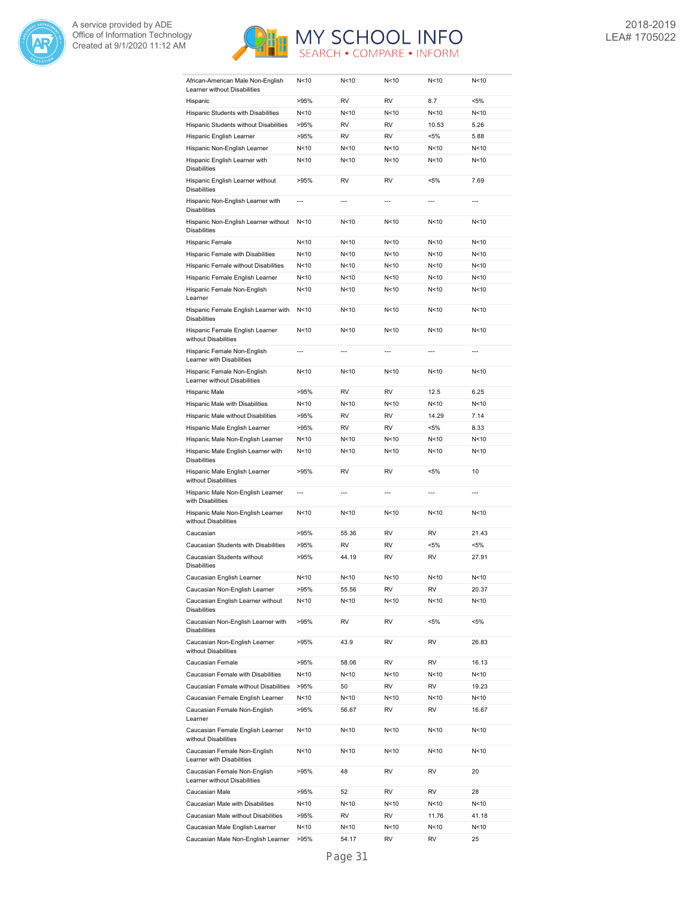



| African-American Male Non-English<br>Learner without Disabilities | N<10            | N<10           | N < 10          | N<10            | N < 10         |
|-------------------------------------------------------------------|-----------------|----------------|-----------------|-----------------|----------------|
| Hispanic                                                          | >95%            | RV             | <b>RV</b>       | 8.7             | <5%            |
| Hispanic Students with Disabilities                               | N<10            | N<10           | N<10            | N<10            | N<10           |
| Hispanic Students without Disabilities                            | >95%            | <b>RV</b>      | <b>RV</b>       | 10.53           | 5.26           |
| Hispanic English Learner                                          | >95%            | <b>RV</b>      | <b>RV</b>       | $< 5\%$         | 5.88           |
| Hispanic Non-English Learner                                      | N<10            | N<10           | N <sub>10</sub> | N <sub>10</sub> | N<10           |
| Hispanic English Learner with<br><b>Disabilities</b>              | N<10            | N<10           | N<10            | N <sub>10</sub> | N<10           |
| Hispanic English Learner without<br><b>Disabilities</b>           | >95%            | RV             | RV              | <5%             | 7.69           |
| Hispanic Non-English Learner with<br><b>Disabilities</b>          | $\overline{a}$  | $\overline{a}$ | $---$           | $\overline{a}$  | ---            |
| Hispanic Non-English Learner without<br><b>Disabilities</b>       | N<10            | N<10           | N<10            | N<10            | N<10           |
| Hispanic Female                                                   | N<10            | N<10           | N < 10          | N<10            | N<10           |
| Hispanic Female with Disabilities                                 | N<10            | N<10           | N<10            | N<10            | N<10           |
| Hispanic Female without Disabilities                              | N<10            | N<10           | N<10            | N <sub>10</sub> | N<10           |
| Hispanic Female English Learner                                   | N<10            | N<10           | N<10            | N <sub>10</sub> | N<10           |
| Hispanic Female Non-English<br>Learner                            | N<10            | N<10           | N < 10          | N < 10          | N<10           |
| Hispanic Female English Learner with<br><b>Disabilities</b>       | N<10            | N<10           | N<10            | N<10            | N<10           |
| Hispanic Female English Learner<br>without Disabilities           | N <sub>10</sub> | N<10           | N<10            | N<10            | N<10           |
| Hispanic Female Non-English<br>Learner with Disabilities          | $\overline{a}$  | $---$          | $---$           | $---$           | ---            |
| Hispanic Female Non-English<br>Learner without Disabilities       | N<10            | N<10           | N<10            | N<10            | N<10           |
| Hispanic Male                                                     | >95%            | RV             | RV              | 12.5            | 6.25           |
| Hispanic Male with Disabilities                                   | N<10            | N<10           | N<10            | N <sub>10</sub> | N<10           |
| Hispanic Male without Disabilities                                | >95%            | RV             | RV              | 14.29           | 7.14           |
| Hispanic Male English Learner                                     | >95%            | RV             | <b>RV</b>       | <5%             | 8.33           |
| Hispanic Male Non-English Learner                                 | N<10            | N<10           | N < 10          | N<10            | N<10           |
| Hispanic Male English Learner with<br><b>Disabilities</b>         | N<10            | N<10           | N<10            | N <sub>10</sub> | N<10           |
| Hispanic Male English Learner<br>without Disabilities             | >95%            | RV             | <b>RV</b>       | <5%             | 10             |
| Hispanic Male Non-English Learner<br>with Disabilities            | ---             | $\overline{a}$ | $\overline{a}$  | $---$           | $\overline{a}$ |
| Hispanic Male Non-English Learner<br>without Disabilities         | N<10            | N<10           | N<10            | N<10            | N<10           |
| Caucasian                                                         | >95%            | 55.36          | RV              | RV              | 21.43          |
| Caucasian Students with Disabilities                              | >95%            | RV             | RV              | $< 5\%$         | <5%            |
| Caucasian Students without<br><b>Disabilities</b>                 | >95%            | 44.19          | <b>RV</b>       | <b>RV</b>       | 27.91          |
| Caucasian English Learner                                         | N<10            | N<10           | N<10            | N <sub>10</sub> | N<10           |
| Caucasian Non-English Learner                                     | >95%            | 55.56          | RV              | RV              | 20.37          |
| Caucasian English Learner without<br><b>Disabilities</b>          | N<10            | N<10           | N<10            | N <sub>10</sub> | N<10           |
| Caucasian Non-English Learner with<br><b>Disabilities</b>         | >95%            | RV             | RV              | $< 5\%$         | $< 5\%$        |
| Caucasian Non-English Learner<br>without Disabilities             | >95%            | 43.9           | RV              | RV              | 26.83          |
| Caucasian Female                                                  | >95%            | 58.06          | RV              | RV              | 16.13          |
| Caucasian Female with Disabilities                                | N<10            | N<10           | N<10            | N<10            | N<10           |
| Caucasian Female without Disabilities                             | >95%            | 50             | RV              | RV              | 19.23          |
| Caucasian Female English Learner                                  | N<10            | N<10           | N<10            | N<10            | N<10           |
| Caucasian Female Non-English<br>Learner                           | >95%            | 56.67          | RV              | RV              | 16.67          |
| Caucasian Female English Learner<br>without Disabilities          | N <sub>10</sub> | N<10           | N<10            | N<10            | N<10           |
| Caucasian Female Non-English<br>Learner with Disabilities         | N<10            | N<10           | N<10            | N<10            | N<10           |
| Caucasian Female Non-English<br>Learner without Disabilities      | >95%            | 48             | RV              | RV              | 20             |
| Caucasian Male                                                    | >95%            | 52             | RV              | RV              | 28             |
| Caucasian Male with Disabilities                                  | N<10            | N<10           | N<10            | N<10            | N<10           |
| Caucasian Male without Disabilities                               | >95%            | RV             | RV              | 11.76           | 41.18          |
| Caucasian Male English Learner                                    | N<10            | N<10           | N<10            | N<10            | N<10           |
| Caucasian Male Non-English Learner                                | >95%            | 54.17          | RV              | RV              | 25             |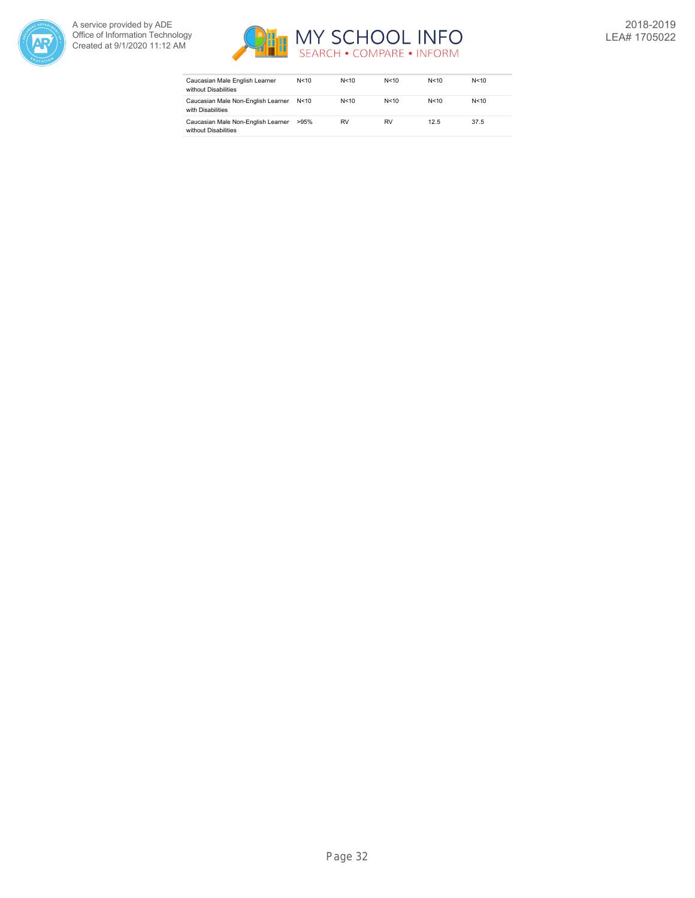



| Caucasian Male English Learner<br>without Disabilities     | N<10   | N < 10 | N < 10 | N < 10 | N < 10 |
|------------------------------------------------------------|--------|--------|--------|--------|--------|
| Caucasian Male Non-English Learner<br>with Disabilities    | N < 10 | N < 10 | N < 10 | N < 10 | N < 10 |
| Caucasian Male Non-English Learner<br>without Disabilities | >95%   | RV     | RV     | 12.5   | 37.5   |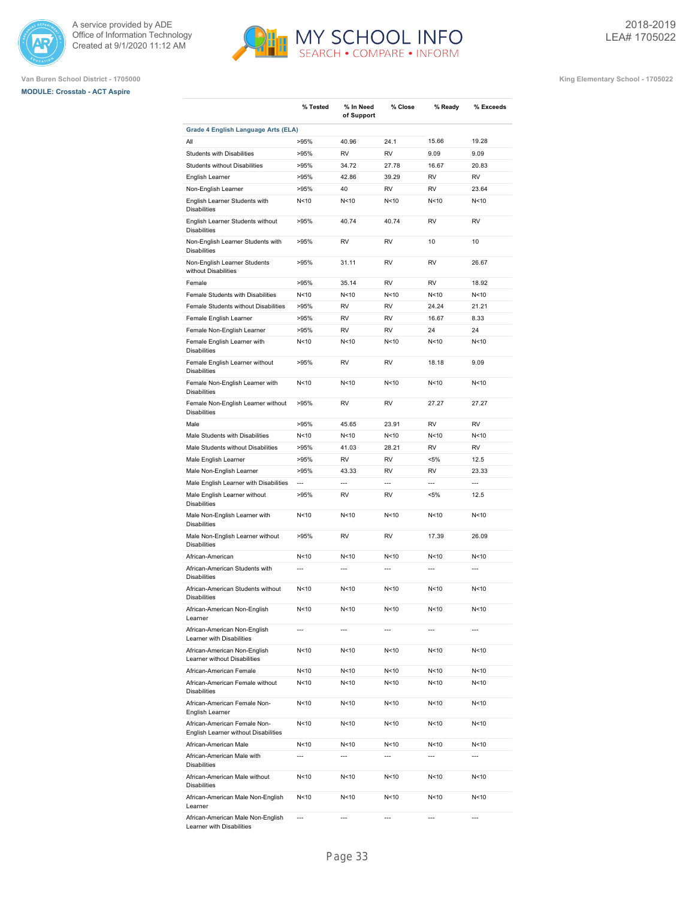





|                                                                      | % Tested        | % In Need<br>of Support | % Close         | % Ready                  | % Exceeds      |
|----------------------------------------------------------------------|-----------------|-------------------------|-----------------|--------------------------|----------------|
| <b>Grade 4 English Language Arts (ELA)</b>                           |                 |                         |                 |                          |                |
| All                                                                  | >95%            | 40.96                   | 24.1            | 15.66                    | 19.28          |
| <b>Students with Disabilities</b>                                    | >95%            | <b>RV</b>               | <b>RV</b>       | 9.09                     | 9.09           |
| <b>Students without Disabilities</b>                                 | >95%            | 34.72                   | 27.78           | 16.67                    | 20.83          |
| English Learner                                                      | >95%            | 42.86                   | 39.29           | <b>RV</b>                | <b>RV</b>      |
| Non-English Learner                                                  | >95%            | 40                      | <b>RV</b>       | <b>RV</b>                | 23.64          |
| English Learner Students with<br><b>Disabilities</b>                 | N<10            | N<10                    | N<10            | N <sub>10</sub>          | N<10           |
| English Learner Students without<br><b>Disabilities</b>              | >95%            | 40.74                   | 40.74           | <b>RV</b>                | <b>RV</b>      |
| Non-English Learner Students with<br><b>Disabilities</b>             | >95%            | <b>RV</b>               | <b>RV</b>       | 10                       | 10             |
| Non-English Learner Students<br>without Disabilities                 | >95%            | 31.11                   | <b>RV</b>       | <b>RV</b>                | 26.67          |
| Female                                                               | >95%            | 35.14                   | <b>RV</b>       | <b>RV</b>                | 18.92          |
| Female Students with Disabilities                                    | N <sub>10</sub> | N<10                    | N<10            | N <sub>10</sub>          | N<10           |
| Female Students without Disabilities                                 | >95%            | <b>RV</b>               | <b>RV</b>       | 24.24                    | 21.21          |
| Female English Learner                                               | >95%            | <b>RV</b>               | <b>RV</b>       | 16.67                    | 8.33           |
| Female Non-English Learner                                           | >95%            | <b>RV</b>               | <b>RV</b>       | 24                       | 24             |
| Female English Learner with<br><b>Disabilities</b>                   | N <sub>10</sub> | N<10                    | N<10            | N <sub>10</sub>          | N<10           |
| Female English Learner without<br><b>Disabilities</b>                | >95%            | <b>RV</b>               | <b>RV</b>       | 18.18                    | 9.09           |
| Female Non-English Learner with<br><b>Disabilities</b>               | N<10            | N<10                    | N<10            | N <sub>10</sub>          | N<10           |
| Female Non-English Learner without<br><b>Disabilities</b>            | >95%            | <b>RV</b>               | <b>RV</b>       | 27.27                    | 27.27          |
| Male                                                                 | >95%            | 45.65                   | 23.91           | <b>RV</b>                | <b>RV</b>      |
| Male Students with Disabilities                                      | N <sub>10</sub> | N<10                    | N <sub>10</sub> | N <sub>10</sub>          | N<10           |
| Male Students without Disabilities                                   | >95%            | 41.03                   | 28.21           | <b>RV</b>                | <b>RV</b>      |
| Male English Learner                                                 | >95%            | <b>RV</b>               | <b>RV</b>       | $< 5\%$                  | 12.5           |
| Male Non-English Learner                                             | >95%            | 43.33                   | <b>RV</b>       | <b>RV</b>                | 23.33          |
| Male English Learner with Disabilities                               | ---             | $\overline{a}$          | $\overline{a}$  | $\overline{\phantom{a}}$ | $\overline{a}$ |
| Male English Learner without<br><b>Disabilities</b>                  | >95%            | RV                      | RV              | <5%                      | 12.5           |
| Male Non-English Learner with<br><b>Disabilities</b>                 | N <sub>10</sub> | N<10                    | N<10            | N <sub>10</sub>          | N<10           |
| Male Non-English Learner without<br><b>Disabilities</b>              | >95%            | <b>RV</b>               | <b>RV</b>       | 17.39                    | 26.09          |
| African-American                                                     | N<10            | N<10                    | N<10            | N<10                     | N<10           |
| African-American Students with<br><b>Disabilities</b>                | $\overline{a}$  | $\overline{a}$          | $\overline{a}$  | $\overline{\phantom{a}}$ | $\overline{a}$ |
| African-American Students without<br><b>Disabilities</b>             | N <sub>10</sub> | N<10                    | N<10            | N <sub>10</sub>          | N<10           |
| African-American Non-English<br>Learner                              | N < 10          | N<10                    | N<10            | N<10                     | N < 10         |
| African-American Non-English<br>Learner with Disabilities            | ---             | $\overline{a}$          | $\overline{a}$  | ---                      | $\overline{a}$ |
| African-American Non-English<br>Learner without Disabilities         | N<10            | N<10                    | N<10            | N<10                     | N<10           |
| African-American Female                                              | N <sub>10</sub> | N<10                    | N<10            | N<10                     | N<10           |
| African-American Female without<br><b>Disabilities</b>               | N <sub>10</sub> | N<10                    | N<10            | N<10                     | N<10           |
| African-American Female Non-<br>English Learner                      | N <sub>10</sub> | N<10                    | N<10            | N < 10                   | N<10           |
| African-American Female Non-<br>English Learner without Disabilities | N<10            | N<10                    | N < 10          | N<10                     | N<10           |
| African-American Male                                                | N<10            | N<10                    | N<10            | N < 10                   | N<10           |
| African-American Male with<br>Disabilities                           | $\overline{a}$  | $\overline{a}$          | $\overline{a}$  | $\overline{a}$           | $\overline{a}$ |
| African-American Male without<br><b>Disabilities</b>                 | N < 10          | N<10                    | N<10            | N < 10                   | N<10           |
| African-American Male Non-English<br>Learner                         | N < 10          | N<10                    | N < 10          | N < 10                   | N<10           |
| African-American Male Non-English<br>Learner with Disabilities       | $\overline{a}$  | ---                     | ---             | ---                      | $\overline{a}$ |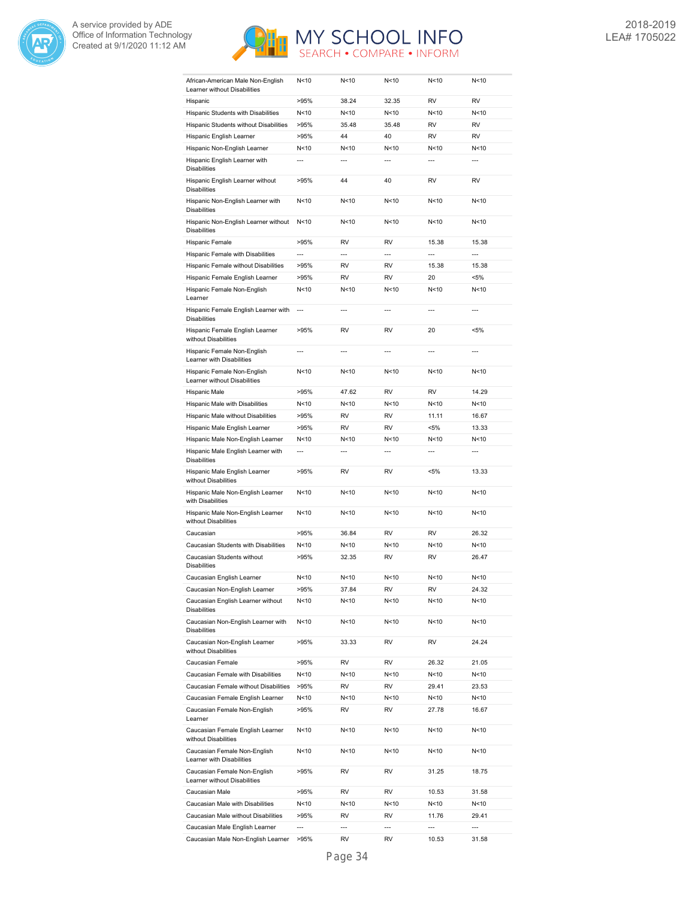



| African-American Male Non-English                           | N<10                     | N < 10          | N<10            | N<10           | N < 10         |
|-------------------------------------------------------------|--------------------------|-----------------|-----------------|----------------|----------------|
| Learner without Disabilities<br>Hispanic                    | >95%                     | 38.24           | 32.35           | RV             | <b>RV</b>      |
| Hispanic Students with Disabilities                         | N<10                     | N<10            | N<10            | N<10           | N<10           |
| Hispanic Students without Disabilities                      | >95%                     | 35.48           | 35.48           | RV             | RV             |
| Hispanic English Learner                                    | >95%                     | 44              | 40              | RV             | RV             |
| Hispanic Non-English Learner                                | N<10                     | N<10            | N <sub>10</sub> | N<10           | N<10           |
| Hispanic English Learner with                               | $\overline{a}$           | $\overline{a}$  | $\overline{a}$  | ---            | $\overline{a}$ |
| <b>Disabilities</b>                                         |                          |                 |                 |                |                |
| Hispanic English Learner without<br><b>Disabilities</b>     | >95%                     | 44              | 40              | RV             | RV             |
| Hispanic Non-English Learner with<br><b>Disabilities</b>    | N <sub>10</sub>          | N < 10          | N<10            | N<10           | N<10           |
| Hispanic Non-English Learner without<br><b>Disabilities</b> | N <sub>10</sub>          | N < 10          | N<10            | N<10           | N<10           |
| Hispanic Female                                             | >95%                     | RV              | <b>RV</b>       | 15.38          | 15.38          |
| Hispanic Female with Disabilities                           | ---                      | ---             | ---             | ---            | ---            |
| Hispanic Female without Disabilities                        | >95%                     | RV              | RV              | 15.38          | 15.38          |
| Hispanic Female English Learner                             | >95%                     | RV              | RV              | 20             | <5%            |
| Hispanic Female Non-English                                 | N < 10                   | N<10            | N<10            | N<10           | N<10           |
| Learner<br>Hispanic Female English Learner with             | $\overline{\phantom{a}}$ | $\overline{a}$  | $\overline{a}$  | $\overline{a}$ | $\overline{a}$ |
| <b>Disabilities</b>                                         |                          |                 |                 |                |                |
| Hispanic Female English Learner<br>without Disabilities     | >95%                     | RV              | RV              | 20             | $< 5\%$        |
| Hispanic Female Non-English<br>Learner with Disabilities    | $\overline{a}$           | ---             | ---             | ---            | ---            |
| Hispanic Female Non-English<br>Learner without Disabilities | N <sub>10</sub>          | N < 10          | N < 10          | N<10           | N<10           |
| Hispanic Male                                               | >95%                     | 47.62           | <b>RV</b>       | <b>RV</b>      | 14.29          |
| Hispanic Male with Disabilities                             | N <sub>10</sub>          | N<10            | N<10            | N<10           | N<10           |
| Hispanic Male without Disabilities                          | >95%                     | RV              | <b>RV</b>       | 11.11          | 16.67          |
| Hispanic Male English Learner                               | >95%                     | RV              | <b>RV</b>       | $< 5\%$        | 13.33          |
| Hispanic Male Non-English Learner                           | N <sub>10</sub>          | N < 10          | N<10            | N<10           | N<10           |
| Hispanic Male English Learner with<br><b>Disabilities</b>   | $\overline{a}$           | $---$           | $\overline{a}$  | $\overline{a}$ | $\overline{a}$ |
| Hispanic Male English Learner<br>without Disabilities       | >95%                     | RV              | RV              | $< 5\%$        | 13.33          |
| Hispanic Male Non-English Learner<br>with Disabilities      | N<10                     | N<10            | N<10            | N<10           | N<10           |
| Hispanic Male Non-English Learner<br>without Disabilities   | N <sub>10</sub>          | N <sub>10</sub> | N<10            | N<10           | N<10           |
| Caucasian                                                   | >95%                     | 36.84           | <b>RV</b>       | <b>RV</b>      | 26.32          |
| Caucasian Students with Disabilities                        | N <sub>10</sub>          | N<10            | N <sub>10</sub> | N<10           | N<10           |
| Caucasian Students without                                  | >95%                     |                 | RV              | RV             | 26.47          |
| <b>Disabilities</b>                                         |                          | 32.35           |                 |                |                |
| Caucasian English Learner                                   | N<10                     | N < 10          | N<10            | N<10           | N < 10         |
| Caucasian Non-English Learner                               | >95%                     | 37.84           | RV              | RV             | 24.32          |
| Caucasian English Learner without<br><b>Disabilities</b>    | N<10                     | N<10            | N<10            | N<10           | N<10           |
| Caucasian Non-English Learner with<br><b>Disabilities</b>   | N<10                     | N<10            | N<10            | N<10           | N < 10         |
| Caucasian Non-English Learner<br>without Disabilities       | >95%                     | 33.33           | RV              | RV             | 24.24          |
| Caucasian Female                                            | >95%                     | RV              | RV              | 26.32          | 21.05          |
| Caucasian Female with Disabilities                          | N<10                     | N<10            | N<10            | N<10           | N<10           |
| Caucasian Female without Disabilities                       | >95%                     | RV              | RV              | 29.41          | 23.53          |
| Caucasian Female English Learner                            | N<10                     | N<10            | N<10            | N<10           | N<10           |
| Caucasian Female Non-English<br>Learner                     | >95%                     | RV              | RV              | 27.78          | 16.67          |
| Caucasian Female English Learner                            | N<10                     | N<10            | N<10            | N<10           | N < 10         |
| without Disabilities<br>Caucasian Female Non-English        | N<10                     | N<10            | N<10            | N<10           | N < 10         |
| Learner with Disabilities<br>Caucasian Female Non-English   | >95%                     | RV              | RV              | 31.25          | 18.75          |
| Learner without Disabilities                                |                          |                 |                 |                |                |
| Caucasian Male                                              | >95%                     | RV              | RV              | 10.53          | 31.58          |
| Caucasian Male with Disabilities                            | N<10                     | N<10            | N<10            | N<10           | N<10           |
| Caucasian Male without Disabilities                         | >95%                     | RV              | RV              | 11.76          | 29.41          |
| Caucasian Male English Learner                              | ---                      | ---             | ---             | ---            | ---            |
| Caucasian Male Non-English Learner                          | >95%                     | RV              | RV              | 10.53          | 31.58          |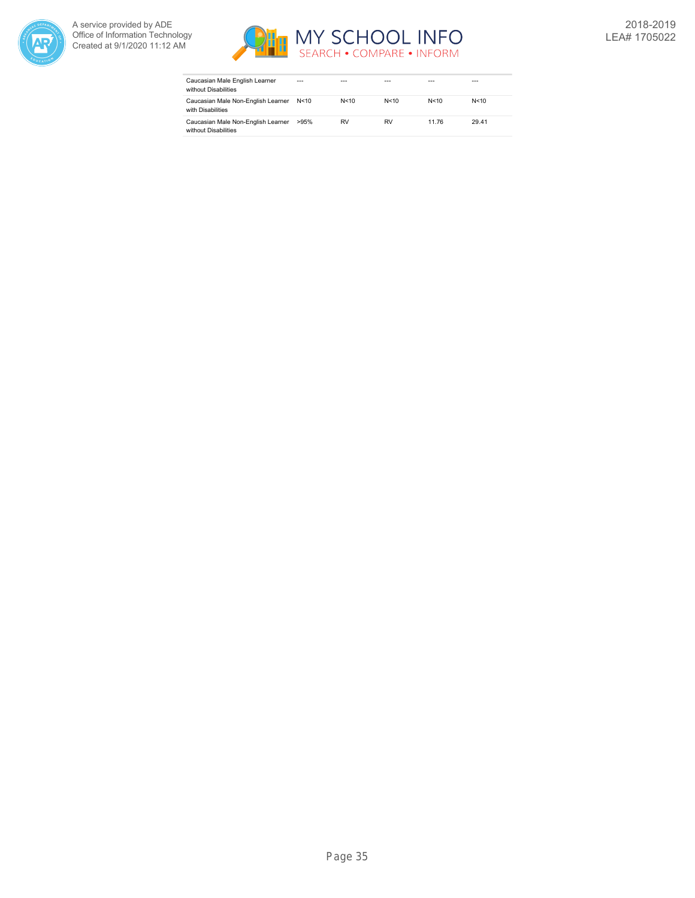



| Caucasian Male English Learner<br>without Disabilities     | ---    | ---    |        |       | ---    |
|------------------------------------------------------------|--------|--------|--------|-------|--------|
| Caucasian Male Non-English Learner<br>with Disabilities    | N < 10 | N < 10 | N < 10 | N<10  | N < 10 |
| Caucasian Male Non-English Learner<br>without Disabilities | >95%   | RV     | RV     | 11.76 | 29.41  |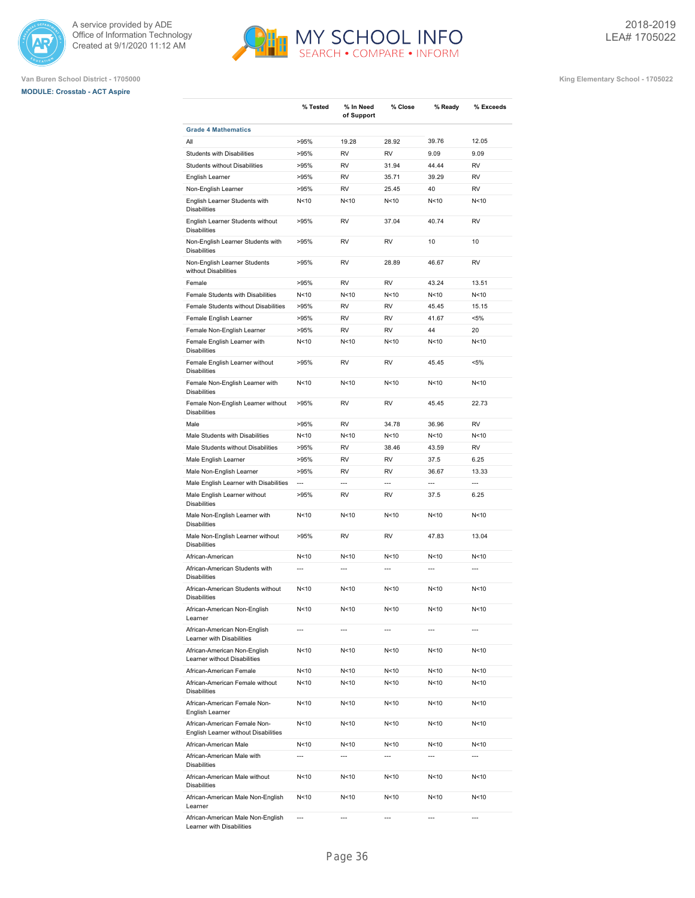





|                                                                      | % Tested        | % In Need<br>of Support | % Close                  | % Ready         | % Exceeds      |
|----------------------------------------------------------------------|-----------------|-------------------------|--------------------------|-----------------|----------------|
| <b>Grade 4 Mathematics</b>                                           |                 |                         |                          |                 |                |
| All                                                                  | >95%            | 19.28                   | 28.92                    | 39.76           | 12.05          |
| Students with Disabilities                                           | >95%            | <b>RV</b>               | <b>RV</b>                | 9.09            | 9.09           |
| Students without Disabilities                                        | >95%            | <b>RV</b>               | 31.94                    | 44.44           | <b>RV</b>      |
| English Learner                                                      | >95%            | <b>RV</b>               | 35.71                    | 39.29           | <b>RV</b>      |
| Non-English Learner                                                  | >95%            | <b>RV</b>               | 25.45                    | 40              | <b>RV</b>      |
| English Learner Students with<br><b>Disabilities</b>                 | N <sub>10</sub> | N<10                    | N <sub>10</sub>          | N <sub>10</sub> | N<10           |
| English Learner Students without<br><b>Disabilities</b>              | >95%            | <b>RV</b>               | 37.04                    | 40.74           | <b>RV</b>      |
| Non-English Learner Students with<br><b>Disabilities</b>             | >95%            | <b>RV</b>               | <b>RV</b>                | 10              | 10             |
| Non-English Learner Students<br>without Disabilities                 | >95%            | <b>RV</b>               | 28.89                    | 46.67           | <b>RV</b>      |
| Female                                                               | >95%            | <b>RV</b>               | <b>RV</b>                | 43.24           | 13.51          |
| Female Students with Disabilities                                    | N<10            | N<10                    | N<10                     | N<10            | N<10           |
| Female Students without Disabilities                                 | >95%            | <b>RV</b>               | <b>RV</b>                | 45.45           | 15.15          |
| Female English Learner                                               | >95%            | <b>RV</b>               | <b>RV</b>                | 41.67           | $< 5\%$        |
| Female Non-English Learner                                           | >95%            | <b>RV</b>               | <b>RV</b>                | 44              | 20             |
| Female English Learner with<br><b>Disabilities</b>                   | N<10            | N<10                    | N <sub>10</sub>          | N <sub>10</sub> | N<10           |
| Female English Learner without<br><b>Disabilities</b>                | >95%            | <b>RV</b>               | <b>RV</b>                | 45.45           | $< 5\%$        |
| Female Non-English Learner with<br><b>Disabilities</b>               | N <sub>10</sub> | N<10                    | N <sub>10</sub>          | N <sub>10</sub> | N<10           |
| Female Non-English Learner without<br><b>Disabilities</b>            | >95%            | <b>RV</b>               | <b>RV</b>                | 45.45           | 22.73          |
| Male                                                                 | >95%            | <b>RV</b>               | 34.78                    | 36.96           | <b>RV</b>      |
| Male Students with Disabilities                                      | N<10            | N<10                    | N <sub>10</sub>          | N <sub>10</sub> | N<10           |
| Male Students without Disabilities                                   | >95%            | <b>RV</b>               | 38.46                    | 43.59           | <b>RV</b>      |
| Male English Learner                                                 | >95%            | <b>RV</b>               | <b>RV</b>                | 37.5            | 6.25           |
| Male Non-English Learner                                             | >95%            | <b>RV</b>               | <b>RV</b>                | 36.67           | 13.33          |
| Male English Learner with Disabilities                               | ---             | $\overline{a}$          | ---                      | ---             | $\overline{a}$ |
| Male English Learner without<br><b>Disabilities</b>                  | >95%            | <b>RV</b>               | <b>RV</b>                | 37.5            | 6.25           |
| Male Non-English Learner with<br><b>Disabilities</b>                 | N <sub>10</sub> | N<10                    | N <sub>10</sub>          | N<10            | N<10           |
| Male Non-English Learner without<br><b>Disabilities</b>              | >95%            | <b>RV</b>               | <b>RV</b>                | 47.83           | 13.04          |
| African-American                                                     | N<10            | N<10                    | N <sub>10</sub>          | N <sub>10</sub> | N<10           |
| African-American Students with<br><b>Disabilities</b>                | $\overline{a}$  | ---                     | $\overline{\phantom{a}}$ | $\overline{a}$  | $\overline{a}$ |
| African-American Students without<br><b>Disabilities</b>             | N <sub>10</sub> | N<10                    | N <sub>10</sub>          | N <sub>10</sub> | N<10           |
| African-American Non-English<br>Learner                              | N<10            | N<10                    | N<10                     | N<10            | N<10           |
| African-American Non-English<br>Learner with Disabilities            | ---             | ---                     |                          | ---             |                |
| African-American Non-English<br>Learner without Disabilities         | N<10            | N<10                    | N<10                     | N<10            | N<10           |
| African-American Female                                              | N<10            | N<10                    | N<10                     | N<10            | N<10           |
| African-American Female without<br><b>Disabilities</b>               | N<10            | N<10                    | N<10                     | N<10            | N<10           |
| African-American Female Non-<br>English Learner                      | N<10            | N<10                    | N<10                     | N<10            | N<10           |
| African-American Female Non-<br>English Learner without Disabilities | N<10            | N<10                    | N<10                     | N<10            | N<10           |
| African-American Male                                                | N<10            | N<10                    | N<10                     | N<10            | N<10           |
| African-American Male with<br><b>Disabilities</b>                    | ---             | ---                     | $\overline{\phantom{a}}$ | ---             | ---            |
| African-American Male without<br><b>Disabilities</b>                 | N<10            | N<10                    | N<10                     | N<10            | N<10           |
| African-American Male Non-English<br>Learner                         | N<10            | N<10                    | N<10                     | N<10            | N<10           |
| African-American Male Non-English                                    | ---             | ---                     | ---                      | ---             | ---            |

Learner with Disabilities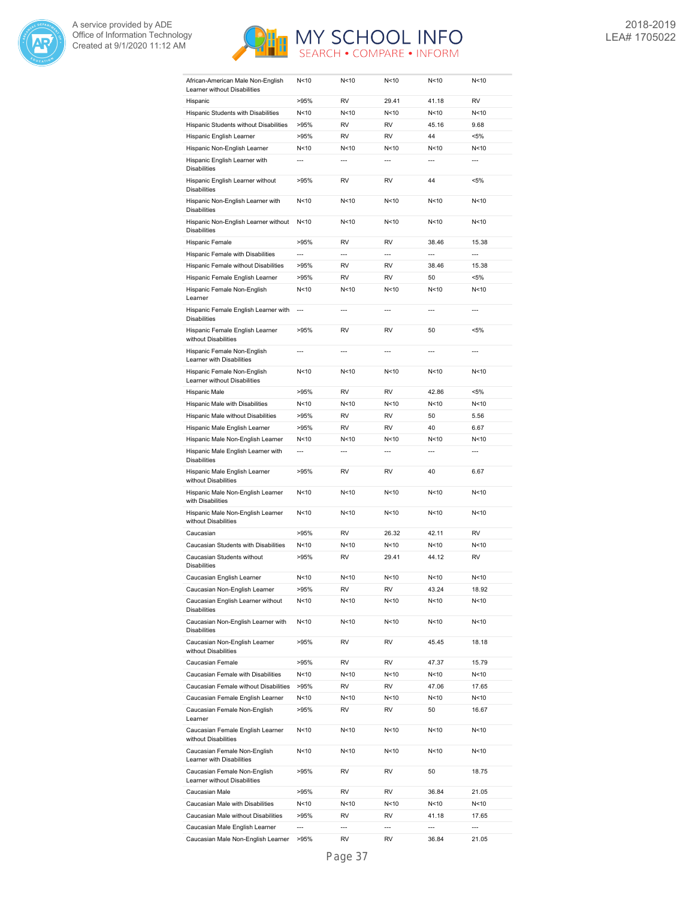



| African-American Male Non-English<br>Learner without Disabilities | N <sub>10</sub> | N<10           | N < 10          | N < 10          | N<10           |
|-------------------------------------------------------------------|-----------------|----------------|-----------------|-----------------|----------------|
| Hispanic                                                          | >95%            | <b>RV</b>      | 29.41           | 41.18           | <b>RV</b>      |
| Hispanic Students with Disabilities                               | N<10            | N<10           | N<10            | N <sub>10</sub> | N<10           |
| Hispanic Students without Disabilities                            | >95%            | <b>RV</b>      | <b>RV</b>       | 45.16           | 9.68           |
| Hispanic English Learner                                          | >95%            | <b>RV</b>      | <b>RV</b>       | 44              | $< 5\%$        |
| Hispanic Non-English Learner                                      | N <sub>10</sub> | N<10           | N<10            | N <sub>10</sub> | N<10           |
| Hispanic English Learner with                                     | $\overline{a}$  | $\overline{a}$ | $\overline{a}$  | $\overline{a}$  | $\overline{a}$ |
| <b>Disabilities</b>                                               |                 |                |                 |                 |                |
| Hispanic English Learner without<br><b>Disabilities</b>           | >95%            | <b>RV</b>      | <b>RV</b>       | 44              | $< 5\%$        |
| Hispanic Non-English Learner with<br><b>Disabilities</b>          | N <sub>10</sub> | N<10           | N<10            | N<10            | N<10           |
| Hispanic Non-English Learner without<br><b>Disabilities</b>       | N<10            | N<10           | N<10            | N <sub>10</sub> | N<10           |
| Hispanic Female                                                   | >95%            | <b>RV</b>      | <b>RV</b>       | 38.46           | 15.38          |
| Hispanic Female with Disabilities                                 | $\overline{a}$  | $\overline{a}$ | $\overline{a}$  | $\overline{a}$  | $\overline{a}$ |
| Hispanic Female without Disabilities                              | >95%            | <b>RV</b>      | <b>RV</b>       | 38.46           | 15.38          |
| Hispanic Female English Learner                                   | >95%            | <b>RV</b>      | <b>RV</b>       | 50              | $< 5\%$        |
|                                                                   | N<10            | N<10           | N<10            | N <sub>10</sub> | N<10           |
| Hispanic Female Non-English<br>Learner                            |                 |                |                 |                 |                |
| Hispanic Female English Learner with<br><b>Disabilities</b>       | $\overline{a}$  | $\overline{a}$ | $\overline{a}$  | $\overline{a}$  | $\overline{a}$ |
| Hispanic Female English Learner<br>without Disabilities           | >95%            | <b>RV</b>      | <b>RV</b>       | 50              | $< 5\%$        |
| Hispanic Female Non-English<br>Learner with Disabilities          | $\overline{a}$  | $\overline{a}$ | $\overline{a}$  | $\overline{a}$  | $\overline{a}$ |
| Hispanic Female Non-English<br>Learner without Disabilities       | N <sub>10</sub> | N<10           | N<10            | N<10            | N<10           |
| Hispanic Male                                                     | >95%            | <b>RV</b>      | <b>RV</b>       | 42.86           | $< 5\%$        |
| Hispanic Male with Disabilities                                   | N<10            | N<10           | N<10            | N<10            | N<10           |
| Hispanic Male without Disabilities                                | >95%            | <b>RV</b>      | <b>RV</b>       | 50              | 5.56           |
| Hispanic Male English Learner                                     | >95%            | <b>RV</b>      | <b>RV</b>       | 40              | 6.67           |
| Hispanic Male Non-English Learner                                 | N <sub>10</sub> | N<10           | N<10            | N<10            | N<10           |
| Hispanic Male English Learner with                                | $\overline{a}$  | $\overline{a}$ | $\overline{a}$  | $\overline{a}$  | $\overline{a}$ |
| <b>Disabilities</b>                                               |                 |                |                 |                 |                |
| Hispanic Male English Learner<br>without Disabilities             | >95%            | RV             | <b>RV</b>       | 40              | 6.67           |
| Hispanic Male Non-English Learner<br>with Disabilities            | N <sub>10</sub> | N<10           | N<10            | N<10            | N<10           |
| Hispanic Male Non-English Learner<br>without Disabilities         | N<10            | N<10           | N<10            | N<10            | N<10           |
| Caucasian                                                         | >95%            | RV             | 26.32           | 42.11           | RV             |
| Caucasian Students with Disabilities                              | N<10            | N<10           | N<10            | N<10            | N<10           |
| Caucasian Students without<br><b>Disabilities</b>                 | >95%            | <b>RV</b>      | 29.41           | 44.12           | <b>RV</b>      |
| Caucasian English Learner                                         | N <sub>10</sub> | N<10           | N < 10          | N <sub>10</sub> | N<10           |
| Caucasian Non-English Learner                                     | >95%            | RV             | RV              | 43.24           | 18.92          |
| Caucasian English Learner without<br><b>Disabilities</b>          | N<10            | N<10           | N<10            | N<10            | N<10           |
| Caucasian Non-English Learner with<br><b>Disabilities</b>         | N<10            | N<10           | N<10            | N <sub>10</sub> | N<10           |
| Caucasian Non-English Learner<br>without Disabilities             | >95%            | RV             | RV              | 45.45           | 18.18          |
| Caucasian Female                                                  | >95%            | RV             | RV              | 47.37           | 15.79          |
| Caucasian Female with Disabilities                                | N<10            | N<10           | N<10            | N<10            | N<10           |
| Caucasian Female without Disabilities                             | >95%            | RV             | RV              | 47.06           | 17.65          |
| Caucasian Female English Learner                                  |                 | N<10           | N <sub>10</sub> | N<10            |                |
|                                                                   | N<10            |                |                 |                 | N<10           |
| Caucasian Female Non-English<br>Learner                           | >95%            | RV             | RV              | 50              | 16.67          |
| Caucasian Female English Learner<br>without Disabilities          | N<10            | N<10           | N<10            | N <sub>10</sub> | N<10           |
| Caucasian Female Non-English<br>Learner with Disabilities         | N<10            | N<10           | N<10            | N<10            | N<10           |
| Caucasian Female Non-English<br>Learner without Disabilities      | >95%            | RV             | RV              | 50              | 18.75          |
| Caucasian Male                                                    | >95%            | RV             | RV              | 36.84           | 21.05          |
| Caucasian Male with Disabilities                                  |                 |                |                 |                 | N<10           |
|                                                                   | N<10            | N<10           | N<10            | N<10            |                |
| Caucasian Male without Disabilities                               | >95%            | RV             | RV              | 41.18           | 17.65          |
| Caucasian Male English Learner                                    | $\overline{a}$  | $\overline{a}$ | $\overline{a}$  | ---             | ---            |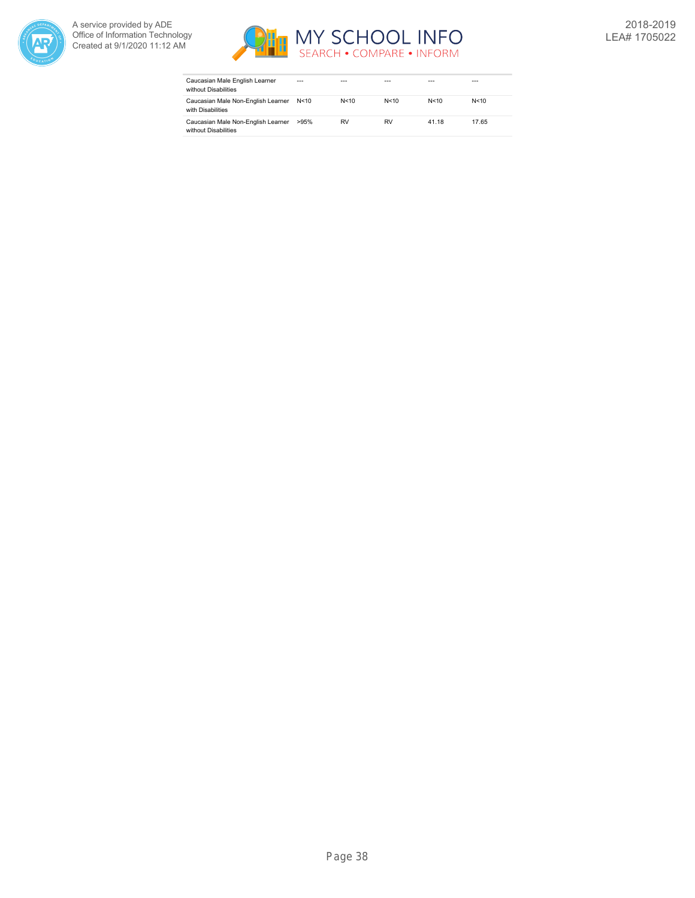



| Caucasian Male English Learner<br>without Disabilities     | ---    | ---       |        |       | ---    |
|------------------------------------------------------------|--------|-----------|--------|-------|--------|
| Caucasian Male Non-English Learner<br>with Disabilities    | N < 10 | N < 10    | N < 10 | N<10  | N < 10 |
| Caucasian Male Non-English Learner<br>without Disabilities | >95%   | <b>RV</b> | RV     | 41.18 | 17.65  |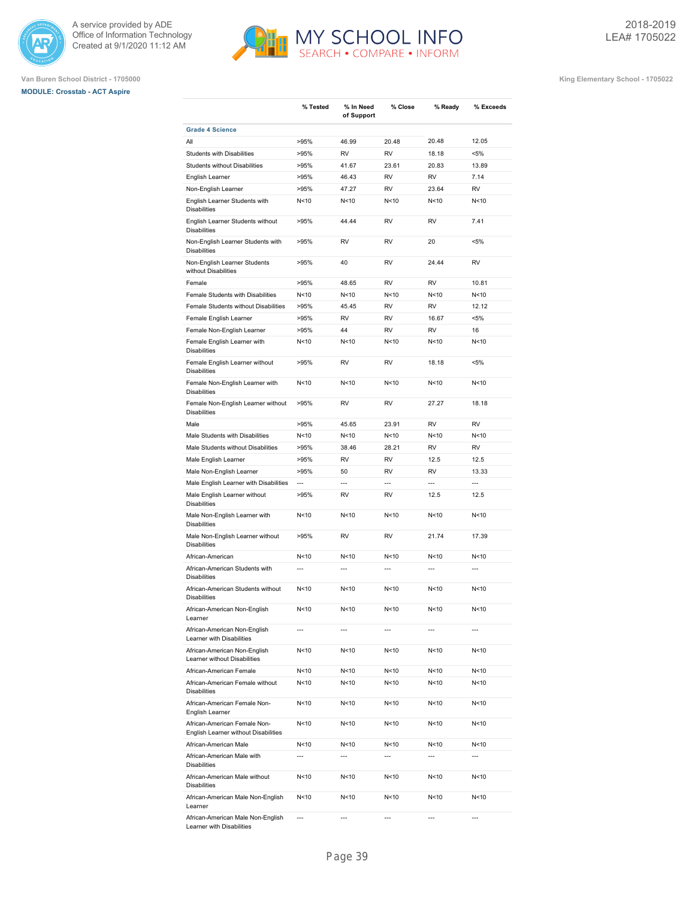





**Van Buren School District - 1705000 King Elementary School - 1705022**

|                                                                      | % Tested       | % In Need<br>of Support | % Close                  | % Ready         | % Exceeds      |
|----------------------------------------------------------------------|----------------|-------------------------|--------------------------|-----------------|----------------|
| <b>Grade 4 Science</b>                                               |                |                         |                          |                 |                |
| All                                                                  | >95%           | 46.99                   | 20.48                    | 20.48           | 12.05          |
| <b>Students with Disabilities</b>                                    | >95%           | <b>RV</b>               | <b>RV</b>                | 18.18           | $< 5\%$        |
| <b>Students without Disabilities</b>                                 | >95%           | 41.67                   | 23.61                    | 20.83           | 13.89          |
| English Learner                                                      | >95%           | 46.43                   | <b>RV</b>                | <b>RV</b>       | 7.14           |
| Non-English Learner                                                  | >95%           | 47.27                   | <b>RV</b>                | 23.64           | <b>RV</b>      |
| English Learner Students with<br><b>Disabilities</b>                 | N<10           | N<10                    | N < 10                   | N < 10          | N<10           |
| English Learner Students without<br><b>Disabilities</b>              | >95%           | 44.44                   | RV                       | <b>RV</b>       | 7.41           |
| Non-English Learner Students with<br><b>Disabilities</b>             | >95%           | RV                      | RV                       | 20              | $< 5\%$        |
| Non-English Learner Students<br>without Disabilities                 | >95%           | 40                      | RV                       | 24.44           | <b>RV</b>      |
| Female                                                               | >95%           | 48.65                   | <b>RV</b>                | <b>RV</b>       | 10.81          |
| Female Students with Disabilities                                    | N<10           | N<10                    | N <sub>10</sub>          | N <sub>10</sub> | N<10           |
| Female Students without Disabilities                                 | >95%           | 45.45                   | <b>RV</b>                | <b>RV</b>       | 12.12          |
| Female English Learner                                               | >95%           | <b>RV</b>               | <b>RV</b>                | 16.67           | $< 5\%$        |
| Female Non-English Learner                                           | >95%           | 44                      | <b>RV</b>                | <b>RV</b>       | 16             |
| Female English Learner with<br><b>Disabilities</b>                   | N<10           | N<10                    | N<10                     | N<10            | N<10           |
| Female English Learner without<br><b>Disabilities</b>                | >95%           | <b>RV</b>               | RV                       | 18.18           | <5%            |
| Female Non-English Learner with<br><b>Disabilities</b>               | N<10           | N<10                    | N<10                     | N<10            | N<10           |
| Female Non-English Learner without<br><b>Disabilities</b>            | >95%           | <b>RV</b>               | RV                       | 27.27           | 18.18          |
| Male                                                                 | >95%           | 45.65                   | 23.91                    | <b>RV</b>       | <b>RV</b>      |
| Male Students with Disabilities                                      | N<10           | N<10                    | N < 10                   | N < 10          | N<10           |
| Male Students without Disabilities                                   | >95%           | 38.46                   | 28.21                    | <b>RV</b>       | <b>RV</b>      |
| Male English Learner                                                 | >95%           | <b>RV</b>               | RV                       | 12.5            | 12.5           |
| Male Non-English Learner                                             | >95%           | 50                      | RV                       | RV              | 13.33          |
| Male English Learner with Disabilities                               | ---            | $\overline{a}$          | $\overline{\phantom{a}}$ | $\sim$          | $\overline{a}$ |
| Male English Learner without<br><b>Disabilities</b>                  | >95%           | RV                      | RV                       | 12.5            | 12.5           |
| Male Non-English Learner with<br><b>Disabilities</b>                 | N<10           | N < 10                  | N <sub>10</sub>          | N <sub>10</sub> | N<10           |
| Male Non-English Learner without<br><b>Disabilities</b>              | >95%           | <b>RV</b>               | <b>RV</b>                | 21.74           | 17.39          |
| African-American                                                     | N<10           | N < 10                  | N <sub>10</sub>          | N<10            | N<10           |
| African-American Students with<br><b>Disabilities</b>                | $\overline{a}$ | ---                     | ---                      | ---             | ---            |
| African-American Students without<br><b>Disabilities</b>             | N<10           | N < 10                  | N<10                     | N < 10          | N<10           |
| African-American Non-English<br>Learner                              | N<10           | N<10                    | N<10                     | N<10            | N<10           |
| African-American Non-English<br>Learner with Disabilities            | $\overline{a}$ |                         |                          |                 |                |
| African-American Non-English<br>Learner without Disabilities         | N<10           | N<10                    | N<10                     | N<10            | N<10           |
| African-American Female                                              | N<10           | N<10                    | N<10                     | N<10            | N<10           |
| African-American Female without<br><b>Disabilities</b>               | N<10           | N<10                    | N<10                     | N <sub>10</sub> | N<10           |
| African-American Female Non-<br>English Learner                      | N<10           | N<10                    | N<10                     | N<10            | N<10           |
| African-American Female Non-<br>English Learner without Disabilities | N<10           | N<10                    | N<10                     | N<10            | N<10           |
| African-American Male                                                | N<10           | N <sub>10</sub>         | N<10                     | N <sub>10</sub> | N<10           |
| African-American Male with<br><b>Disabilities</b>                    | ---            | ---                     | ---                      | ---             | $\overline{a}$ |
| African-American Male without<br><b>Disabilities</b>                 | N<10           | N<10                    | N<10                     | N<10            | N<10           |
| African-American Male Non-English<br>Learner                         | N<10           | N<10                    | N<10                     | N <sub>10</sub> | N<10           |
| African-American Male Non-English                                    | ---            | ---                     | ---                      | ---             | $\overline{a}$ |

H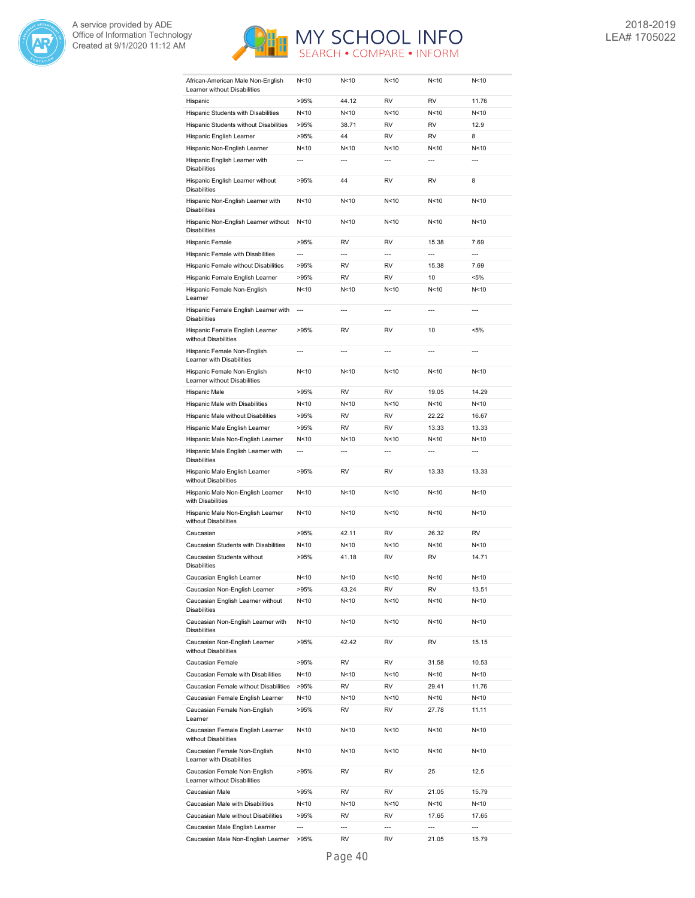



| African-American Male Non-English<br>Learner without Disabilities | N < 10         | N < 10         | N<10            | N<10                     | N < 10         |
|-------------------------------------------------------------------|----------------|----------------|-----------------|--------------------------|----------------|
| Hispanic                                                          | >95%           | 44.12          | RV              | RV                       | 11.76          |
| Hispanic Students with Disabilities                               | N<10           | N<10           | N<10            | N < 10                   | N<10           |
| Hispanic Students without Disabilities                            | >95%           | 38.71          | <b>RV</b>       | RV                       | 12.9           |
| Hispanic English Learner                                          | >95%           | 44             | RV              | RV                       | 8              |
| Hispanic Non-English Learner                                      | N<10           | N<10           | N<10            | N<10                     | N<10           |
| Hispanic English Learner with<br><b>Disabilities</b>              | $\overline{a}$ | $\overline{a}$ | $\overline{a}$  | $\overline{a}$           | $\overline{a}$ |
| Hispanic English Learner without<br><b>Disabilities</b>           | >95%           | 44             | RV              | RV                       | 8              |
| Hispanic Non-English Learner with<br><b>Disabilities</b>          | N<10           | N<10           | N <sub>10</sub> | N < 10                   | N<10           |
| Hispanic Non-English Learner without<br><b>Disabilities</b>       | N<10           | N<10           | N<10            | N <sub>10</sub>          | N<10           |
| Hispanic Female                                                   | >95%           | RV             | <b>RV</b>       | 15.38                    | 7.69           |
| Hispanic Female with Disabilities                                 | ---            | $\overline{a}$ | ---             | ---                      | ---            |
| Hispanic Female without Disabilities                              | >95%           | RV             | RV              | 15.38                    | 7.69           |
| Hispanic Female English Learner                                   | >95%           | RV             | RV              | 10                       | $< 5\%$        |
| Hispanic Female Non-English<br>Learner                            | N<10           | N<10           | N<10            | N < 10                   | N<10           |
| Hispanic Female English Learner with<br><b>Disabilities</b>       | $\overline{a}$ | ---            | $\overline{a}$  | $\overline{a}$           | $\overline{a}$ |
| Hispanic Female English Learner<br>without Disabilities           | >95%           | RV             | RV              | 10                       | <5%            |
| Hispanic Female Non-English<br>Learner with Disabilities          | ---            | ---            | ---             | ---                      | ---            |
| Hispanic Female Non-English<br>Learner without Disabilities       | N<10           | N<10           | N<10            | N < 10                   | N<10           |
| Hispanic Male                                                     | >95%           | <b>RV</b>      | <b>RV</b>       | 19.05                    | 14.29          |
| Hispanic Male with Disabilities                                   | N<10           | N<10           | N<10            | N < 10                   | N<10           |
| Hispanic Male without Disabilities                                | >95%           | RV             | RV              | 22.22                    | 16.67          |
| Hispanic Male English Learner                                     | >95%           | RV             | RV              | 13.33                    | 13.33          |
| Hispanic Male Non-English Learner                                 | N<10           | N<10           | N<10            | N < 10                   | N<10           |
| Hispanic Male English Learner with<br><b>Disabilities</b>         | ---            | ---            | ---             | $\overline{a}$           | ---            |
| Hispanic Male English Learner<br>without Disabilities             | >95%           | RV             | RV              | 13.33                    | 13.33          |
| Hispanic Male Non-English Learner<br>with Disabilities            | N<10           | N<10           | N<10            | N < 10                   | N<10           |
| Hispanic Male Non-English Learner<br>without Disabilities         | N<10           | N<10           | N <sub>10</sub> | N <sub>10</sub>          | N<10           |
| Caucasian                                                         | >95%           | 42.11          | <b>RV</b>       | 26.32                    | <b>RV</b>      |
| Caucasian Students with Disabilities                              | N<10           | N<10           | N<10            | N < 10                   | N<10           |
| Caucasian Students without<br><b>Disabilities</b>                 | >95%           | 41.18          | RV              | RV                       | 14.71          |
| Caucasian English Learner                                         | N < 10         | N<10           | N <sub>10</sub> | N <sub>10</sub>          | N<10           |
| Caucasian Non-English Learner                                     | >95%           | 43.24          | RV              | RV                       | 13.51          |
| Caucasian English Learner without<br><b>Disabilities</b>          | N<10           | N<10           | N<10            | N<10                     | N<10           |
| Caucasian Non-English Learner with<br><b>Disabilities</b>         | N<10           | N<10           | N<10            | N<10                     | N<10           |
| Caucasian Non-English Learner<br>without Disabilities             | >95%           | 42.42          | RV              | RV                       | 15.15          |
| Caucasian Female                                                  | >95%           | RV             | RV              | 31.58                    | 10.53          |
| Caucasian Female with Disabilities                                | N<10           | N<10           | N<10            | N<10                     | N<10           |
| Caucasian Female without Disabilities                             | >95%           | RV             | RV              | 29.41                    | 11.76          |
| Caucasian Female English Learner                                  | N<10           | N<10           | N<10            | N<10                     | N<10           |
| Caucasian Female Non-English<br>Learner                           | >95%           | RV             | RV              | 27.78                    | 11.11          |
| Caucasian Female English Learner<br>without Disabilities          | N<10           | N<10           | N<10            | N<10                     | N<10           |
| Caucasian Female Non-English<br>Learner with Disabilities         | N<10           | N<10           | N<10            | N <sub>10</sub>          | N<10           |
| Caucasian Female Non-English<br>Learner without Disabilities      | >95%           | RV             | RV              | 25                       | 12.5           |
| Caucasian Male                                                    | >95%           | RV             | RV              | 21.05                    | 15.79          |
| Caucasian Male with Disabilities                                  | N<10           | N<10           | N<10            | N<10                     | N<10           |
| Caucasian Male without Disabilities                               | >95%           | RV             | RV              | 17.65                    | 17.65          |
| Caucasian Male English Learner                                    | ---            | $---$          | ---             | $\overline{\phantom{a}}$ | ---            |
| Caucasian Male Non-English Learner                                | >95%           | RV             | RV              | 21.05                    | 15.79          |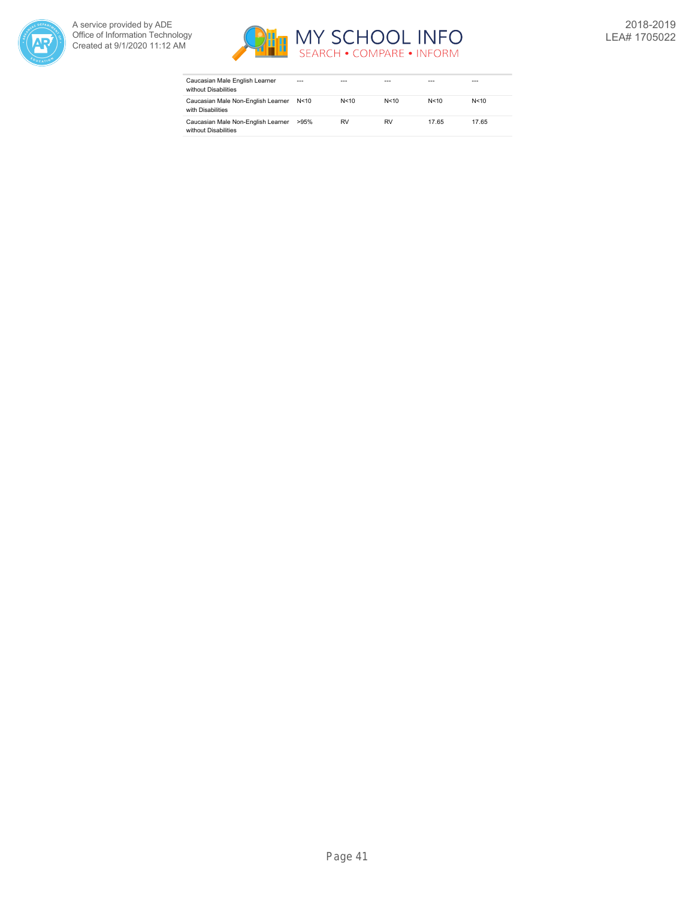



| Caucasian Male English Learner<br>without Disabilities     | $- - -$ |           |      |        | ---    |
|------------------------------------------------------------|---------|-----------|------|--------|--------|
| Caucasian Male Non-English Learner<br>with Disabilities    | N < 10  | N < 10    | N<10 | N < 10 | N < 10 |
| Caucasian Male Non-English Learner<br>without Disabilities | >95%    | <b>RV</b> | RV   | 17.65  | 17.65  |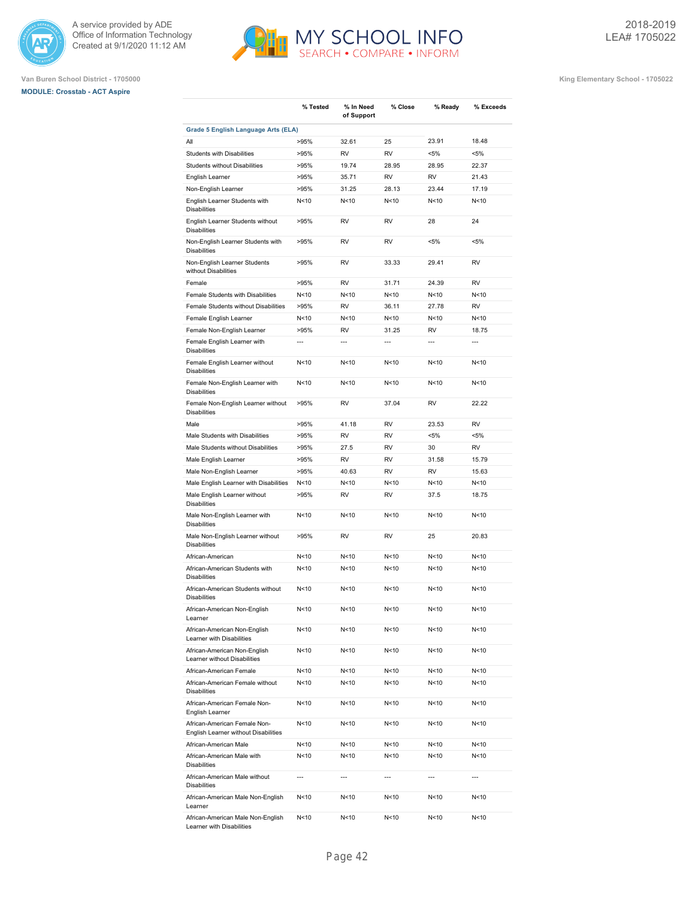





|                                                                      | % Tested        | % In Need       | % Close        | % Ready         | % Exceeds      |
|----------------------------------------------------------------------|-----------------|-----------------|----------------|-----------------|----------------|
|                                                                      |                 | of Support      |                |                 |                |
| Grade 5 English Language Arts (ELA)                                  |                 |                 |                |                 |                |
| All                                                                  | >95%            | 32.61           | 25             | 23.91           | 18.48          |
| <b>Students with Disabilities</b>                                    | >95%            | <b>RV</b>       | <b>RV</b>      | $< 5\%$         | $< 5\%$        |
| <b>Students without Disabilities</b>                                 | >95%            | 19.74           | 28.95          | 28.95           | 22.37          |
| English Learner                                                      | >95%            | 35.71           | <b>RV</b>      | <b>RV</b>       | 21.43          |
| Non-English Learner                                                  | >95%            | 31.25           | 28.13          | 23.44           | 17.19          |
| English Learner Students with<br><b>Disabilities</b>                 | N < 10          | N<10            | N<10           | N<10            | N<10           |
| English Learner Students without<br><b>Disabilities</b>              | >95%            | RV              | <b>RV</b>      | 28              | 24             |
| Non-English Learner Students with<br><b>Disabilities</b>             | >95%            | RV              | <b>RV</b>      | $< 5\%$         | $< 5\%$        |
| Non-English Learner Students<br>without Disabilities                 | >95%            | RV              | 33.33          | 29.41           | <b>RV</b>      |
| Female                                                               | >95%            | <b>RV</b>       | 31.71          | 24.39           | <b>RV</b>      |
| Female Students with Disabilities                                    | N<10            | N<10            | N<10           | N <sub>10</sub> | N<10           |
| Female Students without Disabilities                                 | >95%            | <b>RV</b>       | 36.11          | 27.78           | <b>RV</b>      |
| Female English Learner                                               | N < 10          | N<10            | N<10           | N <sub>10</sub> | N<10           |
| Female Non-English Learner                                           | >95%            | <b>RV</b>       | 31.25          | <b>RV</b>       | 18.75          |
| Female English Learner with<br><b>Disabilities</b>                   | $\overline{a}$  | $\overline{a}$  | $\overline{a}$ | $\overline{a}$  | $\overline{a}$ |
| Female English Learner without<br><b>Disabilities</b>                | N<10            | N<10            | N<10           | N<10            | N<10           |
| Female Non-English Learner with<br><b>Disabilities</b>               | N<10            | N<10            | N<10           | N<10            | N<10           |
| Female Non-English Learner without<br><b>Disabilities</b>            | >95%            | <b>RV</b>       | 37.04          | <b>RV</b>       | 22.22          |
| Male                                                                 | >95%            | 41.18           | <b>RV</b>      | 23.53           | <b>RV</b>      |
| Male Students with Disabilities                                      | >95%            | <b>RV</b>       | <b>RV</b>      | $< 5\%$         | $< 5\%$        |
| Male Students without Disabilities                                   | >95%            | 27.5            | <b>RV</b>      | 30              | <b>RV</b>      |
| Male English Learner                                                 | >95%            | RV              | RV             | 31.58           | 15.79          |
| Male Non-English Learner                                             | >95%            | 40.63           | <b>RV</b>      | <b>RV</b>       | 15.63          |
| Male English Learner with Disabilities                               | N<10            | N<10            | N < 10         | N <sub>10</sub> | N<10           |
| Male English Learner without<br><b>Disabilities</b>                  | >95%            | <b>RV</b>       | <b>RV</b>      | 37.5            | 18.75          |
| Male Non-English Learner with<br><b>Disabilities</b>                 | N <sub>10</sub> | N<10            | N < 10         | N <sub>10</sub> | N<10           |
| Male Non-English Learner without<br><b>Disabilities</b>              | >95%            | <b>RV</b>       | <b>RV</b>      | 25              | 20.83          |
| African-American                                                     | N <sub>10</sub> | N<10            | N < 10         | N<10            | N<10           |
| African-American Students with<br><b>Disabilities</b>                | N <sub>10</sub> | N<10            | N < 10         | N <sub>10</sub> | N<10           |
| African-American Students without<br><b>Disabilities</b>             | N<10            | N<10            | N<10           | N<10            | N<10           |
| African-American Non-English<br>Learner                              | N<10            | N<10            | N<10           | N<10            | N<10           |
| African-American Non-English<br>Learner with Disabilities            | N<10            | N<10            | N<10           | N<10            | N<10           |
| African-American Non-English<br>Learner without Disabilities         | N<10            | N<10            | N<10           | N <sub>10</sub> | N<10           |
| African-American Female                                              | N<10            | N<10            | N<10           | N<10            | N<10           |
| African-American Female without<br><b>Disabilities</b>               | N<10            | N<10            | N<10           | N<10            | N<10           |
| African-American Female Non-<br>English Learner                      | N<10            | N<10            | N<10           | N<10            | N<10           |
| African-American Female Non-<br>English Learner without Disabilities | N<10            | N<10            | N<10           | N<10            | N<10           |
| African-American Male                                                | N<10            | N<10            | N<10           | N <sub>10</sub> | N<10           |
| African-American Male with<br><b>Disabilities</b>                    | N<10            | N<10            | N<10           | N<10            | N<10           |
| African-American Male without<br><b>Disabilities</b>                 | ---             | ---             | ---            | $\overline{a}$  | ---            |
| African-American Male Non-English<br>Learner                         | N<10            | N<10            | N<10           | N<10            | N<10           |
| African-American Male Non-English<br>Learner with Disabilities       | N<10            | N <sub>10</sub> | N<10           | N <sub>10</sub> | N<10           |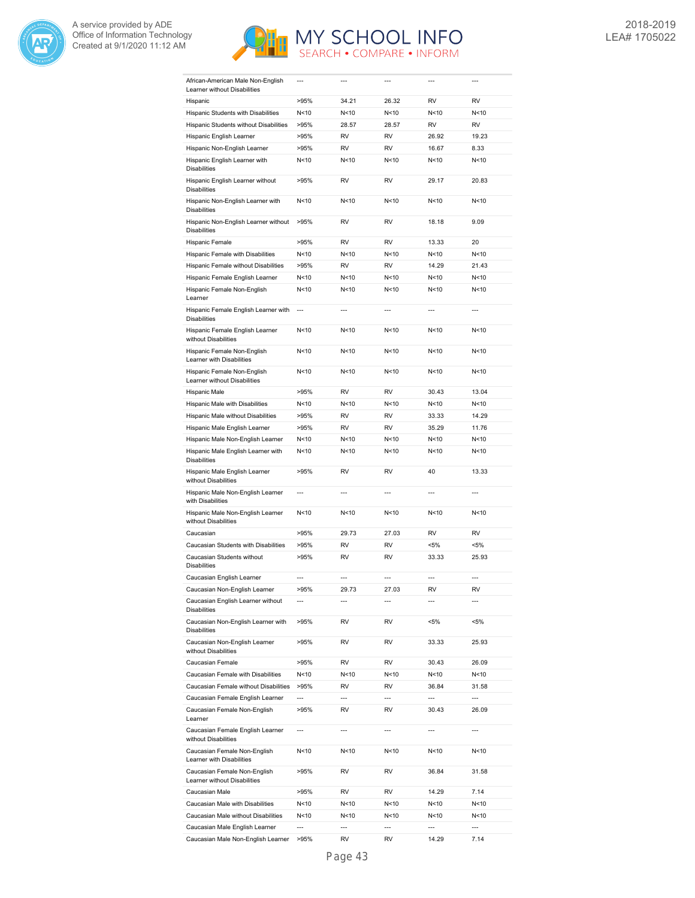



| African-American Male Non-English<br>Learner without Disabilities | $\overline{a}$           |                | $---$           | $---$           | $\overline{a}$ |
|-------------------------------------------------------------------|--------------------------|----------------|-----------------|-----------------|----------------|
| Hispanic                                                          | >95%                     | 34.21          | 26.32           | <b>RV</b>       | <b>RV</b>      |
| Hispanic Students with Disabilities                               | N<10                     | N<10           | N<10            | N<10            | N<10           |
| Hispanic Students without Disabilities                            | >95%                     | 28.57          | 28.57           | <b>RV</b>       | <b>RV</b>      |
| Hispanic English Learner                                          | >95%                     | RV             | RV              | 26.92           | 19.23          |
| Hispanic Non-English Learner                                      | >95%                     | RV             | RV              | 16.67           | 8.33           |
| Hispanic English Learner with                                     | N<10                     | N<10           | N<10            | N<10            | N<10           |
| <b>Disabilities</b>                                               |                          |                |                 |                 |                |
| Hispanic English Learner without<br><b>Disabilities</b>           | >95%                     | RV             | RV              | 29.17           | 20.83          |
| Hispanic Non-English Learner with<br><b>Disabilities</b>          | N<10                     | N<10           | N <sub>10</sub> | N <sub>10</sub> | N<10           |
| Hispanic Non-English Learner without<br><b>Disabilities</b>       | >95%                     | RV             | RV              | 18.18           | 9.09           |
| Hispanic Female                                                   | >95%                     | <b>RV</b>      | <b>RV</b>       | 13.33           | 20             |
| Hispanic Female with Disabilities                                 | N<10                     | N<10           | N<10            | N<10            | N<10           |
| Hispanic Female without Disabilities                              | >95%                     | RV             | <b>RV</b>       | 14.29           | 21.43          |
| Hispanic Female English Learner                                   | N<10                     | N<10           | N<10            | N<10            | N<10           |
| Hispanic Female Non-English<br>Learner                            | N<10                     | N<10           | N<10            | N<10            | N<10           |
| Hispanic Female English Learner with                              | $\overline{\phantom{a}}$ | ---            | ---             | ---             | $\overline{a}$ |
| <b>Disabilities</b>                                               |                          |                |                 |                 |                |
| Hispanic Female English Learner<br>without Disabilities           | N<10                     | N<10           | N < 10          | N<10            | N<10           |
| Hispanic Female Non-English<br>Learner with Disabilities          | N<10                     | N<10           | N <sub>10</sub> | N <sub>10</sub> | N<10           |
| Hispanic Female Non-English<br>Learner without Disabilities       | N<10                     | N < 10         | N <sub>10</sub> | N <sub>10</sub> | N<10           |
| Hispanic Male                                                     | >95%                     | RV             | <b>RV</b>       | 30.43           | 13.04          |
| Hispanic Male with Disabilities                                   | N<10                     | N<10           | N<10            | N <sub>10</sub> | N<10           |
| Hispanic Male without Disabilities                                | >95%                     | <b>RV</b>      | <b>RV</b>       | 33.33           | 14.29          |
| Hispanic Male English Learner                                     | >95%                     | RV             | RV              | 35.29           | 11.76          |
| Hispanic Male Non-English Learner                                 | N<10                     | N<10           | N<10            | N<10            | N<10           |
| Hispanic Male English Learner with<br><b>Disabilities</b>         | N<10                     | N<10           | N<10            | N<10            | N<10           |
| Hispanic Male English Learner<br>without Disabilities             | >95%                     | RV             | <b>RV</b>       | 40              | 13.33          |
| Hispanic Male Non-English Learner<br>with Disabilities            | $\overline{a}$           | $\overline{a}$ | $\overline{a}$  | $\overline{a}$  | $\overline{a}$ |
| Hispanic Male Non-English Learner<br>without Disabilities         | N<10                     | N<10           | N<10            | N<10            | N<10           |
| Caucasian                                                         | >95%                     | 29.73          | 27.03           | RV              | RV             |
| Caucasian Students with Disabilities                              | >95%                     | RV             | <b>RV</b>       | $< 5\%$         | <5%            |
| Caucasian Students without<br><b>Disabilities</b>                 | >95%                     | RV             | RV              | 33.33           | 25.93          |
| Caucasian English Learner                                         |                          | $\overline{a}$ | $\overline{a}$  | $\overline{a}$  | $\overline{a}$ |
| Caucasian Non-English Learner                                     | >95%                     | 29.73          | 27.03           | RV              | RV             |
| Caucasian English Learner without<br><b>Disabilities</b>          |                          | ---            |                 | $\overline{a}$  | $\overline{a}$ |
| Caucasian Non-English Learner with<br><b>Disabilities</b>         | >95%                     | RV             | RV              | $< 5\%$         | $< 5\%$        |
| Caucasian Non-English Learner<br>without Disabilities             | >95%                     | RV             | RV              | 33.33           | 25.93          |
| Caucasian Female                                                  | >95%                     | RV             | RV              | 30.43           | 26.09          |
| Caucasian Female with Disabilities                                | N<10                     | N<10           | N<10            | N<10            | N<10           |
| Caucasian Female without Disabilities                             | >95%                     | RV             | RV              | 36.84           | 31.58          |
| Caucasian Female English Learner                                  | ---                      | $---$          | ---             | ---             | ---            |
| Caucasian Female Non-English<br>Learner                           | >95%                     | RV             | RV              | 30.43           | 26.09          |
| Caucasian Female English Learner                                  | ---                      | $\overline{a}$ | $\overline{a}$  | $\overline{a}$  | ---            |
| without Disabilities<br>Caucasian Female Non-English              | N <sub>10</sub>          | N<10           | N<10            | N<10            | N<10           |
| Learner with Disabilities<br>Caucasian Female Non-English         | >95%                     | RV             | RV              | 36.84           | 31.58          |
| Learner without Disabilities                                      |                          |                |                 |                 |                |
| Caucasian Male                                                    | >95%                     | RV             | RV              | 14.29           | 7.14           |
| Caucasian Male with Disabilities                                  | N<10                     | N<10           | N<10            | N<10            | N<10           |
| Caucasian Male without Disabilities                               | N<10                     | N<10           | N<10            | N<10            | N<10           |
| Caucasian Male English Learner                                    | ---                      | ---            | ---             | ---             | ---            |
| Caucasian Male Non-English Learner                                | >95%                     | RV             | RV              | 14.29           | 7.14           |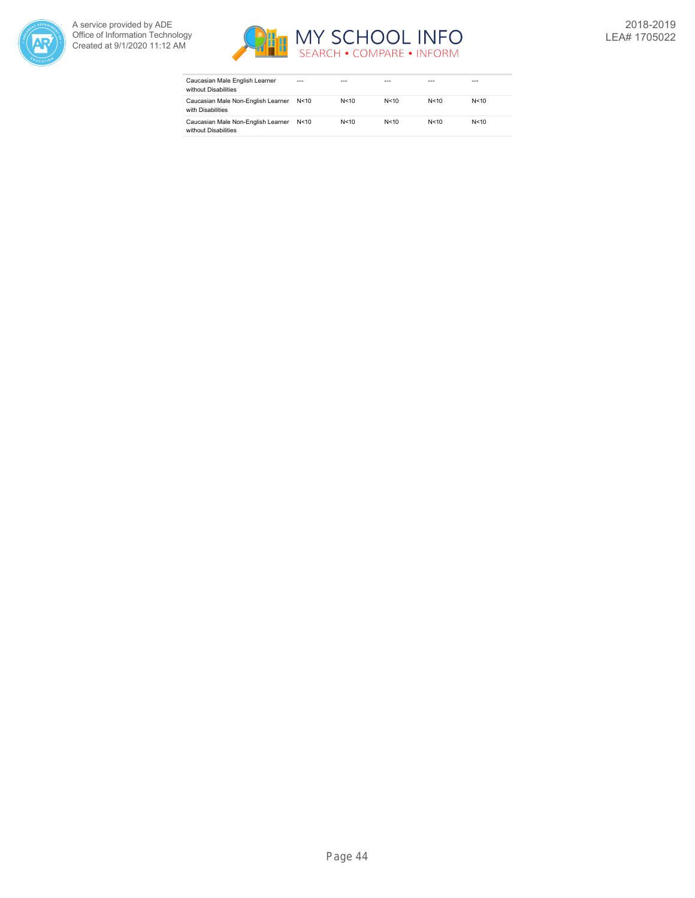



| Caucasian Male English Learner<br>without Disabilities     | $- - -$ | ---    | ---    | ---  | ---    |
|------------------------------------------------------------|---------|--------|--------|------|--------|
| Caucasian Male Non-English Learner<br>with Disabilities    | N < 10  | N < 10 | N < 10 | N<10 | N < 10 |
| Caucasian Male Non-English Learner<br>without Disabilities | N<10    | N < 10 | N < 10 | N<10 | N < 10 |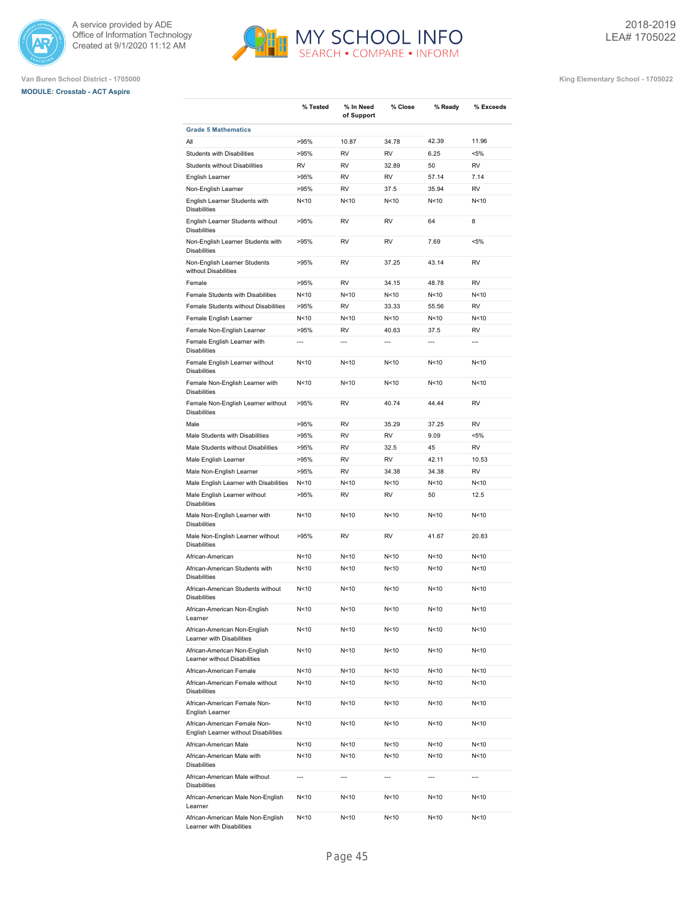

# **MODULE: Crosstab - ACT Aspire**



MY SCHOOL INFO<br>SEARCH • COMPARE • INFORM

**Van Buren School District - 1705000 King Elementary School - 1705022**

|                                                                      | % Tested        | % In Need<br>of Support | % Close         | % Ready         | % Exceeds      |
|----------------------------------------------------------------------|-----------------|-------------------------|-----------------|-----------------|----------------|
| <b>Grade 5 Mathematics</b>                                           |                 |                         |                 |                 |                |
| All                                                                  | >95%            | 10.87                   | 34.78           | 42.39           | 11.96          |
| <b>Students with Disabilities</b>                                    | >95%            | RV                      | RV              | 6.25            | <5%            |
| Students without Disabilities                                        | RV              | RV                      | 32.89           | 50              | RV             |
| English Learner                                                      | >95%            | RV                      | RV              | 57.14           | 7.14           |
| Non-English Learner                                                  | >95%            | RV                      | 37.5            | 35.94           | RV             |
| English Learner Students with<br><b>Disabilities</b>                 | N<10            | N<10                    | N<10            | N < 10          | N<10           |
| English Learner Students without<br><b>Disabilities</b>              | >95%            | RV                      | RV              | 64              | 8              |
| Non-English Learner Students with<br><b>Disabilities</b>             | >95%            | RV                      | RV              | 7.69            | <5%            |
| Non-English Learner Students<br>without Disabilities                 | >95%            | RV                      | 37.25           | 43.14           | RV             |
| Female                                                               | >95%            | RV                      | 34.15           | 48.78           | RV             |
| Female Students with Disabilities                                    | N<10            | N<10                    | N<10            | N < 10          | N<10           |
| Female Students without Disabilities                                 | >95%            | RV                      | 33.33           | 55.56           | RV             |
| Female English Learner                                               | N<10            | N<10                    | N<10            | N < 10          | N<10           |
| Female Non-English Learner                                           | >95%            | RV                      | 40.63           | 37.5            | RV             |
| Female English Learner with<br><b>Disabilities</b>                   | $\overline{a}$  | $\overline{a}$          | $\overline{a}$  | $\overline{a}$  | ---            |
| Female English Learner without<br><b>Disabilities</b>                | N < 10          | N<10                    | N<10            | N < 10          | N<10           |
| Female Non-English Learner with<br><b>Disabilities</b>               | N < 10          | N<10                    | N<10            | N < 10          | N<10           |
| Female Non-English Learner without<br><b>Disabilities</b>            | >95%            | RV                      | 40.74           | 44.44           | RV             |
| Male                                                                 | >95%            | RV                      | 35.29           | 37.25           | RV             |
| Male Students with Disabilities                                      | >95%            | RV                      | RV              | 9.09            | <5%            |
| Male Students without Disabilities                                   | >95%            | RV                      | 32.5            | 45              | RV             |
| Male English Learner                                                 | >95%            | RV                      | RV              | 42.11           | 10.53          |
| Male Non-English Learner                                             | >95%            | RV                      | 34.38           | 34.38           | RV             |
| Male English Learner with Disabilities                               | N<10            | N<10                    | N<10            | N<10            | N<10           |
| Male English Learner without<br><b>Disabilities</b>                  | >95%            | RV                      | RV              | 50              | 12.5           |
| Male Non-English Learner with<br><b>Disabilities</b>                 | N <sub>10</sub> | N<10                    | N<10            | N < 10          | N<10           |
| Male Non-English Learner without<br><b>Disabilities</b>              | >95%            | RV                      | RV              | 41.67           | 20.83          |
| African-American                                                     | N < 10          | N<10                    | N<10            | N < 10          | N<10           |
| African-American Students with<br><b>Disabilities</b>                | N < 10          | N<10                    | N<10            | N <sub>10</sub> | N<10           |
| African-American Students without<br><b>Disabilities</b>             | N<10            | N<10                    | N<10            | N<10            | N<10           |
| African-American Non-English<br>Learner                              | N<10            | N<10                    | N<10            | N<10            | N<10           |
| African-American Non-English<br>Learner with Disabilities            | N<10            | N<10                    | N<10            | N <sub>10</sub> | N<10           |
| African-American Non-English<br>Learner without Disabilities         | N<10            | N<10                    | N<10            | N<10            | N<10           |
| African-American Female                                              | N<10            | N<10                    | N<10            | N<10            | N<10           |
| African-American Female without<br><b>Disabilities</b>               | N<10            | N<10                    | N<10            | N<10            | N<10           |
| African-American Female Non-<br>English Learner                      | N<10            | N<10                    | N<10            | N<10            | N<10           |
| African-American Female Non-<br>English Learner without Disabilities | N <sub>10</sub> | N<10                    | N <sub>10</sub> | N <sub>10</sub> | N<10           |
| African-American Male                                                | N<10            | N<10                    | N<10            | N<10            | N<10           |
| African-American Male with<br><b>Disabilities</b>                    | N<10            | N<10                    | N<10            | N<10            | N<10           |
| African-American Male without<br><b>Disabilities</b>                 | $\overline{a}$  | $\overline{a}$          | $\overline{a}$  | $\overline{a}$  | $\overline{a}$ |
| African-American Male Non-English<br>Learner                         | N<10            | N<10                    | N<10            | N<10            | N<10           |

N<10 N<10 N<10 N<10 N<10

African-American Male Non-English Learner with Disabilities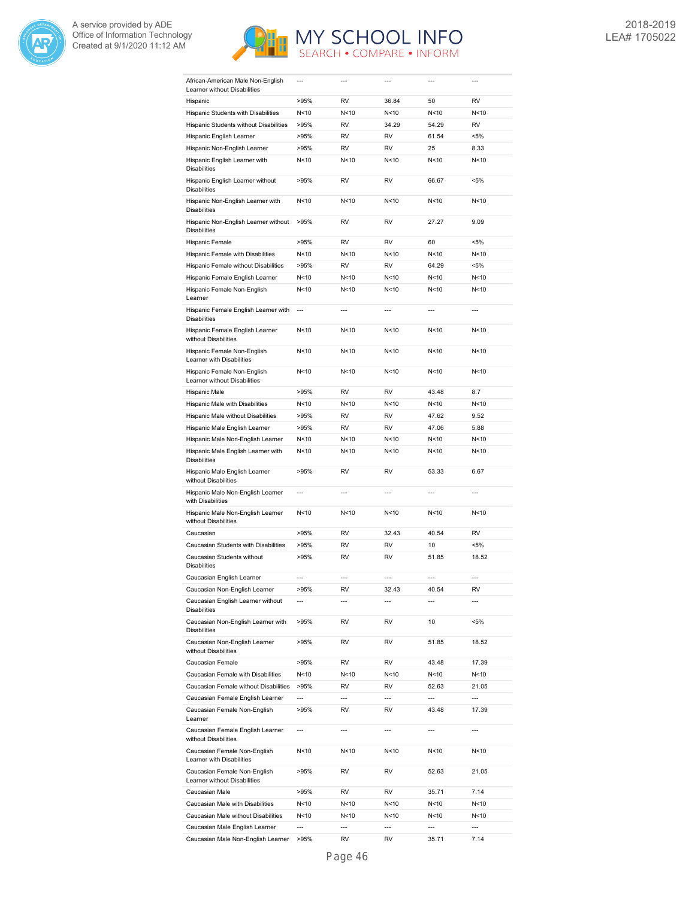



| African-American Male Non-English<br>Learner without Disabilities | ---            | ---            | ---                  | ---                     | ---                     |
|-------------------------------------------------------------------|----------------|----------------|----------------------|-------------------------|-------------------------|
| Hispanic                                                          | >95%           | <b>RV</b>      | 36.84                | 50                      | <b>RV</b>               |
| Hispanic Students with Disabilities                               | N<10           | N<10           | N<10                 | N <sub>10</sub>         | N<10                    |
| Hispanic Students without Disabilities                            | >95%           | RV             | 34.29                | 54.29                   | RV                      |
| Hispanic English Learner                                          | >95%           | RV             | RV                   | 61.54                   | $< 5\%$                 |
| Hispanic Non-English Learner                                      | >95%           | <b>RV</b>      | <b>RV</b>            | 25                      | 8.33                    |
| Hispanic English Learner with<br><b>Disabilities</b>              | N<10           | N<10           | N<10                 | N <sub>10</sub>         | N<10                    |
| Hispanic English Learner without<br><b>Disabilities</b>           | >95%           | RV             | RV                   | 66.67                   | <5%                     |
| Hispanic Non-English Learner with<br><b>Disabilities</b>          | N<10           | N<10           | N<10                 | N <sub>10</sub>         | N<10                    |
| Hispanic Non-English Learner without<br><b>Disabilities</b>       | >95%           | RV             | RV                   | 27.27                   | 9.09                    |
| Hispanic Female                                                   | >95%           | RV             | RV                   | 60                      | <5%                     |
| Hispanic Female with Disabilities                                 | N<10           | N<10           | N<10                 | N <sub>10</sub>         | N<10                    |
| Hispanic Female without Disabilities                              | >95%           | RV             | RV                   | 64.29                   | $< 5\%$                 |
| Hispanic Female English Learner                                   | N<10           | N<10           | N<10                 | N<10                    | N<10                    |
| Hispanic Female Non-English<br>Learner                            | N<10           | N < 10         | N<10                 | N<10                    | N<10                    |
| Hispanic Female English Learner with<br><b>Disabilities</b>       | $\overline{a}$ | $\overline{a}$ | $\overline{a}$       | $\overline{a}$          | $\overline{a}$          |
| Hispanic Female English Learner<br>without Disabilities           | N<10           | N<10           | N<10                 | N <sub>10</sub>         | N<10                    |
| Hispanic Female Non-English<br>Learner with Disabilities          | N<10           | N<10           | N<10                 | N <sub>10</sub>         | N<10                    |
| Hispanic Female Non-English<br>Learner without Disabilities       | N<10           | N<10           | N<10                 | N <sub>10</sub>         | N<10                    |
| Hispanic Male                                                     | >95%           | RV             | RV                   | 43.48                   | 8.7                     |
| Hispanic Male with Disabilities                                   | N<10           | N<10           | N<10                 | N<10                    | N<10                    |
| Hispanic Male without Disabilities                                | >95%           | RV             | RV                   | 47.62                   | 9.52                    |
| Hispanic Male English Learner                                     | >95%           | RV             | <b>RV</b>            | 47.06                   | 5.88                    |
| Hispanic Male Non-English Learner                                 | N<10           | N<10           | N<10                 | N <sub>10</sub>         | N<10                    |
| Hispanic Male English Learner with<br><b>Disabilities</b>         | N<10           | N<10           | N<10                 | N<10                    | N<10                    |
| Hispanic Male English Learner<br>without Disabilities             | >95%           | <b>RV</b>      | <b>RV</b>            | 53.33                   | 6.67                    |
| Hispanic Male Non-English Learner<br>with Disabilities            | ---            | $\overline{a}$ | $\overline{a}$       | ---                     | ---                     |
| Hispanic Male Non-English Learner<br>without Disabilities         | N<10           | N<10           | N<10                 | N<10                    | N<10                    |
| Caucasian                                                         | >95%           | RV             | 32.43                | 40.54                   | RV                      |
| Caucasian Students with Disabilities                              | >95%           | RV             | RV                   | 10                      | $< 5\%$                 |
| Caucasian Students without<br><b>Disabilities</b>                 | >95%           | RV             | RV                   | 51.85                   | 18.52                   |
| Caucasian English Learner                                         | ---            | $---$          | $\overline{a}$       | $\overline{a}$          | $\overline{a}$          |
| Caucasian Non-English Learner                                     | >95%           | RV             | 32.43                | 40.54                   | RV                      |
| Caucasian English Learner without<br><b>Disabilities</b>          | ---            | $---$          | $\overline{a}$       | $\overline{a}$          | $---$                   |
| Caucasian Non-English Learner with<br><b>Disabilities</b>         | >95%           | RV             | RV                   | 10                      | $< 5\%$                 |
| Caucasian Non-English Learner<br>without Disabilities             | >95%           | RV             | RV                   | 51.85                   | 18.52                   |
| Caucasian Female                                                  | >95%           | RV             | RV                   | 43.48                   | 17.39                   |
| Caucasian Female with Disabilities                                | N<10           | N<10           | N<10                 | N<10                    | N<10                    |
| Caucasian Female without Disabilities                             | >95%           | RV             | RV                   | 52.63<br>$\overline{a}$ | 21.05<br>$\overline{a}$ |
| Caucasian Female English Learner<br>Caucasian Female Non-English  | ---<br>>95%    | ---<br>RV      | $\overline{a}$<br>RV | 43.48                   | 17.39                   |
| Learner                                                           | $\overline{a}$ | $\overline{a}$ | $\overline{a}$       | $\overline{a}$          | $\overline{a}$          |
| Caucasian Female English Learner<br>without Disabilities          |                |                |                      |                         |                         |
| Caucasian Female Non-English<br>Learner with Disabilities         | N<10           | N<10           | N<10                 | N<10                    | N<10                    |
| Caucasian Female Non-English<br>Learner without Disabilities      | >95%           | RV             | RV                   | 52.63                   | 21.05                   |
| Caucasian Male                                                    | >95%           | RV             | RV                   | 35.71                   | 7.14                    |
| Caucasian Male with Disabilities                                  | N<10           | N<10           | N<10                 | N<10                    | N<10                    |
| Caucasian Male without Disabilities                               | N<10           | N<10           | N<10<br>---          | N<10<br>$\overline{a}$  | N<10<br>$\overline{a}$  |
| Caucasian Male English Learner                                    | ---            | ---            |                      |                         |                         |
| Caucasian Male Non-English Learner                                | >95%           | RV             | RV                   | 35.71                   | 7.14                    |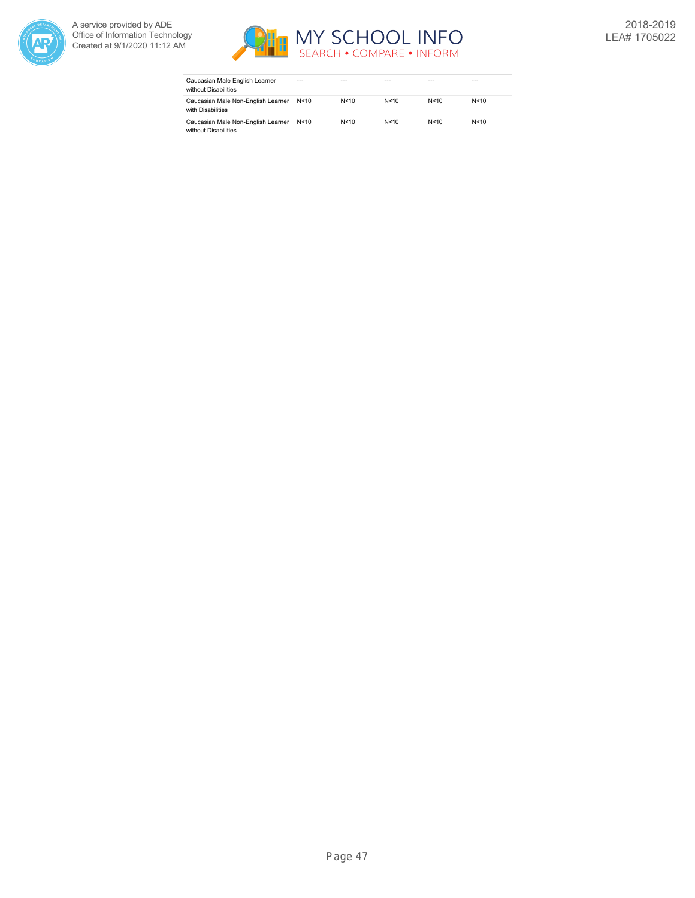



| Caucasian Male English Learner<br>without Disabilities     | ---  | ---    | ---    | ---    | $- - -$ |
|------------------------------------------------------------|------|--------|--------|--------|---------|
| Caucasian Male Non-English Learner<br>with Disabilities    | N<10 | N < 10 | N < 10 | N < 10 | N < 10  |
| Caucasian Male Non-English Learner<br>without Disabilities | N<10 | N < 10 | N < 10 | N < 10 | N < 10  |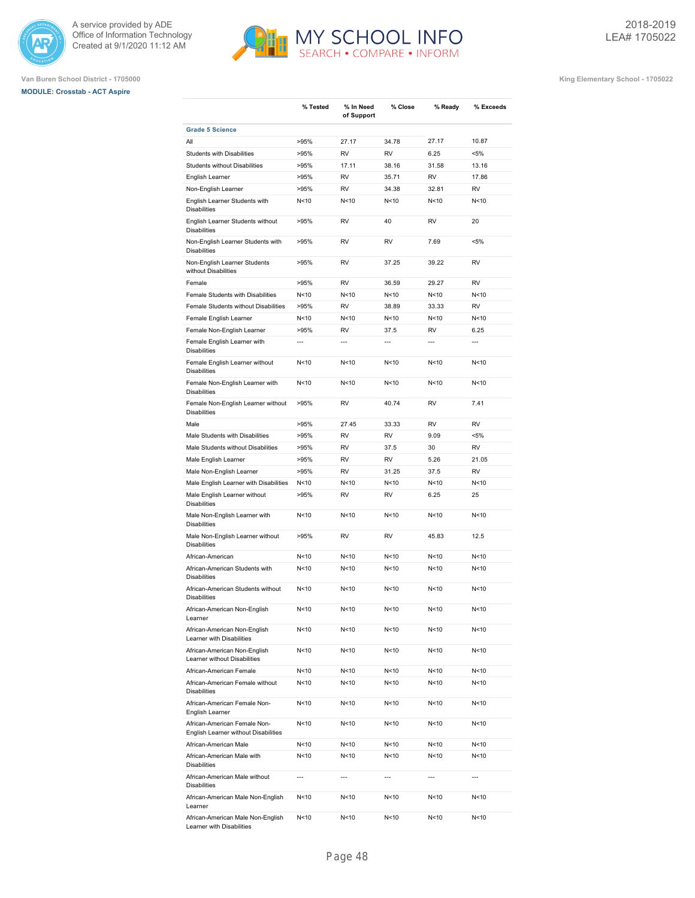





|                                                                                              | % Tested                | % In Need<br>of Support  | % Close                            | % Ready                 | % Exceeds       |
|----------------------------------------------------------------------------------------------|-------------------------|--------------------------|------------------------------------|-------------------------|-----------------|
| <b>Grade 5 Science</b>                                                                       |                         |                          |                                    |                         |                 |
| All                                                                                          | >95%                    | 27.17                    | 34.78                              | 27.17                   | 10.87           |
| <b>Students with Disabilities</b>                                                            | >95%                    | <b>RV</b>                | <b>RV</b>                          | 6.25                    | $< 5\%$         |
| <b>Students without Disabilities</b>                                                         | >95%                    | 17.11                    | 38.16                              | 31.58                   | 13.16           |
| English Learner                                                                              | >95%                    | <b>RV</b>                | 35.71                              | <b>RV</b>               | 17.86           |
| Non-English Learner                                                                          | >95%                    | <b>RV</b>                | 34.38                              | 32.81                   | <b>RV</b>       |
| English Learner Students with<br><b>Disabilities</b>                                         | N<10                    | N<10                     | N <sub>10</sub>                    | N <sub>10</sub>         | N<10            |
| English Learner Students without<br><b>Disabilities</b>                                      | >95%                    | <b>RV</b>                | 40                                 | <b>RV</b>               | 20              |
| Non-English Learner Students with<br><b>Disabilities</b>                                     | >95%                    | <b>RV</b>                | <b>RV</b>                          | 7.69                    | $< 5\%$         |
| Non-English Learner Students<br>without Disabilities                                         | >95%                    | <b>RV</b>                | 37.25                              | 39.22                   | <b>RV</b>       |
| Female                                                                                       | >95%                    | <b>RV</b>                | 36.59                              | 29.27                   | <b>RV</b>       |
| Female Students with Disabilities                                                            | N <sub>10</sub>         | N <sub>10</sub>          | N <sub>10</sub>                    | N <sub>10</sub>         | N<10            |
| Female Students without Disabilities                                                         | >95%                    | <b>RV</b>                | 38.89                              | 33.33                   | <b>RV</b>       |
| Female English Learner                                                                       | N<10                    | N <sub>10</sub>          | N <sub>10</sub>                    | N <sub>10</sub>         | N<10            |
| Female Non-English Learner                                                                   | >95%                    | <b>RV</b>                | 37.5                               | <b>RV</b>               | 6.25            |
| Female English Learner with                                                                  | $\overline{a}$          | $\overline{a}$           |                                    | $\overline{a}$          | $\overline{a}$  |
| <b>Disabilities</b>                                                                          |                         |                          |                                    |                         |                 |
| Female English Learner without<br><b>Disabilities</b>                                        | N<10<br>N <sub>10</sub> | N<10<br>N <sub>10</sub>  | N <sub>10</sub><br>N <sub>10</sub> | N <sub>10</sub><br>N<10 | N<10<br>N<10    |
| Female Non-English Learner with<br><b>Disabilities</b><br>Female Non-English Learner without | >95%                    | <b>RV</b>                | 40.74                              | <b>RV</b>               | 7.41            |
| <b>Disabilities</b>                                                                          |                         |                          |                                    |                         |                 |
| Male                                                                                         | >95%                    | 27.45                    | 33.33                              | <b>RV</b>               | <b>RV</b>       |
| Male Students with Disabilities                                                              | >95%                    | <b>RV</b>                | <b>RV</b>                          | 9.09                    | $< 5\%$         |
| Male Students without Disabilities                                                           | >95%                    | <b>RV</b>                | 37.5                               | 30                      | <b>RV</b>       |
| Male English Learner                                                                         | >95%                    | <b>RV</b>                | <b>RV</b>                          | 5.26                    | 21.05           |
| Male Non-English Learner                                                                     | >95%                    | <b>RV</b>                | 31.25                              | 37.5                    | <b>RV</b>       |
| Male English Learner with Disabilities                                                       | N<10                    | N < 10                   | N<10                               | N < 10                  | N<10            |
| Male English Learner without<br><b>Disabilities</b>                                          | >95%                    | RV                       | RV                                 | 6.25                    | 25              |
| Male Non-English Learner with<br><b>Disabilities</b>                                         | N<10                    | N<10                     | N <sub>10</sub>                    | N <sub>10</sub>         | N<10            |
| Male Non-English Learner without<br><b>Disabilities</b>                                      | >95%                    | <b>RV</b>                | RV                                 | 45.83                   | 12.5            |
| African-American                                                                             | N<10                    | N<10                     | N <sub>10</sub>                    | N <sub>10</sub>         | N<10            |
| African-American Students with<br><b>Disabilities</b>                                        | N<10                    | N <sub>10</sub>          | N <sub>10</sub>                    | N <sub>10</sub>         | N<10            |
| African-American Students without<br><b>Disabilities</b>                                     | N <sub>10</sub>         | N <sub>10</sub>          | N <sub>10</sub>                    | N <sub>10</sub>         | N <sub>10</sub> |
| African-American Non-English<br>Learner                                                      | N<10                    | N<10                     | N<10                               | N<10                    | N < 10          |
| African-American Non-English<br>Learner with Disabilities                                    | N<10                    | N<10                     | N<10                               | N<10                    | N<10            |
| African-American Non-English<br>Learner without Disabilities                                 | N<10                    | N<10                     | N<10                               | N<10                    | N<10            |
| African-American Female                                                                      | N<10                    | N<10                     | N<10                               | N<10                    | N<10            |
| African-American Female without<br><b>Disabilities</b>                                       | N <sub>10</sub>         | N <sub>10</sub>          | N<10                               | N<10                    | N<10            |
| African-American Female Non-<br>English Learner                                              | N<10                    | N<10                     | N<10                               | N <sub>10</sub>         | N<10            |
| African-American Female Non-<br>English Learner without Disabilities                         | N<10                    | N<10                     | N<10                               | N<10                    | N<10            |
| African-American Male                                                                        | N<10                    | N<10                     | N<10                               | N<10                    | N<10            |
| African-American Male with<br>Disabilities                                                   | N<10                    | N<10                     | N<10                               | N<10                    | N<10            |
| African-American Male without<br><b>Disabilities</b>                                         | $\overline{a}$          | $\overline{\phantom{a}}$ | ---                                | $\overline{a}$          | $\overline{a}$  |
| African-American Male Non-English<br>Learner                                                 | N<10                    | N<10                     | N<10                               | N<10                    | N<10            |
| African-American Male Non-English<br>Learner with Disabilities                               | N<10                    | N<10                     | N<10                               | N<10                    | N<10            |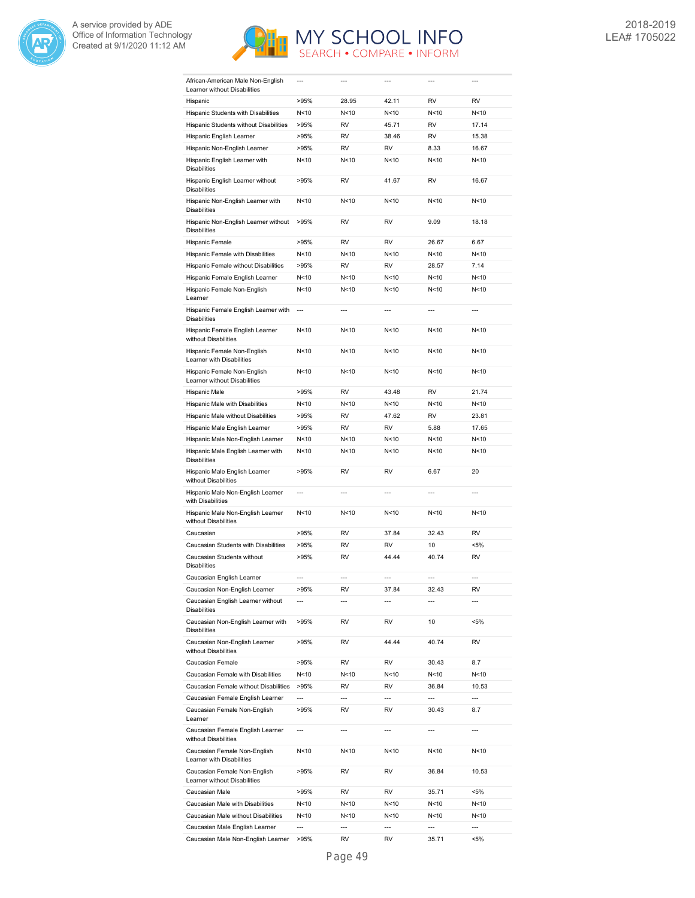



| African-American Male Non-English<br>Learner without Disabilities | $---$          | ---            |                 | $---$           | ---            |
|-------------------------------------------------------------------|----------------|----------------|-----------------|-----------------|----------------|
| Hispanic                                                          | >95%           | 28.95          | 42.11           | <b>RV</b>       | RV             |
| Hispanic Students with Disabilities                               | N<10           | N<10           | N<10            | N<10            | N<10           |
| Hispanic Students without Disabilities                            | >95%           | RV             | 45.71           | RV              | 17.14          |
| Hispanic English Learner                                          | >95%           | <b>RV</b>      | 38.46           | <b>RV</b>       | 15.38          |
| Hispanic Non-English Learner                                      | >95%           | <b>RV</b>      | <b>RV</b>       | 8.33            | 16.67          |
| Hispanic English Learner with<br><b>Disabilities</b>              | N<10           | N<10           | N<10            | N <sub>10</sub> | N<10           |
| Hispanic English Learner without<br><b>Disabilities</b>           | >95%           | RV             | 41.67           | RV              | 16.67          |
| Hispanic Non-English Learner with<br><b>Disabilities</b>          | N<10           | N<10           | N <sub>10</sub> | N<10            | N<10           |
| Hispanic Non-English Learner without                              | >95%           | RV             | <b>RV</b>       | 9.09            | 18.18          |
| <b>Disabilities</b>                                               |                |                | <b>RV</b>       |                 |                |
| Hispanic Female                                                   | >95%           | RV             |                 | 26.67           | 6.67           |
| Hispanic Female with Disabilities                                 | N<10           | N<10           | N<10            | N < 10          | N<10           |
| Hispanic Female without Disabilities                              | >95%           | <b>RV</b>      | <b>RV</b>       | 28.57           | 7.14           |
| Hispanic Female English Learner                                   | N<10           | N<10           | N<10            | N<10            | N<10           |
| Hispanic Female Non-English<br>Learner                            | N<10           | N < 10         | N <sub>10</sub> | N <sub>10</sub> | N<10           |
| Hispanic Female English Learner with<br><b>Disabilities</b>       | ---            | $\overline{a}$ | $\overline{a}$  | $\overline{a}$  | $\overline{a}$ |
| Hispanic Female English Learner<br>without Disabilities           | N<10           | N<10           | N<10            | N < 10          | N<10           |
| Hispanic Female Non-English<br>Learner with Disabilities          | N<10           | N<10           | N<10            | N<10            | N<10           |
| Hispanic Female Non-English<br>Learner without Disabilities       | N<10           | N<10           | N<10            | N <sub>10</sub> | N<10           |
| Hispanic Male                                                     | >95%           | RV             | 43.48           | <b>RV</b>       | 21.74          |
| Hispanic Male with Disabilities                                   | N<10           | N<10           | N<10            | N<10            | N<10           |
| Hispanic Male without Disabilities                                | >95%           | RV             | 47.62           | <b>RV</b>       | 23.81          |
| Hispanic Male English Learner                                     | >95%           | RV             | <b>RV</b>       | 5.88            | 17.65          |
| Hispanic Male Non-English Learner                                 | N<10           | N<10           | N<10            | N < 10          | N<10           |
| Hispanic Male English Learner with<br><b>Disabilities</b>         | N<10           | N<10           | N<10            | N < 10          | N<10           |
| Hispanic Male English Learner<br>without Disabilities             | >95%           | RV             | <b>RV</b>       | 6.67            | 20             |
| Hispanic Male Non-English Learner<br>with Disabilities            | ---            | ---            | $\overline{a}$  | ---             | $\overline{a}$ |
| Hispanic Male Non-English Learner<br>without Disabilities         | N<10           | N<10           | N<10            | N < 10          | N<10           |
| Caucasian                                                         | >95%           | RV             | 37.84           | 32.43           | RV             |
| Caucasian Students with Disabilities                              | >95%           | RV             | <b>RV</b>       | 10              | <5%            |
| Caucasian Students without<br><b>Disabilities</b>                 | >95%           | RV             | 44.44           | 40.74           | <b>RV</b>      |
| Caucasian English Learner                                         | $---$          | $-$            | $---$           | ---             | $---$          |
| Caucasian Non-English Learner                                     | >95%           | RV             | 37.84           | 32.43           | RV             |
| Caucasian English Learner without<br><b>Disabilities</b>          | ---            | $---$          | ---             | $---$           | $\overline{a}$ |
| Caucasian Non-English Learner with<br><b>Disabilities</b>         | >95%           | RV             | RV              | 10              | $< 5\%$        |
| Caucasian Non-English Learner<br>without Disabilities             | >95%           | RV             | 44.44           | 40.74           | RV             |
| Caucasian Female                                                  | >95%           | RV             | RV              | 30.43           | 8.7            |
| Caucasian Female with Disabilities                                | N<10           | N<10           | N<10            | N<10            | N<10           |
| Caucasian Female without Disabilities                             | >95%           | RV             | RV              | 36.84           | 10.53          |
| Caucasian Female English Learner                                  | ---            | $\overline{a}$ | $\overline{a}$  | ---             | ---            |
|                                                                   |                |                |                 |                 |                |
| Caucasian Female Non-English<br>Learner                           | >95%           | RV             | RV              | 30.43           | 8.7            |
| Caucasian Female English Learner<br>without Disabilities          | ---            | ---            | ---             | ---             | $\overline{a}$ |
| Caucasian Female Non-English<br>Learner with Disabilities         | N<10           | N<10           | N<10            | N<10            | N<10           |
| Caucasian Female Non-English<br>Learner without Disabilities      | >95%           | RV             | RV              | 36.84           | 10.53          |
| Caucasian Male                                                    | >95%           | RV             | RV              | 35.71           | $< 5\%$        |
| Caucasian Male with Disabilities                                  | N<10           | N<10           | N<10            | N<10            | N<10           |
| Caucasian Male without Disabilities                               | N<10           | N<10           | N<10            | N<10            | N<10           |
| Caucasian Male English Learner                                    | $\overline{a}$ | $\overline{a}$ | $\overline{a}$  | ---             | $\overline{a}$ |
| Caucasian Male Non-English Learner                                | >95%           | RV             | RV              | 35.71           | $< 5\%$        |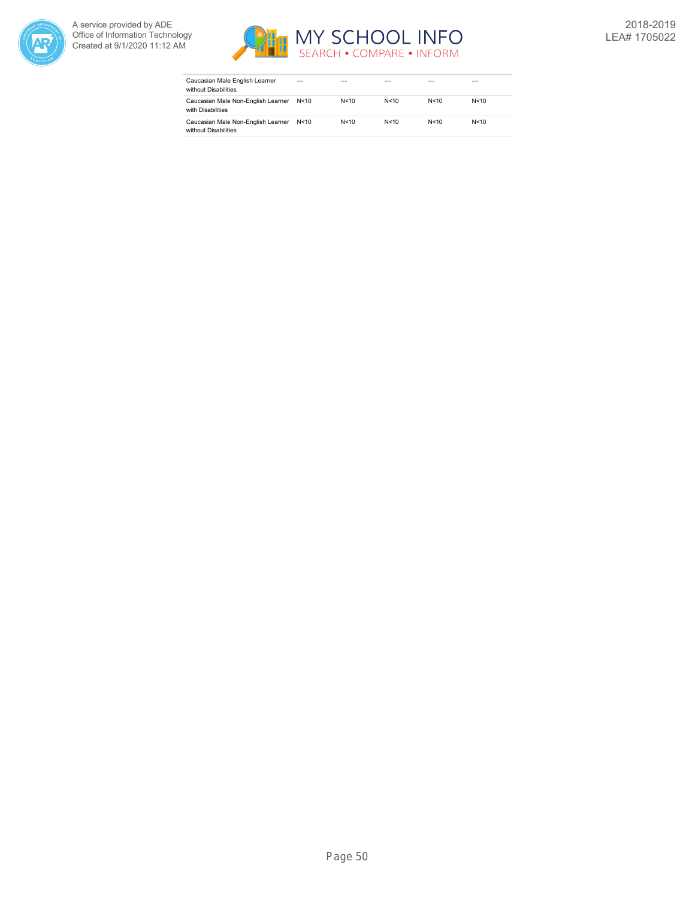



| Caucasian Male English Learner<br>without Disabilities     | $- - -$ | ---    | ---    | ---  | ---    |
|------------------------------------------------------------|---------|--------|--------|------|--------|
| Caucasian Male Non-English Learner<br>with Disabilities    | N < 10  | N < 10 | N < 10 | N<10 | N < 10 |
| Caucasian Male Non-English Learner<br>without Disabilities | N<10    | N < 10 | N < 10 | N<10 | N < 10 |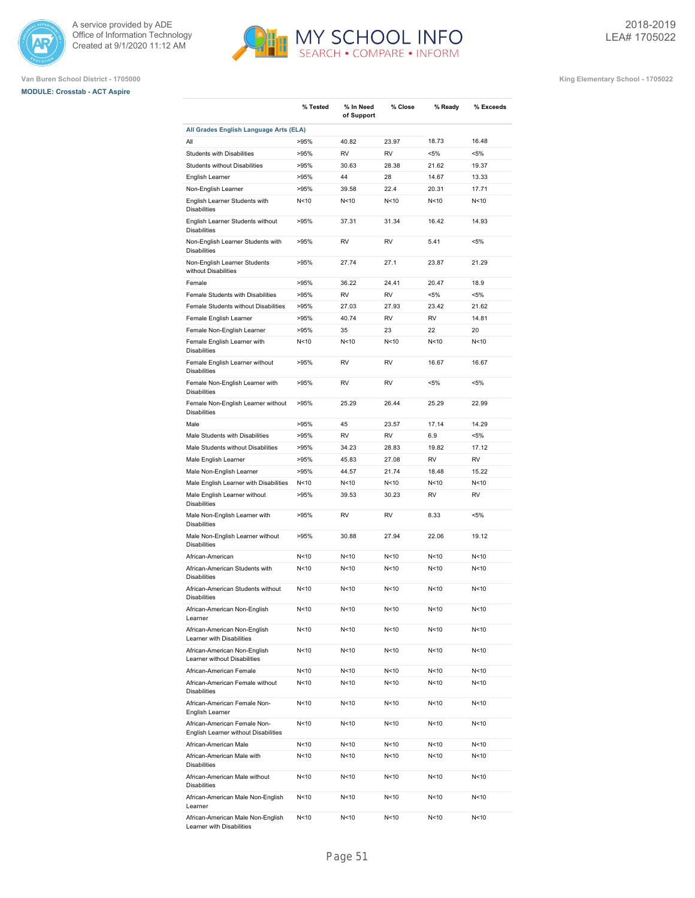





|                                                                      | % Tested        | % In Need<br>of Support | % Close         | % Ready         | % Exceeds |
|----------------------------------------------------------------------|-----------------|-------------------------|-----------------|-----------------|-----------|
| All Grades English Language Arts (ELA)                               |                 |                         |                 |                 |           |
| All                                                                  | >95%            | 40.82                   | 23.97           | 18.73           | 16.48     |
| <b>Students with Disabilities</b>                                    | >95%            | <b>RV</b>               | <b>RV</b>       | <5%             | $< 5\%$   |
| Students without Disabilities                                        | >95%            | 30.63                   | 28.38           | 21.62           | 19.37     |
| English Learner                                                      | >95%            | 44                      | 28              | 14.67           | 13.33     |
| Non-English Learner                                                  | >95%            | 39.58                   | 22.4            | 20.31           | 17.71     |
| English Learner Students with<br><b>Disabilities</b>                 | N<10            | N<10                    | N <sub>10</sub> | N <sub>10</sub> | N<10      |
| English Learner Students without<br><b>Disabilities</b>              | >95%            | 37.31                   | 31.34           | 16.42           | 14.93     |
| Non-English Learner Students with<br><b>Disabilities</b>             | >95%            | <b>RV</b>               | <b>RV</b>       | 5.41            | $< 5\%$   |
| Non-English Learner Students<br>without Disabilities                 | >95%            | 27.74                   | 27.1            | 23.87           | 21.29     |
| Female                                                               | >95%            | 36.22                   | 24.41           | 20.47           | 18.9      |
| Female Students with Disabilities                                    | >95%            | <b>RV</b>               | <b>RV</b>       | $< 5\%$         | $< 5\%$   |
| Female Students without Disabilities                                 | >95%            | 27.03                   | 27.93           | 23.42           | 21.62     |
| Female English Learner                                               | >95%            | 40.74                   | <b>RV</b>       | <b>RV</b>       | 14.81     |
| Female Non-English Learner                                           | >95%            | 35                      | 23              | 22              | 20        |
| Female English Learner with<br><b>Disabilities</b>                   | N <sub>10</sub> | N<10                    | N <sub>10</sub> | N <sub>10</sub> | N<10      |
| Female English Learner without<br><b>Disabilities</b>                | >95%            | <b>RV</b>               | RV              | 16.67           | 16.67     |
| Female Non-English Learner with<br><b>Disabilities</b>               | >95%            | <b>RV</b>               | <b>RV</b>       | $< 5\%$         | $< 5\%$   |
| Female Non-English Learner without<br><b>Disabilities</b>            | >95%            | 25.29                   | 26.44           | 25.29           | 22.99     |
| Male                                                                 | >95%            | 45                      | 23.57           | 17.14           | 14.29     |
| Male Students with Disabilities                                      | >95%            | <b>RV</b>               | <b>RV</b>       | 6.9             | $< 5\%$   |
| Male Students without Disabilities                                   | >95%            | 34.23                   | 28.83           | 19.82           | 17.12     |
| Male English Learner                                                 | >95%            | 45.83                   | 27.08           | <b>RV</b>       | <b>RV</b> |
| Male Non-English Learner                                             | >95%            | 44.57                   | 21.74           | 18.48           | 15.22     |
| Male English Learner with Disabilities                               | N<10            | N < 10                  | N < 10          | N <sub>10</sub> | N<10      |
| Male English Learner without<br><b>Disabilities</b>                  | >95%            | 39.53                   | 30.23           | <b>RV</b>       | <b>RV</b> |
| Male Non-English Learner with<br><b>Disabilities</b>                 | >95%            | <b>RV</b>               | <b>RV</b>       | 8.33            | $< 5\%$   |
| Male Non-English Learner without<br><b>Disabilities</b>              | >95%            | 30.88                   | 27.94           | 22.06           | 19.12     |
| African-American                                                     | N<10            | N<10                    | N <sub>10</sub> | N <sub>10</sub> | N<10      |
| African-American Students with<br><b>Disabilities</b>                | N<10            | N<10                    | N <sub>10</sub> | N <sub>10</sub> | N<10      |
| African-American Students without<br><b>Disabilities</b>             | N <sub>10</sub> | N <sub>10</sub>         | N <sub>10</sub> | N <sub>10</sub> | N<10      |
| African-American Non-English<br>Learner                              | N<10            | N<10                    | N<10            | N<10            | N<10      |
| African-American Non-English<br>Learner with Disabilities            | N <sub>10</sub> | N<10                    | N<10            | N<10            | N<10      |
| African-American Non-English<br>Learner without Disabilities         | N <sub>10</sub> | N <sub>10</sub>         | N<10            | N<10            | N<10      |
| African-American Female                                              | N <sub>10</sub> | N <sub>10</sub>         | N<10            | N<10            | N<10      |
| African-American Female without<br><b>Disabilities</b>               | N <sub>10</sub> | N <sub>10</sub>         | N<10            | N<10            | N<10      |
| African-American Female Non-<br>English Learner                      | N <sub>10</sub> | N <sub>10</sub>         | N<10            | N <sub>10</sub> | N<10      |
| African-American Female Non-<br>English Learner without Disabilities | N<10            | N<10                    | N<10            | N <sub>10</sub> | N<10      |
| African-American Male                                                | N<10            | N <sub>10</sub>         | N<10            | N <sub>10</sub> | N<10      |
| African-American Male with<br><b>Disabilities</b>                    | N<10            | N<10                    | N<10            | N<10            | N<10      |
| African-American Male without<br><b>Disabilities</b>                 | N < 10          | N<10                    | N<10            | N<10            | N<10      |
| African-American Male Non-English<br>Learner                         | N<10            | N<10                    | N<10            | N<10            | N<10      |
| African-American Male Non-English<br>Learner with Disabilities       | N<10            | N<10                    | N<10            | N < 10          | N<10      |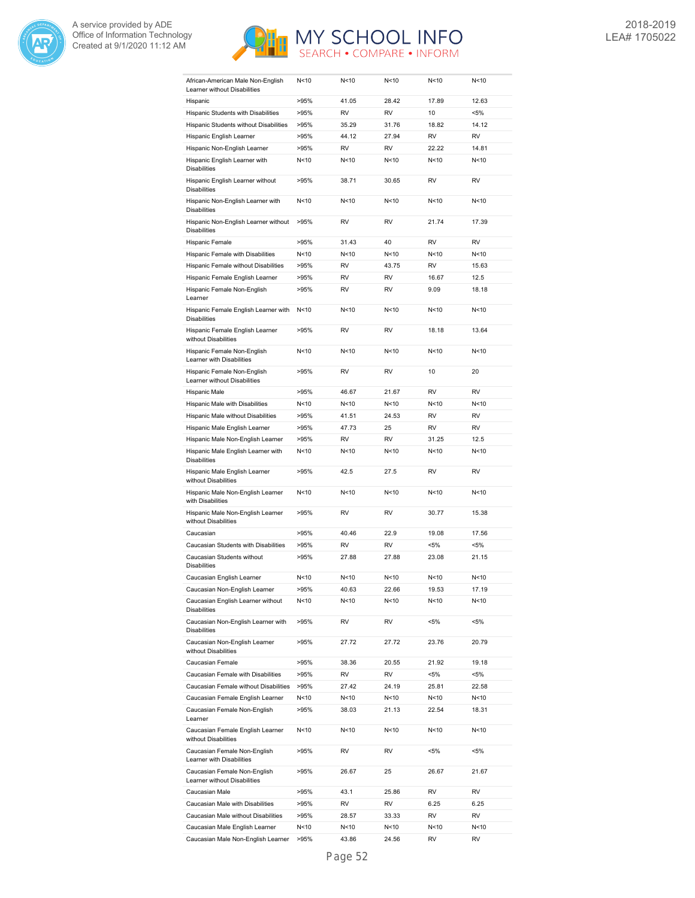



| African-American Male Non-English<br>Learner without Disabilities                | N <sub>10</sub> | N<10        | N<10            | N <sub>10</sub> | N<10         |
|----------------------------------------------------------------------------------|-----------------|-------------|-----------------|-----------------|--------------|
| Hispanic                                                                         | >95%            | 41.05       | 28.42           | 17.89           | 12.63        |
| Hispanic Students with Disabilities                                              | >95%            | RV          | RV              | 10              | <5%          |
| Hispanic Students without Disabilities                                           | >95%            | 35.29       | 31.76           | 18.82           | 14.12        |
| Hispanic English Learner                                                         | >95%            | 44.12       | 27.94           | <b>RV</b>       | <b>RV</b>    |
| Hispanic Non-English Learner                                                     | >95%            | <b>RV</b>   | <b>RV</b>       | 22.22           | 14.81        |
| Hispanic English Learner with                                                    | N<10            | N<10        | N <sub>10</sub> | N <sub>10</sub> | N<10         |
| <b>Disabilities</b>                                                              |                 |             |                 |                 |              |
| Hispanic English Learner without<br><b>Disabilities</b>                          | >95%            | 38.71       | 30.65           | <b>RV</b>       | <b>RV</b>    |
| Hispanic Non-English Learner with<br><b>Disabilities</b>                         | N<10            | N<10        | N<10            | N <sub>10</sub> | N<10         |
| Hispanic Non-English Learner without<br><b>Disabilities</b>                      | >95%            | <b>RV</b>   | <b>RV</b>       | 21.74           | 17.39        |
| Hispanic Female                                                                  | >95%            | 31.43       | 40              | <b>RV</b>       | <b>RV</b>    |
| Hispanic Female with Disabilities                                                | N<10            | N<10        | N<10            | N <sub>10</sub> | N<10         |
| Hispanic Female without Disabilities                                             | >95%            | RV          | 43.75           | <b>RV</b>       | 15.63        |
| Hispanic Female English Learner                                                  | >95%            | <b>RV</b>   | <b>RV</b>       | 16.67           | 12.5         |
| Hispanic Female Non-English                                                      | >95%            | RV          | <b>RV</b>       | 9.09            | 18.18        |
| Learner                                                                          |                 |             |                 |                 |              |
| Hispanic Female English Learner with<br><b>Disabilities</b>                      | N <sub>10</sub> | N<10        | N <sub>10</sub> | N <sub>10</sub> | N<10         |
| Hispanic Female English Learner<br>without Disabilities                          | >95%            | <b>RV</b>   | <b>RV</b>       | 18.18           | 13.64        |
| Hispanic Female Non-English<br>Learner with Disabilities                         | N<10            | N<10        | N<10            | N <sub>10</sub> | N<10         |
| Hispanic Female Non-English<br>Learner without Disabilities                      | >95%            | <b>RV</b>   | <b>RV</b>       | 10              | 20           |
| Hispanic Male                                                                    | >95%            | 46.67       | 21.67           | <b>RV</b>       | <b>RV</b>    |
| Hispanic Male with Disabilities                                                  | N<10            | N<10        | N < 10          | N<10            | N<10         |
| Hispanic Male without Disabilities                                               | >95%            | 41.51       | 24.53           | <b>RV</b>       | <b>RV</b>    |
| Hispanic Male English Learner                                                    | >95%            | 47.73       | 25              | <b>RV</b>       | <b>RV</b>    |
| Hispanic Male Non-English Learner                                                | >95%            | RV          | <b>RV</b>       | 31.25           | 12.5         |
| Hispanic Male English Learner with<br><b>Disabilities</b>                        | N<10            | N<10        | N <sub>10</sub> | N <sub>10</sub> | N<10         |
| Hispanic Male English Learner<br>without Disabilities                            | >95%            | 42.5        | 27.5            | <b>RV</b>       | <b>RV</b>    |
| Hispanic Male Non-English Learner<br>with Disabilities                           | N<10            | N<10        | N < 10          | N <sub>10</sub> | N<10         |
| Hispanic Male Non-English Learner<br>without Disabilities                        | >95%            | RV          | <b>RV</b>       | 30.77           | 15.38        |
| Caucasian                                                                        | >95%            | 40.46       | 22.9            | 19.08           | 17.56        |
| Caucasian Students with Disabilities                                             | >95%            | RV          | RV              | $< 5\%$         | <5%          |
| Caucasian Students without<br><b>Disabilities</b>                                | >95%            | 27.88       | 27.88           | 23.08           | 21.15        |
| Caucasian English Learner                                                        | N<10            | N<10        | N < 10          | N<10            | N<10         |
| Caucasian Non-English Learner                                                    | >95%            | 40.63       | 22.66           | 19.53           | 17.19        |
| Caucasian English Learner without                                                | N<10            | N<10        | N<10            | N<10            | N<10         |
| <b>Disabilities</b><br>Caucasian Non-English Learner with<br><b>Disabilities</b> | >95%            | RV          | RV              | <5%             | <5%          |
| Caucasian Non-English Learner<br>without Disabilities                            | >95%            | 27.72       | 27.72           | 23.76           | 20.79        |
| Caucasian Female                                                                 | >95%            | 38.36       | 20.55           | 21.92           | 19.18        |
|                                                                                  | >95%            |             |                 |                 |              |
| Caucasian Female with Disabilities<br>Caucasian Female without Disabilities      |                 | RV<br>27.42 | RV<br>24.19     | <5%<br>25.81    | <5%<br>22.58 |
|                                                                                  | >95%            |             |                 |                 |              |
| Caucasian Female English Learner                                                 | N<10            | N<10        | N<10            | N<10            | N<10         |
| Caucasian Female Non-English<br>Learner                                          | >95%            | 38.03       | 21.13           | 22.54           | 18.31        |
| Caucasian Female English Learner<br>without Disabilities                         | N<10            | N<10        | N<10            | N<10            | N<10         |
| Caucasian Female Non-English<br>Learner with Disabilities                        | >95%            | RV          | RV              | $< 5\%$         | <5%          |
| Caucasian Female Non-English<br>Learner without Disabilities                     | >95%            | 26.67       | 25              | 26.67           | 21.67        |
| Caucasian Male                                                                   | >95%            | 43.1        | 25.86           | RV              | RV           |
| Caucasian Male with Disabilities                                                 | >95%            | RV          | RV              | 6.25            | 6.25         |
| Caucasian Male without Disabilities                                              | >95%            | 28.57       | 33.33           | RV              | RV           |
| Caucasian Male English Learner                                                   | N<10            | N<10        | N<10            | N<10            | N<10         |
| Caucasian Male Non-English Learner                                               | >95%            | 43.86       | 24.56           | RV              | RV           |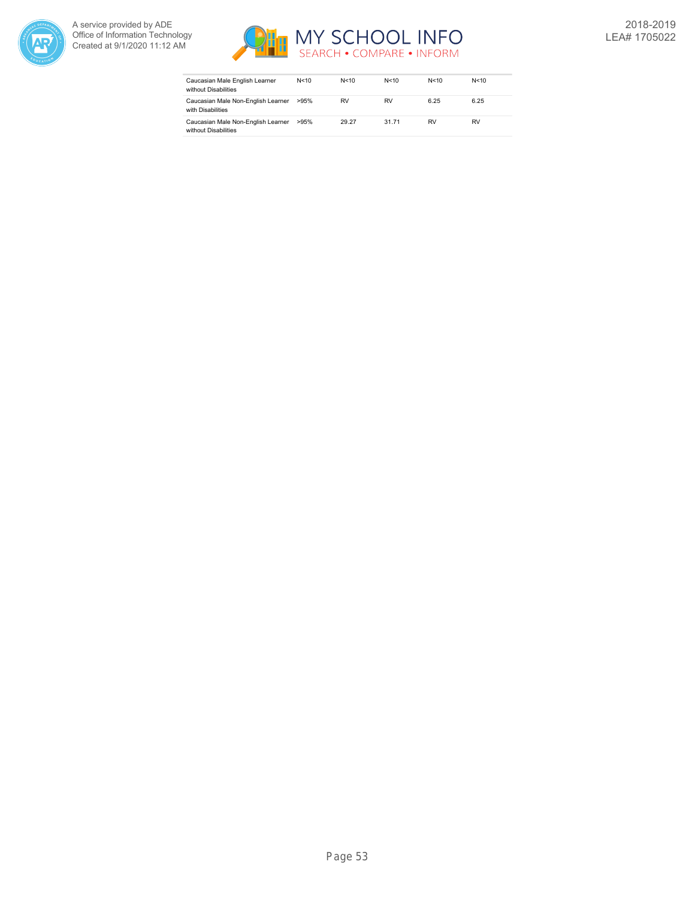



| Caucasian Male English Learner<br>without Disabilities     | N<10 | N < 10 | N<10      | N<10      | N < 10 |
|------------------------------------------------------------|------|--------|-----------|-----------|--------|
| Caucasian Male Non-English Learner<br>with Disabilities    | >95% | RV     | <b>RV</b> | 6.25      | 6.25   |
| Caucasian Male Non-English Learner<br>without Disabilities | >95% | 29.27  | 31.71     | <b>RV</b> | RV     |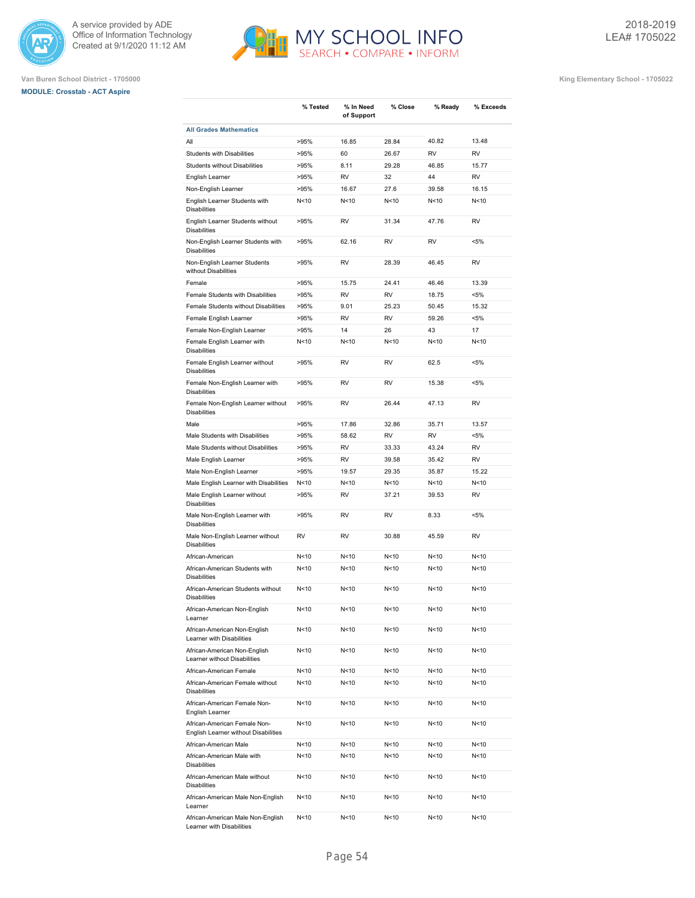





|                                                                      | % Tested        | % In Need<br>of Support | % Close         | % Ready         | % Exceeds |
|----------------------------------------------------------------------|-----------------|-------------------------|-----------------|-----------------|-----------|
| <b>All Grades Mathematics</b>                                        |                 |                         |                 |                 |           |
| All                                                                  | >95%            | 16.85                   | 28.84           | 40.82           | 13.48     |
| Students with Disabilities                                           | >95%            | 60                      | 26.67           | <b>RV</b>       | <b>RV</b> |
| <b>Students without Disabilities</b>                                 | >95%            | 8.11                    | 29.28           | 46.85           | 15.77     |
| English Learner                                                      | >95%            | <b>RV</b>               | 32              | 44              | <b>RV</b> |
| Non-English Learner                                                  | >95%            | 16.67                   | 27.6            | 39.58           | 16.15     |
| English Learner Students with<br><b>Disabilities</b>                 | N<10            | N<10                    | N<10            | N < 10          | N<10      |
| English Learner Students without<br><b>Disabilities</b>              | >95%            | RV                      | 31.34           | 47.76           | <b>RV</b> |
| Non-English Learner Students with<br><b>Disabilities</b>             | >95%            | 62.16                   | <b>RV</b>       | <b>RV</b>       | $< 5\%$   |
| Non-English Learner Students<br>without Disabilities                 | >95%            | <b>RV</b>               | 28.39           | 46.45           | <b>RV</b> |
| Female                                                               | >95%            | 15.75                   | 24.41           | 46.46           | 13.39     |
| Female Students with Disabilities                                    | >95%            | <b>RV</b>               | <b>RV</b>       | 18.75           | $< 5\%$   |
| Female Students without Disabilities                                 | >95%            | 9.01                    | 25.23           | 50.45           | 15.32     |
| Female English Learner                                               | >95%            | <b>RV</b>               | <b>RV</b>       | 59.26           | $< 5\%$   |
| Female Non-English Learner                                           | >95%            | 14                      | 26              | 43              | 17        |
| Female English Learner with                                          | N<10            | N<10                    | N<10            | N<10            | N<10      |
| <b>Disabilities</b>                                                  |                 |                         |                 |                 |           |
| Female English Learner without<br><b>Disabilities</b>                | >95%            | <b>RV</b>               | RV              | 62.5            | $< 5\%$   |
| Female Non-English Learner with<br><b>Disabilities</b>               | >95%            | RV                      | RV              | 15.38           | $< 5\%$   |
| Female Non-English Learner without<br><b>Disabilities</b>            | >95%            | <b>RV</b>               | 26.44           | 47.13           | <b>RV</b> |
| Male                                                                 | >95%            | 17.86                   | 32.86           | 35.71           | 13.57     |
| Male Students with Disabilities                                      | >95%            | 58.62                   | <b>RV</b>       | <b>RV</b>       | $< 5\%$   |
| Male Students without Disabilities                                   | >95%            | <b>RV</b>               | 33.33           | 43.24           | <b>RV</b> |
| Male English Learner                                                 | >95%            | <b>RV</b>               | 39.58           | 35.42           | <b>RV</b> |
| Male Non-English Learner                                             | >95%            | 19.57                   | 29.35           | 35.87           | 15.22     |
| Male English Learner with Disabilities                               | N<10            | N<10                    | N <sub>10</sub> | N <sub>10</sub> | N<10      |
| Male English Learner without<br><b>Disabilities</b>                  | >95%            | <b>RV</b>               | 37.21           | 39.53           | <b>RV</b> |
| Male Non-English Learner with<br><b>Disabilities</b>                 | >95%            | <b>RV</b>               | <b>RV</b>       | 8.33            | $< 5\%$   |
| Male Non-English Learner without<br><b>Disabilities</b>              | <b>RV</b>       | RV                      | 30.88           | 45.59           | <b>RV</b> |
| African-American                                                     | N <sub>10</sub> | N<10                    | N<10            | N < 10          | N<10      |
| African-American Students with<br><b>Disabilities</b>                | N < 10          | N<10                    | N<10            | N < 10          | N<10      |
| African-American Students without<br><b>Disabilities</b>             | N<10            | N<10                    | N<10            | N<10            | N<10      |
| African-American Non-English<br>Learner                              | N<10            | N<10                    | N<10            | N<10            | N<10      |
| African-American Non-English<br>Learner with Disabilities            | N<10            | N<10                    | N<10            | N < 10          | N<10      |
| African-American Non-English<br>Learner without Disabilities         | N<10            | N<10                    | N<10            | N <sub>10</sub> | N<10      |
| African-American Female                                              | N<10            | N<10                    | N<10            | N<10            | N<10      |
| African-American Female without<br><b>Disabilities</b>               | N<10            | N<10                    | N<10            | N<10            | N<10      |
| African-American Female Non-<br>English Learner                      | N<10            | N<10                    | N<10            | N<10            | N<10      |
| African-American Female Non-<br>English Learner without Disabilities | N<10            | N<10                    | N<10            | N<10            | N<10      |
| African-American Male                                                | N <sub>10</sub> | N<10                    | N<10            | N <sub>10</sub> | N<10      |
| African-American Male with<br><b>Disabilities</b>                    | N<10            | N<10                    | N<10            | N<10            | N<10      |
| African-American Male without<br><b>Disabilities</b>                 | N<10            | N <sub>10</sub>         | N<10            | N<10            | N<10      |
| African-American Male Non-English<br>Learner                         | N<10            | N<10                    | N<10            | N<10            | N<10      |
| African-American Male Non-English<br>Learner with Disabilities       | N <sub>10</sub> | N <sub>10</sub>         | N<10            | N <sub>10</sub> | N<10      |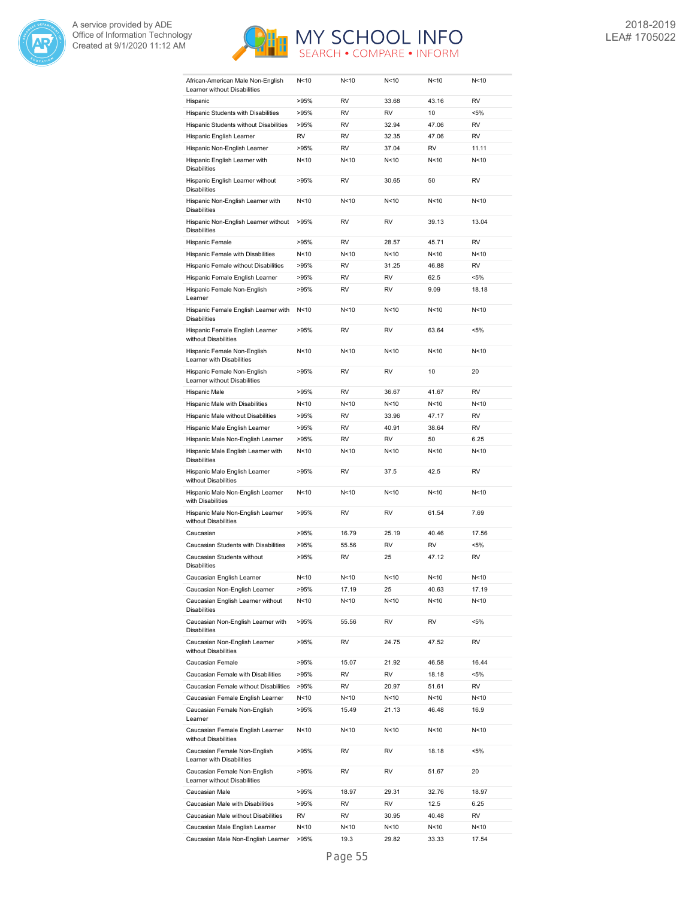



| African-American Male Non-English<br>Learner without Disabilities | N<10            | N<10      | N<10            | N <sub>10</sub> | N<10      |
|-------------------------------------------------------------------|-----------------|-----------|-----------------|-----------------|-----------|
| Hispanic                                                          | >95%            | <b>RV</b> | 33.68           | 43.16           | <b>RV</b> |
| Hispanic Students with Disabilities                               | >95%            | RV        | RV              | 10              | <5%       |
| Hispanic Students without Disabilities                            | >95%            | RV        | 32.94           | 47.06           | <b>RV</b> |
| Hispanic English Learner                                          | <b>RV</b>       | <b>RV</b> | 32.35           | 47.06           | <b>RV</b> |
| Hispanic Non-English Learner                                      | >95%            | <b>RV</b> | 37.04           | <b>RV</b>       | 11.11     |
|                                                                   |                 |           | N < 10          | N <sub>10</sub> | N<10      |
| Hispanic English Learner with<br><b>Disabilities</b>              | N < 10          | N<10      |                 |                 |           |
| Hispanic English Learner without<br><b>Disabilities</b>           | >95%            | <b>RV</b> | 30.65           | 50              | <b>RV</b> |
| Hispanic Non-English Learner with<br><b>Disabilities</b>          | N < 10          | N<10      | N<10            | N<10            | N<10      |
| Hispanic Non-English Learner without<br><b>Disabilities</b>       | >95%            | RV        | RV              | 39.13           | 13.04     |
| Hispanic Female                                                   | >95%            | <b>RV</b> | 28.57           | 45.71           | <b>RV</b> |
| Hispanic Female with Disabilities                                 | N<10            | N<10      | N<10            | N<10            | N<10      |
| Hispanic Female without Disabilities                              | >95%            | <b>RV</b> | 31.25           | 46.88           | <b>RV</b> |
|                                                                   |                 | RV        | RV              |                 |           |
| Hispanic Female English Learner                                   | >95%            |           |                 | 62.5            | <5%       |
| Hispanic Female Non-English<br>Learner                            | >95%            | RV        | RV              | 9.09            | 18.18     |
| Hispanic Female English Learner with<br><b>Disabilities</b>       | N<10            | N<10      | N <sub>10</sub> | N <sub>10</sub> | N<10      |
| Hispanic Female English Learner<br>without Disabilities           | >95%            | RV        | RV              | 63.64           | <5%       |
| Hispanic Female Non-English<br>Learner with Disabilities          | N < 10          | N<10      | N<10            | N<10            | N<10      |
| Hispanic Female Non-English<br>Learner without Disabilities       | >95%            | RV        | RV              | 10              | 20        |
| Hispanic Male                                                     | >95%            | RV        | 36.67           | 41.67           | <b>RV</b> |
| Hispanic Male with Disabilities                                   | N < 10          | N<10      | N<10            | N<10            | N<10      |
| Hispanic Male without Disabilities                                | >95%            | <b>RV</b> | 33.96           | 47.17           | <b>RV</b> |
| Hispanic Male English Learner                                     | >95%            | RV        | 40.91           | 38.64           | <b>RV</b> |
| Hispanic Male Non-English Learner                                 | >95%            | RV        | RV              | 50              | 6.25      |
| Hispanic Male English Learner with                                | N < 10          | N<10      | N <sub>10</sub> | N<10            | N<10      |
| <b>Disabilities</b>                                               |                 |           |                 |                 |           |
| Hispanic Male English Learner<br>without Disabilities             | >95%            | RV        | 37.5            | 42.5            | <b>RV</b> |
| Hispanic Male Non-English Learner<br>with Disabilities            | N < 10          | N<10      | N<10            | N<10            | N<10      |
| Hispanic Male Non-English Learner<br>without Disabilities         | >95%            | <b>RV</b> | RV              | 61.54           | 7.69      |
| Caucasian                                                         | >95%            | 16.79     | 25.19           | 40.46           | 17.56     |
| Caucasian Students with Disabilities                              | >95%            | 55.56     | RV              | RV              | <5%       |
| Caucasian Students without<br><b>Disabilities</b>                 | >95%            | RV        | 25              | 47.12           | <b>RV</b> |
| Caucasian English Learner                                         | N <sub>10</sub> | N<10      | N < 10          | N <sub>10</sub> | N<10      |
| Caucasian Non-English Learner                                     | >95%            | 17.19     | 25              | 40.63           | 17.19     |
| Caucasian English Learner without<br><b>Disabilities</b>          | N<10            | N<10      | N<10            | N<10            | N<10      |
| Caucasian Non-English Learner with<br><b>Disabilities</b>         | >95%            | 55.56     | RV              | RV              | <5%       |
| Caucasian Non-English Learner<br>without Disabilities             | >95%            | RV        | 24.75           | 47.52           | RV        |
| Caucasian Female                                                  | >95%            | 15.07     | 21.92           | 46.58           | 16.44     |
| Caucasian Female with Disabilities                                | >95%            | RV        | RV              | 18.18           | <5%       |
|                                                                   |                 |           |                 |                 | RV        |
| Caucasian Female without Disabilities                             | >95%            | RV        | 20.97           | 51.61           |           |
| Caucasian Female English Learner                                  | N<10            | N<10      | N<10            | N<10            | N<10      |
| Caucasian Female Non-English<br>Learner                           | >95%            | 15.49     | 21.13           | 46.48           | 16.9      |
| Caucasian Female English Learner<br>without Disabilities          | N <sub>10</sub> | N<10      | N<10            | N<10            | N<10      |
| Caucasian Female Non-English<br>Learner with Disabilities         | >95%            | RV        | RV              | 18.18           | <5%       |
| Caucasian Female Non-English<br>Learner without Disabilities      | >95%            | RV        | RV              | 51.67           | 20        |
| Caucasian Male                                                    | >95%            | 18.97     | 29.31           | 32.76           | 18.97     |
| Caucasian Male with Disabilities                                  | >95%            | RV        | RV              | 12.5            | 6.25      |
| Caucasian Male without Disabilities                               | RV              | RV        | 30.95           | 40.48           | RV        |
| Caucasian Male English Learner                                    | N<10            | N<10      | N<10            | N<10            | N<10      |
| Caucasian Male Non-English Learner                                | >95%            | 19.3      | 29.82           | 33.33           | 17.54     |
|                                                                   |                 |           |                 |                 |           |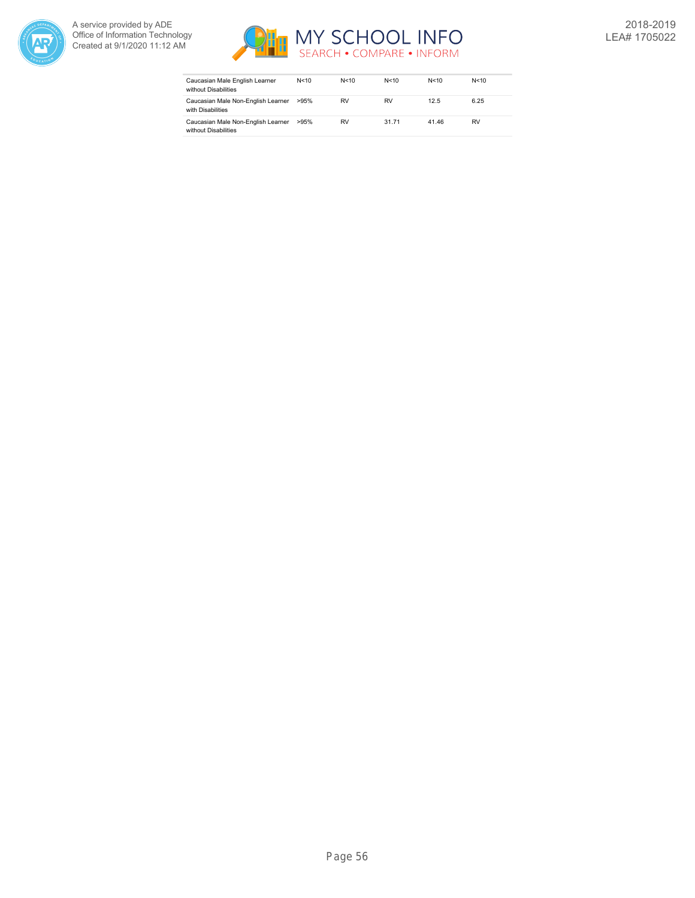



| Caucasian Male English Learner<br>without Disabilities     | N<10 | N < 10 | N < 10 | N<10  | N < 10 |
|------------------------------------------------------------|------|--------|--------|-------|--------|
| Caucasian Male Non-English Learner<br>with Disabilities    | >95% | RV     | RV     | 12.5  | 6.25   |
| Caucasian Male Non-English Learner<br>without Disabilities | >95% | RV     | 31.71  | 41.46 | RV     |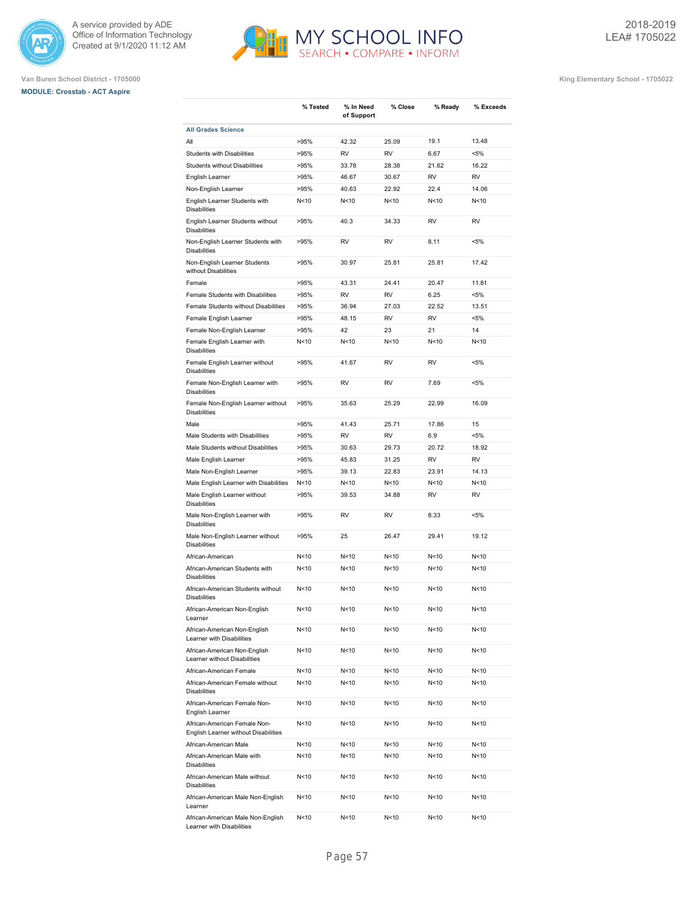





|                                                                      | % Tested        | % In Need<br>of Support | % Close                | % Ready           | % Exceeds          |
|----------------------------------------------------------------------|-----------------|-------------------------|------------------------|-------------------|--------------------|
| <b>All Grades Science</b>                                            |                 |                         |                        |                   |                    |
| All                                                                  | >95%            | 42.32                   | 25.09                  | 19.1              | 13.48              |
| Students with Disabilities                                           | >95%            | <b>RV</b>               | <b>RV</b>              | 6.67              | $< 5\%$            |
| Students without Disabilities                                        | >95%            | 33.78                   | 28.38                  | 21.62             | 16.22              |
| English Learner                                                      | >95%            | 46.67                   | 30.67                  | <b>RV</b>         | <b>RV</b>          |
| Non-English Learner                                                  | >95%            | 40.63                   | 22.92                  | 22.4              | 14.06              |
| English Learner Students with<br><b>Disabilities</b>                 | N<10            | N<10                    | N <sub>10</sub>        | N <sub>10</sub>   | N<10               |
| English Learner Students without<br><b>Disabilities</b>              | >95%            | 40.3                    | 34.33                  | <b>RV</b>         | <b>RV</b>          |
| Non-English Learner Students with<br><b>Disabilities</b>             | >95%            | <b>RV</b>               | <b>RV</b>              | 8.11              | $< 5\%$            |
| Non-English Learner Students<br>without Disabilities                 | >95%            | 30.97                   | 25.81                  | 25.81             | 17.42              |
| Female                                                               | >95%            | 43.31                   | 24.41                  | 20.47             | 11.81              |
| Female Students with Disabilities                                    | >95%            | <b>RV</b>               | <b>RV</b>              | 6.25              | $< 5\%$            |
| Female Students without Disabilities                                 | >95%            | 36.94                   | 27.03                  | 22.52             | 13.51              |
| Female English Learner                                               | >95%            | 48.15                   | <b>RV</b>              | <b>RV</b>         | $< 5\%$            |
| Female Non-English Learner                                           | >95%            | 42                      | 23                     | 21                | 14                 |
| Female English Learner with                                          | N<10            | N<10                    | N <sub>10</sub>        | N <sub>10</sub>   | N<10               |
| <b>Disabilities</b>                                                  |                 |                         |                        |                   |                    |
| Female English Learner without<br><b>Disabilities</b>                | >95%<br>>95%    | 41.67<br><b>RV</b>      | <b>RV</b><br><b>RV</b> | <b>RV</b><br>7.69 | $< 5\%$<br>$< 5\%$ |
| Female Non-English Learner with<br><b>Disabilities</b>               | >95%            | 35.63                   | 25.29                  | 22.99             |                    |
| Female Non-English Learner without<br><b>Disabilities</b>            |                 |                         |                        |                   | 16.09              |
| Male                                                                 | >95%            | 41.43                   | 25.71                  | 17.86             | 15                 |
| Male Students with Disabilities                                      | >95%            | <b>RV</b>               | <b>RV</b>              | 6.9               | $< 5\%$            |
| Male Students without Disabilities                                   | >95%            | 30.63                   | 29.73                  | 20.72             | 18.92              |
| Male English Learner                                                 | >95%            | 45.83                   | 31.25                  | <b>RV</b>         | <b>RV</b>          |
| Male Non-English Learner                                             | >95%            | 39.13                   | 22.83                  | 23.91             | 14.13              |
| Male English Learner with Disabilities                               | N<10            | N<10                    | N < 10                 | N < 10            | N<10               |
| Male English Learner without<br><b>Disabilities</b>                  | >95%            | 39.53                   | 34.88                  | RV                | RV                 |
| Male Non-English Learner with<br><b>Disabilities</b>                 | >95%            | <b>RV</b>               | <b>RV</b>              | 8.33              | $< 5\%$            |
| Male Non-English Learner without<br><b>Disabilities</b>              | >95%            | 25                      | 26.47                  | 29.41             | 19.12              |
| African-American                                                     | N <sub>10</sub> | N <sub>10</sub>         | N <sub>10</sub>        | N <sub>10</sub>   | N<10               |
| African-American Students with<br><b>Disabilities</b>                | N<10            | N<10                    | N <sub>10</sub>        | N <sub>10</sub>   | N<10               |
| African-American Students without<br><b>Disabilities</b>             | N<10            | N <sub>10</sub>         | N <sub>10</sub>        | N <sub>10</sub>   | N<10               |
| African-American Non-English<br>Learner                              | N<10            | N<10                    | N<10                   | N<10              | N<10               |
| African-American Non-English<br>Learner with Disabilities            | N<10            | N<10                    | N<10                   | N<10              | N<10               |
| African-American Non-English<br>Learner without Disabilities         | N<10            | N<10                    | N<10                   | N<10              | N<10               |
| African-American Female                                              | N<10            | N<10                    | N<10                   | N<10              | N<10               |
| African-American Female without<br><b>Disabilities</b>               | N <sub>10</sub> | N<10                    | N <sub>10</sub>        | N<10              | N<10               |
| African-American Female Non-<br>English Learner                      | N<10            | N<10                    | N<10                   | N<10              | N<10               |
| African-American Female Non-<br>English Learner without Disabilities | N<10            | N<10                    | N <sub>10</sub>        | N<10              | N<10               |
| African-American Male                                                | N<10            | N<10                    | N<10                   | N <sub>10</sub>   | N<10               |
| African-American Male with<br><b>Disabilities</b>                    | N<10            | N<10                    | N<10                   | N<10              | N<10               |
| African-American Male without<br><b>Disabilities</b>                 | N<10            | N<10                    | N<10                   | N<10              | N<10               |
| African-American Male Non-English<br>Learner                         | N<10            | N<10                    | N<10                   | N<10              | N<10               |
| African-American Male Non-English<br>Learner with Disabilities       | N<10            | N<10                    | N<10                   | N<10              | N<10               |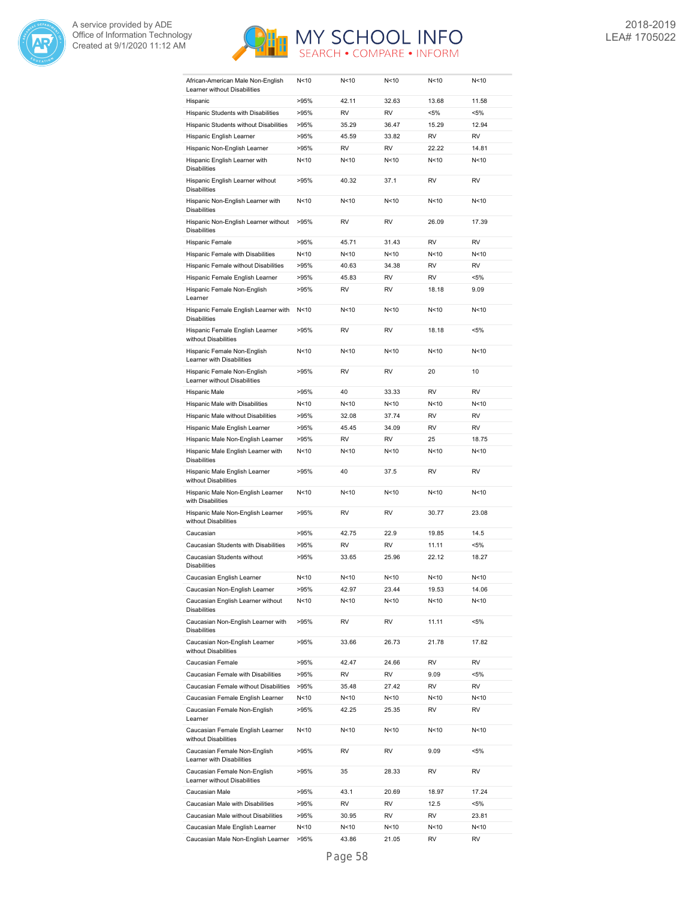



| African-American Male Non-English<br>Learner without Disabilities | N<10            | N<10      | N<10            | N<10            | N<10      |
|-------------------------------------------------------------------|-----------------|-----------|-----------------|-----------------|-----------|
| Hispanic                                                          | >95%            | 42.11     | 32.63           | 13.68           | 11.58     |
| Hispanic Students with Disabilities                               | >95%            | <b>RV</b> | <b>RV</b>       | $< 5\%$         | $< 5\%$   |
| Hispanic Students without Disabilities                            | >95%            | 35.29     | 36.47           | 15.29           | 12.94     |
| Hispanic English Learner                                          | >95%            | 45.59     | 33.82           | RV              | RV        |
| Hispanic Non-English Learner                                      | >95%            | RV        | RV              | 22.22           | 14.81     |
| Hispanic English Learner with                                     | N<10            | N<10      | N<10            | N<10            | N<10      |
| <b>Disabilities</b>                                               |                 |           |                 |                 |           |
| Hispanic English Learner without<br><b>Disabilities</b>           | >95%            | 40.32     | 37.1            | RV              | RV        |
| Hispanic Non-English Learner with<br><b>Disabilities</b>          | N<10            | N<10      | N <sub>10</sub> | N <sub>10</sub> | N<10      |
| Hispanic Non-English Learner without<br><b>Disabilities</b>       | >95%            | <b>RV</b> | <b>RV</b>       | 26.09           | 17.39     |
| Hispanic Female                                                   | >95%            | 45.71     | 31.43           | <b>RV</b>       | <b>RV</b> |
| Hispanic Female with Disabilities                                 | N<10            | N<10      | N <sub>10</sub> | N <sub>10</sub> | N<10      |
| Hispanic Female without Disabilities                              | >95%            | 40.63     | 34.38           | <b>RV</b>       | <b>RV</b> |
| Hispanic Female English Learner                                   | >95%            | 45.83     | RV              | RV              | <5%       |
| Hispanic Female Non-English                                       | >95%            | <b>RV</b> | RV              | 18.18           | 9.09      |
| Learner                                                           |                 |           |                 |                 |           |
| Hispanic Female English Learner with<br><b>Disabilities</b>       | N<10            | N<10      | N<10            | N<10            | N<10      |
| Hispanic Female English Learner<br>without Disabilities           | >95%            | <b>RV</b> | <b>RV</b>       | 18.18           | <5%       |
| Hispanic Female Non-English<br>Learner with Disabilities          | N<10            | N<10      | N <sub>10</sub> | N <sub>10</sub> | N<10      |
| Hispanic Female Non-English<br>Learner without Disabilities       | >95%            | <b>RV</b> | <b>RV</b>       | 20              | 10        |
| Hispanic Male                                                     | >95%            | 40        | 33.33           | <b>RV</b>       | <b>RV</b> |
| Hispanic Male with Disabilities                                   | N<10            | N<10      | N<10            | N <sub>10</sub> | N<10      |
| Hispanic Male without Disabilities                                | >95%            | 32.08     | 37.74           | <b>RV</b>       | <b>RV</b> |
| Hispanic Male English Learner                                     | >95%            | 45.45     | 34.09           | <b>RV</b>       | <b>RV</b> |
| Hispanic Male Non-English Learner                                 | >95%            | <b>RV</b> | <b>RV</b>       | 25              | 18.75     |
| Hispanic Male English Learner with<br><b>Disabilities</b>         | N<10            | N<10      | N<10            | N<10            | N<10      |
| Hispanic Male English Learner<br>without Disabilities             | >95%            | 40        | 37.5            | <b>RV</b>       | <b>RV</b> |
| Hispanic Male Non-English Learner                                 | N<10            | N<10      | N <sub>10</sub> | N <sub>10</sub> | N<10      |
| with Disabilities<br>Hispanic Male Non-English Learner            | >95%            | RV        | RV              | 30.77           | 23.08     |
| without Disabilities                                              |                 |           |                 |                 |           |
| Caucasian                                                         | >95%            | 42.75     | 22.9            | 19.85           | 14.5      |
| Caucasian Students with Disabilities                              | >95%            | <b>RV</b> | <b>RV</b>       | 11.11           | <5%       |
| Caucasian Students without<br><b>Disabilities</b>                 | >95%            | 33.65     | 25.96           | 22.12           | 18.27     |
| Caucasian English Learner                                         | N <sub>10</sub> | N<10      | N<10            | N <sub>10</sub> | N<10      |
| Caucasian Non-English Learner                                     | >95%            | 42.97     | 23.44           | 19.53           | 14.06     |
| Caucasian English Learner without<br><b>Disabilities</b>          | N<10            | N<10      | N<10            | N<10            | N<10      |
| Caucasian Non-English Learner with<br><b>Disabilities</b>         | >95%            | RV        | RV              | 11.11           | $< 5\%$   |
| Caucasian Non-English Learner<br>without Disabilities             |                 |           |                 |                 |           |
|                                                                   | >95%            | 33.66     | 26.73           | 21.78           | 17.82     |
| Caucasian Female                                                  | >95%            | 42.47     | 24.66           | RV              | RV        |
| Caucasian Female with Disabilities                                | >95%            | RV        | RV              | 9.09            | <5%       |
| Caucasian Female without Disabilities                             | >95%            | 35.48     | 27.42           | RV              | RV        |
|                                                                   | N <sub>10</sub> | N<10      | N<10            | N<10            | N<10      |
| Caucasian Female English Learner                                  |                 |           |                 |                 |           |
| Caucasian Female Non-English<br>Learner                           | >95%            | 42.25     | 25.35           | RV              | RV        |
| Caucasian Female English Learner<br>without Disabilities          | N<10            | N<10      | N<10            | N<10            | N<10      |
| Caucasian Female Non-English<br>Learner with Disabilities         | >95%            | RV        | RV              | 9.09            | $< 5\%$   |
| Caucasian Female Non-English<br>Learner without Disabilities      | >95%            | 35        | 28.33           | RV              | RV        |
| Caucasian Male                                                    | >95%            | 43.1      | 20.69           | 18.97           | 17.24     |
| Caucasian Male with Disabilities                                  | >95%            | RV        | RV              | 12.5            | <5%       |
| Caucasian Male without Disabilities                               | >95%            | 30.95     | RV              | RV              | 23.81     |
| Caucasian Male English Learner                                    | N<10            | N<10      | N<10            | N<10            | N<10      |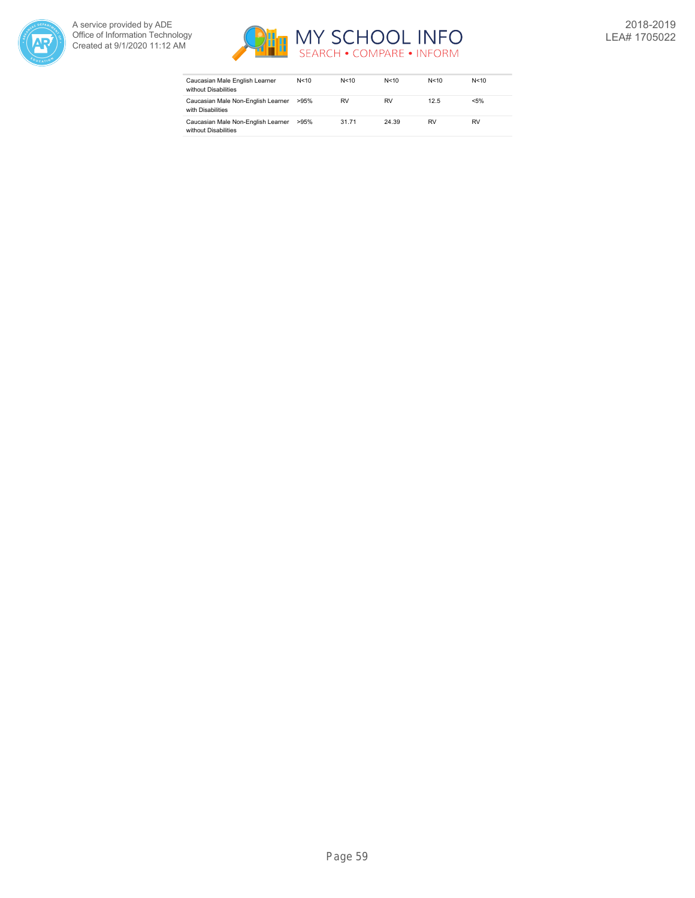



| Caucasian Male English Learner<br>without Disabilities     | N<10 | N < 10 | N<10      | N<10      | N < 10  |
|------------------------------------------------------------|------|--------|-----------|-----------|---------|
| Caucasian Male Non-English Learner<br>with Disabilities    | >95% | RV     | <b>RV</b> | 12.5      | $< 5\%$ |
| Caucasian Male Non-English Learner<br>without Disabilities | >95% | 31.71  | 24.39     | <b>RV</b> | RV      |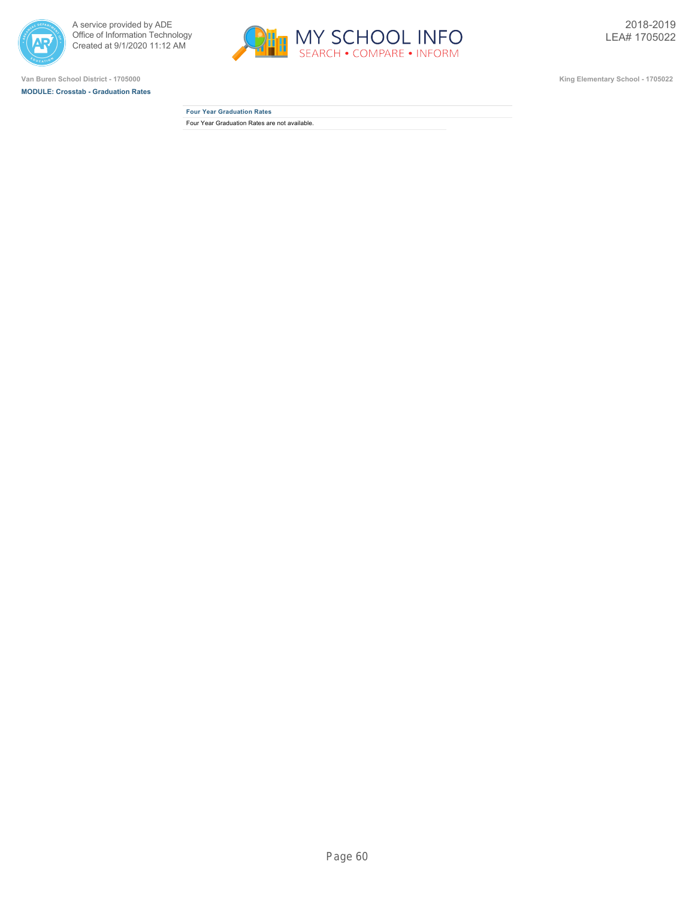



**MODULE: Crosstab - Graduation Rates**



**Four Year Graduation Rates** Four Year Graduation Rates are not available.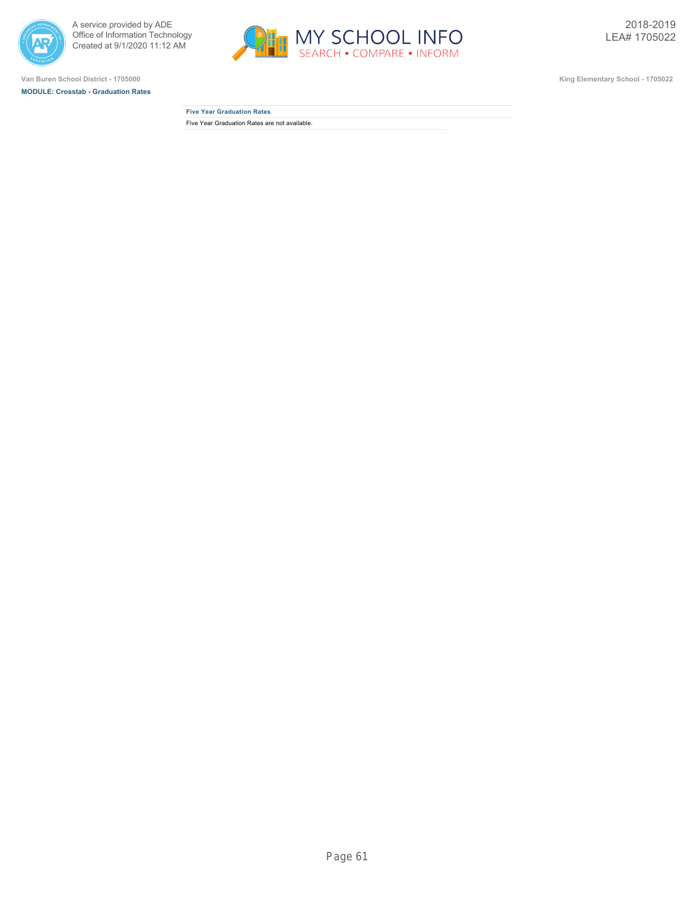



**MODULE: Crosstab - Graduation Rates**



**Five Year Graduation Rates** Five Year Graduation Rates are not available.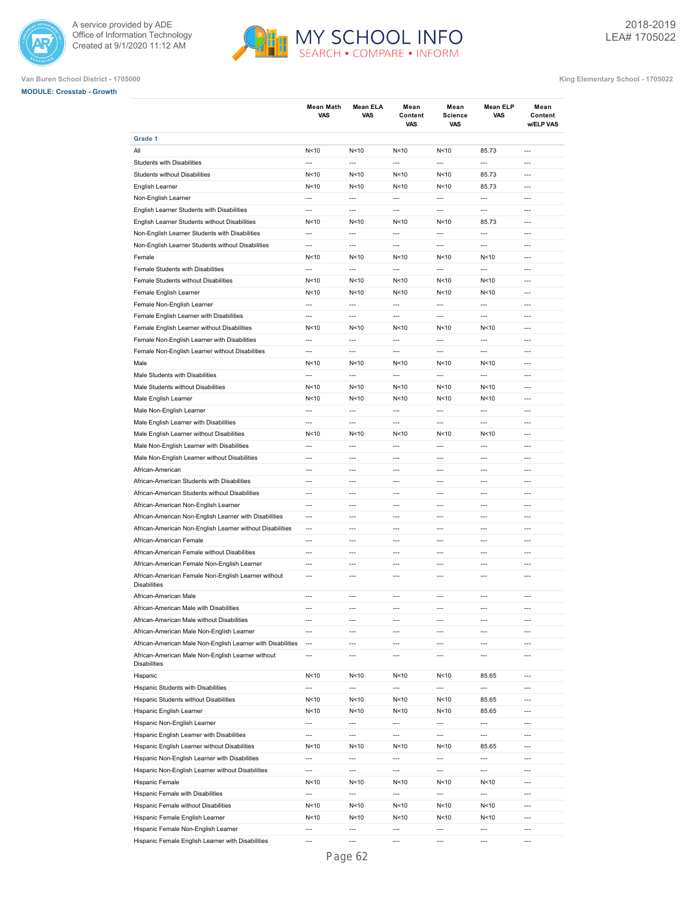



| <b>MODULE: Crosstab - Growth</b> |  |
|----------------------------------|--|
|                                  |  |

|                                                             | <b>Mean Math</b><br><b>VAS</b> | Mean ELA<br><b>VAS</b>   | Mean<br>Content<br>VAS   | Mean<br><b>Science</b><br>VAS | <b>Mean ELP</b><br>VAS   | Mean<br>Content<br>w/ELP VAS |
|-------------------------------------------------------------|--------------------------------|--------------------------|--------------------------|-------------------------------|--------------------------|------------------------------|
| Grade 1                                                     |                                |                          |                          |                               |                          |                              |
| All                                                         | N<10                           | N <sub>10</sub>          | N<10                     | N<10                          | 85.73                    | $\overline{a}$               |
| Students with Disabilities                                  | ---                            | $\overline{a}$           | $\overline{a}$           | ---                           | $\overline{a}$           | $\overline{a}$               |
| Students without Disabilities                               | N < 10                         | N <sub>10</sub>          | N<10                     | N<10                          | 85.73                    | $\overline{a}$               |
| English Learner                                             | N<10                           | N<10                     | N<10                     | N < 10                        | 85.73                    | $\overline{a}$               |
| Non-English Learner                                         | ---                            | ---                      | $\overline{a}$           | ---                           | $\overline{a}$           | ---                          |
| English Learner Students with Disabilities                  | ---                            | $\overline{a}$           | $\overline{a}$           | $\overline{a}$                | $\overline{a}$           | ---                          |
| English Learner Students without Disabilities               | N<10                           | N < 10                   | N<10                     | N<10                          | 85.73                    | ---                          |
| Non-English Learner Students with Disabilities              | ---                            | $\overline{a}$           | $\overline{a}$           | ---                           | $\overline{a}$           | ---                          |
| Non-English Learner Students without Disabilities           | $\overline{a}$                 | $\overline{a}$           | $\overline{a}$           | $\overline{a}$                | $\overline{a}$           | $\overline{a}$               |
| Female                                                      | N<10                           | N<10                     | N < 10                   | N<10                          | N < 10                   | ---                          |
| Female Students with Disabilities                           | $\overline{a}$                 | $\overline{a}$           | $\overline{a}$           | $\overline{a}$                | $\overline{a}$           | $\overline{a}$               |
| Female Students without Disabilities                        | N<10                           | N <sub>10</sub>          | N<10                     | N<10                          | N<10                     | $\overline{a}$               |
| Female English Learner                                      | N<10                           | N < 10                   | N<10                     | N<10                          | N < 10                   | $---$                        |
| Female Non-English Learner                                  | ---                            | $---$                    | $\overline{a}$           | $\overline{a}$                | $\overline{a}$           | $---$                        |
| Female English Learner with Disabilities                    | $\overline{a}$                 | $\overline{a}$           | $\overline{a}$           | $\overline{a}$                | $\overline{a}$           | $---$                        |
| Female English Learner without Disabilities                 | N<10                           | N <sub>10</sub>          | N<10                     | N<10                          | N<10                     | $---$                        |
| Female Non-English Learner with Disabilities                | $\overline{a}$                 | $\overline{a}$           | $\overline{a}$           | $\overline{a}$                | $\overline{a}$           | $\overline{a}$               |
| Female Non-English Learner without Disabilities             | $\overline{a}$                 | $\overline{a}$           | $\overline{a}$           | $\overline{a}$                | $\overline{a}$           | $\overline{a}$               |
| Male                                                        | N<10                           | N <sub>10</sub>          | N<10                     | N<10                          | N < 10                   | $\overline{a}$               |
| Male Students with Disabilities                             | $\overline{a}$                 | $\overline{a}$           | $\overline{a}$           | $\overline{a}$                | $\overline{a}$           | $\overline{a}$               |
| Male Students without Disabilities                          | N<10                           | N <sub>10</sub>          | N < 10                   | N<10                          | N<10                     | ---                          |
|                                                             |                                |                          |                          |                               |                          |                              |
| Male English Learner                                        | N<10                           | N <sub>10</sub>          | N < 10                   | N<10                          | N<10                     | ---                          |
| Male Non-English Learner                                    | ---                            | $\overline{a}$           | $\overline{a}$           | ---                           | $\overline{a}$           | ---                          |
| Male English Learner with Disabilities                      | ---                            | ---                      | $\overline{a}$           | ---                           | $\overline{a}$           |                              |
| Male English Learner without Disabilities                   | N<10                           | N<10                     | N < 10                   | N < 10                        | N<10                     | ---                          |
| Male Non-English Learner with Disabilities                  | $\overline{a}$                 | $\overline{a}$           | $\overline{a}$           | $\overline{a}$                | $\overline{a}$           | $\overline{a}$               |
| Male Non-English Learner without Disabilities               | ---                            | $---$                    | $\overline{a}$           | $\overline{a}$                | $\overline{a}$           | $\overline{a}$               |
| African-American                                            | $\overline{a}$                 | $\overline{a}$           | $\overline{a}$           | $\overline{a}$                | $---$                    | $\overline{a}$               |
| African-American Students with Disabilities                 | $\overline{a}$                 | $---$                    | $---$                    | $---$                         | $---$                    | $---$                        |
| African-American Students without Disabilities              | ---                            | $---$                    | $---$                    | $\overline{a}$                | $---$                    | $---$                        |
| African-American Non-English Learner                        | ---                            | $---$                    | $\overline{a}$           | $---$                         | $\overline{a}$           | $---$                        |
| African-American Non-English Learner with Disabilities      | $\overline{a}$                 | $---$                    | $---$                    | $\overline{a}$                | $---$                    | $---$                        |
| African-American Non-English Learner without Disabilities   | $\overline{a}$                 | $\overline{a}$           | $\overline{a}$           | $\overline{a}$                | $\overline{a}$           | $\overline{a}$               |
| African-American Female                                     | $\overline{a}$                 | $\overline{a}$           | $\overline{a}$           | ---                           | ---                      | $\overline{a}$               |
| African-American Female without Disabilities                | $\overline{a}$                 | $\overline{a}$           | $\overline{a}$           | $\overline{a}$                | $\overline{a}$           | $\overline{a}$               |
| African-American Female Non-English Learner                 | $\overline{a}$                 | $\overline{a}$           | $\overline{a}$           | $\overline{a}$                | $\overline{a}$           | $\overline{a}$               |
| African-American Female Non-English Learner without         | ---                            | ---                      |                          | ---                           | ---                      |                              |
| <b>Disabilities</b>                                         |                                |                          |                          |                               |                          |                              |
| African-American Male                                       | ---                            | $\overline{a}$           | $\overline{a}$           | $\overline{a}$                | $\overline{a}$           | $\overline{a}$               |
| African-American Male with Disabilities                     | ---                            | $\overline{a}$           | $\overline{a}$           | $\overline{\phantom{a}}$      | ---                      | ---                          |
| African-American Male without Disabilities                  | ---                            | $\overline{a}$           | $\overline{a}$           | ---                           | $\overline{a}$           | ---                          |
| African-American Male Non-English Learner                   | ---                            | $\overline{\phantom{a}}$ | $\overline{a}$           | $\overline{\phantom{a}}$      | ---                      | ---                          |
| African-American Male Non-English Learner with Disabilities | ---                            | ---                      | $\overline{a}$           | $\overline{a}$                | $\overline{a}$           | ---                          |
| African-American Male Non-English Learner without           | $\overline{a}$                 | $\overline{a}$           | $\overline{a}$           | $\overline{a}$                | $\overline{a}$           | $\overline{a}$               |
| <b>Disabilities</b>                                         |                                |                          |                          |                               |                          |                              |
| Hispanic                                                    | N<10                           | N < 10                   | N < 10                   | N<10                          | 85.65                    | ---                          |
| Hispanic Students with Disabilities                         | ---                            | ---                      | ---                      | ---                           | ---                      | $\overline{a}$               |
| Hispanic Students without Disabilities                      | N<10                           | N < 10                   | N <sub>10</sub>          | N <sub>10</sub>               | 85.65                    | ---                          |
| Hispanic English Learner                                    | N<10                           | N<10                     | N <sub>10</sub>          | N <sub>10</sub>               | 85.65                    | ---                          |
| Hispanic Non-English Learner                                | $\overline{\phantom{a}}$       | $\overline{\phantom{a}}$ | $\overline{a}$           | $\overline{\phantom{a}}$      | $\overline{\phantom{a}}$ | ---                          |
| Hispanic English Learner with Disabilities                  | $\overline{a}$                 | $\overline{a}$           | $\overline{a}$           | ---                           | ---                      | $---$                        |
| Hispanic English Learner without Disabilities               | N<10                           | N<10                     | N <sub>10</sub>          | N <sub>10</sub>               | 85.65                    | ---                          |
| Hispanic Non-English Learner with Disabilities              | $\overline{a}$                 | $\overline{a}$           | $\overline{a}$           | $\overline{a}$                | $\overline{a}$           | $---$                        |
| Hispanic Non-English Learner without Disabilities           | ---                            | $\overline{a}$           | $\overline{a}$           | $\overline{a}$                | $\overline{a}$           | $---$                        |
| Hispanic Female                                             | N<10                           | N<10                     | N<10                     | N<10                          | N < 10                   | $\overline{a}$               |
| Hispanic Female with Disabilities                           | ---                            | ---                      | ---                      | ---                           | ---                      | ---                          |
| Hispanic Female without Disabilities                        | N<10                           | N < 10                   | N<10                     | N<10                          | N < 10                   | ---                          |
| Hispanic Female English Learner                             | N<10                           | N<10                     | N<10                     | N<10                          | N < 10                   | $\overline{a}$               |
| Hispanic Female Non-English Learner                         | ---                            | $\overline{\phantom{a}}$ | $\overline{\phantom{a}}$ | $\overline{\phantom{a}}$      | ---                      | ---                          |
|                                                             |                                |                          |                          |                               |                          |                              |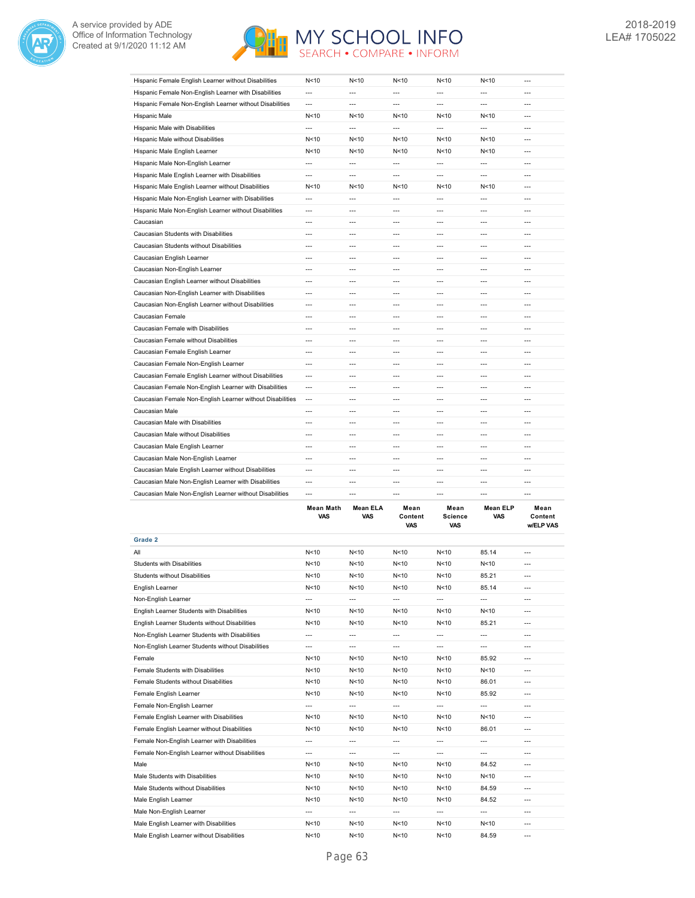



| Hispanic Female English Learner without Disabilities      | N<10                     | N<10                     | N < 10                   | N<10           | N < 10          | $---$          |
|-----------------------------------------------------------|--------------------------|--------------------------|--------------------------|----------------|-----------------|----------------|
| Hispanic Female Non-English Learner with Disabilities     | ---                      | $\overline{\phantom{a}}$ | ---                      | ---            | $---$           | ---            |
| Hispanic Female Non-English Learner without Disabilities  | ---                      | $\overline{a}$           | $\overline{a}$           | ---            | $---$           | $---$          |
| Hispanic Male                                             | N <sub>10</sub>          | N<10                     | N<10                     | N<10           | N <sub>10</sub> | $---$          |
| Hispanic Male with Disabilities                           | ---                      | ---                      | $\overline{a}$           | ---            | ---             | ---            |
| Hispanic Male without Disabilities                        | N<10                     | N<10                     | N<10                     | N<10           | N < 10          | $\overline{a}$ |
| Hispanic Male English Learner                             | N<10                     | N<10                     | N<10                     | N<10           | N < 10          | $---$          |
| Hispanic Male Non-English Learner                         | ---                      | $\overline{\phantom{a}}$ | $\overline{\phantom{a}}$ | ---            | $---$           | ---            |
| Hispanic Male English Learner with Disabilities           | $\overline{a}$           | $---$                    | $\overline{a}$           | ---            | $\overline{a}$  | $---$          |
| Hispanic Male English Learner without Disabilities        | N<10                     | N<10                     | N < 10                   | N<10           | N < 10          | ---            |
| Hispanic Male Non-English Learner with Disabilities       | ---                      | ---                      | ---                      | ---            | ---             | ---            |
| Hispanic Male Non-English Learner without Disabilities    | $\overline{a}$           | $\overline{a}$           | $\overline{a}$           | ---            | ---             | $\overline{a}$ |
| Caucasian                                                 | ---                      | $\overline{a}$           | $\overline{a}$           | $\overline{a}$ | ---             | ---            |
| Caucasian Students with Disabilities                      | $---$                    | $---$                    | $---$                    | $\overline{a}$ | $\overline{a}$  | $---$          |
| Caucasian Students without Disabilities                   | $---$                    | $\overline{a}$           | $\overline{a}$           | $\overline{a}$ | $\overline{a}$  | ---            |
| Caucasian English Learner                                 | $\overline{a}$           | $\overline{a}$           | $\overline{a}$           | ---            | $\overline{a}$  | $\overline{a}$ |
| Caucasian Non-English Learner                             | $---$                    | $---$                    | $---$                    | ---            | $\overline{a}$  | $---$          |
| Caucasian English Learner without Disabilities            | ---                      | $\overline{\phantom{a}}$ | ---                      | ---            | ---             | ---            |
| Caucasian Non-English Learner with Disabilities           | ---                      | $\overline{a}$           | $\overline{a}$           | ---            | ---             | ---            |
| Caucasian Non-English Learner without Disabilities        | $---$                    | $---$                    | $---$                    | ---            | ---             | $---$          |
| Caucasian Female                                          | ---                      | $\overline{\phantom{a}}$ | ---                      | ---            | ---             | ---            |
| Caucasian Female with Disabilities                        | ---                      | $\overline{a}$           | $\overline{a}$           | ---            | ---             | ---            |
| Caucasian Female without Disabilities                     | $\overline{a}$           | $---$                    | $---$                    | ---            | ---             | $---$          |
| Caucasian Female English Learner                          | ---                      | $\overline{a}$           | ---                      | ---            | ---             | ---            |
| Caucasian Female Non-English Learner                      | $\overline{\phantom{a}}$ | ---                      | $\overline{\phantom{a}}$ | ---            | $---$           | ---            |
| Caucasian Female English Learner without Disabilities     | $---$                    | $- - -$                  | $- - -$                  | $---$          | $---$           | ---            |
| Caucasian Female Non-English Learner with Disabilities    | $\overline{\phantom{a}}$ | ---                      | ---                      | ---            | ---             | ---            |
| Caucasian Female Non-English Learner without Disabilities | $---$                    | $\overline{a}$           | $\overline{a}$           | ---            | ---             | ---            |
| Caucasian Male                                            | $\overline{a}$           | $- - -$                  | $- - -$                  | $\overline{a}$ | $-$             | $- - -$        |
| Caucasian Male with Disabilities                          | ---                      | $\overline{\phantom{a}}$ | ---                      | ---            | $---$           | ---            |
| Caucasian Male without Disabilities                       | ---                      | $---$                    | ---                      | ---            | ---             | ---            |
| Caucasian Male English Learner                            | $---$                    | $---$                    | $- - -$                  | $---$          | $\overline{a}$  | ---            |
| Caucasian Male Non-English Learner                        | ---                      | ---                      | ---                      | ---            | ---             | ---            |
| Caucasian Male English Learner without Disabilities       | $\overline{a}$           | $---$                    | $---$                    | ---            | ---             | $---$          |
| Caucasian Male Non-English Learner with Disabilities      | $\overline{a}$           | $- - -$                  | $---$                    | ---            | ---             | $- - -$        |
| Caucasian Male Non-English Learner without Disabilities   | ---                      | ---                      | ---                      | ---            | ---             | ---            |

|                                                   | <b>Mean Math</b><br><b>VAS</b> | <b>Mean ELA</b><br><b>VAS</b> | Mean<br>Content<br><b>VAS</b> | Mean<br><b>Science</b><br><b>VAS</b> | <b>Mean ELP</b><br><b>VAS</b> | Mean<br>Content<br><b>w/ELP VAS</b> |
|---------------------------------------------------|--------------------------------|-------------------------------|-------------------------------|--------------------------------------|-------------------------------|-------------------------------------|
| Grade 2                                           |                                |                               |                               |                                      |                               |                                     |
| All                                               | N<10                           | N <sub>10</sub>               | N<10                          | N<10                                 | 85.14                         | $\overline{a}$                      |
| <b>Students with Disabilities</b>                 | N<10                           | N<10                          | N<10                          | N<10                                 | N <sub>10</sub>               | $---$                               |
| <b>Students without Disabilities</b>              | N<10                           | N < 10                        | N<10                          | N<10                                 | 85.21                         | $---$                               |
| English Learner                                   | N < 10                         | N < 10                        | N < 10                        | N<10                                 | 85.14                         | $\overline{a}$                      |
| Non-English Learner                               | ---                            | $---$                         | $---$                         | ---                                  | ---                           | $---$                               |
| English Learner Students with Disabilities        | N < 10                         | N < 10                        | N < 10                        | N<10                                 | N < 10                        | ---                                 |
| English Learner Students without Disabilities     | N < 10                         | N < 10                        | N < 10                        | N<10                                 | 85.21                         | $\overline{a}$                      |
| Non-English Learner Students with Disabilities    | ---                            | $---$                         | ---                           | ---                                  | ---                           | $---$                               |
| Non-English Learner Students without Disabilities | ---                            | ---                           | ---                           | ---                                  | ---                           | $\overline{a}$                      |
| Female                                            | N<10                           | N < 10                        | N < 10                        | N<10                                 | 85.92                         | $---$                               |
| Female Students with Disabilities                 | N < 10                         | N < 10                        | N < 10                        | N<10                                 | N < 10                        | ---                                 |
| Female Students without Disabilities              | N<10                           | N < 10                        | N < 10                        | N<10                                 | 86.01                         | $---$                               |
| Female English Learner                            | N < 10                         | N < 10                        | N < 10                        | N<10                                 | 85.92                         | $\overline{a}$                      |
| Female Non-English Learner                        | ---                            | ---                           | ---                           | ---                                  | ---                           | $\overline{a}$                      |
| Female English Learner with Disabilities          | N<10                           | N<10                          | N<10                          | N<10                                 | N <sub>10</sub>               | $---$                               |
| Female English Learner without Disabilities       | N < 10                         | N < 10                        | N<10                          | N<10                                 | 86.01                         | $\overline{a}$                      |
| Female Non-English Learner with Disabilities      | ---                            | $\overline{a}$                | $---$                         | ---                                  | ---                           | $---$                               |
| Female Non-English Learner without Disabilities   | ---                            | ---                           | ---                           | ---                                  | ---                           | $\overline{a}$                      |
| Male                                              | N <sub>10</sub>                | N < 10                        | N<10                          | N<10                                 | 84.52                         | $---$                               |
| Male Students with Disabilities                   | N<10                           | N < 10                        | N<10                          | N<10                                 | N <sub>10</sub>               | ---                                 |
| Male Students without Disabilities                | N<10                           | N < 10                        | N<10                          | N<10                                 | 84.59                         | $---$                               |
| Male English Learner                              | N < 10                         | N < 10                        | N<10                          | N<10                                 | 84.52                         | $\overline{a}$                      |
| Male Non-English Learner                          | $---$                          | ---                           | ---                           | ---                                  | ---                           | $---$                               |
| Male English Learner with Disabilities            | N<10                           | N<10                          | N < 10                        | N<10                                 | N <sub>10</sub>               | $---$                               |
| Male English Learner without Disabilities         | N<10                           | N < 10                        | N<10                          | N<10                                 | 84.59                         | $---$                               |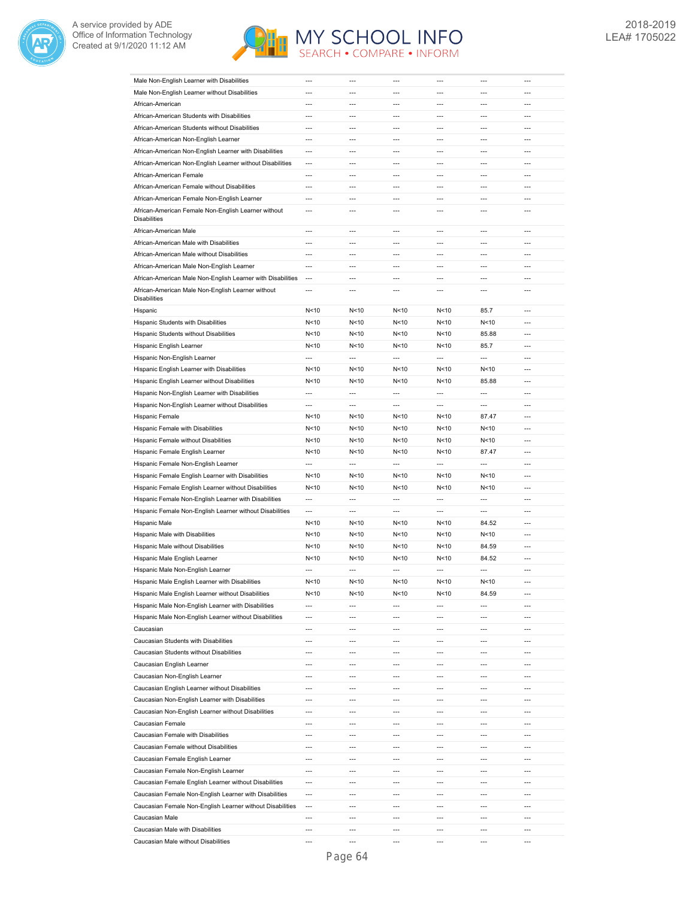



| Male Non-English Learner with Disabilities                  | ---                      | ---                      | ---                      | ---            | ---            | ---            |
|-------------------------------------------------------------|--------------------------|--------------------------|--------------------------|----------------|----------------|----------------|
| Male Non-English Learner without Disabilities               | ---                      | ---                      | ---                      | ---            | ---            | ---            |
| African-American                                            | ---                      | ---                      | $\overline{a}$           | ---            | ---            | ---            |
| African-American Students with Disabilities                 | $\overline{a}$           | $\overline{a}$           | $\overline{a}$           | $\overline{a}$ | $\overline{a}$ | $\overline{a}$ |
| African-American Students without Disabilities              | $\overline{\phantom{a}}$ | ---                      | $\overline{a}$           | $\overline{a}$ | ---            | ---            |
| African-American Non-English Learner                        | $\overline{a}$           | $\overline{a}$           | $\overline{a}$           | $\overline{a}$ | $\overline{a}$ | $\overline{a}$ |
| African-American Non-English Learner with Disabilities      | $\overline{\phantom{a}}$ | ---                      | ---                      | ---            | $\overline{a}$ | ---            |
|                                                             | $---$                    | $---$                    | $---$                    | ---            | $---$          | ---            |
| African-American Non-English Learner without Disabilities   |                          |                          |                          |                |                |                |
| African-American Female                                     | $\overline{a}$           | $---$                    | $\overline{a}$           | ---            | $---$          | $---$          |
| African-American Female without Disabilities                | $\overline{a}$           | $---$                    | ---                      | $---$          | $---$          | $---$          |
| African-American Female Non-English Learner                 | $\overline{a}$           | $\overline{a}$           | $\overline{a}$           | $\overline{a}$ | $\overline{a}$ | $\overline{a}$ |
| African-American Female Non-English Learner without         | $\overline{a}$           | $\overline{a}$           | ---                      | ---            | $\overline{a}$ | $\overline{a}$ |
| <b>Disabilities</b>                                         |                          |                          |                          |                |                |                |
| African-American Male                                       | $---$                    | $---$                    | $\overline{a}$           | ---            | $\overline{a}$ | $\overline{a}$ |
| African-American Male with Disabilities                     | $\overline{a}$           | $\overline{a}$           | $\overline{a}$           | $\overline{a}$ | $\overline{a}$ | $\overline{a}$ |
| African-American Male without Disabilities                  | ---                      | $\overline{a}$           | $\overline{a}$           | ---            | $\overline{a}$ | $\overline{a}$ |
| African-American Male Non-English Learner                   | $\overline{a}$           | $\overline{a}$           | $\overline{a}$           | $\overline{a}$ | $\overline{a}$ | $\overline{a}$ |
| African-American Male Non-English Learner with Disabilities | $\overline{\phantom{a}}$ | ---                      | $\overline{a}$           | ---            | $\overline{a}$ | ---            |
| African-American Male Non-English Learner without           | ---                      | ---                      | ---                      | ---            | $\overline{a}$ | ---            |
| <b>Disabilities</b>                                         |                          |                          |                          |                |                |                |
| Hispanic                                                    | N<10                     | N<10                     | N<10                     | N<10           | 85.7           | $\overline{a}$ |
| Hispanic Students with Disabilities                         | N<10                     | N<10                     | N < 10                   | N<10           | N<10           | ---            |
| Hispanic Students without Disabilities                      | N<10                     | N<10                     | N < 10                   | N<10           | 85.88          | ---            |
| Hispanic English Learner                                    | N<10                     | N<10                     | N < 10                   | N<10           | 85.7           | $\overline{a}$ |
| Hispanic Non-English Learner                                | ---                      | ---                      | ---                      | ---            | ---            | ---            |
| Hispanic English Learner with Disabilities                  | N<10                     | N<10                     | N < 10                   | N<10           | N<10           | ---            |
| Hispanic English Learner without Disabilities               | N<10                     | N<10                     | N < 10                   | N<10           | 85.88          | $\overline{a}$ |
| Hispanic Non-English Learner with Disabilities              | $\overline{a}$           | ---                      | $\overline{a}$           | ---            | $\overline{a}$ | ---            |
| Hispanic Non-English Learner without Disabilities           | $\overline{a}$           | $\overline{a}$           | $\overline{a}$           | $\overline{a}$ | $\overline{a}$ | $\overline{a}$ |
| Hispanic Female                                             | N<10                     | N<10                     | N<10                     | N<10           | 87.47          | ---            |
|                                                             |                          |                          |                          |                |                |                |
| Hispanic Female with Disabilities                           | N<10                     | N<10                     | N<10                     | N<10           | N < 10         | $---$          |
| Hispanic Female without Disabilities                        | N<10                     | N<10                     | N<10                     | N<10           | N<10           | $---$          |
| Hispanic Female English Learner                             | N<10                     | N<10                     | N<10                     | N<10           | 87.47          | $---$          |
| Hispanic Female Non-English Learner                         | $\overline{a}$           | $\overline{a}$           | $\overline{a}$           | $\overline{a}$ | $\overline{a}$ | $\overline{a}$ |
| Hispanic Female English Learner with Disabilities           | N<10                     | N<10                     | N<10                     | N<10           | N<10           | $\overline{a}$ |
| Hispanic Female English Learner without Disabilities        | N<10                     | N<10                     | N<10                     | N<10           | N<10           | $---$          |
| Hispanic Female Non-English Learner with Disabilities       | ---                      | $\overline{a}$           | ---                      | ---            | ---            | $\overline{a}$ |
| Hispanic Female Non-English Learner without Disabilities    | $\overline{a}$           | ---                      | ---                      | ---            | $\overline{a}$ | ---            |
| Hispanic Male                                               | N<10                     | N<10                     | N<10                     | N<10           | 84.52          | $\overline{a}$ |
| Hispanic Male with Disabilities                             | N<10                     | N<10                     | N < 10                   | N<10           | N<10           | ---            |
| Hispanic Male without Disabilities                          | N<10                     | N<10                     | N < 10                   | N<10           | 84.59          | ---            |
| Hispanic Male English Learner                               | N < 10                   | N<10                     | N<10                     | N<10           | 84.52          | $\overline{a}$ |
| Hispanic Male Non-English Learner                           | $\overline{a}$           | $\overline{a}$           | $\overline{a}$           | ---            | $\overline{a}$ | $\overline{a}$ |
| Hispanic Male English Learner with Disabilities             | N <sub>10</sub>          | N < 10                   | N <sub>10</sub>          | N < 10         | N < 10         | $\overline{a}$ |
| Hispanic Male English Learner without Disabilities          | N<10                     | N<10                     | N<10                     | N<10           | 84.59          | ---            |
| Hispanic Male Non-English Learner with Disabilities         | $---$                    | $---$                    | $---$                    | $---$          | $\overline{a}$ | $---$          |
|                                                             | ---                      | ---                      | ---                      | ---            | ---            | ---            |
| Hispanic Male Non-English Learner without Disabilities      | $\overline{a}$           | $---$                    | $---$                    | $---$          | $---$          | $---$          |
| Caucasian                                                   |                          | $---$                    | ---                      | $---$          | $---$          | $---$          |
| Caucasian Students with Disabilities                        | $---$                    |                          |                          |                |                |                |
| Caucasian Students without Disabilities                     | ---                      | ---                      | ---                      | ---            | ---            | ---            |
| Caucasian English Learner                                   | ---                      | $---$                    | ---                      | ---            | $\overline{a}$ | ---            |
| Caucasian Non-English Learner                               | ---                      | ---                      | ---                      | ---            | $\overline{a}$ | ---            |
| Caucasian English Learner without Disabilities              | $\overline{a}$           | $\overline{a}$           | $\overline{a}$           | $\overline{a}$ | $\overline{a}$ | $\overline{a}$ |
| Caucasian Non-English Learner with Disabilities             | ---                      | $\overline{\phantom{a}}$ | $\overline{\phantom{a}}$ | ---            | $---$          | ---            |
| Caucasian Non-English Learner without Disabilities          | ---                      | ---                      | ---                      | ---            | ---            | ---            |
| Caucasian Female                                            | ---                      | ---                      | ---                      | ---            | $---$          | ---            |
| Caucasian Female with Disabilities                          | ---                      | ---                      | ---                      | ---            | ---            | ---            |
| Caucasian Female without Disabilities                       | $\overline{\phantom{a}}$ | ---                      | $\overline{a}$           | ---            | $---$          | ---            |
| Caucasian Female English Learner                            | ---                      | $\overline{a}$           | ---                      | ---            | $\overline{a}$ | ---            |
| Caucasian Female Non-English Learner                        | ---                      | ---                      | ---                      | ---            | $---$          | ---            |
| Caucasian Female English Learner without Disabilities       | $\overline{a}$           | $\overline{a}$           | $\overline{a}$           | $\overline{a}$ | $\overline{a}$ | $\overline{a}$ |
| Caucasian Female Non-English Learner with Disabilities      | $\overline{\phantom{a}}$ | ---                      | ---                      | ---            | ---            | ---            |
|                                                             | $---$                    | $---$                    | $---$                    | $---$          | $---$          | $---$          |
| Caucasian Female Non-English Learner without Disabilities   |                          |                          |                          |                |                |                |
| Caucasian Male                                              | $\overline{a}$           | ---                      | ---                      | $---$          | $---$          | $---$          |
| Caucasian Male with Disabilities                            | $\overline{a}$           | $---$                    | $---$                    | $---$          | $---$          | $---$          |
| Caucasian Male without Disabilities                         | $\overline{a}$           | $\overline{a}$           | $\overline{a}$           | ---            | $\overline{a}$ | $\overline{a}$ |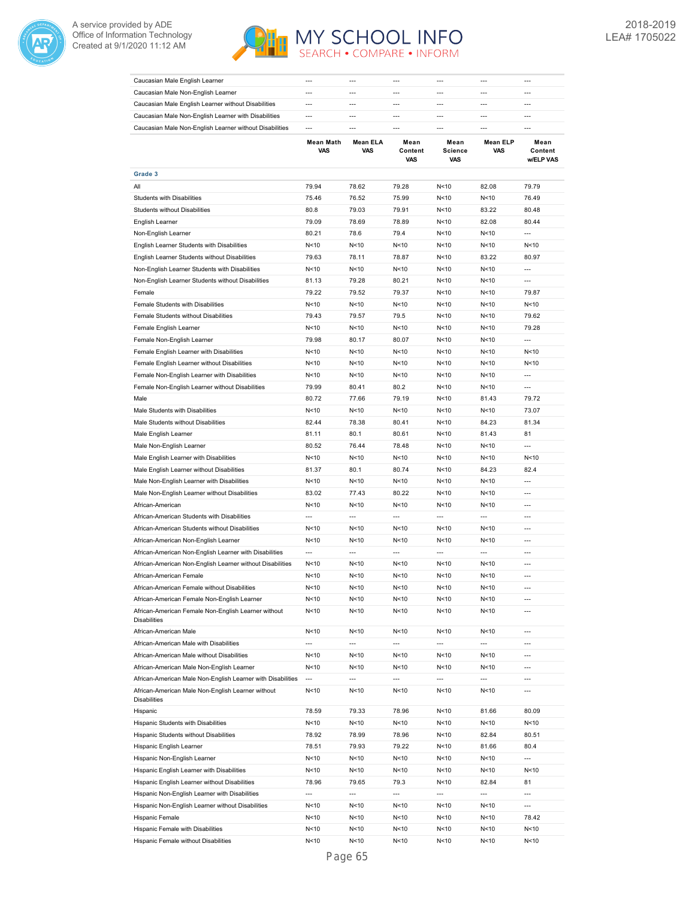



| Caucasian Male English Learner                                             | $\overline{a}$           | ---                      | ---                      | ---                           | $---$                    | ---                          |
|----------------------------------------------------------------------------|--------------------------|--------------------------|--------------------------|-------------------------------|--------------------------|------------------------------|
| Caucasian Male Non-English Learner                                         | $\overline{a}$           | ---                      | ---                      | ---                           | $---$                    | ---                          |
| Caucasian Male English Learner without Disabilities                        | ---                      | $\overline{a}$           | ---                      | ---                           | $\overline{a}$           | $\overline{a}$               |
| Caucasian Male Non-English Learner with Disabilities                       | $\overline{a}$           | $\overline{a}$           | $\overline{a}$           | $\overline{a}$                | $\overline{a}$           | $\overline{a}$               |
| Caucasian Male Non-English Learner without Disabilities                    | $\overline{a}$           | $\overline{a}$           | ---                      | ---                           | $\overline{a}$           | $\overline{a}$               |
|                                                                            | <b>Mean Math</b><br>VAS  | <b>Mean ELA</b><br>VAS   | Mean<br>Content<br>VAS   | Mean<br><b>Science</b><br>VAS | <b>Mean ELP</b><br>VAS   | Mean<br>Content<br>w/ELP VAS |
| Grade 3                                                                    |                          |                          |                          |                               |                          |                              |
| ail                                                                        | 79.94                    | 78.62                    | 79.28                    | N<10                          | 82.08                    | 79.79                        |
| <b>Students with Disabilities</b>                                          | 75.46                    | 76.52                    | 75.99                    | N<10                          | N<10                     | 76.49                        |
| Students without Disabilities                                              | 80.8                     | 79.03                    | 79.91                    | N<10                          | 83.22                    | 80.48                        |
| English Learner                                                            | 79.09                    | 78.69                    | 78.89                    | N<10                          | 82.08                    | 80.44                        |
| Non-English Learner                                                        | 80.21                    | 78.6                     | 79.4                     | N<10                          | N < 10                   | $\overline{a}$               |
| English Learner Students with Disabilities                                 | N<10                     | N<10                     | N<10                     | N<10                          | N < 10                   | N<10                         |
| English Learner Students without Disabilities                              | 79.63                    | 78.11                    | 78.87                    | N<10                          | 83.22                    | 80.97                        |
| Non-English Learner Students with Disabilities                             | N<10                     | N<10                     | N<10                     | N<10                          | N<10                     | ---                          |
| Non-English Learner Students without Disabilities                          | 81.13                    | 79.28                    | 80.21                    | N<10                          | N<10                     | ---                          |
| Female                                                                     | 79.22                    | 79.52                    | 79.37                    | N<10                          | N<10                     | 79.87                        |
| Female Students with Disabilities                                          | N<10                     | N<10                     | N < 10                   | N<10                          | N<10                     | N<10                         |
| Female Students without Disabilities                                       | 79.43                    | 79.57                    | 79.5                     | N<10                          | N<10                     | 79.62                        |
| Female English Learner                                                     | N<10                     | N<10                     | N < 10                   | N<10                          | N<10                     | 79.28                        |
| Female Non-English Learner                                                 | 79.98                    | 80.17                    | 80.07                    | N<10                          | N < 10                   | $\overline{a}$               |
| Female English Learner with Disabilities                                   | N<10                     | N<10                     | N < 10                   | N<10                          | N<10                     | N<10                         |
| Female English Learner without Disabilities                                | N<10                     | N<10                     | N < 10                   | N<10                          | N<10                     | N<10                         |
| Female Non-English Learner with Disabilities                               | N<10                     | N<10                     | N<10                     | N<10                          | N<10                     | $\overline{a}$               |
| Female Non-English Learner without Disabilities                            | 79.99                    | 80.41                    | 80.2                     | N<10                          | N < 10                   | $---$                        |
| Male                                                                       | 80.72                    | 77.66                    | 79.19                    | N < 10                        | 81.43                    | 79.72                        |
| Male Students with Disabilities                                            | N<10                     | N<10                     | N < 10                   | N<10                          | N < 10                   | 73.07                        |
| Male Students without Disabilities                                         | 82.44                    | 78.38                    | 80.41                    | N<10                          | 84.23                    | 81.34                        |
| Male English Learner                                                       | 81.11                    | 80.1                     | 80.61                    | N<10                          | 81.43                    | 81                           |
| Male Non-English Learner                                                   | 80.52                    | 76.44                    | 78.48                    | N<10                          | N<10                     | $\overline{a}$               |
| Male English Learner with Disabilities                                     | N<10                     | N<10                     | N<10                     | N<10                          | N<10                     | N<10                         |
| Male English Learner without Disabilities                                  | 81.37                    | 80.1                     | 80.74                    | N<10                          | 84.23                    | 82.4                         |
| Male Non-English Learner with Disabilities                                 | N<10                     | N<10                     | N < 10                   | N<10                          | N<10                     | ---                          |
| Male Non-English Learner without Disabilities                              | 83.02                    | 77.43                    | 80.22                    | N<10                          | N<10                     | ---                          |
| African-American                                                           | N<10                     | N <sub>10</sub>          | N < 10                   | N<10                          | N<10                     | ---                          |
| African-American Students with Disabilities                                | ---                      | ---                      | ---                      | ---                           | ---                      | ---                          |
| African-American Students without Disabilities                             | N<10                     | N<10                     | N<10                     | N<10                          | N<10                     | $\overline{a}$               |
| African-American Non-English Learner                                       | N<10                     | N<10                     | N < 10                   | N<10                          | N<10                     | ---                          |
| African-American Non-English Learner with Disabilities                     | $\overline{\phantom{a}}$ | ---                      | $\overline{a}$           | ---                           | $\overline{a}$           | ---                          |
| African-American Non-English Learner without Disabilities                  | N<10                     | N < 10                   | N<10                     | N<10                          | N < 10                   | $\overline{a}$               |
| African-American Female                                                    | N<10                     | N<10                     | N<10                     | N<10                          | N<10                     | ---                          |
| African-American Female without Disabilities                               | N < 10                   | N < 10                   | N < 10                   | N<10                          | N<10                     | ---                          |
| African-American Female Non-English Learner                                | N<10                     | N < 10                   | N < 10                   | N<10                          | N<10                     | ---                          |
| African-American Female Non-English Learner without<br><b>Disabilities</b> | N<10                     | N < 10                   | N < 10                   | N<10                          | N <sub>10</sub>          | $---$                        |
| African-American Male                                                      | N < 10                   | N < 10                   | N<10                     | N<10                          | N<10                     | $---$                        |
| African-American Male with Disabilities                                    | $\overline{\phantom{a}}$ | $\overline{\phantom{a}}$ | $\overline{\phantom{a}}$ | $\overline{\phantom{a}}$      | $\overline{\phantom{a}}$ | ---                          |
| African-American Male without Disabilities                                 | N<10                     | N < 10                   | N<10                     | N<10                          | N<10                     | $\overline{a}$               |
| African-American Male Non-English Learner                                  | N<10                     | N<10                     | N<10                     | N<10                          | N<10                     | $\overline{a}$               |
| African-American Male Non-English Learner with Disabilities                | $\overline{\phantom{a}}$ | ---                      | ---                      | $\overline{\phantom{a}}$      | ---                      | ---                          |
| African-American Male Non-English Learner without<br><b>Disabilities</b>   | N<10                     | N<10                     | N < 10                   | N<10                          | N<10                     | $\overline{a}$               |
| Hispanic                                                                   | 78.59                    | 79.33                    | 78.96                    | N<10                          | 81.66                    | 80.09                        |
| Hispanic Students with Disabilities                                        | N<10                     | N<10                     | N<10                     | N<10                          | N <sub>10</sub>          | N<10                         |
| Hispanic Students without Disabilities                                     | 78.92                    | 78.99                    | 78.96                    | N<10                          | 82.84                    | 80.51                        |
| Hispanic English Learner                                                   | 78.51                    | 79.93                    | 79.22                    | N<10                          | 81.66                    | 80.4                         |
| Hispanic Non-English Learner                                               | N < 10                   | N<10                     | N < 10                   | N<10                          | N<10                     | ---                          |
| Hispanic English Learner with Disabilities                                 | N < 10                   | N<10                     | N<10                     | N<10                          | N<10                     | N<10                         |
| Hispanic English Learner without Disabilities                              | 78.96                    | 79.65                    | 79.3                     | N<10                          | 82.84                    | 81                           |
| Hispanic Non-English Learner with Disabilities                             | $\overline{\phantom{a}}$ | $\overline{\phantom{a}}$ | $\overline{\phantom{a}}$ | ---                           | $\overline{\phantom{a}}$ | $\overline{\phantom{a}}$     |
| Hispanic Non-English Learner without Disabilities                          | N <sub>10</sub>          | N<10                     | N < 10                   | N<10                          | N<10                     | ---                          |
| Hispanic Female                                                            | N < 10                   | N<10                     | N < 10                   | N<10                          | N<10                     | 78.42                        |
| Hispanic Female with Disabilities                                          | N < 10                   | N<10                     | N<10                     | N<10                          | N<10                     | N<10                         |
| Hispanic Female without Disabilities                                       | N<10                     | N<10                     | N<10                     | N<10                          | N <sub>10</sub>          | N<10                         |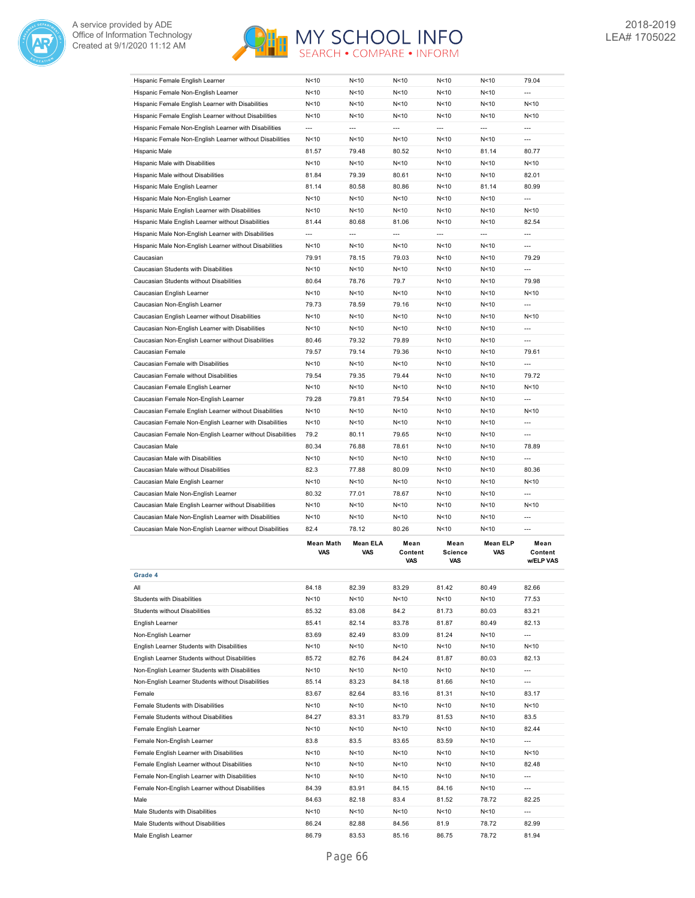



| Hispanic Female English Learner                           | N < 10                  | N < 10                 | N < 10                 | N<10                          | N < 10                 | 79.04                               |
|-----------------------------------------------------------|-------------------------|------------------------|------------------------|-------------------------------|------------------------|-------------------------------------|
| Hispanic Female Non-English Learner                       | N<10                    | N < 10                 | N < 10                 | N<10                          | N<10                   | ---                                 |
| Hispanic Female English Learner with Disabilities         | N<10                    | N<10                   | N<10                   | N<10                          | N<10                   | N < 10                              |
| Hispanic Female English Learner without Disabilities      | N<10                    | N<10                   | N < 10                 | N<10                          | N<10                   | N < 10                              |
| Hispanic Female Non-English Learner with Disabilities     | $\overline{a}$          | $\overline{a}$         | $\overline{a}$         | $\overline{a}$                | $\overline{a}$         | $\overline{a}$                      |
| Hispanic Female Non-English Learner without Disabilities  | N<10                    | N < 10                 | N<10                   | N<10                          | N<10                   | $\overline{a}$                      |
| Hispanic Male                                             | 81.57                   | 79.48                  | 80.52                  | N<10                          | 81.14                  | 80.77                               |
| Hispanic Male with Disabilities                           | N < 10                  | N < 10                 | N<10                   | N<10                          | N < 10                 | N < 10                              |
| Hispanic Male without Disabilities                        | 81.84                   | 79.39                  | 80.61                  | N <sub>10</sub>               | N<10                   | 82.01                               |
| Hispanic Male English Learner                             | 81.14                   | 80.58                  | 80.86                  | N<10                          | 81.14                  | 80.99                               |
|                                                           | N <sub>10</sub>         | N < 10                 | N<10                   | N<10                          | N < 10                 | ---                                 |
| Hispanic Male Non-English Learner                         |                         |                        |                        |                               |                        |                                     |
| Hispanic Male English Learner with Disabilities           | N<10                    | N<10                   | N<10                   | N < 10                        | N < 10                 | N < 10                              |
| Hispanic Male English Learner without Disabilities        | 81.44                   | 80.68                  | 81.06                  | N<10                          | N < 10                 | 82.54                               |
| Hispanic Male Non-English Learner with Disabilities       | $\overline{a}$          | $\overline{a}$         | $\overline{a}$         | ---                           | $\overline{a}$         | ---                                 |
| Hispanic Male Non-English Learner without Disabilities    | N < 10                  | N<10                   | N < 10                 | N<10                          | N < 10                 | ---                                 |
| Caucasian                                                 | 79.91                   | 78.15                  | 79.03                  | N<10                          | N<10                   | 79.29                               |
| Caucasian Students with Disabilities                      | N < 10                  | N < 10                 | N < 10                 | N<10                          | N<10                   | ---                                 |
| Caucasian Students without Disabilities                   | 80.64                   | 78.76                  | 79.7                   | N<10                          | N<10                   | 79.98                               |
| Caucasian English Learner                                 | N<10                    | N < 10                 | N<10                   | N<10                          | N<10                   | N<10                                |
| Caucasian Non-English Learner                             | 79.73                   | 78.59                  | 79.16                  | N < 10                        | N<10                   | $\overline{a}$                      |
| Caucasian English Learner without Disabilities            | N<10                    | N < 10                 | N<10                   | N<10                          | N<10                   | N<10                                |
| Caucasian Non-English Learner with Disabilities           | N<10                    | N < 10                 | N<10                   | N<10                          | N<10                   | ---                                 |
| Caucasian Non-English Learner without Disabilities        | 80.46                   | 79.32                  | 79.89                  | N<10                          | N < 10                 | $---$                               |
| Caucasian Female                                          | 79.57                   | 79.14                  | 79.36                  | N<10                          | N <sub>10</sub>        | 79.61                               |
| Caucasian Female with Disabilities                        | N < 10                  | N < 10                 | N <sub>10</sub>        | N<10                          | N <sub>10</sub>        | $\overline{a}$                      |
| Caucasian Female without Disabilities                     | 79.54                   | 79.35                  | 79.44                  | N<10                          | N<10                   | 79.72                               |
| Caucasian Female English Learner                          | N < 10                  | N < 10                 | N<10                   | N<10                          | N < 10                 | N<10                                |
| Caucasian Female Non-English Learner                      | 79.28                   | 79.81                  | 79.54                  | N<10                          | N <sub>10</sub>        | ---                                 |
| Caucasian Female English Learner without Disabilities     | N<10                    | N < 10                 | N<10                   | N<10                          | N <sub>10</sub>        | N < 10                              |
| Caucasian Female Non-English Learner with Disabilities    | N <sub>10</sub>         | N < 10                 | N<10                   | N<10                          | N <sub>10</sub>        | ---                                 |
| Caucasian Female Non-English Learner without Disabilities | 79.2                    | 80.11                  | 79.65                  | N<10                          | N<10                   | ---                                 |
|                                                           |                         |                        |                        |                               |                        |                                     |
| Caucasian Male                                            | 80.34                   | 76.88                  | 78.61                  | N<10                          | N<10                   | 78.89                               |
|                                                           |                         |                        |                        |                               |                        |                                     |
| Caucasian Male with Disabilities                          | N < 10                  | N < 10                 | N<10                   | N<10                          | N<10                   | ---                                 |
| Caucasian Male without Disabilities                       | 82.3                    | 77.88                  | 80.09                  | N<10                          | N<10                   | 80.36                               |
| Caucasian Male English Learner                            | N<10                    | N<10                   | N<10                   | N < 10                        | N<10                   | N<10                                |
| Caucasian Male Non-English Learner                        | 80.32                   | 77.01                  | 78.67                  | N<10                          | N<10                   | ---                                 |
| Caucasian Male English Learner without Disabilities       | N<10                    | N<10                   | N <sub>10</sub>        | N<10                          | N<10                   | N<10                                |
| Caucasian Male Non-English Learner with Disabilities      | N<10                    | N<10                   | N <sub>10</sub>        | N<10                          | N < 10                 | $\overline{a}$                      |
| Caucasian Male Non-English Learner without Disabilities   | 82.4                    | 78.12                  | 80.26                  | N <sub>10</sub>               | N<10                   | $\overline{a}$                      |
|                                                           | <b>Mean Math</b><br>VAS | <b>Mean ELA</b><br>VAS | Mean<br>Content<br>VAS | Mean<br><b>Science</b><br>VAS | <b>Mean ELP</b><br>VAS | Mean<br>Content<br><b>w/ELP VAS</b> |
| Grade 4                                                   |                         |                        |                        |                               |                        |                                     |
| All                                                       | 84.18                   | 82.39                  | 83.29                  | 81.42                         | 80.49                  | 82.66                               |
| Students with Disabilities                                | N<10                    | N<10                   | N < 10                 | N<10                          | N <sub>10</sub>        | 77.53                               |
| <b>Students without Disabilities</b>                      | 85.32                   | 83.08                  | 84.2                   | 81.73                         | 80.03                  | 83.21                               |
| English Learner                                           | 85.41                   | 82.14                  | 83.78                  | 81.87                         | 80.49                  | 82.13                               |
| Non-English Learner                                       | 83.69                   | 82.49                  | 83.09                  | 81.24                         | N <sub>10</sub>        | ---                                 |
| English Learner Students with Disabilities                | N<10                    | N<10                   | N<10                   | N <sub>10</sub>               | N <sub>10</sub>        | N<10                                |
| English Learner Students without Disabilities             | 85.72                   | 82.76                  | 84.24                  | 81.87                         | 80.03                  | 82.13                               |
| Non-English Learner Students with Disabilities            | N <sub>10</sub>         | N<10                   | N<10                   | N <sub>10</sub>               | N<10                   | ---                                 |
| Non-English Learner Students without Disabilities         | 85.14                   | 83.23                  | 84.18                  | 81.66                         | N <sub>10</sub>        | ---                                 |
|                                                           |                         |                        |                        |                               |                        |                                     |
| Female                                                    | 83.67                   | 82.64                  | 83.16                  | 81.31                         | N <sub>10</sub>        | 83.17                               |
| Female Students with Disabilities                         | N <sub>10</sub>         | N<10                   | N<10                   | N<10                          | N<10                   | N<10                                |
| Female Students without Disabilities                      | 84.27                   | 83.31                  | 83.79                  | 81.53                         | N<10                   | 83.5                                |
| Female English Learner                                    | N <sub>10</sub>         | N<10                   | N<10                   | N<10                          | N<10                   | 82.44                               |
| Female Non-English Learner                                | 83.8                    | 83.5                   | 83.65                  | 83.59                         | N<10                   | ---                                 |
| Female English Learner with Disabilities                  | N < 10                  | N < 10                 | N<10                   | N<10                          | N<10                   | N<10                                |
| Female English Learner without Disabilities               | N<10                    | N<10                   | N < 10                 | N<10                          | N <sub>10</sub>        | 82.48                               |
| Female Non-English Learner with Disabilities              | N<10                    | N<10                   | N < 10                 | N<10                          | N <sub>10</sub>        | ---                                 |
| Female Non-English Learner without Disabilities           | 84.39                   | 83.91                  | 84.15                  | 84.16                         | N <sub>10</sub>        | ---                                 |
| Male                                                      | 84.63                   | 82.18                  | 83.4                   | 81.52                         | 78.72                  | 82.25                               |
| Male Students with Disabilities                           | N<10                    | N<10                   | N < 10                 | N<10                          | N <sub>10</sub>        | ---                                 |

Male English Learner 2008 2009 10 36.79 83.53 85.16 86.75 78.72 81.94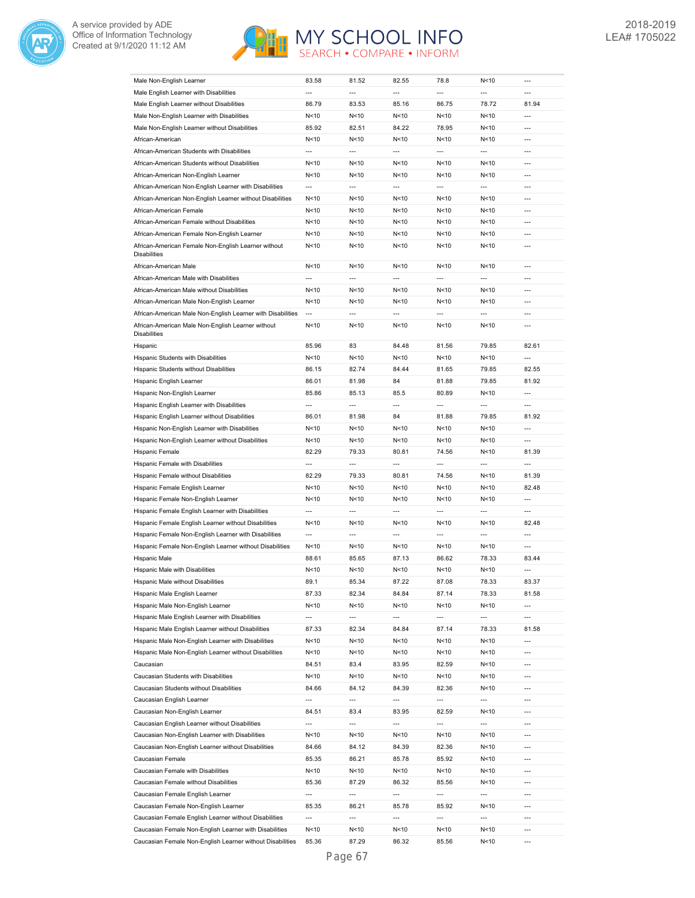



| Male Non-English Learner                                                                                            |                          |                 |                          |                          |                                    |                          |
|---------------------------------------------------------------------------------------------------------------------|--------------------------|-----------------|--------------------------|--------------------------|------------------------------------|--------------------------|
|                                                                                                                     | 83.58                    | 81.52           | 82.55                    | 78.8                     | N<10                               | ---                      |
| Male English Learner with Disabilities                                                                              | ---                      | ---             | ---                      | ---                      | ---                                |                          |
| Male English Learner without Disabilities                                                                           | 86.79                    | 83.53           | 85.16                    | 86.75                    | 78.72                              | 81.94                    |
| Male Non-English Learner with Disabilities                                                                          | N < 10                   | N<10            | N < 10                   | N<10                     | N < 10                             | $\overline{a}$           |
| Male Non-English Learner without Disabilities                                                                       | 85.92                    | 82.51           | 84.22                    | 78.95                    | N < 10                             | $\overline{a}$           |
| African-American                                                                                                    |                          |                 |                          |                          |                                    | $\overline{a}$           |
|                                                                                                                     | N < 10                   | N<10            | N<10                     | N<10                     | N < 10                             |                          |
| African-American Students with Disabilities                                                                         | ---                      | $\overline{a}$  | $\overline{a}$           | $\overline{\phantom{a}}$ | ---                                | $---$                    |
| African-American Students without Disabilities                                                                      | N<10                     | N<10            | N<10                     | N<10                     | N<10                               | $---$                    |
| African-American Non-English Learner                                                                                | N<10                     | N<10            | N <sub>10</sub>          | N<10                     | N<10                               | ---                      |
| African-American Non-English Learner with Disabilities                                                              | $\overline{a}$           | $\overline{a}$  | $\overline{a}$           | ---                      | $\overline{a}$                     | $---$                    |
| African-American Non-English Learner without Disabilities                                                           | N<10                     | N<10            | N<10                     | N<10                     | N<10                               | $\overline{a}$           |
| African-American Female                                                                                             | N<10                     | N<10            | N<10                     | N<10                     | N<10                               | ---                      |
| African-American Female without Disabilities                                                                        | N<10                     | N<10            | N<10                     | N<10                     | N<10                               | $\overline{a}$           |
| African-American Female Non-English Learner                                                                         | N<10                     | N < 10          | N<10                     | N<10                     | N < 10                             | $\overline{a}$           |
|                                                                                                                     |                          |                 |                          |                          |                                    |                          |
| African-American Female Non-English Learner without<br><b>Disabilities</b>                                          | N<10                     | N<10            | N < 10                   | N<10                     | N<10                               | ---                      |
|                                                                                                                     |                          |                 |                          |                          |                                    |                          |
| African-American Male                                                                                               | N<10                     | N < 10          | N<10                     | N<10                     | N < 10                             | $\overline{a}$           |
| African-American Male with Disabilities                                                                             | $\overline{\phantom{a}}$ | ---             | $\overline{a}$           | ---                      | $\overline{\phantom{a}}$           | ---                      |
| African-American Male without Disabilities                                                                          | N<10                     | N<10            | N<10                     | N<10                     | N < 10                             | ---                      |
| African-American Male Non-English Learner                                                                           | N<10                     | N<10            | N < 10                   | N<10                     | N<10                               | $\overline{a}$           |
| African-American Male Non-English Learner with Disabilities                                                         | $\overline{a}$           | ---             | ---                      | ---                      | ---                                | ---                      |
| African-American Male Non-English Learner without                                                                   | N<10                     | N < 10          | N<10                     | N<10                     | N<10                               | $\overline{a}$           |
| <b>Disabilities</b>                                                                                                 |                          |                 |                          |                          |                                    |                          |
| Hispanic                                                                                                            | 85.96                    | 83              | 84.48                    | 81.56                    | 79.85                              | 82.61                    |
| Hispanic Students with Disabilities                                                                                 | N<10                     | N < 10          | N < 10                   | N<10                     | N < 10                             | ---                      |
| Hispanic Students without Disabilities                                                                              | 86.15                    | 82.74           | 84.44                    | 81.65                    | 79.85                              | 82.55                    |
|                                                                                                                     |                          |                 |                          |                          |                                    |                          |
| Hispanic English Learner                                                                                            | 86.01                    | 81.98           | 84                       | 81.88                    | 79.85                              | 81.92                    |
| Hispanic Non-English Learner                                                                                        | 85.86                    | 85.13           | 85.5                     | 80.89                    | N<10                               | $\overline{a}$           |
| Hispanic English Learner with Disabilities                                                                          | $\overline{a}$           | $\overline{a}$  | $\overline{a}$           | ---                      | ---                                | $\overline{a}$           |
| Hispanic English Learner without Disabilities                                                                       | 86.01                    | 81.98           | 84                       | 81.88                    | 79.85                              | 81.92                    |
| Hispanic Non-English Learner with Disabilities                                                                      | N<10                     | N < 10          | N<10                     | N<10                     | N<10                               | $\overline{a}$           |
| Hispanic Non-English Learner without Disabilities                                                                   | N < 10                   | N<10            | N <sub>10</sub>          | N<10                     | N < 10                             | $\overline{a}$           |
| Hispanic Female                                                                                                     | 82.29                    | 79.33           | 80.81                    | 74.56                    | N<10                               | 81.39                    |
| Hispanic Female with Disabilities                                                                                   | ---                      | ---             | $\overline{a}$           | ---                      | ---                                | $\overline{a}$           |
| Hispanic Female without Disabilities                                                                                | 82.29                    | 79.33           | 80.81                    | 74.56                    | N<10                               | 81.39                    |
| Hispanic Female English Learner                                                                                     | N<10                     | N<10            | N<10                     | N<10                     | N<10                               | 82.48                    |
|                                                                                                                     |                          |                 |                          |                          |                                    | $\overline{a}$           |
| Hispanic Female Non-English Learner                                                                                 | N<10                     | N<10            | N <sub>10</sub>          | N<10                     | N<10                               |                          |
|                                                                                                                     |                          |                 | ---                      | ---                      | ---                                | ---                      |
| Hispanic Female English Learner with Disabilities                                                                   | ---                      | ---             |                          |                          |                                    |                          |
| Hispanic Female English Learner without Disabilities                                                                | N<10                     | N<10            | N < 10                   | N<10                     | N<10                               | 82.48                    |
| Hispanic Female Non-English Learner with Disabilities                                                               | ---                      | ---             | ---                      | ---                      | ---                                | ---                      |
| Hispanic Female Non-English Learner without Disabilities                                                            | N<10                     | N<10            | N<10                     | N<10                     | N < 10                             | $\overline{a}$           |
| Hispanic Male                                                                                                       | 88.61                    | 85.65           | 87.13                    | 86.62                    | 78.33                              | 83.44                    |
| Hispanic Male with Disabilities                                                                                     | N<10                     | N<10            | N < 10                   | N<10                     | N < 10                             | $\overline{a}$           |
|                                                                                                                     |                          |                 |                          |                          |                                    |                          |
| Hispanic Male without Disabilities                                                                                  | 89.1                     | 85.34           | 87.22                    | 87.08                    | 78.33                              | 83.37                    |
| Hispanic Male English Learner                                                                                       | 87.33                    | 82.34           | 84.84                    | 87.14                    | 78.33                              | 81.58                    |
| Hispanic Male Non-English Learner                                                                                   | N<10                     | N<10            | N < 10                   | N<10                     | N<10                               | ---                      |
| Hispanic Male English Learner with Disabilities                                                                     | ---                      | ---             | ---                      | ---                      | ---                                | ---                      |
| Hispanic Male English Learner without Disabilities                                                                  | 87.33                    | 82.34           | 84.84                    | 87.14                    | 78.33                              | 81.58                    |
| Hispanic Male Non-English Learner with Disabilities                                                                 | N<10                     | N<10            | N<10                     | N<10                     | N<10                               | $\overline{\phantom{a}}$ |
| Hispanic Male Non-English Learner without Disabilities                                                              | N<10                     | N<10            | N < 10                   | N<10                     | N<10                               | ---                      |
| Caucasian                                                                                                           | 84.51                    | 83.4            | 83.95                    | 82.59                    | N<10                               | ---                      |
| Caucasian Students with Disabilities                                                                                | N<10                     | N<10            | N<10                     | N<10                     | N<10                               | $\overline{a}$           |
|                                                                                                                     |                          |                 |                          |                          |                                    | $\overline{a}$           |
| Caucasian Students without Disabilities                                                                             | 84.66                    | 84.12           | 84.39                    | 82.36                    | N<10                               |                          |
| Caucasian English Learner                                                                                           | $\overline{\phantom{a}}$ | ---             | ---                      | ---                      | ---                                | ---                      |
| Caucasian Non-English Learner                                                                                       | 84.51                    | 83.4            | 83.95                    | 82.59                    | N<10                               | ---                      |
| Caucasian English Learner without Disabilities                                                                      | $\hspace{0.05cm} \cdots$ | ---             | ---                      | ---                      | ---                                | $\overline{\phantom{a}}$ |
| Caucasian Non-English Learner with Disabilities                                                                     | N<10                     | N<10            | N < 10                   | N<10                     | N<10                               | ---                      |
| Caucasian Non-English Learner without Disabilities                                                                  | 84.66                    | 84.12           | 84.39                    | 82.36                    | N<10                               | ---                      |
| Caucasian Female                                                                                                    | 85.35                    | 86.21           | 85.78                    | 85.92                    | N<10                               | ---                      |
| Caucasian Female with Disabilities                                                                                  | N < 10                   | N<10            | N<10                     | N<10                     | N<10                               | $\overline{\phantom{a}}$ |
| Caucasian Female without Disabilities                                                                               | 85.36                    | 87.29           | 86.32                    | 85.56                    | N<10                               | ---                      |
|                                                                                                                     |                          |                 |                          |                          |                                    | ---                      |
| Caucasian Female English Learner                                                                                    | $\overline{\phantom{a}}$ | ---             | ---                      | ---                      | $\overline{\phantom{a}}$           |                          |
| Caucasian Female Non-English Learner                                                                                | 85.35                    | 86.21           | 85.78                    | 85.92                    | N<10                               | $---$                    |
| Caucasian Female English Learner without Disabilities                                                               | $\overline{\phantom{a}}$ | ---             | $\overline{\phantom{a}}$ | $\overline{\phantom{a}}$ | ---                                | ---                      |
| Caucasian Female Non-English Learner with Disabilities<br>Caucasian Female Non-English Learner without Disabilities | N<10<br>85.36            | N < 10<br>87.29 | N<10<br>86.32            | N<10<br>85.56            | N <sub>10</sub><br>N <sub>10</sub> | ---                      |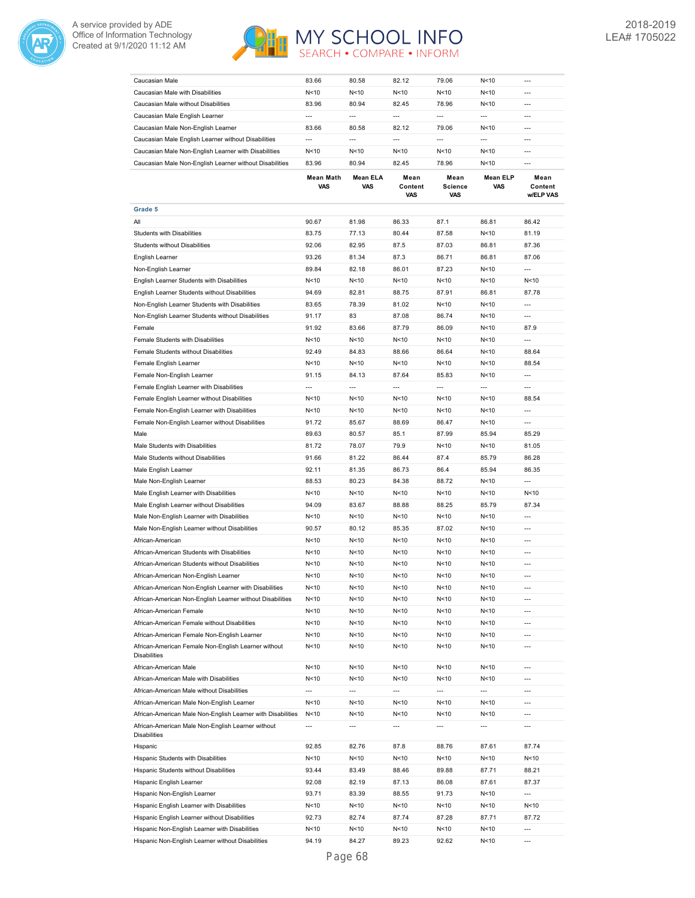



| Caucasian Male                                                             | 83.66                    | 80.58                    | 82.12                    | 79.06                         | N <sub>10</sub>          | $\overline{a}$               |
|----------------------------------------------------------------------------|--------------------------|--------------------------|--------------------------|-------------------------------|--------------------------|------------------------------|
| Caucasian Male with Disabilities                                           | N < 10                   | N<10                     | N<10                     | N<10                          | N<10                     | ---                          |
| Caucasian Male without Disabilities                                        | 83.96                    | 80.94                    | 82.45                    | 78.96                         | N<10                     | $---$                        |
| Caucasian Male English Learner                                             | $\overline{\phantom{a}}$ | ---                      | $\overline{a}$           | $\overline{\phantom{a}}$      | $\overline{a}$           | ---                          |
| Caucasian Male Non-English Learner                                         | 83.66                    | 80.58                    | 82.12                    | 79.06                         | N<10                     | $---$                        |
|                                                                            | $\overline{a}$           | $\overline{a}$           | $\overline{a}$           | $\overline{a}$                | $\overline{a}$           | ---                          |
| Caucasian Male English Learner without Disabilities                        | N < 10                   | N<10                     | N<10                     | N<10                          | N<10                     | $\overline{a}$               |
| Caucasian Male Non-English Learner with Disabilities                       |                          |                          |                          |                               |                          |                              |
| Caucasian Male Non-English Learner without Disabilities                    | 83.96                    | 80.94                    | 82.45                    | 78.96                         | N<10                     | $\overline{a}$               |
|                                                                            | <b>Mean Math</b><br>VAS  | <b>Mean ELA</b><br>VAS   | Mean<br>Content<br>VAS   | Mean<br><b>Science</b><br>VAS | <b>Mean ELP</b><br>VAS   | Mean<br>Content<br>w/ELP VAS |
| Grade 5                                                                    |                          |                          |                          |                               |                          |                              |
| All                                                                        | 90.67                    | 81.98                    | 86.33                    | 87.1                          | 86.81                    | 86.42                        |
| Students with Disabilities                                                 | 83.75                    | 77.13                    | 80.44                    | 87.58                         | N<10                     | 81.19                        |
| Students without Disabilities                                              | 92.06                    | 82.95                    | 87.5                     | 87.03                         | 86.81                    | 87.36                        |
| English Learner                                                            | 93.26                    | 81.34                    | 87.3                     | 86.71                         | 86.81                    | 87.06                        |
| Non-English Learner                                                        | 89.84                    | 82.18                    | 86.01                    | 87.23                         | N < 10                   | ---                          |
| English Learner Students with Disabilities                                 | N < 10                   | N<10                     | N < 10                   | N<10                          | N < 10                   | N < 10                       |
| English Learner Students without Disabilities                              | 94.69                    | 82.81                    | 88.75                    | 87.91                         | 86.81                    | 87.78                        |
|                                                                            |                          |                          |                          |                               |                          |                              |
| Non-English Learner Students with Disabilities                             | 83.65                    | 78.39                    | 81.02                    | N<10                          | N<10                     | ---                          |
| Non-English Learner Students without Disabilities                          | 91.17                    | 83                       | 87.08                    | 86.74                         | N<10                     | $\overline{a}$               |
| Female                                                                     | 91.92                    | 83.66                    | 87.79                    | 86.09                         | N<10                     | 87.9                         |
| Female Students with Disabilities                                          | N <sub>10</sub>          | N<10                     | N <sub>10</sub>          | N <sub>10</sub>               | N <sub>10</sub>          | $\overline{a}$               |
| Female Students without Disabilities                                       | 92.49                    | 84.83                    | 88.66                    | 86.64                         | N<10                     | 88.64                        |
| Female English Learner                                                     | N < 10                   | N<10                     | N <sub>10</sub>          | N <sub>10</sub>               | N<10                     | 88.54                        |
| Female Non-English Learner                                                 | 91.15                    | 84.13                    | 87.64                    | 85.83                         | N<10                     | $\overline{\phantom{a}}$     |
| Female English Learner with Disabilities                                   | ---                      | $\overline{a}$           | $\overline{\phantom{a}}$ | $\overline{a}$                | ---                      | $\overline{a}$               |
| Female English Learner without Disabilities                                | N < 10                   | N<10                     | N < 10                   | N < 10                        | N < 10                   | 88.54                        |
|                                                                            |                          |                          |                          |                               |                          |                              |
| Female Non-English Learner with Disabilities                               | N < 10                   | N<10                     | N < 10                   | N<10                          | N<10                     | $\overline{a}$               |
| Female Non-English Learner without Disabilities                            | 91.72                    | 85.67                    | 88.69                    | 86.47                         | N < 10                   | ---                          |
| Male                                                                       | 89.63                    | 80.57                    | 85.1                     | 87.99                         | 85.94                    | 85.29                        |
| Male Students with Disabilities                                            | 81.72                    | 78.07                    | 79.9                     | N <sub>10</sub>               | N < 10                   | 81.05                        |
| Male Students without Disabilities                                         | 91.66                    | 81.22                    | 86.44                    | 87.4                          | 85.79                    | 86.28                        |
| Male English Learner                                                       | 92.11                    | 81.35                    | 86.73                    | 86.4                          | 85.94                    | 86.35                        |
| Male Non-English Learner                                                   | 88.53                    | 80.23                    | 84.38                    | 88.72                         | N<10                     | ---                          |
| Male English Learner with Disabilities                                     | N < 10                   | N<10                     | N <sub>10</sub>          | N<10                          | N < 10                   | N < 10                       |
| Male English Learner without Disabilities                                  | 94.09                    | 83.67                    | 88.88                    | 88.25                         | 85.79                    | 87.34                        |
| Male Non-English Learner with Disabilities                                 |                          | N<10                     |                          |                               |                          | $\overline{a}$               |
|                                                                            | N <sub>10</sub>          |                          | N <sub>10</sub>          | N <sub>10</sub>               | N <sub>10</sub>          |                              |
| Male Non-English Learner without Disabilities                              | 90.57                    | 80.12                    | 85.35                    | 87.02                         | N<10                     | $\overline{\phantom{a}}$     |
| African-American                                                           | N < 10                   | N<10                     | N <sub>10</sub>          | N <sub>10</sub>               | N<10                     | $\overline{a}$               |
| African-American Students with Disabilities                                | N<10                     | N<10                     | N<10                     | N<10                          | N<10                     | $\overline{a}$               |
| African-American Students without Disabilities                             | N<10                     | N<10                     | N<10                     | N<10                          | N<10                     | $\overline{a}$               |
| African-American Non-English Learner                                       | N<10                     | N<10                     | N<10                     | N<10                          | N<10                     | $---$                        |
| African-American Non-English Learner with Disabilities                     | N < 10                   | N < 10                   | N < 10                   | N < 10                        | N <sub>10</sub>          | ---                          |
| African-American Non-English Learner without Disabilities                  | N < 10                   | N <sub>10</sub>          | N <sub>10</sub>          | N < 10                        | N < 10                   | $\overline{\phantom{a}}$     |
| African-American Female                                                    | N<10                     | N < 10                   | N<10                     | N <sub>10</sub>               | N <sub>10</sub>          | $\overline{a}$               |
| African-American Female without Disabilities                               | N<10                     | N < 10                   | N < 10                   | N <sub>10</sub>               | N <sub>10</sub>          | ---                          |
|                                                                            |                          |                          |                          |                               |                          |                              |
| African-American Female Non-English Learner                                | N<10                     | N<10                     | N<10                     | N <sub>10</sub>               | N <sub>10</sub>          | $\overline{\phantom{a}}$     |
| African-American Female Non-English Learner without<br><b>Disabilities</b> | N < 10                   | N < 10                   | N < 10                   | N < 10                        | N <sub>10</sub>          | ---                          |
| African-American Male                                                      | N < 10                   | N < 10                   | N<10                     | N <sub>10</sub>               | N <sub>10</sub>          | $\overline{\phantom{a}}$     |
| African-American Male with Disabilities                                    | N<10                     | N<10                     | N < 10                   | N <sub>10</sub>               | N <sub>10</sub>          | $\overline{\phantom{a}}$     |
| African-American Male without Disabilities                                 |                          |                          |                          |                               |                          | ---                          |
|                                                                            | ---                      | $\overline{\phantom{a}}$ | $\overline{\phantom{a}}$ | $\overline{\phantom{a}}$      | $\overline{\phantom{a}}$ |                              |
| African-American Male Non-English Learner                                  | N<10                     | N<10                     | N<10                     | N<10                          | N <sub>10</sub>          | $\overline{a}$               |
| African-American Male Non-English Learner with Disabilities                | N < 10                   | N < 10                   | N < 10                   | N <sub>10</sub>               | N <sub>10</sub>          | $\overline{a}$               |
| African-American Male Non-English Learner without<br><b>Disabilities</b>   | ---                      | $\overline{a}$           | $\overline{\phantom{a}}$ | $\overline{a}$                | $\overline{\phantom{a}}$ | $\overline{a}$               |
| Hispanic                                                                   | 92.85                    | 82.76                    | 87.8                     | 88.76                         | 87.61                    | 87.74                        |
| Hispanic Students with Disabilities                                        | N<10                     | N<10                     | N < 10                   | N <sub>10</sub>               | N <sub>10</sub>          | N<10                         |
|                                                                            |                          |                          |                          |                               |                          |                              |
| Hispanic Students without Disabilities                                     | 93.44                    | 83.49                    | 88.46                    | 89.88                         | 87.71                    | 88.21                        |
| Hispanic English Learner                                                   | 92.08                    | 82.19                    | 87.13                    | 86.08                         | 87.61                    | 87.37                        |
| Hispanic Non-English Learner                                               | 93.71                    | 83.39                    | 88.55                    | 91.73                         | N <sub>10</sub>          | ---                          |
| Hispanic English Learner with Disabilities                                 | N<10                     | N<10                     | N < 10                   | N <sub>10</sub>               | N <sub>10</sub>          | N<10                         |
| Hispanic English Learner without Disabilities                              | 92.73                    | 82.74                    | 87.74                    | 87.28                         | 87.71                    | 87.72                        |
| Hispanic Non-English Learner with Disabilities                             | N < 10                   | N<10                     | N < 10                   | N <sub>10</sub>               | N <sub>10</sub>          | $\overline{a}$               |
| Hispanic Non-English Learner without Disabilities                          | 94.19                    | 84.27                    | 89.23                    | 92.62                         | N <sub>10</sub>          | $\overline{a}$               |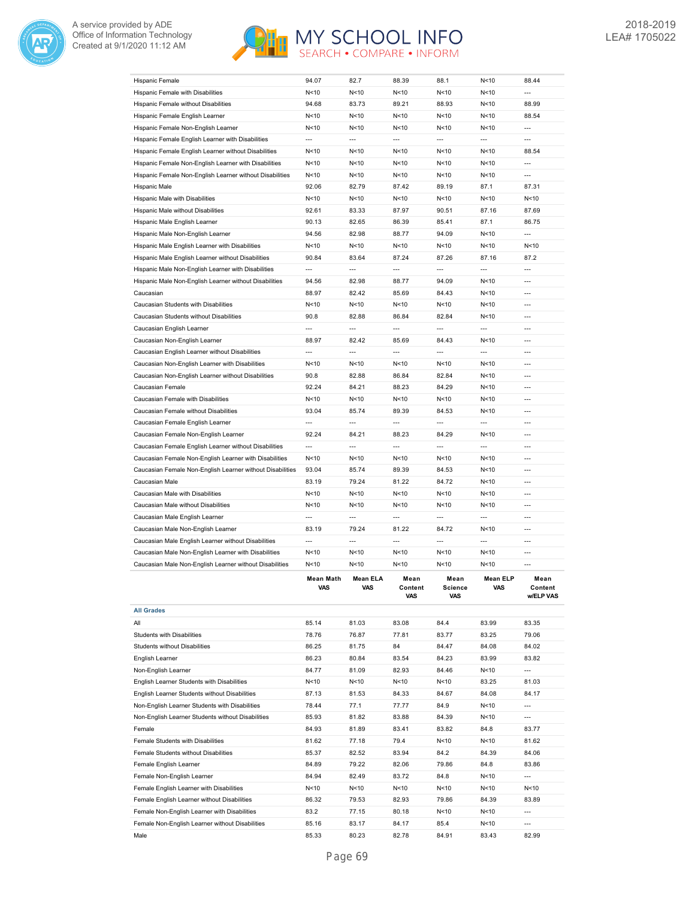

| Hispanic Female                                                                                 | 94.07           | 82.7                     | 88.39           | 88.1                  | N<10            | 88.44                |
|-------------------------------------------------------------------------------------------------|-----------------|--------------------------|-----------------|-----------------------|-----------------|----------------------|
| Hispanic Female with Disabilities                                                               | N < 10          | N <sub>10</sub>          | N<10            | N<10                  | N < 10          | $\overline{a}$       |
| Hispanic Female without Disabilities                                                            | 94.68           | 83.73                    | 89.21           | 88.93                 | N < 10          | 88.99                |
| Hispanic Female English Learner                                                                 | N<10            | N < 10                   | N<10            | N<10                  | N<10            | 88.54                |
| Hispanic Female Non-English Learner                                                             | N<10            | N <sub>10</sub>          | N<10            | N<10                  | N<10            | $\overline{a}$       |
| Hispanic Female English Learner with Disabilities                                               | $\overline{a}$  | $\overline{a}$           | $\overline{a}$  | ---                   | $\overline{a}$  | $---$                |
| Hispanic Female English Learner without Disabilities                                            | N <sub>10</sub> | N<10                     | N<10            | N<10                  | N <sub>10</sub> | 88.54                |
| Hispanic Female Non-English Learner with Disabilities                                           | N<10            | N <sub>10</sub>          | N <sub>10</sub> | N<10                  | N <sub>10</sub> | $\overline{a}$       |
| Hispanic Female Non-English Learner without Disabilities                                        | N <sub>10</sub> | N <sub>10</sub>          | N <sub>10</sub> | N<10                  | N <sub>10</sub> | $\overline{a}$       |
| Hispanic Male                                                                                   | 92.06           | 82.79                    | 87.42           | 89.19                 | 87.1            | 87.31                |
| Hispanic Male with Disabilities                                                                 | N < 10          | N <sub>10</sub>          | N<10            | N<10                  | N<10            | N < 10               |
| Hispanic Male without Disabilities                                                              | 92.61           | 83.33                    | 87.97           | 90.51                 | 87.16           | 87.69                |
| Hispanic Male English Learner                                                                   | 90.13           | 82.65                    | 86.39           | 85.41                 | 87.1            | 86.75                |
| Hispanic Male Non-English Learner                                                               | 94.56           | 82.98                    | 88.77           | 94.09                 | N < 10          | $\overline{a}$       |
| Hispanic Male English Learner with Disabilities                                                 | N < 10          | N < 10                   | N<10            | N<10                  | N < 10          | N < 10               |
| Hispanic Male English Learner without Disabilities                                              | 90.84           | 83.64                    | 87.24           | 87.26                 | 87.16           | 87.2                 |
| Hispanic Male Non-English Learner with Disabilities                                             | $\overline{a}$  | $\overline{a}$           | $\overline{a}$  | $\overline{a}$        | $\overline{a}$  | $\overline{a}$       |
| Hispanic Male Non-English Learner without Disabilities                                          | 94.56           | 82.98                    | 88.77           | 94.09                 | N < 10          | $\overline{a}$       |
| Caucasian                                                                                       | 88.97           | 82.42                    | 85.69           | 84.43                 | N<10            | $---$                |
| Caucasian Students with Disabilities                                                            | N<10            | N<10                     | N<10            | N<10                  | N<10            | $---$                |
| Caucasian Students without Disabilities                                                         | 90.8            | 82.88                    | 86.84           | 82.84                 | N<10            | $---$                |
| Caucasian English Learner                                                                       | $\overline{a}$  | $\overline{\phantom{a}}$ | $\overline{a}$  | $\overline{a}$        | $\overline{a}$  | $---$                |
| Caucasian Non-English Learner                                                                   | 88.97           | 82.42                    | 85.69           | 84.43                 | N<10            | $\overline{a}$       |
| Caucasian English Learner without Disabilities                                                  | ---             | ---                      | $\overline{a}$  | ---                   | ---             | $\overline{a}$       |
| Caucasian Non-English Learner with Disabilities                                                 | N<10            | N <sub>10</sub>          | N<10            | N<10                  | N<10            | $\overline{a}$       |
| Caucasian Non-English Learner without Disabilities                                              | 90.8            | 82.88                    | 86.84           | 82.84                 | N <sub>10</sub> | $\overline{a}$       |
| Caucasian Female                                                                                | 92.24           | 84.21                    | 88.23           | 84.29                 | N < 10          | ---                  |
| Caucasian Female with Disabilities                                                              | N < 10          | N<10                     | N<10            | N<10                  | N<10            | ---                  |
| Caucasian Female without Disabilities                                                           | 93.04           | 85.74                    | 89.39           | 84.53                 | N < 10          | ---                  |
| Caucasian Female English Learner                                                                | ---             | ---                      | ---             | ---                   | ---             | ---                  |
| Caucasian Female Non-English Learner                                                            | 92.24           | 84.21                    | 88.23           | 84.29                 | N<10            | $\overline{a}$       |
| Caucasian Female English Learner without Disabilities                                           | $\overline{a}$  | $\overline{a}$           | $\overline{a}$  | $\overline{a}$        | $\overline{a}$  | ---                  |
| Caucasian Female Non-English Learner with Disabilities                                          | N < 10          | N<10                     | N<10            | N<10                  | N < 10          | $\overline{a}$       |
| Caucasian Female Non-English Learner without Disabilities                                       | 93.04           | 85.74                    | 89.39           | 84.53                 | N<10            | $---$                |
| Caucasian Male                                                                                  | 83.19           | 79.24                    | 81.22           | 84.72                 | N<10            | $---$                |
| Caucasian Male with Disabilities                                                                | N<10            | N<10                     | N<10            | N<10                  | N<10            | $---$                |
| Caucasian Male without Disabilities                                                             | N < 10          | N <sub>10</sub>          | N<10            | N<10                  | N < 10          | $---$                |
| Caucasian Male English Learner                                                                  | $\overline{a}$  | $\overline{a}$           | $\overline{a}$  | $\overline{a}$        | $\overline{a}$  | $---$                |
| Caucasian Male Non-English Learner                                                              | 83.19           | 79.24                    | 81.22           | 84.72                 | N <sub>10</sub> | $\overline{a}$       |
| Caucasian Male English Learner without Disabilities                                             | $\overline{a}$  | $\overline{a}$           | $\overline{a}$  | $\overline{a}$        | $\overline{a}$  | ---                  |
| Caucasian Male Non-English Learner with Disabilities                                            | N < 10          | N <sub>10</sub>          | N<10            | N<10                  | N < 10          | $\overline{a}$       |
| Caucasian Male Non-English Learner without Disabilities                                         | N<10            | N <sub>10</sub>          | N <sub>10</sub> | N<10                  | N <sub>10</sub> | $\overline{a}$       |
|                                                                                                 | Mean Math       | <b>Mean ELA</b>          | Mean            | Mean                  | <b>Mean ELP</b> | Mean                 |
|                                                                                                 | VAS             | VAS                      | Content<br>VAS  | <b>Science</b><br>VAS | VAS             | Content<br>w/ELP VAS |
| <b>All Grades</b>                                                                               |                 |                          |                 |                       |                 |                      |
| All                                                                                             | 85.14           | 81.03                    | 83.08           | 84.4                  | 83.99           | 83.35                |
| Students with Disabilities                                                                      | 78.76           | 76.87                    | 77.81           | 83.77                 | 83.25           | 79.06                |
| Students without Disabilities                                                                   | 86.25           | 81.75                    | 84              | 84.47                 | 84.08           | 84.02                |
| English Learner                                                                                 | 86.23           | 80.84                    | 83.54           | 84.23                 | 83.99           | 83.82                |
| Non-English Learner                                                                             | 84.77           | 81.09                    | 82.93           | 84.46                 | N<10            | ---                  |
| English Learner Students with Disabilities                                                      | N<10            | N<10                     | N<10            | N<10                  | 83.25           | 81.03                |
| English Learner Students without Disabilities                                                   | 87.13           | 81.53                    | 84.33           | 84.67                 | 84.08           | 84.17                |
| Non-English Learner Students with Disabilities                                                  | 78.44           | 77.1                     | 77.77           | 84.9                  | N<10            | ---                  |
| Non-English Learner Students without Disabilities                                               | 85.93           | 81.82                    | 83.88           | 84.39                 | N<10            | ---                  |
| Female                                                                                          | 84.93           | 81.89                    | 83.41           | 83.82                 | 84.8            | 83.77                |
|                                                                                                 |                 |                          |                 |                       |                 |                      |
| Female Students with Disabilities                                                               | 81.62           | 77.18                    | 79.4            | N<10                  | N<10            | 81.62                |
| Female Students without Disabilities                                                            | 85.37           | 82.52                    | 83.94           | 84.2                  | 84.39           | 84.06                |
| Female English Learner                                                                          | 84.89<br>84.94  | 79.22                    | 82.06           | 79.86                 | 84.8            | 83.86                |
| Female Non-English Learner                                                                      |                 | 82.49                    | 83.72           | 84.8                  | N <sub>10</sub> | ---                  |
|                                                                                                 |                 |                          |                 |                       |                 |                      |
| Female English Learner with Disabilities                                                        | N<10            | N<10                     | N<10            | N < 10                | N<10            | N<10                 |
| Female English Learner without Disabilities                                                     | 86.32           | 79.53                    | 82.93           | 79.86                 | 84.39           | 83.89                |
| Female Non-English Learner with Disabilities<br>Female Non-English Learner without Disabilities | 83.2<br>85.16   | 77.15<br>83.17           | 80.18<br>84.17  | N < 10<br>85.4        | N<10<br>N<10    | $---$<br>$---$       |

Male 85.33 80.23 82.78 84.91 83.43 82.99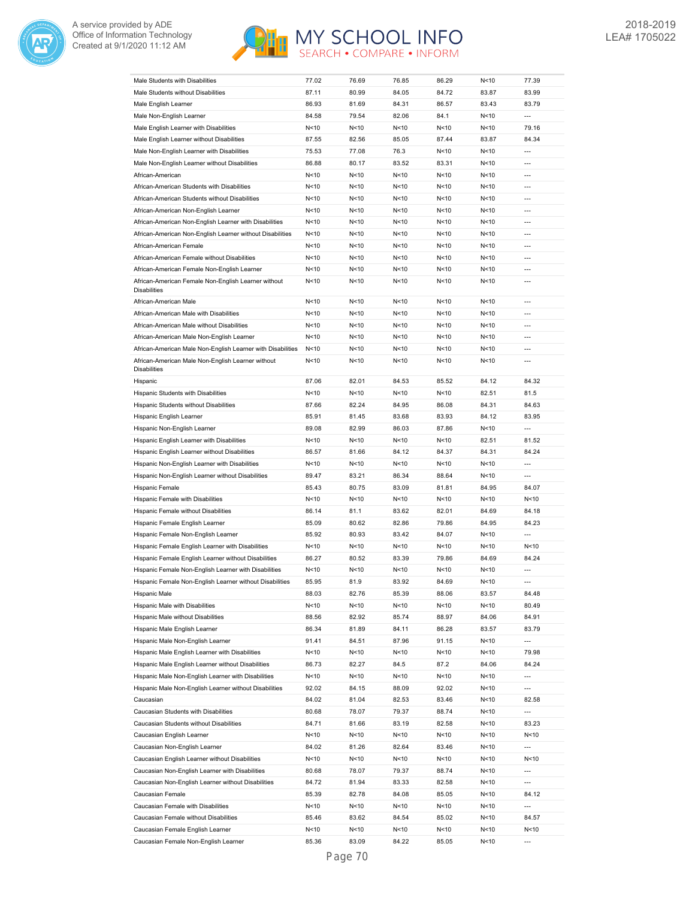



| Male Students with Disabilities                                          | 77.02           | 76.69           | 76.85           | 86.29           | N<10            | 77.39                    |
|--------------------------------------------------------------------------|-----------------|-----------------|-----------------|-----------------|-----------------|--------------------------|
| Male Students without Disabilities                                       | 87.11           | 80.99           | 84.05           | 84.72           | 83.87           | 83.99                    |
| Male English Learner                                                     | 86.93           | 81.69           | 84.31           | 86.57           | 83.43           | 83.79                    |
| Male Non-English Learner                                                 | 84.58           | 79.54           | 82.06           | 84.1            | N<10            | $\overline{a}$           |
| Male English Learner with Disabilities                                   | N < 10          | N<10            | N < 10          | N<10            | N<10            | 79.16                    |
| Male English Learner without Disabilities                                | 87.55           | 82.56           | 85.05           | 87.44           | 83.87           | 84.34                    |
|                                                                          |                 |                 |                 |                 |                 | $\overline{a}$           |
| Male Non-English Learner with Disabilities                               | 75.53           | 77.08           | 76.3            | N<10            | N<10            |                          |
| Male Non-English Learner without Disabilities                            | 86.88           | 80.17           | 83.52           | 83.31           | N<10            | ---                      |
| African-American                                                         | N<10            | N <sub>10</sub> | N < 10          | N<10            | N<10            | $\overline{\phantom{a}}$ |
| African-American Students with Disabilities                              | N<10            | N <sub>10</sub> | N < 10          | N<10            | N<10            | ---                      |
| African-American Students without Disabilities                           | N<10            | N<10            | N < 10          | N<10            | N<10            | ---                      |
| African-American Non-English Learner                                     | N < 10          | N <sub>10</sub> | N < 10          | N<10            | N<10            | $\overline{a}$           |
| African-American Non-English Learner with Disabilities                   | N<10            | N <sub>10</sub> | N < 10          | N<10            | N<10            | ---                      |
| African-American Non-English Learner without Disabilities                | N<10            | N <sub>10</sub> | N < 10          | N<10            | N<10            | $\overline{a}$           |
| African-American Female                                                  | N<10            | N <sub>10</sub> | N <sub>10</sub> | N<10            | N<10            | $---$                    |
| African-American Female without Disabilities                             | N<10            | N <sub>10</sub> | N < 10          | N<10            | N<10            | $---$                    |
| African-American Female Non-English Learner                              | N<10            | N <sub>10</sub> | N < 10          | N<10            | N<10            | $---$                    |
| African-American Female Non-English Learner without                      | N<10            | N <sub>10</sub> | N < 10          | N<10            | N<10            | $---$                    |
| <b>Disabilities</b>                                                      |                 |                 |                 |                 |                 |                          |
| African-American Male                                                    | N<10            | N <sub>10</sub> | N < 10          | N<10            | N<10            | $---$                    |
| African-American Male with Disabilities                                  | N<10            | N <sub>10</sub> | N < 10          | N<10            | N<10            | $---$                    |
| African-American Male without Disabilities                               | N<10            | N <sub>10</sub> | N < 10          | N<10            | N<10            | $\overline{a}$           |
| African-American Male Non-English Learner                                | N<10            | N <sub>10</sub> | N < 10          | N<10            | N<10            | $\overline{a}$           |
| African-American Male Non-English Learner with Disabilities              | N<10            | N < 10          | N<10            | N<10            | N<10            | $\overline{a}$           |
|                                                                          |                 |                 |                 |                 |                 | $\overline{a}$           |
| African-American Male Non-English Learner without<br><b>Disabilities</b> | N<10            | N<10            | N < 10          | N<10            | N<10            |                          |
| Hispanic                                                                 | 87.06           | 82.01           | 84.53           | 85.52           | 84.12           | 84.32                    |
|                                                                          |                 |                 |                 |                 |                 | 81.5                     |
| Hispanic Students with Disabilities                                      | N < 10          | N<10            | N < 10          | N<10            | 82.51           |                          |
| Hispanic Students without Disabilities                                   | 87.66           | 82.24           | 84.95           | 86.08           | 84.31           | 84.63                    |
| Hispanic English Learner                                                 | 85.91           | 81.45           | 83.68           | 83.93           | 84.12           | 83.95                    |
| Hispanic Non-English Learner                                             | 89.08           | 82.99           | 86.03           | 87.86           | N<10            | ---                      |
| Hispanic English Learner with Disabilities                               | N<10            | N <sub>10</sub> | N < 10          | N<10            | 82.51           | 81.52                    |
| Hispanic English Learner without Disabilities                            | 86.57           | 81.66           | 84.12           | 84.37           | 84.31           | 84.24                    |
| Hispanic Non-English Learner with Disabilities                           | N<10            | N<10            | N < 10          | N<10            | N<10            | $\overline{a}$           |
| Hispanic Non-English Learner without Disabilities                        | 89.47           | 83.21           | 86.34           | 88.64           | N<10            | $\overline{a}$           |
| Hispanic Female                                                          | 85.43           | 80.75           | 83.09           | 81.81           | 84.95           | 84.07                    |
| Hispanic Female with Disabilities                                        | N<10            | N<10            | N < 10          | N<10            | N<10            | N<10                     |
| Hispanic Female without Disabilities                                     | 86.14           | 81.1            | 83.62           | 82.01           | 84.69           | 84.18                    |
| Hispanic Female English Learner                                          | 85.09           | 80.62           | 82.86           | 79.86           | 84.95           | 84.23                    |
| Hispanic Female Non-English Learner                                      | 85.92           | 80.93           | 83.42           | 84.07           | N<10            | $\overline{a}$           |
| Hispanic Female English Learner with Disabilities                        | N<10            | N <sub>10</sub> | N < 10          | N<10            | N<10            | N<10                     |
| Hispanic Female English Learner without Disabilities                     | 86.27           | 80.52           | 83.39           | 79.86           | 84.69           | 84.24                    |
| Hispanic Female Non-English Learner with Disabilities                    | N <sub>10</sub> | N <sub>10</sub> | N <sub>10</sub> | N<10            | N<10            | $\overline{a}$           |
| Hispanic Female Non-English Learner without Disabilities                 |                 |                 |                 |                 |                 | ---                      |
|                                                                          | 85.95           | 81.9            | 83.92           | 84.69           | N<10            |                          |
| Hispanic Male                                                            | 88.03           | 82.76           | 85.39           | 88.06           | 83.57           | 84.48                    |
| Hispanic Male with Disabilities                                          | N<10            | N<10            | N < 10          | N <sub>10</sub> | N<10            | 80.49                    |
| Hispanic Male without Disabilities                                       | 88.56           | 82.92           | 85.74           | 88.97           | 84.06           | 84.91                    |
| Hispanic Male English Learner                                            | 86.34           | 81.89           | 84.11           | 86.28           | 83.57           | 83.79                    |
| Hispanic Male Non-English Learner                                        | 91.41           | 84.51           | 87.96           | 91.15           | N<10            | $\overline{\phantom{a}}$ |
| Hispanic Male English Learner with Disabilities                          | N<10            | N<10            | N < 10          | N <sub>10</sub> | N<10            | 79.98                    |
| Hispanic Male English Learner without Disabilities                       | 86.73           | 82.27           | 84.5            | 87.2            | 84.06           | 84.24                    |
| Hispanic Male Non-English Learner with Disabilities                      | N<10            | N<10            | N<10            | N<10            | N<10            | $\overline{\phantom{a}}$ |
| Hispanic Male Non-English Learner without Disabilities                   | 92.02           | 84.15           | 88.09           | 92.02           | N<10            | $\overline{\phantom{a}}$ |
| Caucasian                                                                | 84.02           | 81.04           | 82.53           | 83.46           | N <sub>10</sub> | 82.58                    |
| Caucasian Students with Disabilities                                     | 80.68           | 78.07           | 79.37           | 88.74           | N <sub>10</sub> | ---                      |
| Caucasian Students without Disabilities                                  | 84.71           | 81.66           | 83.19           | 82.58           | N <sub>10</sub> | 83.23                    |
| Caucasian English Learner                                                | N<10            | N<10            | N<10            | N<10            | N <sub>10</sub> | N<10                     |
| Caucasian Non-English Learner                                            | 84.02           | 81.26           | 82.64           | 83.46           | N <sub>10</sub> | ---                      |
| Caucasian English Learner without Disabilities                           | N<10            | N<10            | N<10            | N<10            | N <sub>10</sub> | N<10                     |
|                                                                          |                 |                 |                 |                 |                 | ---                      |
| Caucasian Non-English Learner with Disabilities                          | 80.68           | 78.07           | 79.37           | 88.74           | N <sub>10</sub> |                          |
| Caucasian Non-English Learner without Disabilities                       | 84.72           | 81.94           | 83.33           | 82.58           | N <sub>10</sub> | ---                      |
| Caucasian Female                                                         | 85.39           | 82.78           | 84.08           | 85.05           | N < 10          | 84.12                    |
| Caucasian Female with Disabilities                                       | N < 10          | N<10            | N < 10          | N <sub>10</sub> | N < 10          | $\overline{\phantom{a}}$ |
| Caucasian Female without Disabilities                                    | 85.46           | 83.62           | 84.54           | 85.02           | N < 10          | 84.57                    |
| Caucasian Female English Learner                                         | N < 10          | N<10            | N<10            | N <sub>10</sub> | N < 10          | N<10                     |
| Caucasian Female Non-English Learner                                     | 85.36           | 83.09           | 84.22           | 85.05           | N < 10          |                          |